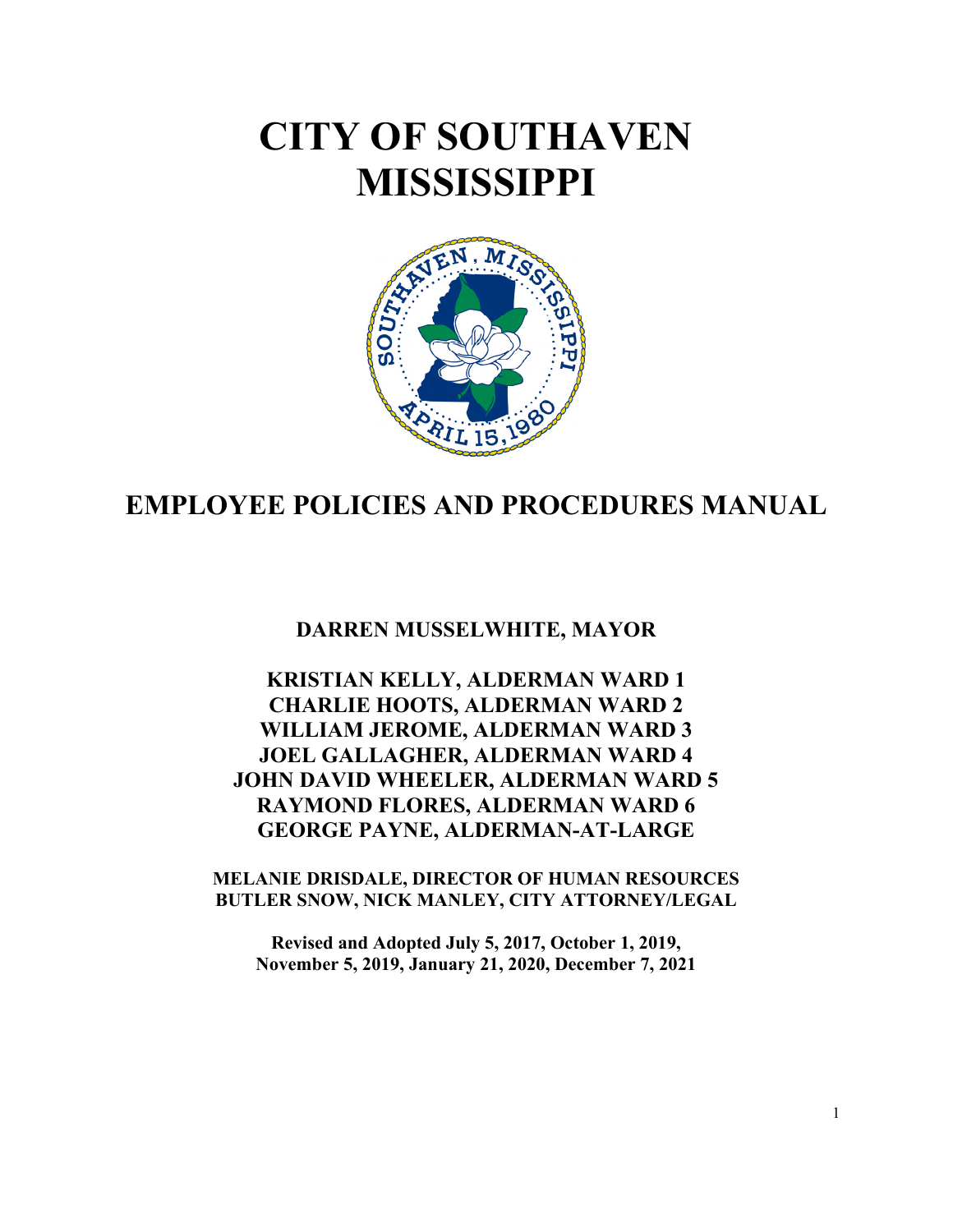# **CITY OF SOUTHAVEN MISSISSIPPI**



## **EMPLOYEE POLICIES AND PROCEDURES MANUAL**

**DARREN MUSSELWHITE, MAYOR** 

## **KRISTIAN KELLY, ALDERMAN WARD 1 CHARLIE HOOTS, ALDERMAN WARD 2 WILLIAM JEROME, ALDERMAN WARD 3 JOEL GALLAGHER, ALDERMAN WARD 4 JOHN DAVID WHEELER, ALDERMAN WARD 5 RAYMOND FLORES, ALDERMAN WARD 6 GEORGE PAYNE, ALDERMAN-AT-LARGE**

**MELANIE DRISDALE, DIRECTOR OF HUMAN RESOURCES BUTLER SNOW, NICK MANLEY, CITY ATTORNEY/LEGAL** 

**Revised and Adopted July 5, 2017, October 1, 2019, November 5, 2019, January 21, 2020, December 7, 2021**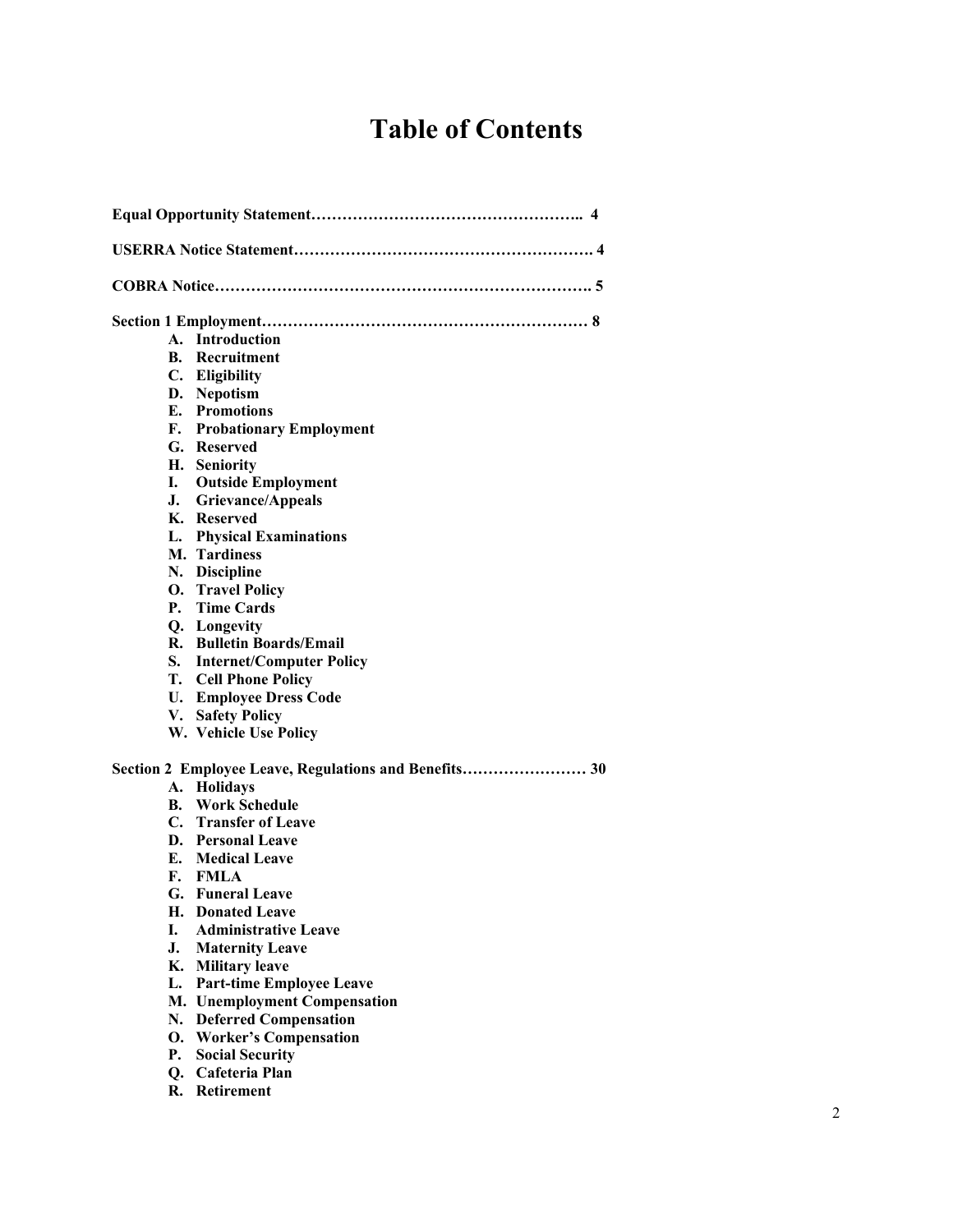## **Table of Contents**

|                | A. Introduction                                        |
|----------------|--------------------------------------------------------|
| B.             | Recruitment                                            |
|                | C. Eligibility                                         |
|                | D. Nepotism                                            |
| Е.             | <b>Promotions</b>                                      |
|                | <b>F.</b> Probationary Employment                      |
|                | G. Reserved                                            |
|                | H. Seniority                                           |
| L.             | <b>Outside Employment</b>                              |
|                | J. Grievance/Appeals                                   |
|                | K. Reserved                                            |
|                | L. Physical Examinations                               |
|                | M. Tardiness                                           |
|                | N. Discipline                                          |
| О.             | <b>Travel Policy</b>                                   |
| <b>P.</b>      | <b>Time Cards</b>                                      |
|                | Q. Longevity                                           |
|                | R. Bulletin Boards/Email                               |
|                | S. Internet/Computer Policy                            |
|                | <b>T.</b> Cell Phone Policy                            |
|                | <b>U.</b> Employee Dress Code                          |
|                | V. Safety Policy<br>W. Vehicle Use Policy              |
|                |                                                        |
|                | Section 2 Employee Leave, Regulations and Benefits 30  |
|                | A. Holidays                                            |
| B.             | <b>Work Schedule</b>                                   |
| $\mathbf{C}$ . | <b>Transfer of Leave</b>                               |
| D.             | <b>Personal Leave</b>                                  |
| Е.             | <b>Medical Leave</b>                                   |
|                | F. FMLA                                                |
|                | G. Funeral Leave                                       |
|                | <b>H.</b> Donated Leave                                |
| L.             | <b>Administrative Leave</b>                            |
| J.             | <b>Maternity Leave</b>                                 |
|                | K. Military leave                                      |
|                | L. Part-time Employee Leave                            |
| N.             | M. Unemployment Compensation                           |
| O.             | <b>Deferred Compensation</b>                           |
| <b>P.</b>      | <b>Worker's Compensation</b><br><b>Social Security</b> |
|                | O. Cafeteria Plan                                      |
|                | R. Retirement                                          |
|                |                                                        |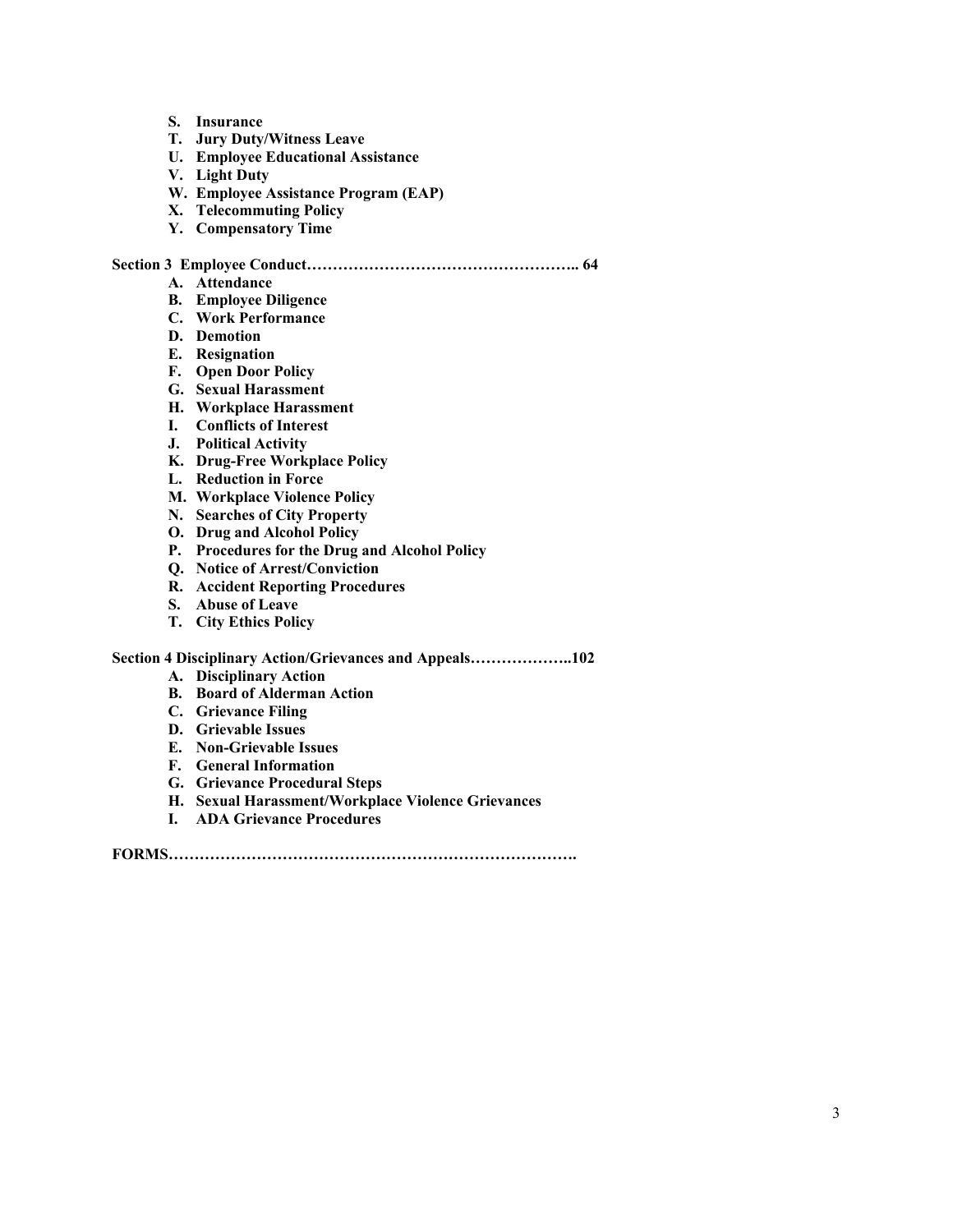- **S. Insurance**
- **T. Jury Duty/Witness Leave**
- **U. Employee Educational Assistance**
- **V. Light Duty**
- **W. Employee Assistance Program (EAP)**
- **X. Telecommuting Policy**
- **Y. Compensatory Time**

#### **Section 3 Employee Conduct…………………………………………….. 64**

- **A. Attendance**
- **B. Employee Diligence**
- **C. Work Performance**
- **D. Demotion**
- **E. Resignation**
- **F. Open Door Policy**
- **G. Sexual Harassment**
- **H. Workplace Harassment**
- **I. Conflicts of Interest**
- **J. Political Activity**
- **K. Drug-Free Workplace Policy**
- **L. Reduction in Force**
- **M. Workplace Violence Policy**
- **N. Searches of City Property**
- **O. Drug and Alcohol Policy**
- **P. Procedures for the Drug and Alcohol Policy**
- **Q. Notice of Arrest/Conviction**
- **R. Accident Reporting Procedures**
- **S. Abuse of Leave**
- **T. City Ethics Policy**

#### **Section 4 Disciplinary Action/Grievances and Appeals………………..102**

- **A. Disciplinary Action**
- **B. Board of Alderman Action**
- **C. Grievance Filing**
- **D. Grievable Issues**
- **E. Non-Grievable Issues**
- **F. General Information**
- **G. Grievance Procedural Steps**
- **H. Sexual Harassment/Workplace Violence Grievances**
- **I. ADA Grievance Procedures**

**FORMS…………………………………………………………………….**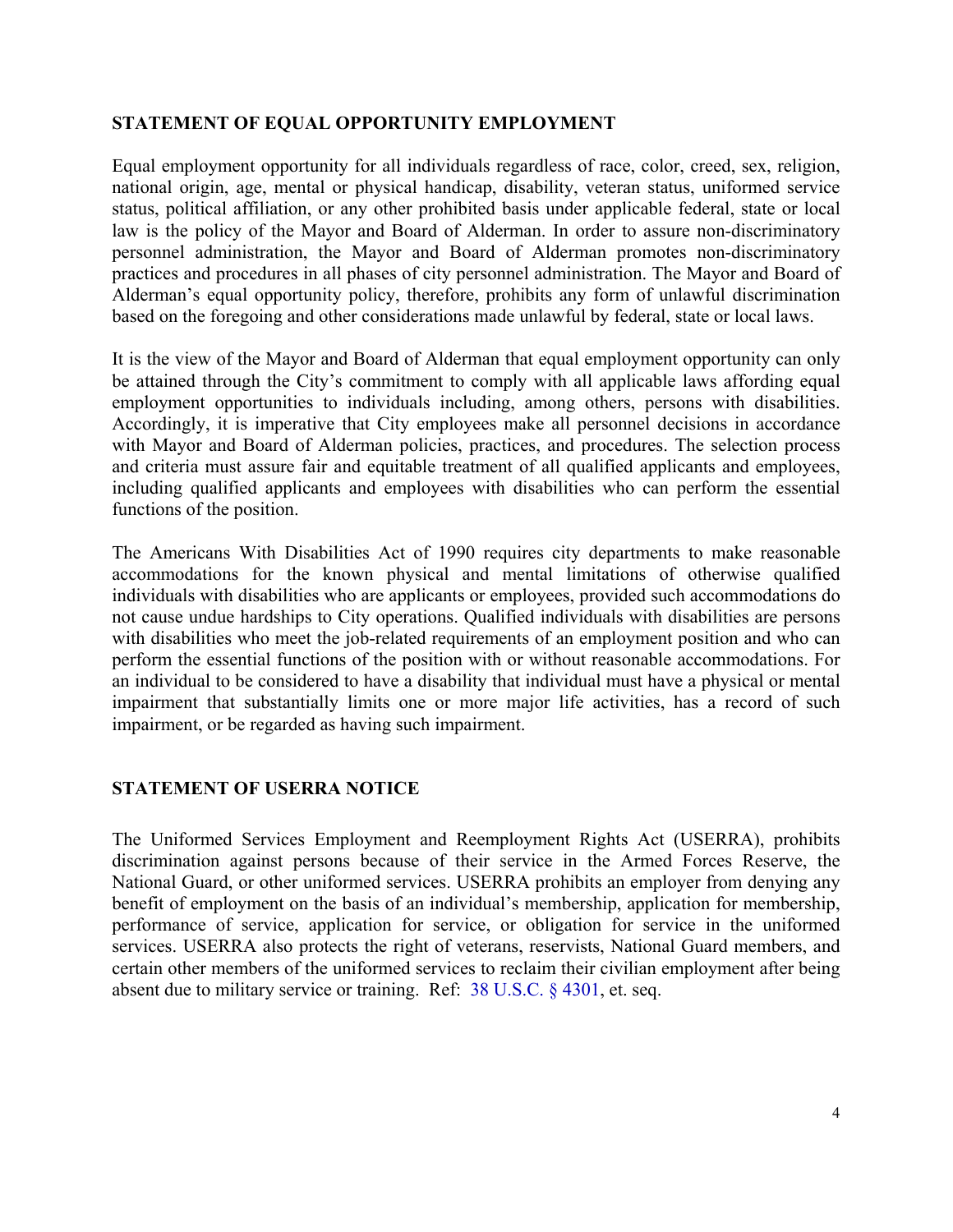#### **STATEMENT OF EQUAL OPPORTUNITY EMPLOYMENT**

Equal employment opportunity for all individuals regardless of race, color, creed, sex, religion, national origin, age, mental or physical handicap, disability, veteran status, uniformed service status, political affiliation, or any other prohibited basis under applicable federal, state or local law is the policy of the Mayor and Board of Alderman. In order to assure non-discriminatory personnel administration, the Mayor and Board of Alderman promotes non-discriminatory practices and procedures in all phases of city personnel administration. The Mayor and Board of Alderman's equal opportunity policy, therefore, prohibits any form of unlawful discrimination based on the foregoing and other considerations made unlawful by federal, state or local laws.

It is the view of the Mayor and Board of Alderman that equal employment opportunity can only be attained through the City's commitment to comply with all applicable laws affording equal employment opportunities to individuals including, among others, persons with disabilities. Accordingly, it is imperative that City employees make all personnel decisions in accordance with Mayor and Board of Alderman policies, practices, and procedures. The selection process and criteria must assure fair and equitable treatment of all qualified applicants and employees, including qualified applicants and employees with disabilities who can perform the essential functions of the position.

The Americans With Disabilities Act of 1990 requires city departments to make reasonable accommodations for the known physical and mental limitations of otherwise qualified individuals with disabilities who are applicants or employees, provided such accommodations do not cause undue hardships to City operations. Qualified individuals with disabilities are persons with disabilities who meet the job-related requirements of an employment position and who can perform the essential functions of the position with or without reasonable accommodations. For an individual to be considered to have a disability that individual must have a physical or mental impairment that substantially limits one or more major life activities, has a record of such impairment, or be regarded as having such impairment.

#### **STATEMENT OF USERRA NOTICE**

The Uniformed Services Employment and Reemployment Rights Act (USERRA), prohibits discrimination against persons because of their service in the Armed Forces Reserve, the National Guard, or other uniformed services. USERRA prohibits an employer from denying any benefit of employment on the basis of an individual's membership, application for membership, performance of service, application for service, or obligation for service in the uniformed services. USERRA also protects the right of veterans, reservists, National Guard members, and certain other members of the uniformed services to reclaim their civilian employment after being absent due to military service or training. Ref: 38 U.S.C. § 4301, et. seq.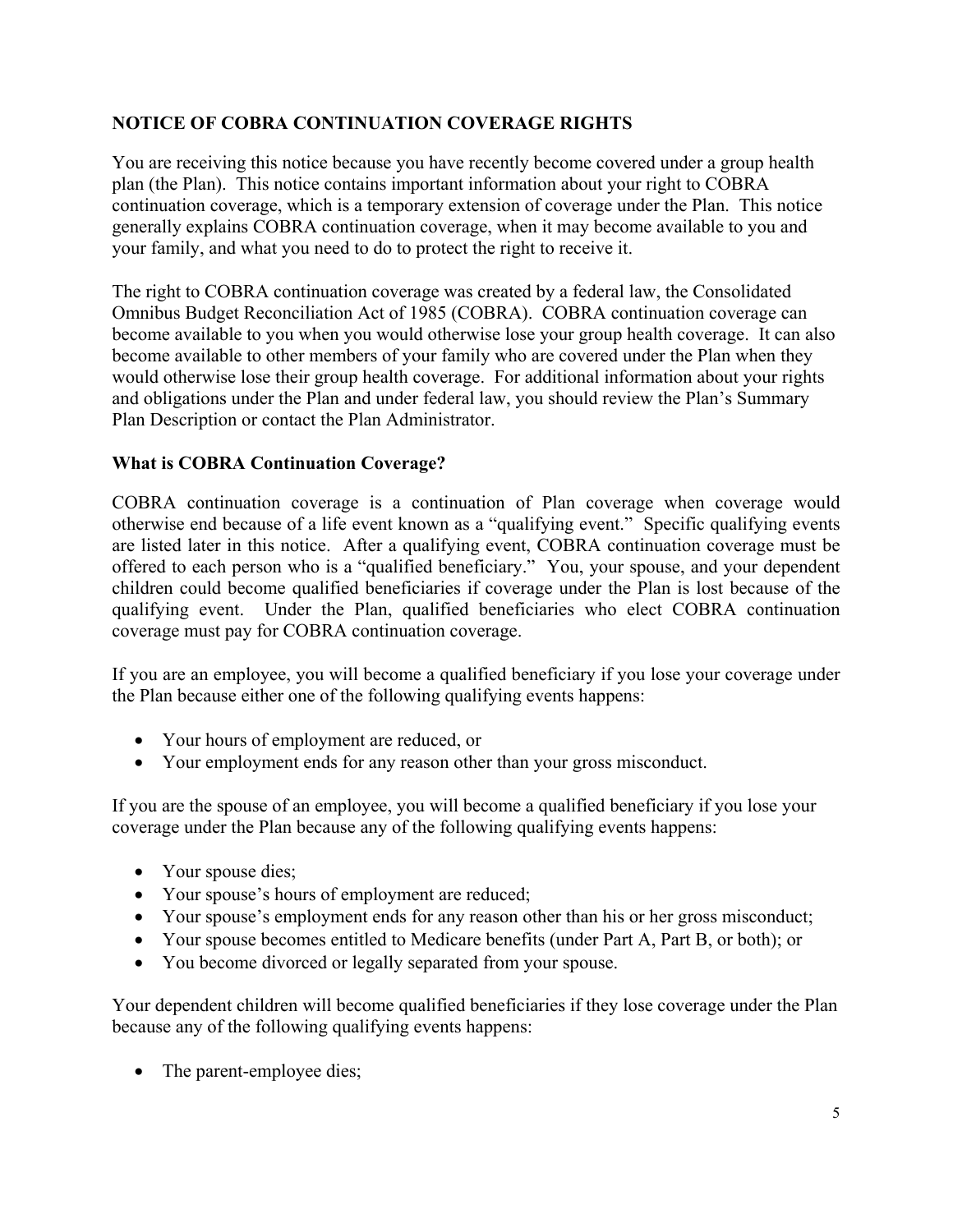#### **NOTICE OF COBRA CONTINUATION COVERAGE RIGHTS**

You are receiving this notice because you have recently become covered under a group health plan (the Plan). This notice contains important information about your right to COBRA continuation coverage, which is a temporary extension of coverage under the Plan. This notice generally explains COBRA continuation coverage, when it may become available to you and your family, and what you need to do to protect the right to receive it.

The right to COBRA continuation coverage was created by a federal law, the Consolidated Omnibus Budget Reconciliation Act of 1985 (COBRA). COBRA continuation coverage can become available to you when you would otherwise lose your group health coverage. It can also become available to other members of your family who are covered under the Plan when they would otherwise lose their group health coverage. For additional information about your rights and obligations under the Plan and under federal law, you should review the Plan's Summary Plan Description or contact the Plan Administrator.

#### **What is COBRA Continuation Coverage?**

COBRA continuation coverage is a continuation of Plan coverage when coverage would otherwise end because of a life event known as a "qualifying event." Specific qualifying events are listed later in this notice. After a qualifying event, COBRA continuation coverage must be offered to each person who is a "qualified beneficiary." You, your spouse, and your dependent children could become qualified beneficiaries if coverage under the Plan is lost because of the qualifying event. Under the Plan, qualified beneficiaries who elect COBRA continuation coverage must pay for COBRA continuation coverage.

If you are an employee, you will become a qualified beneficiary if you lose your coverage under the Plan because either one of the following qualifying events happens:

- Your hours of employment are reduced, or
- Your employment ends for any reason other than your gross misconduct.

If you are the spouse of an employee, you will become a qualified beneficiary if you lose your coverage under the Plan because any of the following qualifying events happens:

- Your spouse dies;
- Your spouse's hours of employment are reduced;
- Your spouse's employment ends for any reason other than his or her gross misconduct;
- Your spouse becomes entitled to Medicare benefits (under Part A, Part B, or both); or
- You become divorced or legally separated from your spouse.

Your dependent children will become qualified beneficiaries if they lose coverage under the Plan because any of the following qualifying events happens:

• The parent-employee dies;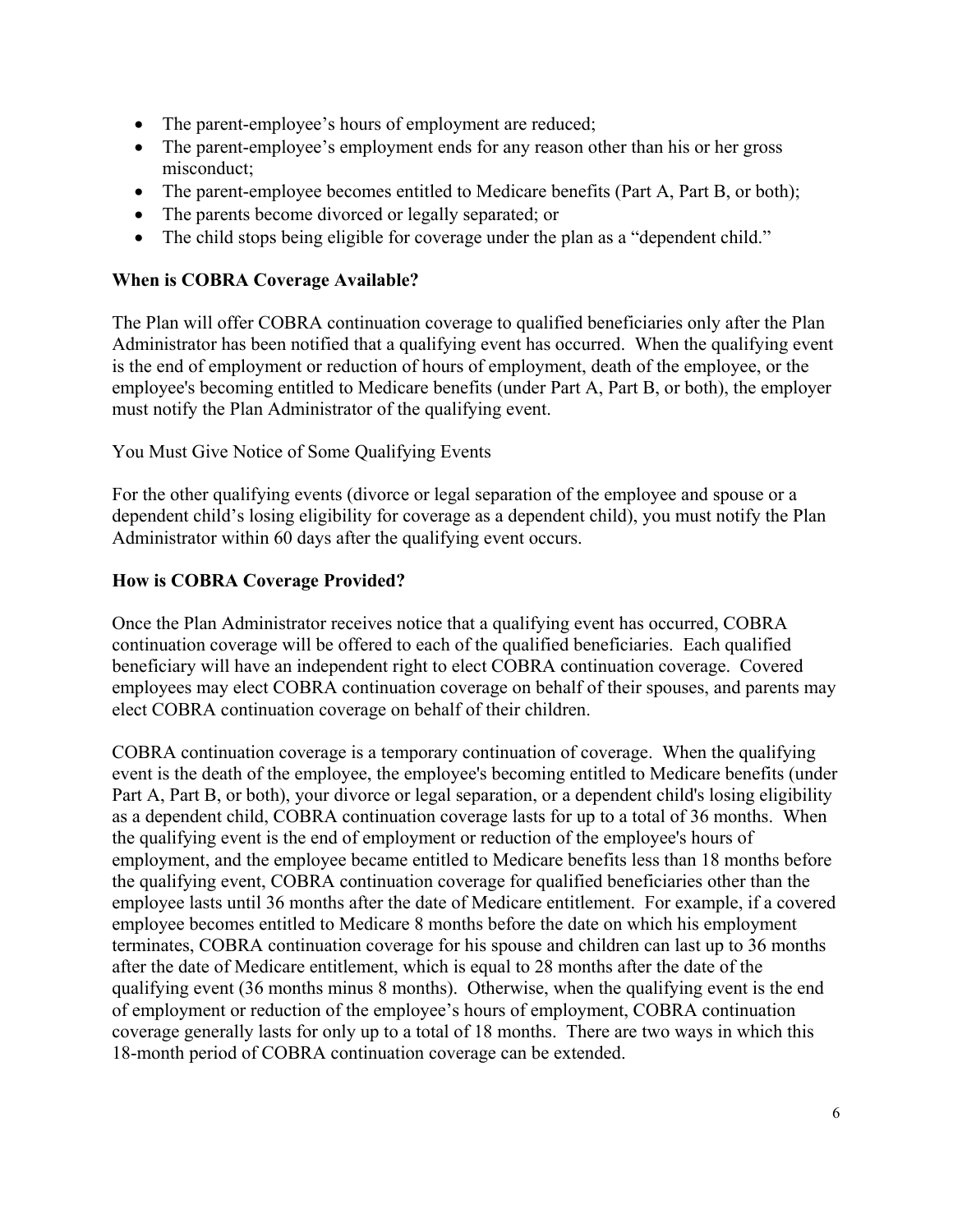- The parent-employee's hours of employment are reduced;
- The parent-employee's employment ends for any reason other than his or her gross misconduct;
- The parent-employee becomes entitled to Medicare benefits (Part A, Part B, or both);
- The parents become divorced or legally separated; or
- The child stops being eligible for coverage under the plan as a "dependent child."

#### **When is COBRA Coverage Available?**

The Plan will offer COBRA continuation coverage to qualified beneficiaries only after the Plan Administrator has been notified that a qualifying event has occurred. When the qualifying event is the end of employment or reduction of hours of employment, death of the employee, or the employee's becoming entitled to Medicare benefits (under Part A, Part B, or both), the employer must notify the Plan Administrator of the qualifying event.

You Must Give Notice of Some Qualifying Events

For the other qualifying events (divorce or legal separation of the employee and spouse or a dependent child's losing eligibility for coverage as a dependent child), you must notify the Plan Administrator within 60 days after the qualifying event occurs.

#### **How is COBRA Coverage Provided?**

Once the Plan Administrator receives notice that a qualifying event has occurred, COBRA continuation coverage will be offered to each of the qualified beneficiaries. Each qualified beneficiary will have an independent right to elect COBRA continuation coverage. Covered employees may elect COBRA continuation coverage on behalf of their spouses, and parents may elect COBRA continuation coverage on behalf of their children.

COBRA continuation coverage is a temporary continuation of coverage. When the qualifying event is the death of the employee, the employee's becoming entitled to Medicare benefits (under Part A, Part B, or both), your divorce or legal separation, or a dependent child's losing eligibility as a dependent child, COBRA continuation coverage lasts for up to a total of 36 months. When the qualifying event is the end of employment or reduction of the employee's hours of employment, and the employee became entitled to Medicare benefits less than 18 months before the qualifying event, COBRA continuation coverage for qualified beneficiaries other than the employee lasts until 36 months after the date of Medicare entitlement. For example, if a covered employee becomes entitled to Medicare 8 months before the date on which his employment terminates, COBRA continuation coverage for his spouse and children can last up to 36 months after the date of Medicare entitlement, which is equal to 28 months after the date of the qualifying event (36 months minus 8 months). Otherwise, when the qualifying event is the end of employment or reduction of the employee's hours of employment, COBRA continuation coverage generally lasts for only up to a total of 18 months. There are two ways in which this 18-month period of COBRA continuation coverage can be extended.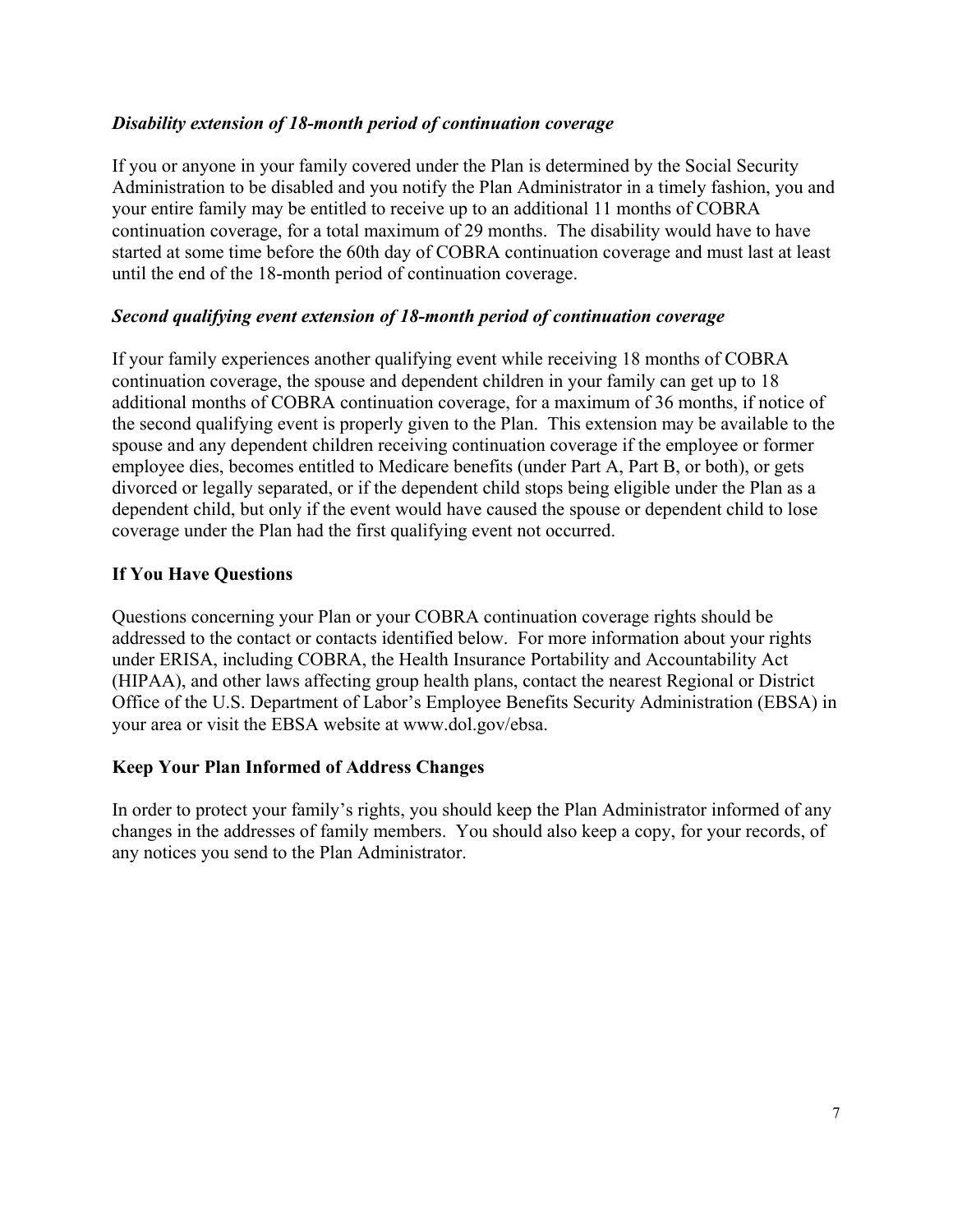#### *Disability extension of 18-month period of continuation coverage*

If you or anyone in your family covered under the Plan is determined by the Social Security Administration to be disabled and you notify the Plan Administrator in a timely fashion, you and your entire family may be entitled to receive up to an additional 11 months of COBRA continuation coverage, for a total maximum of 29 months. The disability would have to have started at some time before the 60th day of COBRA continuation coverage and must last at least until the end of the 18-month period of continuation coverage.

#### *Second qualifying event extension of 18-month period of continuation coverage*

If your family experiences another qualifying event while receiving 18 months of COBRA continuation coverage, the spouse and dependent children in your family can get up to 18 additional months of COBRA continuation coverage, for a maximum of 36 months, if notice of the second qualifying event is properly given to the Plan. This extension may be available to the spouse and any dependent children receiving continuation coverage if the employee or former employee dies, becomes entitled to Medicare benefits (under Part A, Part B, or both), or gets divorced or legally separated, or if the dependent child stops being eligible under the Plan as a dependent child, but only if the event would have caused the spouse or dependent child to lose coverage under the Plan had the first qualifying event not occurred.

#### **If You Have Questions**

Questions concerning your Plan or your COBRA continuation coverage rights should be addressed to the contact or contacts identified below. For more information about your rights under ERISA, including COBRA, the Health Insurance Portability and Accountability Act (HIPAA), and other laws affecting group health plans, contact the nearest Regional or District Office of the U.S. Department of Labor's Employee Benefits Security Administration (EBSA) in your area or visit the EBSA website at www.dol.gov/ebsa.

#### **Keep Your Plan Informed of Address Changes**

In order to protect your family's rights, you should keep the Plan Administrator informed of any changes in the addresses of family members.You should also keep a copy, for your records, of any notices you send to the Plan Administrator.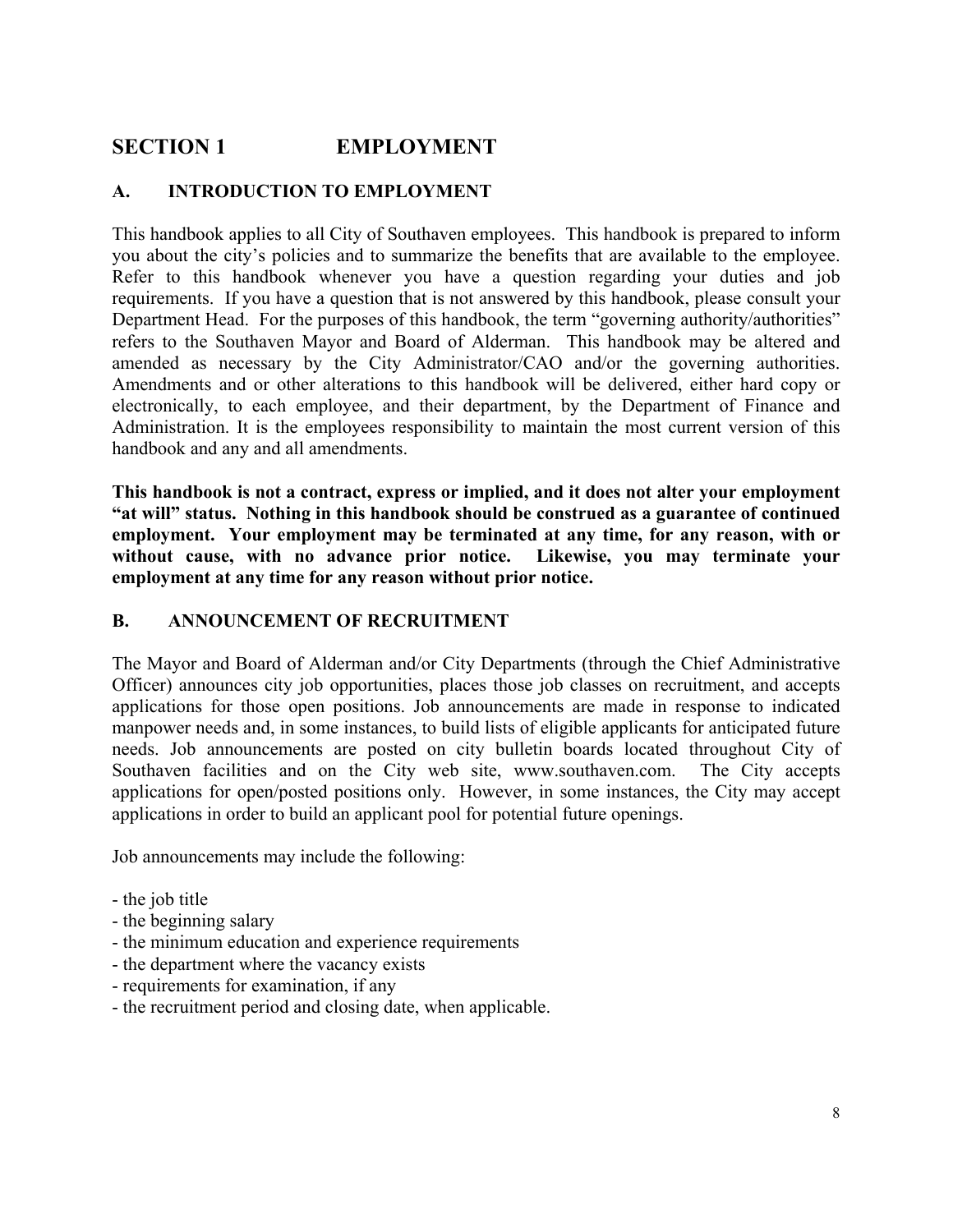## **SECTION 1 EMPLOYMENT**

#### **A. INTRODUCTION TO EMPLOYMENT**

This handbook applies to all City of Southaven employees. This handbook is prepared to inform you about the city's policies and to summarize the benefits that are available to the employee. Refer to this handbook whenever you have a question regarding your duties and job requirements. If you have a question that is not answered by this handbook, please consult your Department Head. For the purposes of this handbook, the term "governing authority/authorities" refers to the Southaven Mayor and Board of Alderman. This handbook may be altered and amended as necessary by the City Administrator/CAO and/or the governing authorities. Amendments and or other alterations to this handbook will be delivered, either hard copy or electronically, to each employee, and their department, by the Department of Finance and Administration. It is the employees responsibility to maintain the most current version of this handbook and any and all amendments.

**This handbook is not a contract, express or implied, and it does not alter your employment "at will" status. Nothing in this handbook should be construed as a guarantee of continued employment. Your employment may be terminated at any time, for any reason, with or without cause, with no advance prior notice. Likewise, you may terminate your employment at any time for any reason without prior notice.** 

#### **B. ANNOUNCEMENT OF RECRUITMENT**

The Mayor and Board of Alderman and/or City Departments (through the Chief Administrative Officer) announces city job opportunities, places those job classes on recruitment, and accepts applications for those open positions. Job announcements are made in response to indicated manpower needs and, in some instances, to build lists of eligible applicants for anticipated future needs. Job announcements are posted on city bulletin boards located throughout City of Southaven facilities and on the City web site, www.southaven.com. The City accepts applications for open/posted positions only. However, in some instances, the City may accept applications in order to build an applicant pool for potential future openings.

Job announcements may include the following:

- the job title
- the beginning salary
- the minimum education and experience requirements
- the department where the vacancy exists
- requirements for examination, if any
- the recruitment period and closing date, when applicable.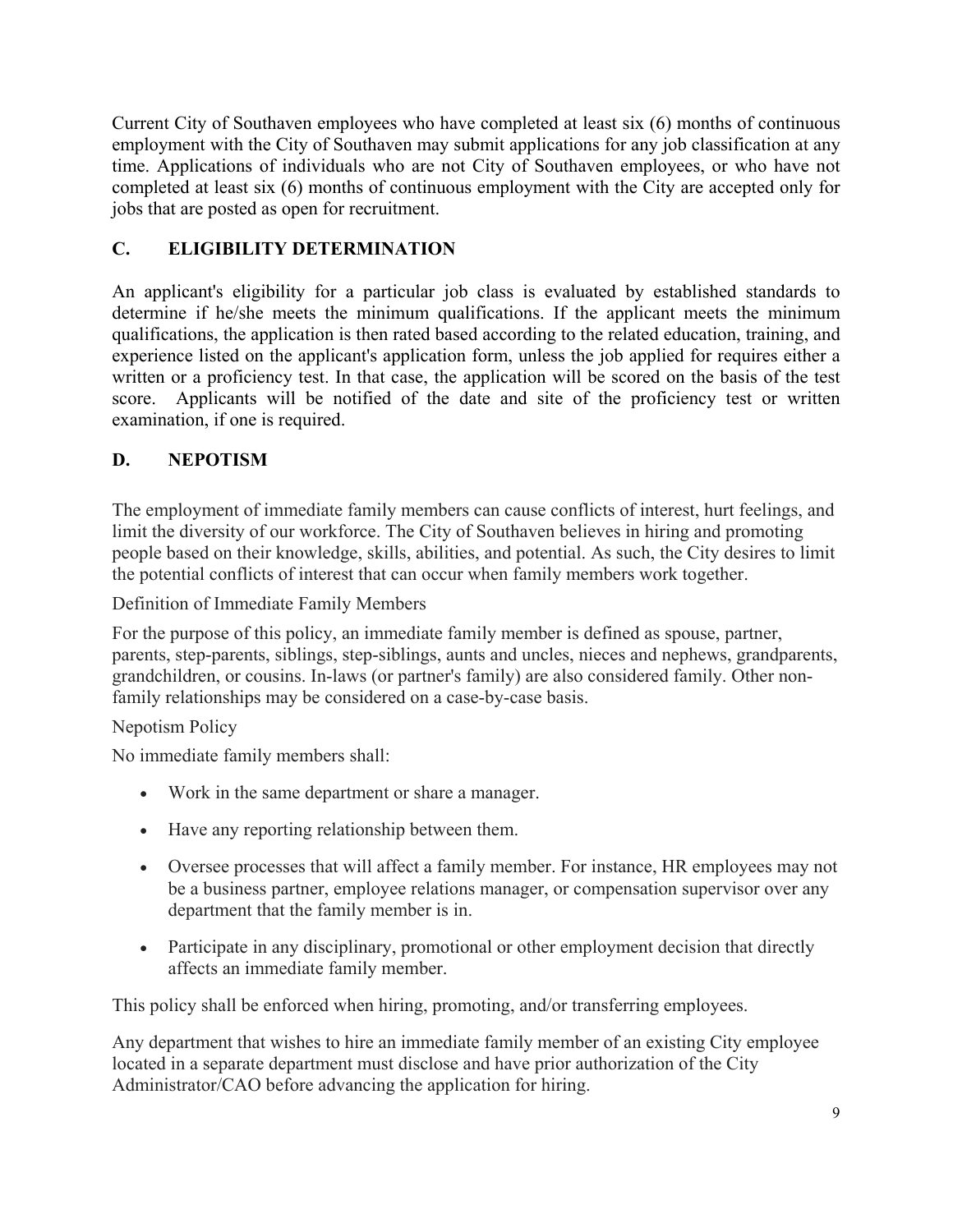Current City of Southaven employees who have completed at least six (6) months of continuous employment with the City of Southaven may submit applications for any job classification at any time. Applications of individuals who are not City of Southaven employees, or who have not completed at least six (6) months of continuous employment with the City are accepted only for jobs that are posted as open for recruitment.

#### **C. ELIGIBILITY DETERMINATION**

An applicant's eligibility for a particular job class is evaluated by established standards to determine if he/she meets the minimum qualifications. If the applicant meets the minimum qualifications, the application is then rated based according to the related education, training, and experience listed on the applicant's application form, unless the job applied for requires either a written or a proficiency test. In that case, the application will be scored on the basis of the test score. Applicants will be notified of the date and site of the proficiency test or written examination, if one is required.

#### **D. NEPOTISM**

The employment of immediate family members can cause conflicts of interest, hurt feelings, and limit the diversity of our workforce. The City of Southaven believes in hiring and promoting people based on their knowledge, skills, abilities, and potential. As such, the City desires to limit the potential conflicts of interest that can occur when family members work together.

Definition of Immediate Family Members

For the purpose of this policy, an immediate family member is defined as spouse, partner, parents, step-parents, siblings, step-siblings, aunts and uncles, nieces and nephews, grandparents, grandchildren, or cousins. In-laws (or partner's family) are also considered family. Other nonfamily relationships may be considered on a case-by-case basis.

Nepotism Policy

No immediate family members shall:

- Work in the same department or share a manager.
- Have any reporting relationship between them.
- Oversee processes that will affect a family member. For instance, HR employees may not be a business partner, employee relations manager, or compensation supervisor over any department that the family member is in.
- Participate in any disciplinary, promotional or other employment decision that directly affects an immediate family member.

This policy shall be enforced when hiring, promoting, and/or transferring employees.

Any department that wishes to hire an immediate family member of an existing City employee located in a separate department must disclose and have prior authorization of the City Administrator/CAO before advancing the application for hiring.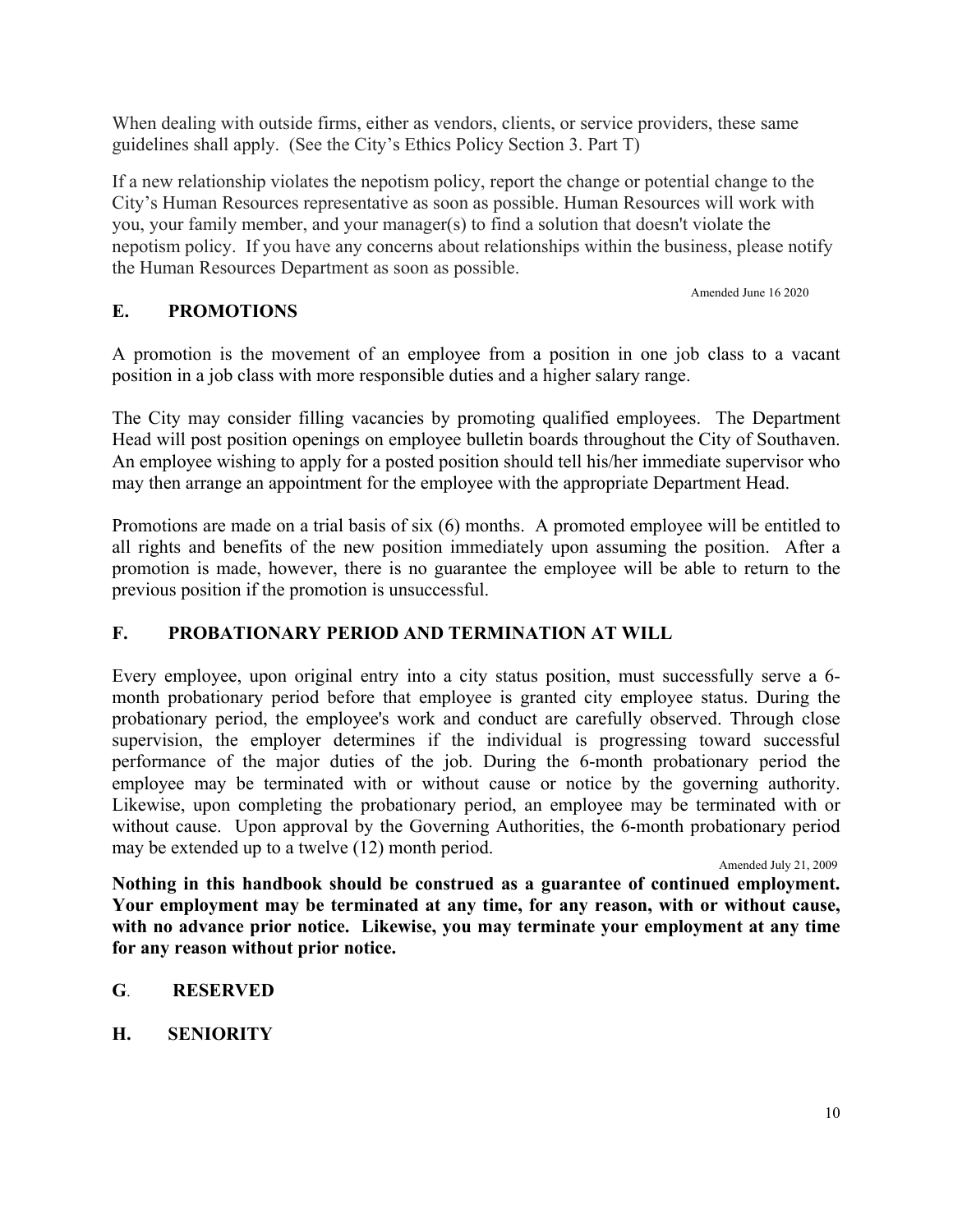When dealing with outside firms, either as vendors, clients, or service providers, these same guidelines shall apply. (See the City's Ethics Policy Section 3. Part T)

If a new relationship violates the nepotism policy, report the change or potential change to the City's Human Resources representative as soon as possible. Human Resources will work with you, your family member, and your manager(s) to find a solution that doesn't violate the nepotism policy. If you have any concerns about relationships within the business, please notify the Human Resources Department as soon as possible.

Amended June 16 2020

#### **E. PROMOTIONS**

A promotion is the movement of an employee from a position in one job class to a vacant position in a job class with more responsible duties and a higher salary range.

The City may consider filling vacancies by promoting qualified employees. The Department Head will post position openings on employee bulletin boards throughout the City of Southaven. An employee wishing to apply for a posted position should tell his/her immediate supervisor who may then arrange an appointment for the employee with the appropriate Department Head.

Promotions are made on a trial basis of six (6) months. A promoted employee will be entitled to all rights and benefits of the new position immediately upon assuming the position. After a promotion is made, however, there is no guarantee the employee will be able to return to the previous position if the promotion is unsuccessful.

#### **F. PROBATIONARY PERIOD AND TERMINATION AT WILL**

Every employee, upon original entry into a city status position, must successfully serve a 6 month probationary period before that employee is granted city employee status. During the probationary period, the employee's work and conduct are carefully observed. Through close supervision, the employer determines if the individual is progressing toward successful performance of the major duties of the job. During the 6-month probationary period the employee may be terminated with or without cause or notice by the governing authority. Likewise, upon completing the probationary period, an employee may be terminated with or without cause. Upon approval by the Governing Authorities, the 6-month probationary period may be extended up to a twelve (12) month period.

Amended July 21, 2009

**Nothing in this handbook should be construed as a guarantee of continued employment. Your employment may be terminated at any time, for any reason, with or without cause, with no advance prior notice. Likewise, you may terminate your employment at any time for any reason without prior notice.** 

- **G**. **RESERVED**
- **H. SENIORITY**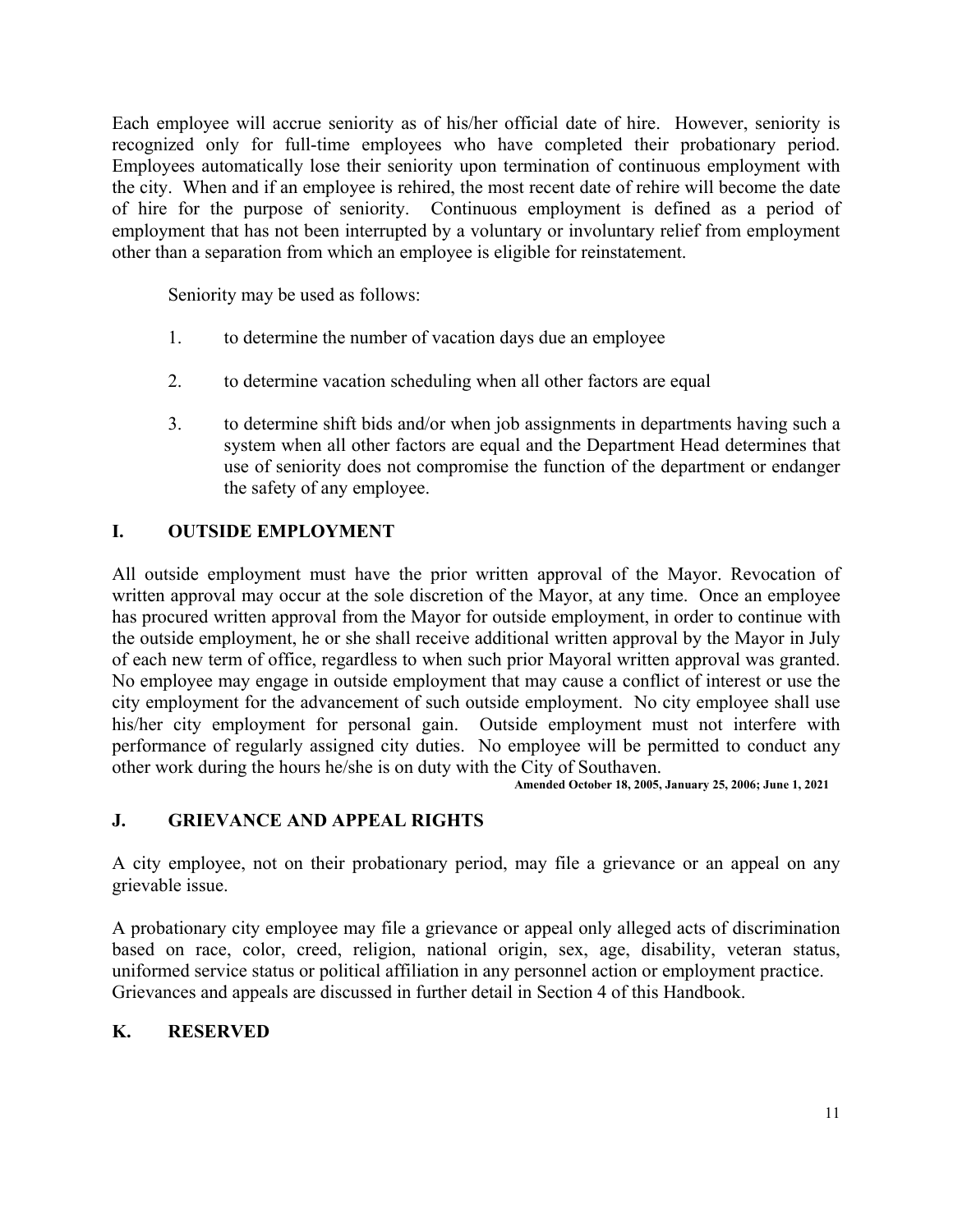Each employee will accrue seniority as of his/her official date of hire. However, seniority is recognized only for full-time employees who have completed their probationary period. Employees automatically lose their seniority upon termination of continuous employment with the city. When and if an employee is rehired, the most recent date of rehire will become the date of hire for the purpose of seniority. Continuous employment is defined as a period of employment that has not been interrupted by a voluntary or involuntary relief from employment other than a separation from which an employee is eligible for reinstatement.

Seniority may be used as follows:

- 1. to determine the number of vacation days due an employee
- 2. to determine vacation scheduling when all other factors are equal
- 3. to determine shift bids and/or when job assignments in departments having such a system when all other factors are equal and the Department Head determines that use of seniority does not compromise the function of the department or endanger the safety of any employee.

#### **I. OUTSIDE EMPLOYMENT**

All outside employment must have the prior written approval of the Mayor. Revocation of written approval may occur at the sole discretion of the Mayor, at any time. Once an employee has procured written approval from the Mayor for outside employment, in order to continue with the outside employment, he or she shall receive additional written approval by the Mayor in July of each new term of office, regardless to when such prior Mayoral written approval was granted. No employee may engage in outside employment that may cause a conflict of interest or use the city employment for the advancement of such outside employment. No city employee shall use his/her city employment for personal gain. Outside employment must not interfere with performance of regularly assigned city duties. No employee will be permitted to conduct any other work during the hours he/she is on duty with the City of Southaven.

**Amended October 18, 2005, January 25, 2006; June 1, 2021** 

#### **J. GRIEVANCE AND APPEAL RIGHTS**

A city employee, not on their probationary period, may file a grievance or an appeal on any grievable issue.

A probationary city employee may file a grievance or appeal only alleged acts of discrimination based on race, color, creed, religion, national origin, sex, age, disability, veteran status, uniformed service status or political affiliation in any personnel action or employment practice. Grievances and appeals are discussed in further detail in Section 4 of this Handbook.

#### **K. RESERVED**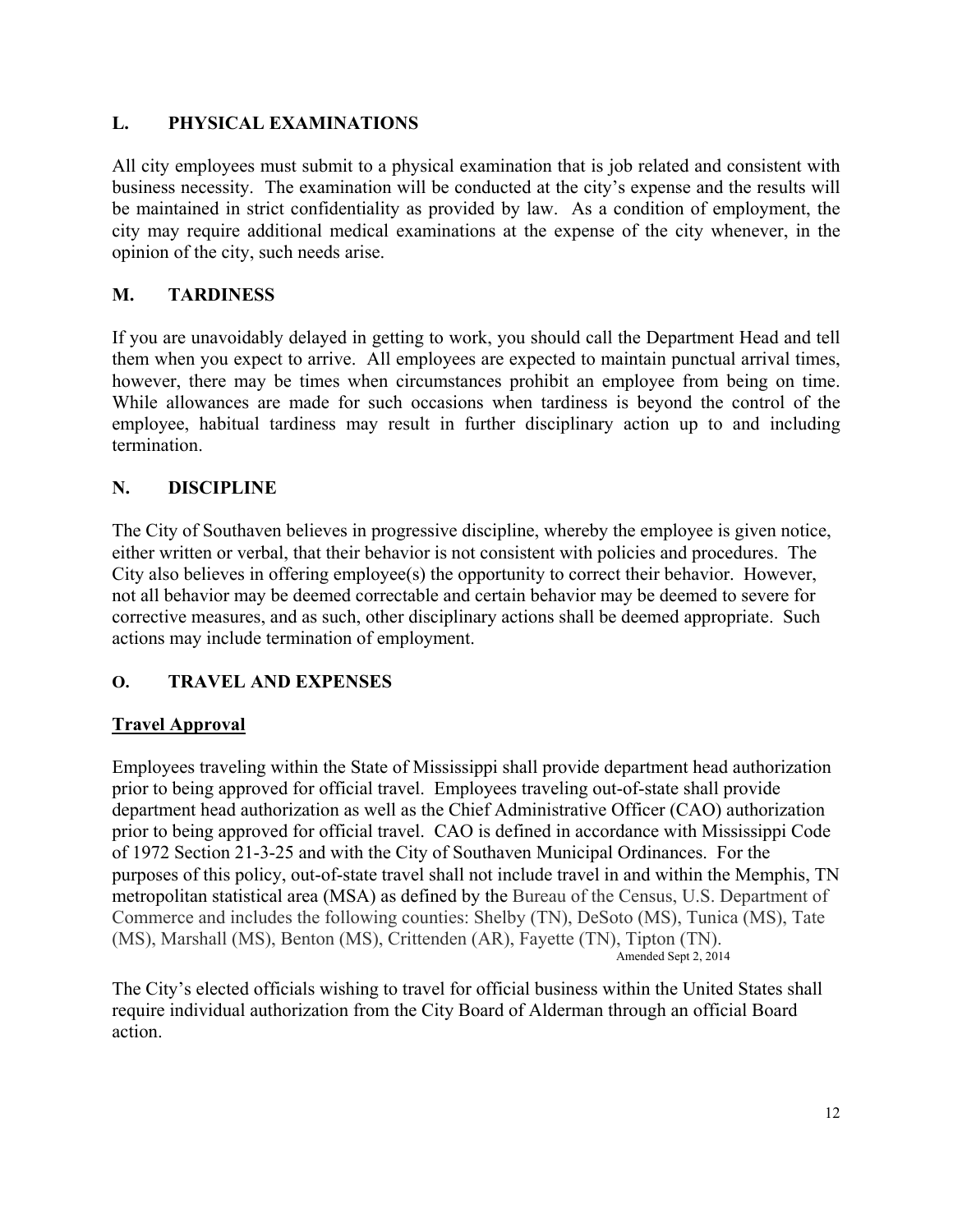#### **L. PHYSICAL EXAMINATIONS**

All city employees must submit to a physical examination that is job related and consistent with business necessity. The examination will be conducted at the city's expense and the results will be maintained in strict confidentiality as provided by law. As a condition of employment, the city may require additional medical examinations at the expense of the city whenever, in the opinion of the city, such needs arise.

#### **M. TARDINESS**

If you are unavoidably delayed in getting to work, you should call the Department Head and tell them when you expect to arrive. All employees are expected to maintain punctual arrival times, however, there may be times when circumstances prohibit an employee from being on time. While allowances are made for such occasions when tardiness is beyond the control of the employee, habitual tardiness may result in further disciplinary action up to and including termination.

#### **N. DISCIPLINE**

The City of Southaven believes in progressive discipline, whereby the employee is given notice, either written or verbal, that their behavior is not consistent with policies and procedures. The City also believes in offering employee(s) the opportunity to correct their behavior. However, not all behavior may be deemed correctable and certain behavior may be deemed to severe for corrective measures, and as such, other disciplinary actions shall be deemed appropriate. Such actions may include termination of employment.

#### **O. TRAVEL AND EXPENSES**

#### **Travel Approval**

Employees traveling within the State of Mississippi shall provide department head authorization prior to being approved for official travel. Employees traveling out-of-state shall provide department head authorization as well as the Chief Administrative Officer (CAO) authorization prior to being approved for official travel. CAO is defined in accordance with Mississippi Code of 1972 Section 21-3-25 and with the City of Southaven Municipal Ordinances. For the purposes of this policy, out-of-state travel shall not include travel in and within the Memphis, TN metropolitan statistical area (MSA) as defined by the Bureau of the Census, U.S. Department of Commerce and includes the following counties: Shelby (TN), DeSoto (MS), Tunica (MS), Tate (MS), Marshall (MS), Benton (MS), Crittenden (AR), Fayette (TN), Tipton (TN).<br>Amended Sept 2, 2014

The City's elected officials wishing to travel for official business within the United States shall require individual authorization from the City Board of Alderman through an official Board action.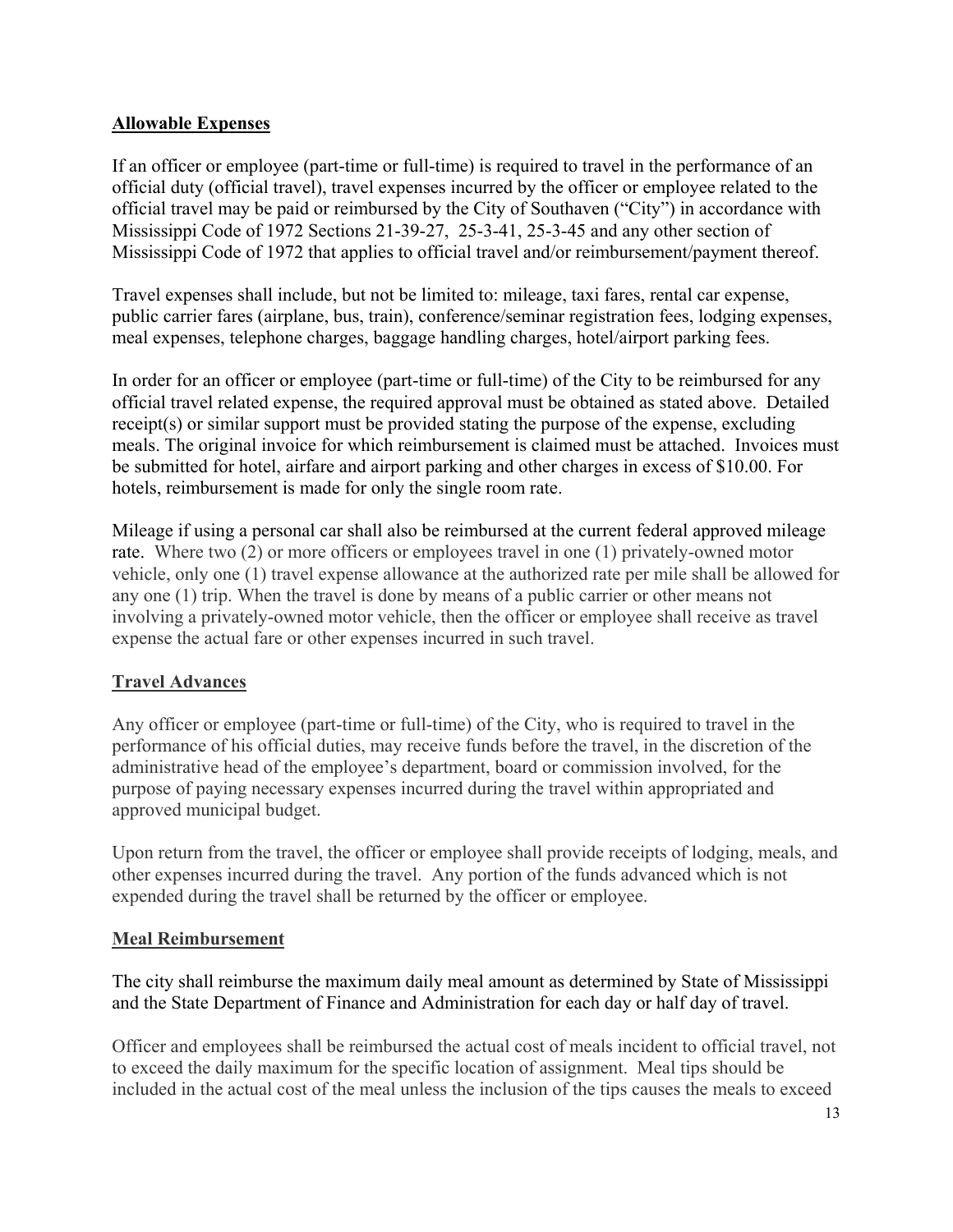#### **Allowable Expenses**

If an officer or employee (part-time or full-time) is required to travel in the performance of an official duty (official travel), travel expenses incurred by the officer or employee related to the official travel may be paid or reimbursed by the City of Southaven ("City") in accordance with Mississippi Code of 1972 Sections 21-39-27, 25-3-41, 25-3-45 and any other section of Mississippi Code of 1972 that applies to official travel and/or reimbursement/payment thereof.

Travel expenses shall include, but not be limited to: mileage, taxi fares, rental car expense, public carrier fares (airplane, bus, train), conference/seminar registration fees, lodging expenses, meal expenses, telephone charges, baggage handling charges, hotel/airport parking fees.

In order for an officer or employee (part-time or full-time) of the City to be reimbursed for any official travel related expense, the required approval must be obtained as stated above. Detailed receipt(s) or similar support must be provided stating the purpose of the expense, excluding meals. The original invoice for which reimbursement is claimed must be attached. Invoices must be submitted for hotel, airfare and airport parking and other charges in excess of \$10.00. For hotels, reimbursement is made for only the single room rate.

Mileage if using a personal car shall also be reimbursed at the current federal approved mileage rate. Where two (2) or more officers or employees travel in one (1) privately-owned motor vehicle, only one (1) travel expense allowance at the authorized rate per mile shall be allowed for any one (1) trip. When the travel is done by means of a public carrier or other means not involving a privately-owned motor vehicle, then the officer or employee shall receive as travel expense the actual fare or other expenses incurred in such travel.

#### **Travel Advances**

Any officer or employee (part-time or full-time) of the City, who is required to travel in the performance of his official duties, may receive funds before the travel, in the discretion of the administrative head of the employee's department, board or commission involved, for the purpose of paying necessary expenses incurred during the travel within appropriated and approved municipal budget.

Upon return from the travel, the officer or employee shall provide receipts of lodging, meals, and other expenses incurred during the travel. Any portion of the funds advanced which is not expended during the travel shall be returned by the officer or employee.

#### **Meal Reimbursement**

The city shall reimburse the maximum daily meal amount as determined by State of Mississippi and the State Department of Finance and Administration for each day or half day of travel.

Officer and employees shall be reimbursed the actual cost of meals incident to official travel, not to exceed the daily maximum for the specific location of assignment. Meal tips should be included in the actual cost of the meal unless the inclusion of the tips causes the meals to exceed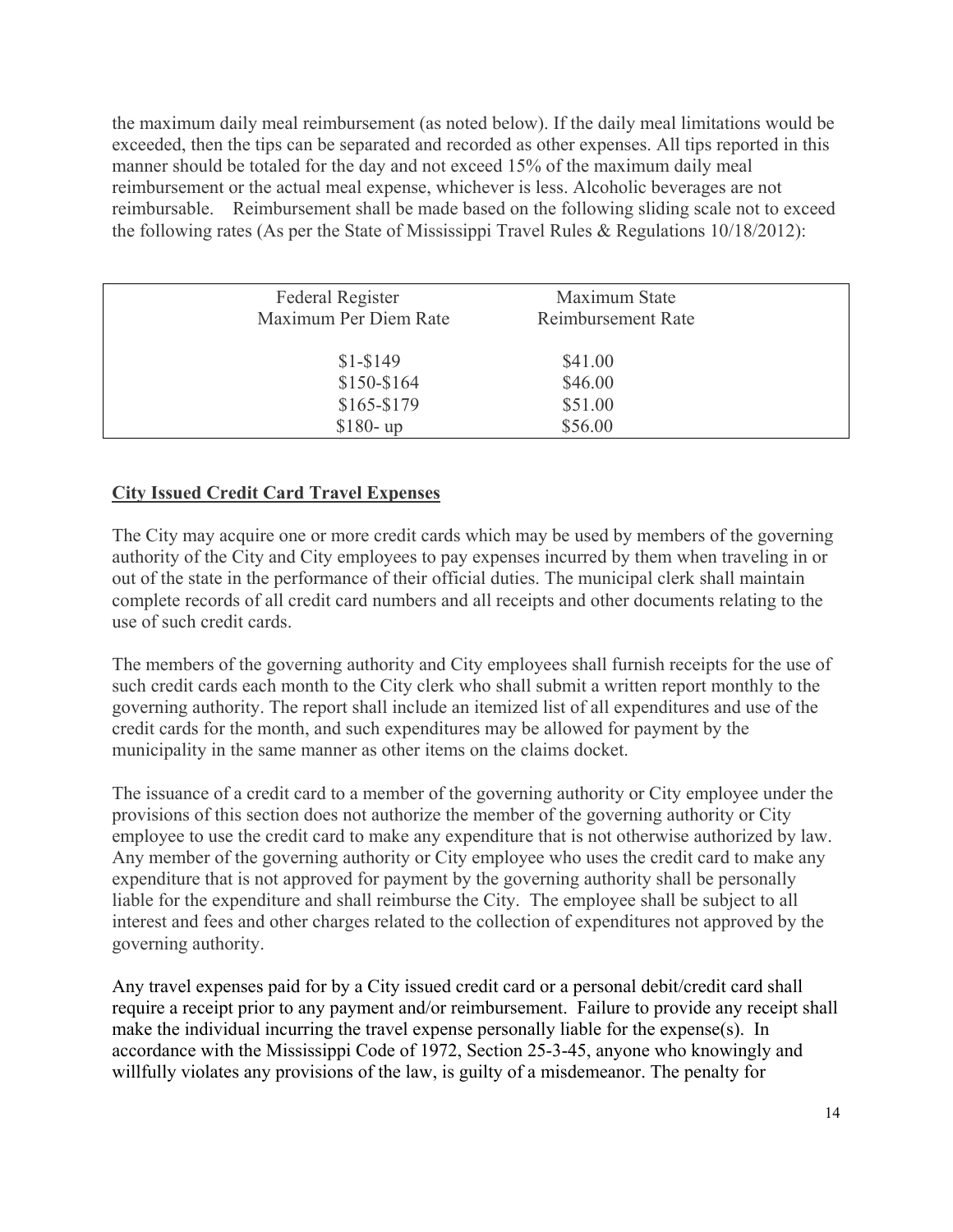the maximum daily meal reimbursement (as noted below). If the daily meal limitations would be exceeded, then the tips can be separated and recorded as other expenses. All tips reported in this manner should be totaled for the day and not exceed 15% of the maximum daily meal reimbursement or the actual meal expense, whichever is less. Alcoholic beverages are not reimbursable. Reimbursement shall be made based on the following sliding scale not to exceed the following rates (As per the State of Mississippi Travel Rules & Regulations 10/18/2012):

| Federal Register      | Maximum State      |
|-----------------------|--------------------|
| Maximum Per Diem Rate | Reimbursement Rate |
| $$1 - $149$           | \$41.00            |
| $$150 - $164$         | \$46.00            |
| $$165 - $179$         | \$51.00            |
| $$180$ - up           | \$56.00            |

#### **City Issued Credit Card Travel Expenses**

The City may acquire one or more credit cards which may be used by members of the governing authority of the City and City employees to pay expenses incurred by them when traveling in or out of the state in the performance of their official duties. The municipal clerk shall maintain complete records of all credit card numbers and all receipts and other documents relating to the use of such credit cards.

The members of the governing authority and City employees shall furnish receipts for the use of such credit cards each month to the City clerk who shall submit a written report monthly to the governing authority. The report shall include an itemized list of all expenditures and use of the credit cards for the month, and such expenditures may be allowed for payment by the municipality in the same manner as other items on the claims docket.

The issuance of a credit card to a member of the governing authority or City employee under the provisions of this section does not authorize the member of the governing authority or City employee to use the credit card to make any expenditure that is not otherwise authorized by law. Any member of the governing authority or City employee who uses the credit card to make any expenditure that is not approved for payment by the governing authority shall be personally liable for the expenditure and shall reimburse the City. The employee shall be subject to all interest and fees and other charges related to the collection of expenditures not approved by the governing authority.

Any travel expenses paid for by a City issued credit card or a personal debit/credit card shall require a receipt prior to any payment and/or reimbursement. Failure to provide any receipt shall make the individual incurring the travel expense personally liable for the expense(s). In accordance with the Mississippi Code of 1972, Section 25-3-45, anyone who knowingly and willfully violates any provisions of the law, is guilty of a misdemeanor. The penalty for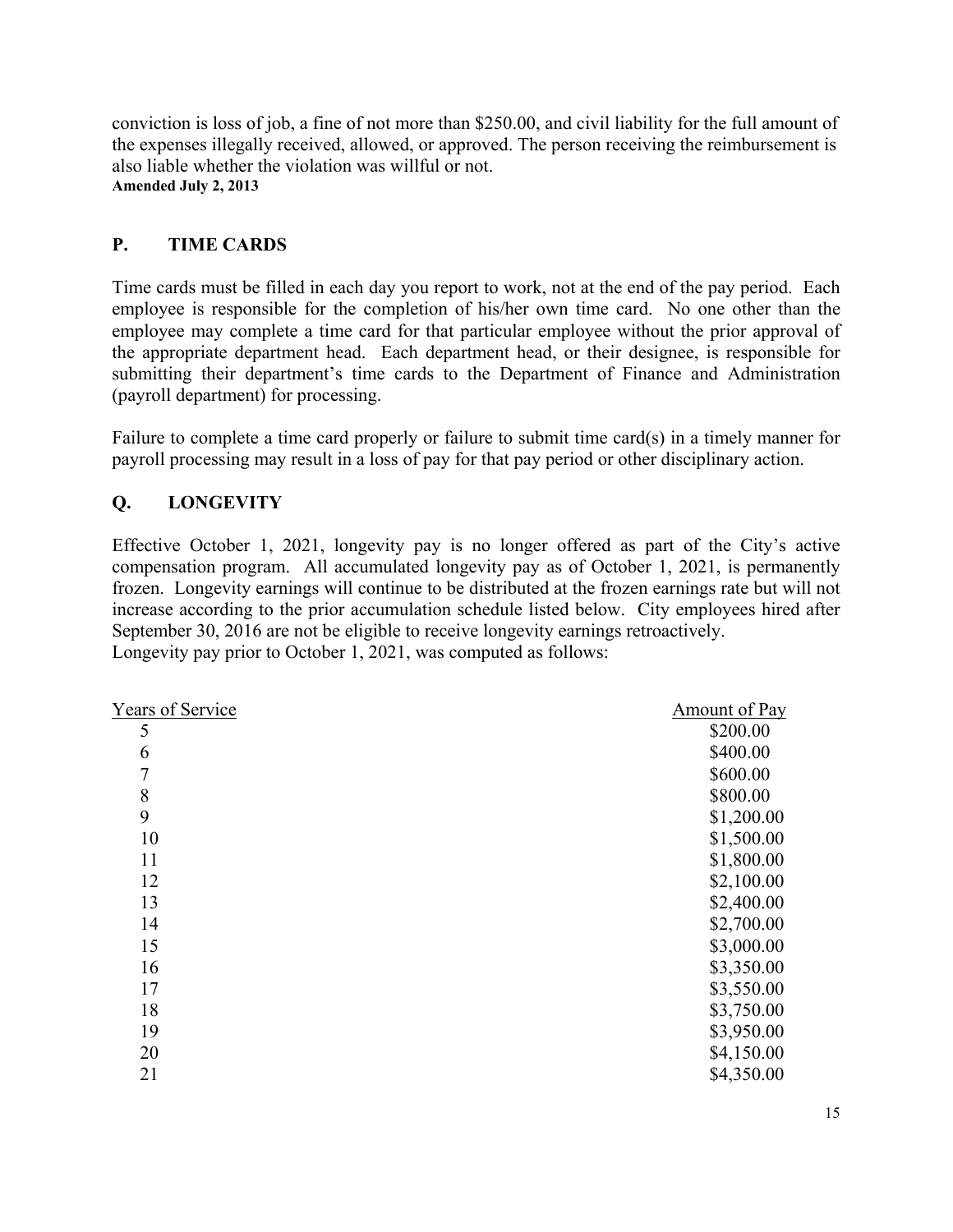conviction is loss of job, a fine of not more than \$250.00, and civil liability for the full amount of the expenses illegally received, allowed, or approved. The person receiving the reimbursement is also liable whether the violation was willful or not. **Amended July 2, 2013** 

#### **P. TIME CARDS**

Time cards must be filled in each day you report to work, not at the end of the pay period. Each employee is responsible for the completion of his/her own time card. No one other than the employee may complete a time card for that particular employee without the prior approval of the appropriate department head. Each department head, or their designee, is responsible for submitting their department's time cards to the Department of Finance and Administration (payroll department) for processing.

Failure to complete a time card properly or failure to submit time card(s) in a timely manner for payroll processing may result in a loss of pay for that pay period or other disciplinary action.

#### **Q. LONGEVITY**

Effective October 1, 2021, longevity pay is no longer offered as part of the City's active compensation program. All accumulated longevity pay as of October 1, 2021, is permanently frozen. Longevity earnings will continue to be distributed at the frozen earnings rate but will not increase according to the prior accumulation schedule listed below. City employees hired after September 30, 2016 are not be eligible to receive longevity earnings retroactively. Longevity pay prior to October 1, 2021, was computed as follows:

| Years of Service | Amount of Pay |
|------------------|---------------|
| 5                | \$200.00      |
| 6                | \$400.00      |
| 7                | \$600.00      |
| 8                | \$800.00      |
| 9                | \$1,200.00    |
| 10               | \$1,500.00    |
| 11               | \$1,800.00    |
| 12               | \$2,100.00    |
| 13               | \$2,400.00    |
| 14               | \$2,700.00    |
| 15               | \$3,000.00    |
| 16               | \$3,350.00    |
| 17               | \$3,550.00    |
| 18               | \$3,750.00    |
| 19               | \$3,950.00    |
| 20               | \$4,150.00    |
| 21               | \$4,350.00    |
|                  |               |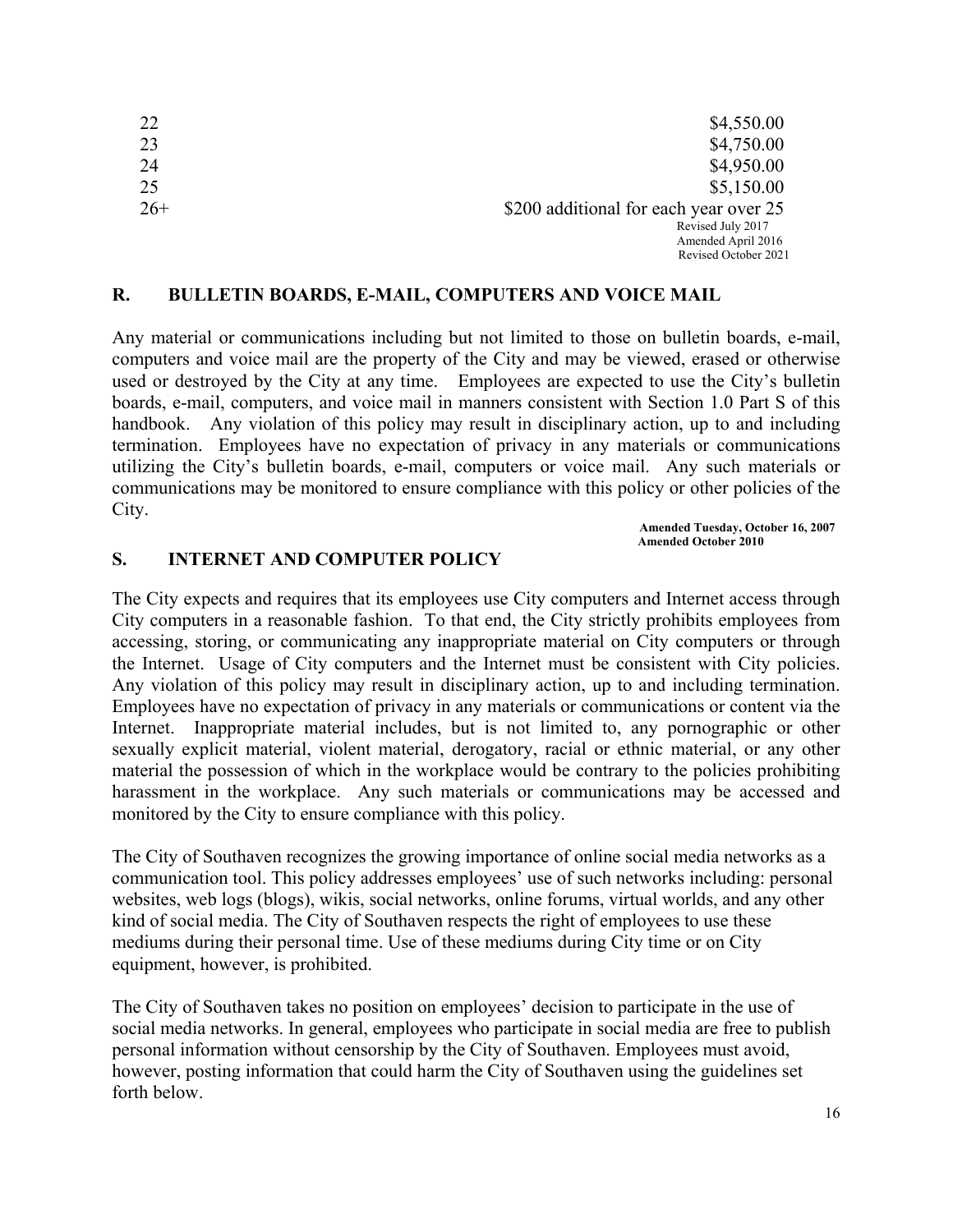| 22    | \$4,550.00                             |
|-------|----------------------------------------|
| 23    | \$4,750.00                             |
| 24    | \$4,950.00                             |
| 25    | \$5,150.00                             |
| $26+$ | \$200 additional for each year over 25 |
|       | Revised July 2017                      |
|       | Amended April 2016                     |
|       | Revised October 2021                   |

#### **R. BULLETIN BOARDS, E-MAIL, COMPUTERS AND VOICE MAIL**

Any material or communications including but not limited to those on bulletin boards, e-mail, computers and voice mail are the property of the City and may be viewed, erased or otherwise used or destroyed by the City at any time. Employees are expected to use the City's bulletin boards, e-mail, computers, and voice mail in manners consistent with Section 1.0 Part S of this handbook. Any violation of this policy may result in disciplinary action, up to and including termination. Employees have no expectation of privacy in any materials or communications utilizing the City's bulletin boards, e-mail, computers or voice mail. Any such materials or communications may be monitored to ensure compliance with this policy or other policies of the City.

> **Amended Tuesday, October 16, 2007 Amended October 2010**

#### **S. INTERNET AND COMPUTER POLICY**

The City expects and requires that its employees use City computers and Internet access through City computers in a reasonable fashion. To that end, the City strictly prohibits employees from accessing, storing, or communicating any inappropriate material on City computers or through the Internet. Usage of City computers and the Internet must be consistent with City policies. Any violation of this policy may result in disciplinary action, up to and including termination. Employees have no expectation of privacy in any materials or communications or content via the Internet. Inappropriate material includes, but is not limited to, any pornographic or other sexually explicit material, violent material, derogatory, racial or ethnic material, or any other material the possession of which in the workplace would be contrary to the policies prohibiting harassment in the workplace. Any such materials or communications may be accessed and monitored by the City to ensure compliance with this policy.

The City of Southaven recognizes the growing importance of online social media networks as a communication tool. This policy addresses employees' use of such networks including: personal websites, web logs (blogs), wikis, social networks, online forums, virtual worlds, and any other kind of social media. The City of Southaven respects the right of employees to use these mediums during their personal time. Use of these mediums during City time or on City equipment, however, is prohibited.

The City of Southaven takes no position on employees' decision to participate in the use of social media networks. In general, employees who participate in social media are free to publish personal information without censorship by the City of Southaven. Employees must avoid, however, posting information that could harm the City of Southaven using the guidelines set forth below.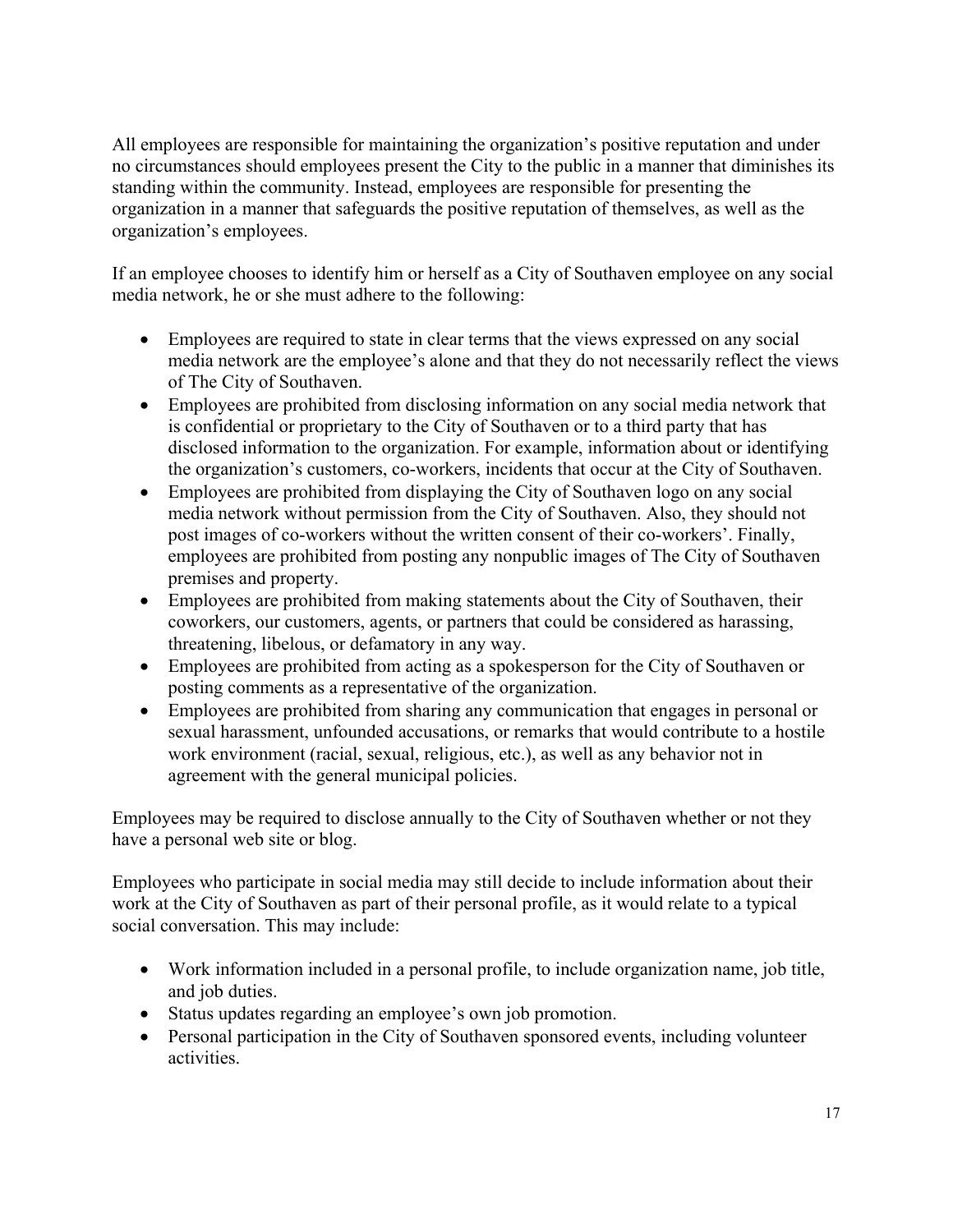All employees are responsible for maintaining the organization's positive reputation and under no circumstances should employees present the City to the public in a manner that diminishes its standing within the community. Instead, employees are responsible for presenting the organization in a manner that safeguards the positive reputation of themselves, as well as the organization's employees.

If an employee chooses to identify him or herself as a City of Southaven employee on any social media network, he or she must adhere to the following:

- Employees are required to state in clear terms that the views expressed on any social media network are the employee's alone and that they do not necessarily reflect the views of The City of Southaven.
- Employees are prohibited from disclosing information on any social media network that is confidential or proprietary to the City of Southaven or to a third party that has disclosed information to the organization. For example, information about or identifying the organization's customers, co-workers, incidents that occur at the City of Southaven.
- Employees are prohibited from displaying the City of Southaven logo on any social media network without permission from the City of Southaven. Also, they should not post images of co-workers without the written consent of their co-workers'. Finally, employees are prohibited from posting any nonpublic images of The City of Southaven premises and property.
- Employees are prohibited from making statements about the City of Southaven, their coworkers, our customers, agents, or partners that could be considered as harassing, threatening, libelous, or defamatory in any way.
- Employees are prohibited from acting as a spokesperson for the City of Southaven or posting comments as a representative of the organization.
- Employees are prohibited from sharing any communication that engages in personal or sexual harassment, unfounded accusations, or remarks that would contribute to a hostile work environment (racial, sexual, religious, etc.), as well as any behavior not in agreement with the general municipal policies.

Employees may be required to disclose annually to the City of Southaven whether or not they have a personal web site or blog.

Employees who participate in social media may still decide to include information about their work at the City of Southaven as part of their personal profile, as it would relate to a typical social conversation. This may include:

- Work information included in a personal profile, to include organization name, job title, and job duties.
- Status updates regarding an employee's own job promotion.
- Personal participation in the City of Southaven sponsored events, including volunteer activities.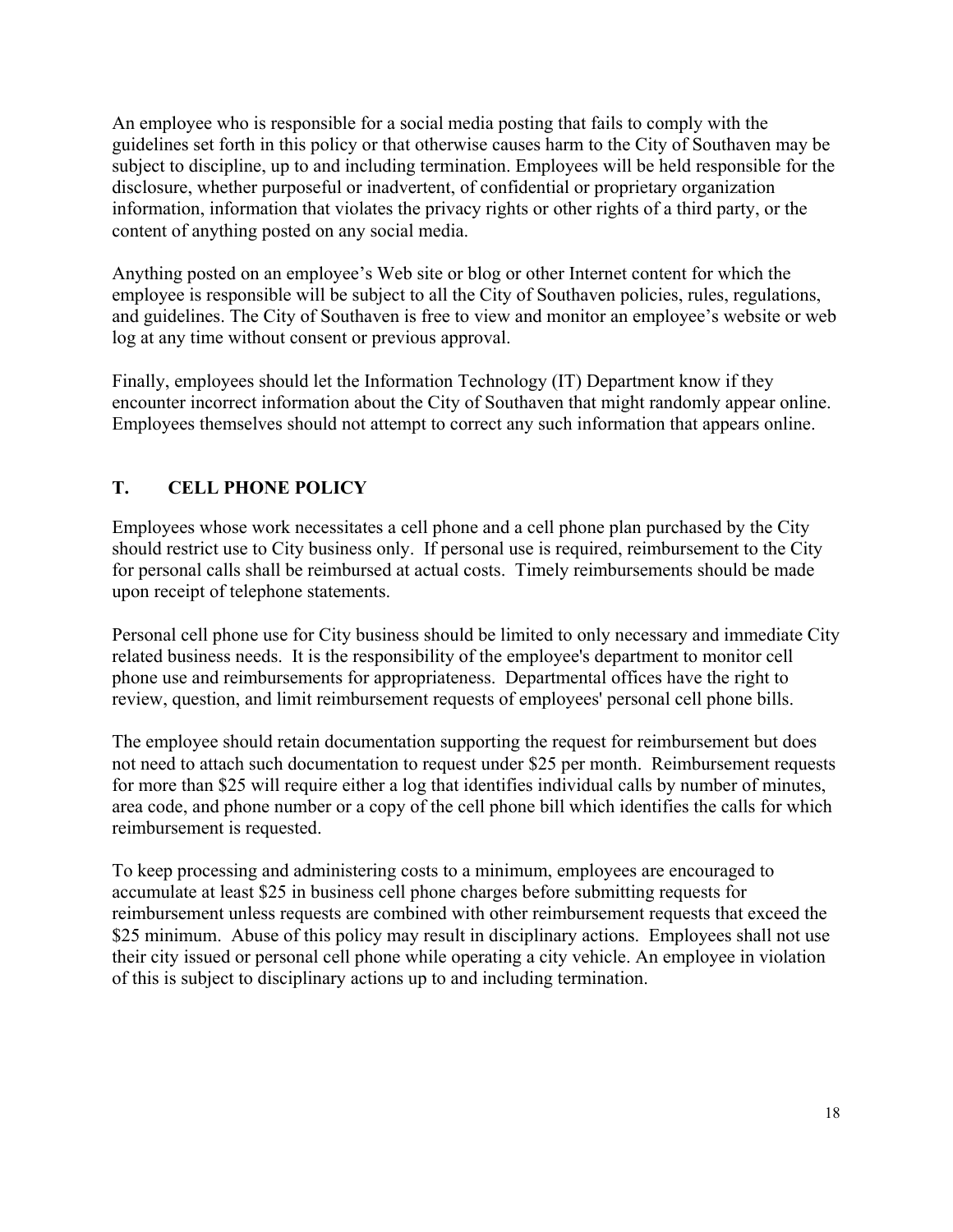An employee who is responsible for a social media posting that fails to comply with the guidelines set forth in this policy or that otherwise causes harm to the City of Southaven may be subject to discipline, up to and including termination. Employees will be held responsible for the disclosure, whether purposeful or inadvertent, of confidential or proprietary organization information, information that violates the privacy rights or other rights of a third party, or the content of anything posted on any social media.

Anything posted on an employee's Web site or blog or other Internet content for which the employee is responsible will be subject to all the City of Southaven policies, rules, regulations, and guidelines. The City of Southaven is free to view and monitor an employee's website or web log at any time without consent or previous approval.

Finally, employees should let the Information Technology (IT) Department know if they encounter incorrect information about the City of Southaven that might randomly appear online. Employees themselves should not attempt to correct any such information that appears online.

#### **T. CELL PHONE POLICY**

Employees whose work necessitates a cell phone and a cell phone plan purchased by the City should restrict use to City business only. If personal use is required, reimbursement to the City for personal calls shall be reimbursed at actual costs. Timely reimbursements should be made upon receipt of telephone statements.

Personal cell phone use for City business should be limited to only necessary and immediate City related business needs. It is the responsibility of the employee's department to monitor cell phone use and reimbursements for appropriateness. Departmental offices have the right to review, question, and limit reimbursement requests of employees' personal cell phone bills.

The employee should retain documentation supporting the request for reimbursement but does not need to attach such documentation to request under \$25 per month. Reimbursement requests for more than \$25 will require either a log that identifies individual calls by number of minutes, area code, and phone number or a copy of the cell phone bill which identifies the calls for which reimbursement is requested.

To keep processing and administering costs to a minimum, employees are encouraged to accumulate at least \$25 in business cell phone charges before submitting requests for reimbursement unless requests are combined with other reimbursement requests that exceed the \$25 minimum. Abuse of this policy may result in disciplinary actions. Employees shall not use their city issued or personal cell phone while operating a city vehicle. An employee in violation of this is subject to disciplinary actions up to and including termination.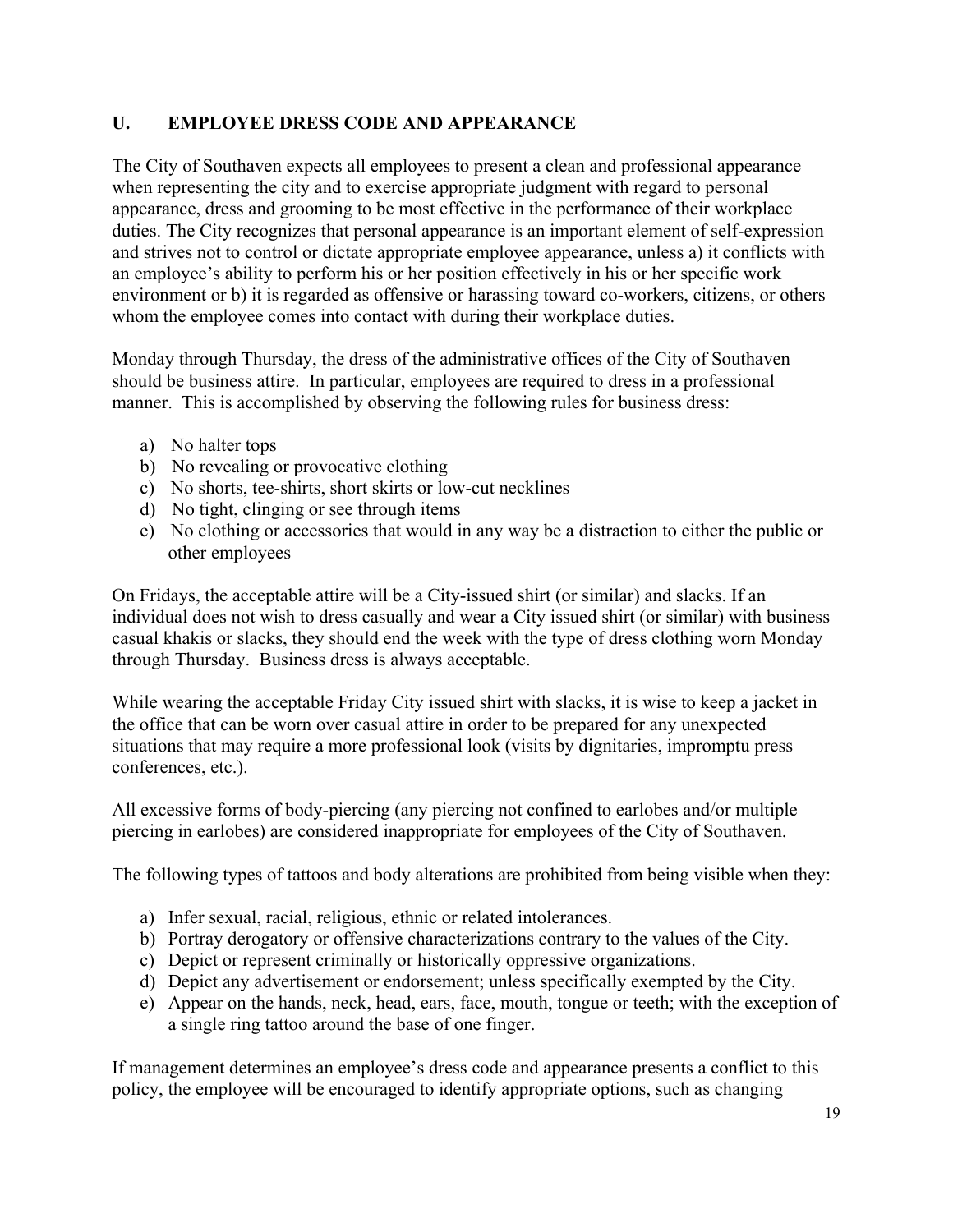#### **U. EMPLOYEE DRESS CODE AND APPEARANCE**

The City of Southaven expects all employees to present a clean and professional appearance when representing the city and to exercise appropriate judgment with regard to personal appearance, dress and grooming to be most effective in the performance of their workplace duties. The City recognizes that personal appearance is an important element of self-expression and strives not to control or dictate appropriate employee appearance, unless a) it conflicts with an employee's ability to perform his or her position effectively in his or her specific work environment or b) it is regarded as offensive or harassing toward co-workers, citizens, or others whom the employee comes into contact with during their workplace duties.

Monday through Thursday, the dress of the administrative offices of the City of Southaven should be business attire. In particular, employees are required to dress in a professional manner. This is accomplished by observing the following rules for business dress:

- a) No halter tops
- b) No revealing or provocative clothing
- c) No shorts, tee-shirts, short skirts or low-cut necklines
- d) No tight, clinging or see through items
- e) No clothing or accessories that would in any way be a distraction to either the public or other employees

On Fridays, the acceptable attire will be a City-issued shirt (or similar) and slacks. If an individual does not wish to dress casually and wear a City issued shirt (or similar) with business casual khakis or slacks, they should end the week with the type of dress clothing worn Monday through Thursday. Business dress is always acceptable.

While wearing the acceptable Friday City issued shirt with slacks, it is wise to keep a jacket in the office that can be worn over casual attire in order to be prepared for any unexpected situations that may require a more professional look (visits by dignitaries, impromptu press conferences, etc.).

All excessive forms of body-piercing (any piercing not confined to earlobes and/or multiple piercing in earlobes) are considered inappropriate for employees of the City of Southaven.

The following types of tattoos and body alterations are prohibited from being visible when they:

- a) Infer sexual, racial, religious, ethnic or related intolerances.
- b) Portray derogatory or offensive characterizations contrary to the values of the City.
- c) Depict or represent criminally or historically oppressive organizations.
- d) Depict any advertisement or endorsement; unless specifically exempted by the City.
- e) Appear on the hands, neck, head, ears, face, mouth, tongue or teeth; with the exception of a single ring tattoo around the base of one finger.

If management determines an employee's dress code and appearance presents a conflict to this policy, the employee will be encouraged to identify appropriate options, such as changing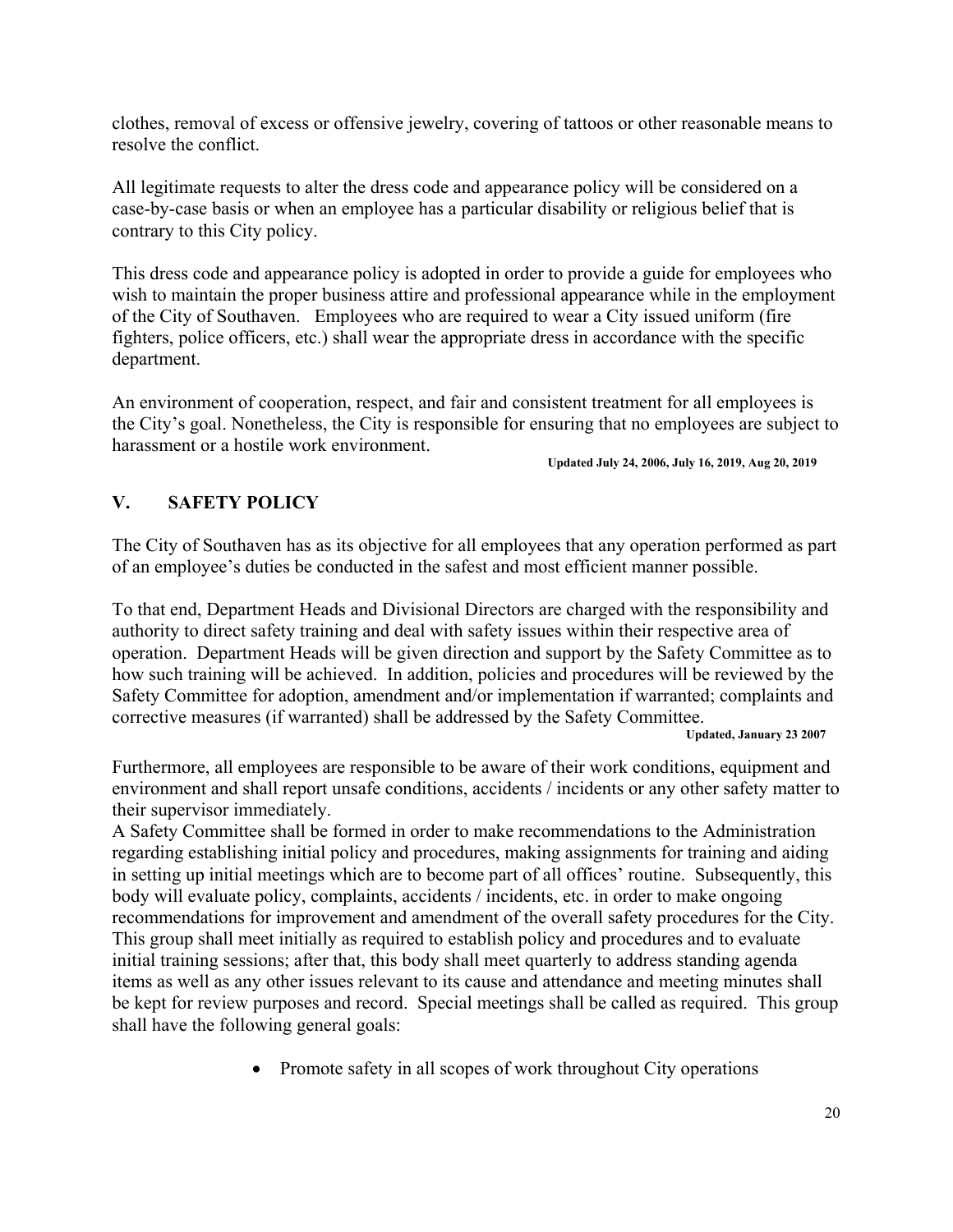clothes, removal of excess or offensive jewelry, covering of tattoos or other reasonable means to resolve the conflict.

All legitimate requests to alter the dress code and appearance policy will be considered on a case-by-case basis or when an employee has a particular disability or religious belief that is contrary to this City policy.

This dress code and appearance policy is adopted in order to provide a guide for employees who wish to maintain the proper business attire and professional appearance while in the employment of the City of Southaven. Employees who are required to wear a City issued uniform (fire fighters, police officers, etc.) shall wear the appropriate dress in accordance with the specific department.

An environment of cooperation, respect, and fair and consistent treatment for all employees is the City's goal. Nonetheless, the City is responsible for ensuring that no employees are subject to harassment or a hostile work environment.

 **Updated July 24, 2006, July 16, 2019, Aug 20, 2019** 

#### **V. SAFETY POLICY**

The City of Southaven has as its objective for all employees that any operation performed as part of an employee's duties be conducted in the safest and most efficient manner possible.

To that end, Department Heads and Divisional Directors are charged with the responsibility and authority to direct safety training and deal with safety issues within their respective area of operation. Department Heads will be given direction and support by the Safety Committee as to how such training will be achieved. In addition, policies and procedures will be reviewed by the Safety Committee for adoption, amendment and/or implementation if warranted; complaints and corrective measures (if warranted) shall be addressed by the Safety Committee.

**Updated, January 23 2007** 

Furthermore, all employees are responsible to be aware of their work conditions, equipment and environment and shall report unsafe conditions, accidents / incidents or any other safety matter to their supervisor immediately.

A Safety Committee shall be formed in order to make recommendations to the Administration regarding establishing initial policy and procedures, making assignments for training and aiding in setting up initial meetings which are to become part of all offices' routine. Subsequently, this body will evaluate policy, complaints, accidents / incidents, etc. in order to make ongoing recommendations for improvement and amendment of the overall safety procedures for the City. This group shall meet initially as required to establish policy and procedures and to evaluate initial training sessions; after that, this body shall meet quarterly to address standing agenda items as well as any other issues relevant to its cause and attendance and meeting minutes shall be kept for review purposes and record. Special meetings shall be called as required. This group shall have the following general goals:

• Promote safety in all scopes of work throughout City operations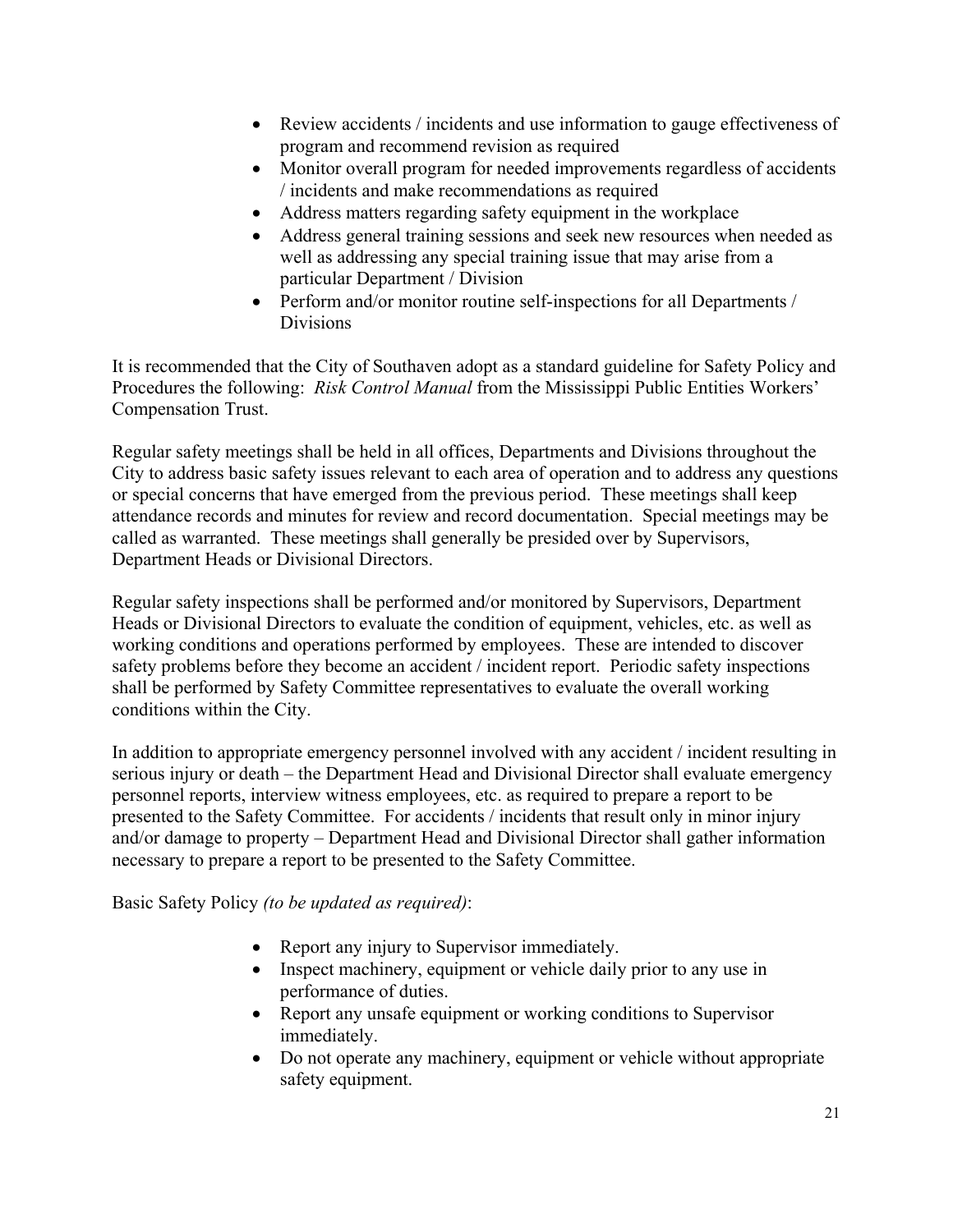- Review accidents / incidents and use information to gauge effectiveness of program and recommend revision as required
- Monitor overall program for needed improvements regardless of accidents / incidents and make recommendations as required
- Address matters regarding safety equipment in the workplace
- Address general training sessions and seek new resources when needed as well as addressing any special training issue that may arise from a particular Department / Division
- Perform and/or monitor routine self-inspections for all Departments / Divisions

It is recommended that the City of Southaven adopt as a standard guideline for Safety Policy and Procedures the following: *Risk Control Manual* from the Mississippi Public Entities Workers' Compensation Trust.

Regular safety meetings shall be held in all offices, Departments and Divisions throughout the City to address basic safety issues relevant to each area of operation and to address any questions or special concerns that have emerged from the previous period. These meetings shall keep attendance records and minutes for review and record documentation. Special meetings may be called as warranted. These meetings shall generally be presided over by Supervisors, Department Heads or Divisional Directors.

Regular safety inspections shall be performed and/or monitored by Supervisors, Department Heads or Divisional Directors to evaluate the condition of equipment, vehicles, etc. as well as working conditions and operations performed by employees. These are intended to discover safety problems before they become an accident / incident report. Periodic safety inspections shall be performed by Safety Committee representatives to evaluate the overall working conditions within the City.

In addition to appropriate emergency personnel involved with any accident / incident resulting in serious injury or death – the Department Head and Divisional Director shall evaluate emergency personnel reports, interview witness employees, etc. as required to prepare a report to be presented to the Safety Committee. For accidents / incidents that result only in minor injury and/or damage to property – Department Head and Divisional Director shall gather information necessary to prepare a report to be presented to the Safety Committee.

Basic Safety Policy *(to be updated as required)*:

- Report any injury to Supervisor immediately.
- Inspect machinery, equipment or vehicle daily prior to any use in performance of duties.
- Report any unsafe equipment or working conditions to Supervisor immediately.
- Do not operate any machinery, equipment or vehicle without appropriate safety equipment.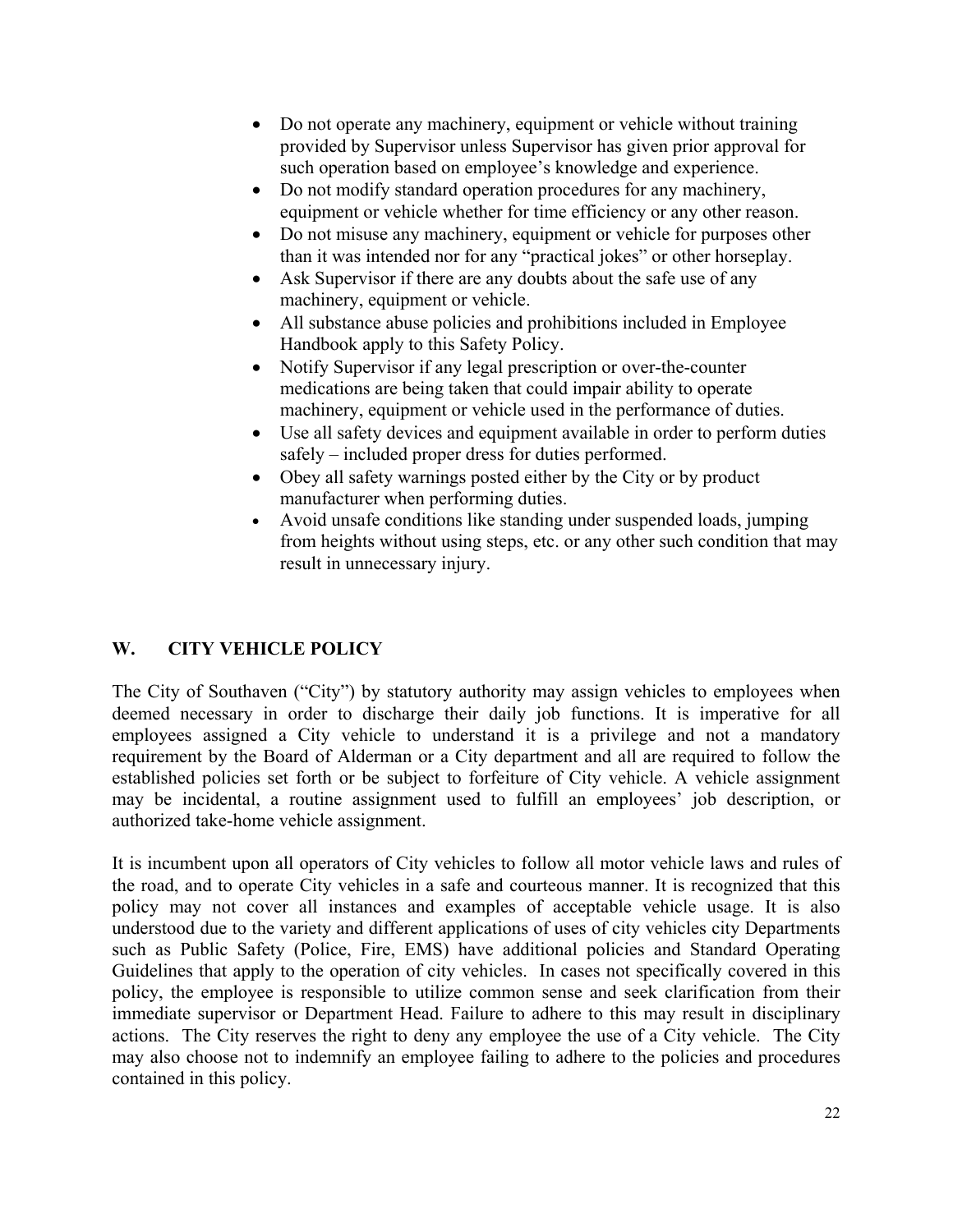- Do not operate any machinery, equipment or vehicle without training provided by Supervisor unless Supervisor has given prior approval for such operation based on employee's knowledge and experience.
- Do not modify standard operation procedures for any machinery, equipment or vehicle whether for time efficiency or any other reason.
- Do not misuse any machinery, equipment or vehicle for purposes other than it was intended nor for any "practical jokes" or other horseplay.
- Ask Supervisor if there are any doubts about the safe use of any machinery, equipment or vehicle.
- All substance abuse policies and prohibitions included in Employee Handbook apply to this Safety Policy.
- Notify Supervisor if any legal prescription or over-the-counter medications are being taken that could impair ability to operate machinery, equipment or vehicle used in the performance of duties.
- Use all safety devices and equipment available in order to perform duties safely – included proper dress for duties performed.
- Obey all safety warnings posted either by the City or by product manufacturer when performing duties.
- Avoid unsafe conditions like standing under suspended loads, jumping from heights without using steps, etc. or any other such condition that may result in unnecessary injury.

### **W. CITY VEHICLE POLICY**

The City of Southaven ("City") by statutory authority may assign vehicles to employees when deemed necessary in order to discharge their daily job functions. It is imperative for all employees assigned a City vehicle to understand it is a privilege and not a mandatory requirement by the Board of Alderman or a City department and all are required to follow the established policies set forth or be subject to forfeiture of City vehicle. A vehicle assignment may be incidental, a routine assignment used to fulfill an employees' job description, or authorized take-home vehicle assignment.

It is incumbent upon all operators of City vehicles to follow all motor vehicle laws and rules of the road, and to operate City vehicles in a safe and courteous manner. It is recognized that this policy may not cover all instances and examples of acceptable vehicle usage. It is also understood due to the variety and different applications of uses of city vehicles city Departments such as Public Safety (Police, Fire, EMS) have additional policies and Standard Operating Guidelines that apply to the operation of city vehicles. In cases not specifically covered in this policy, the employee is responsible to utilize common sense and seek clarification from their immediate supervisor or Department Head. Failure to adhere to this may result in disciplinary actions. The City reserves the right to deny any employee the use of a City vehicle. The City may also choose not to indemnify an employee failing to adhere to the policies and procedures contained in this policy.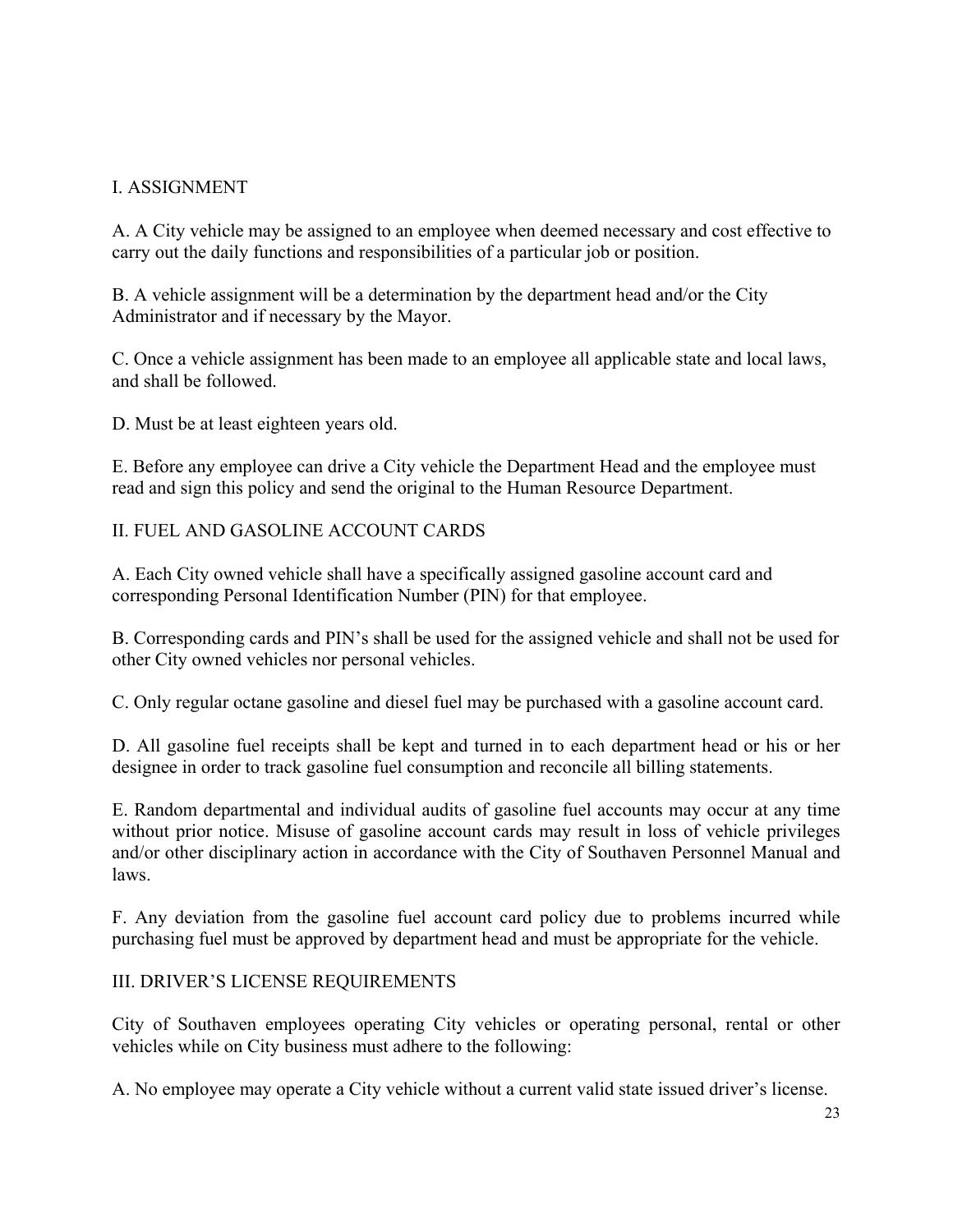#### I. ASSIGNMENT

A. A City vehicle may be assigned to an employee when deemed necessary and cost effective to carry out the daily functions and responsibilities of a particular job or position.

B. A vehicle assignment will be a determination by the department head and/or the City Administrator and if necessary by the Mayor.

C. Once a vehicle assignment has been made to an employee all applicable state and local laws, and shall be followed.

D. Must be at least eighteen years old.

E. Before any employee can drive a City vehicle the Department Head and the employee must read and sign this policy and send the original to the Human Resource Department.

#### II. FUEL AND GASOLINE ACCOUNT CARDS

A. Each City owned vehicle shall have a specifically assigned gasoline account card and corresponding Personal Identification Number (PIN) for that employee.

B. Corresponding cards and PIN's shall be used for the assigned vehicle and shall not be used for other City owned vehicles nor personal vehicles.

C. Only regular octane gasoline and diesel fuel may be purchased with a gasoline account card.

D. All gasoline fuel receipts shall be kept and turned in to each department head or his or her designee in order to track gasoline fuel consumption and reconcile all billing statements.

E. Random departmental and individual audits of gasoline fuel accounts may occur at any time without prior notice. Misuse of gasoline account cards may result in loss of vehicle privileges and/or other disciplinary action in accordance with the City of Southaven Personnel Manual and laws.

F. Any deviation from the gasoline fuel account card policy due to problems incurred while purchasing fuel must be approved by department head and must be appropriate for the vehicle.

#### III. DRIVER'S LICENSE REQUIREMENTS

City of Southaven employees operating City vehicles or operating personal, rental or other vehicles while on City business must adhere to the following:

A. No employee may operate a City vehicle without a current valid state issued driver's license.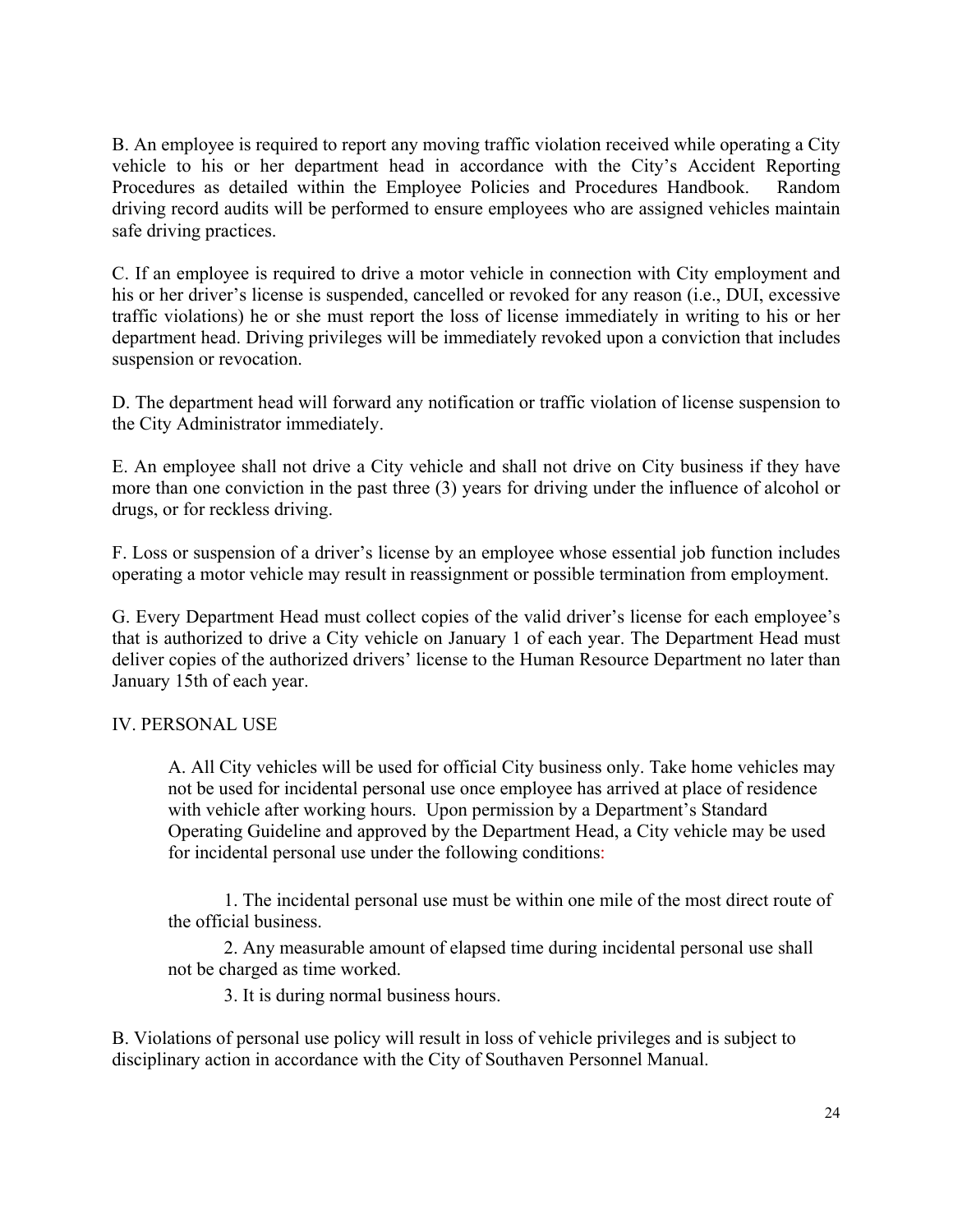B. An employee is required to report any moving traffic violation received while operating a City vehicle to his or her department head in accordance with the City's Accident Reporting Procedures as detailed within the Employee Policies and Procedures Handbook. Random driving record audits will be performed to ensure employees who are assigned vehicles maintain safe driving practices.

C. If an employee is required to drive a motor vehicle in connection with City employment and his or her driver's license is suspended, cancelled or revoked for any reason (i.e., DUI, excessive traffic violations) he or she must report the loss of license immediately in writing to his or her department head. Driving privileges will be immediately revoked upon a conviction that includes suspension or revocation.

D. The department head will forward any notification or traffic violation of license suspension to the City Administrator immediately.

E. An employee shall not drive a City vehicle and shall not drive on City business if they have more than one conviction in the past three (3) years for driving under the influence of alcohol or drugs, or for reckless driving.

F. Loss or suspension of a driver's license by an employee whose essential job function includes operating a motor vehicle may result in reassignment or possible termination from employment.

G. Every Department Head must collect copies of the valid driver's license for each employee's that is authorized to drive a City vehicle on January 1 of each year. The Department Head must deliver copies of the authorized drivers' license to the Human Resource Department no later than January 15th of each year.

#### IV. PERSONAL USE

A. All City vehicles will be used for official City business only. Take home vehicles may not be used for incidental personal use once employee has arrived at place of residence with vehicle after working hours. Upon permission by a Department's Standard Operating Guideline and approved by the Department Head, a City vehicle may be used for incidental personal use under the following conditions:

1. The incidental personal use must be within one mile of the most direct route of the official business.

2. Any measurable amount of elapsed time during incidental personal use shall not be charged as time worked.

3. It is during normal business hours.

B. Violations of personal use policy will result in loss of vehicle privileges and is subject to disciplinary action in accordance with the City of Southaven Personnel Manual.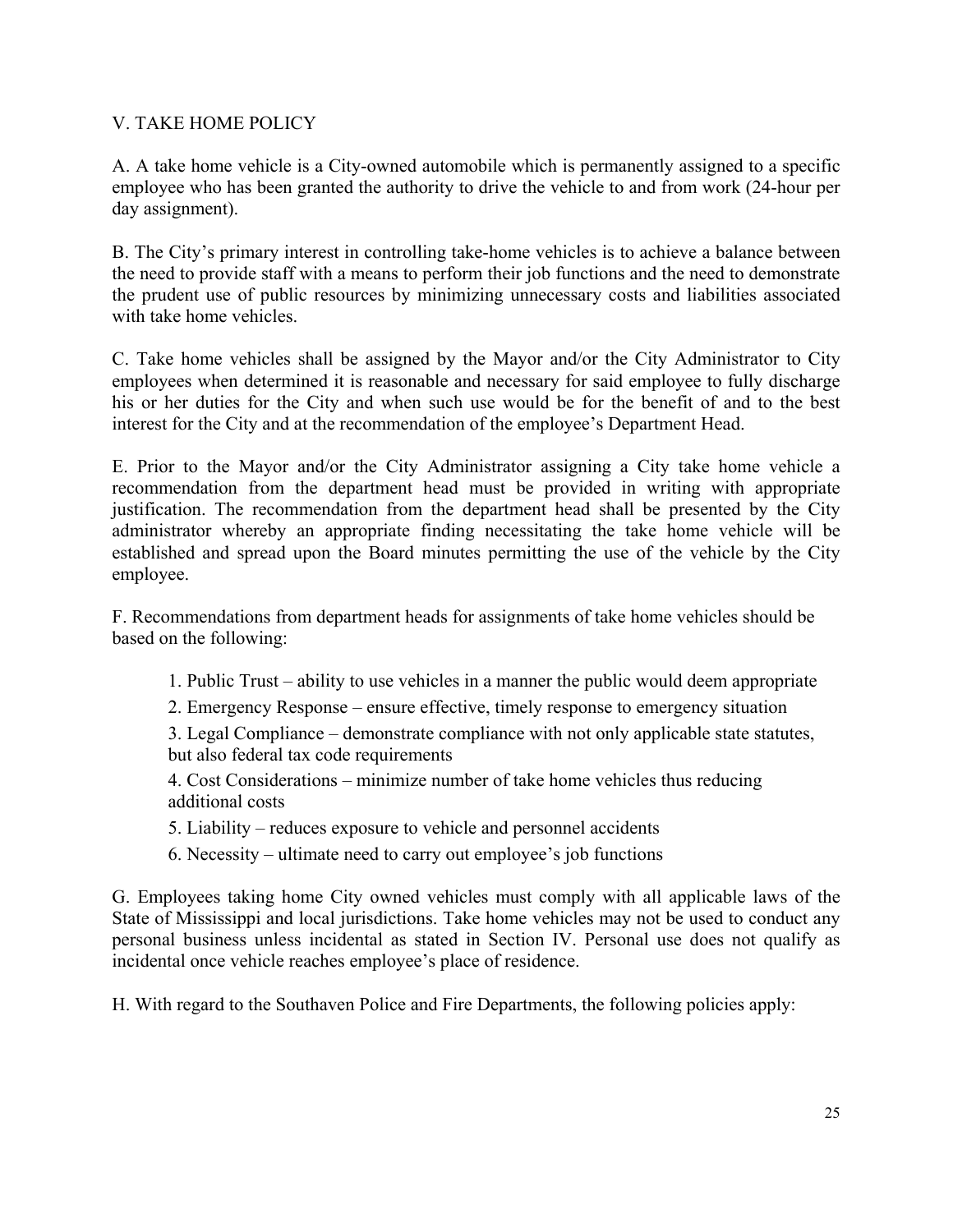#### V. TAKE HOME POLICY

A. A take home vehicle is a City-owned automobile which is permanently assigned to a specific employee who has been granted the authority to drive the vehicle to and from work (24-hour per day assignment).

B. The City's primary interest in controlling take-home vehicles is to achieve a balance between the need to provide staff with a means to perform their job functions and the need to demonstrate the prudent use of public resources by minimizing unnecessary costs and liabilities associated with take home vehicles.

C. Take home vehicles shall be assigned by the Mayor and/or the City Administrator to City employees when determined it is reasonable and necessary for said employee to fully discharge his or her duties for the City and when such use would be for the benefit of and to the best interest for the City and at the recommendation of the employee's Department Head.

E. Prior to the Mayor and/or the City Administrator assigning a City take home vehicle a recommendation from the department head must be provided in writing with appropriate justification. The recommendation from the department head shall be presented by the City administrator whereby an appropriate finding necessitating the take home vehicle will be established and spread upon the Board minutes permitting the use of the vehicle by the City employee.

F. Recommendations from department heads for assignments of take home vehicles should be based on the following:

1. Public Trust – ability to use vehicles in a manner the public would deem appropriate

2. Emergency Response – ensure effective, timely response to emergency situation

3. Legal Compliance – demonstrate compliance with not only applicable state statutes, but also federal tax code requirements

4. Cost Considerations – minimize number of take home vehicles thus reducing additional costs

5. Liability – reduces exposure to vehicle and personnel accidents

6. Necessity – ultimate need to carry out employee's job functions

G. Employees taking home City owned vehicles must comply with all applicable laws of the State of Mississippi and local jurisdictions. Take home vehicles may not be used to conduct any personal business unless incidental as stated in Section IV. Personal use does not qualify as incidental once vehicle reaches employee's place of residence.

H. With regard to the Southaven Police and Fire Departments, the following policies apply: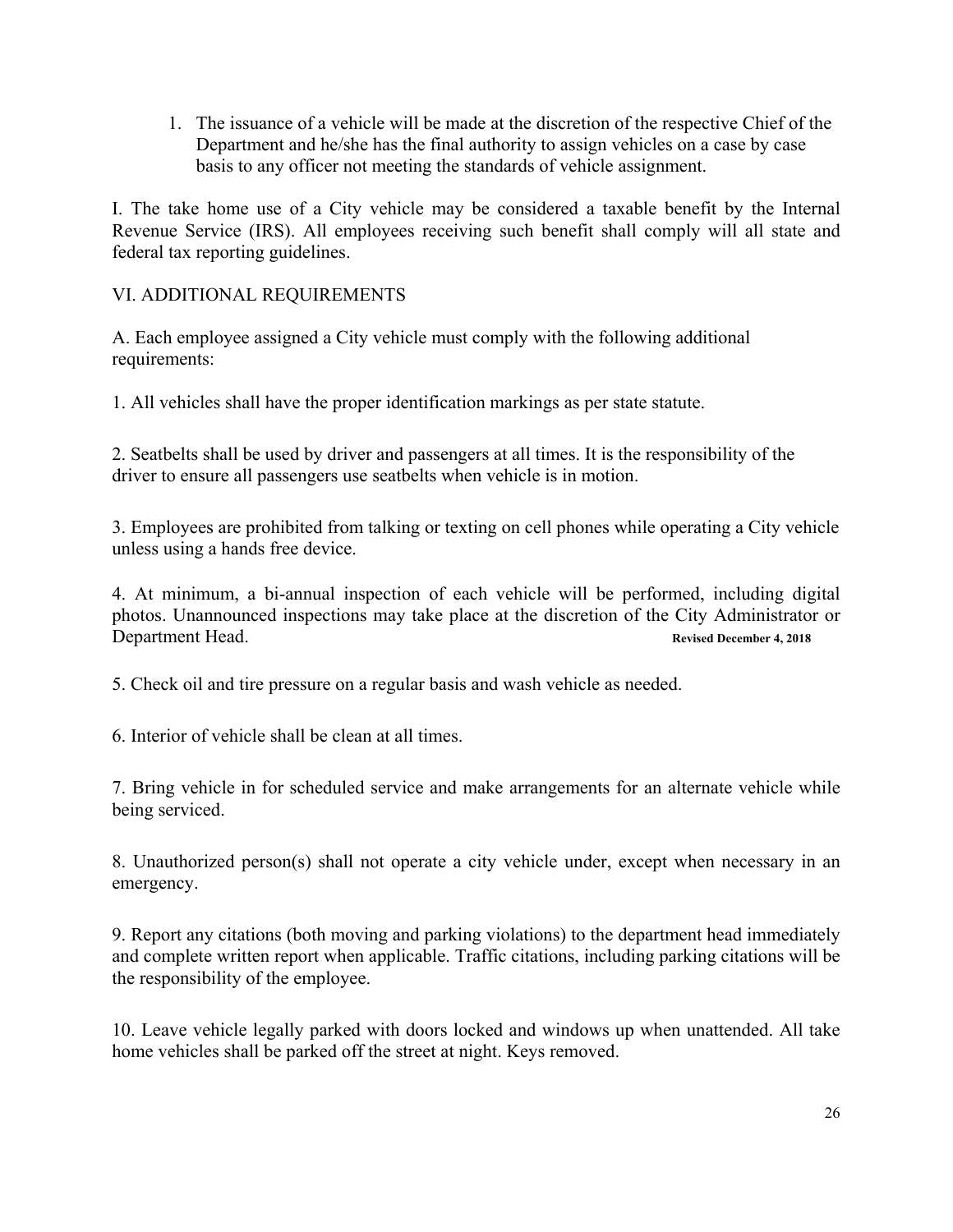1. The issuance of a vehicle will be made at the discretion of the respective Chief of the Department and he/she has the final authority to assign vehicles on a case by case basis to any officer not meeting the standards of vehicle assignment.

I. The take home use of a City vehicle may be considered a taxable benefit by the Internal Revenue Service (IRS). All employees receiving such benefit shall comply will all state and federal tax reporting guidelines.

#### VI. ADDITIONAL REQUIREMENTS

A. Each employee assigned a City vehicle must comply with the following additional requirements:

1. All vehicles shall have the proper identification markings as per state statute.

2. Seatbelts shall be used by driver and passengers at all times. It is the responsibility of the driver to ensure all passengers use seatbelts when vehicle is in motion.

3. Employees are prohibited from talking or texting on cell phones while operating a City vehicle unless using a hands free device.

4. At minimum, a bi-annual inspection of each vehicle will be performed, including digital photos. Unannounced inspections may take place at the discretion of the City Administrator or Department Head. **Revised December 4, 2018** 

5. Check oil and tire pressure on a regular basis and wash vehicle as needed.

6. Interior of vehicle shall be clean at all times.

7. Bring vehicle in for scheduled service and make arrangements for an alternate vehicle while being serviced.

8. Unauthorized person(s) shall not operate a city vehicle under, except when necessary in an emergency.

9. Report any citations (both moving and parking violations) to the department head immediately and complete written report when applicable. Traffic citations, including parking citations will be the responsibility of the employee.

10. Leave vehicle legally parked with doors locked and windows up when unattended. All take home vehicles shall be parked off the street at night. Keys removed.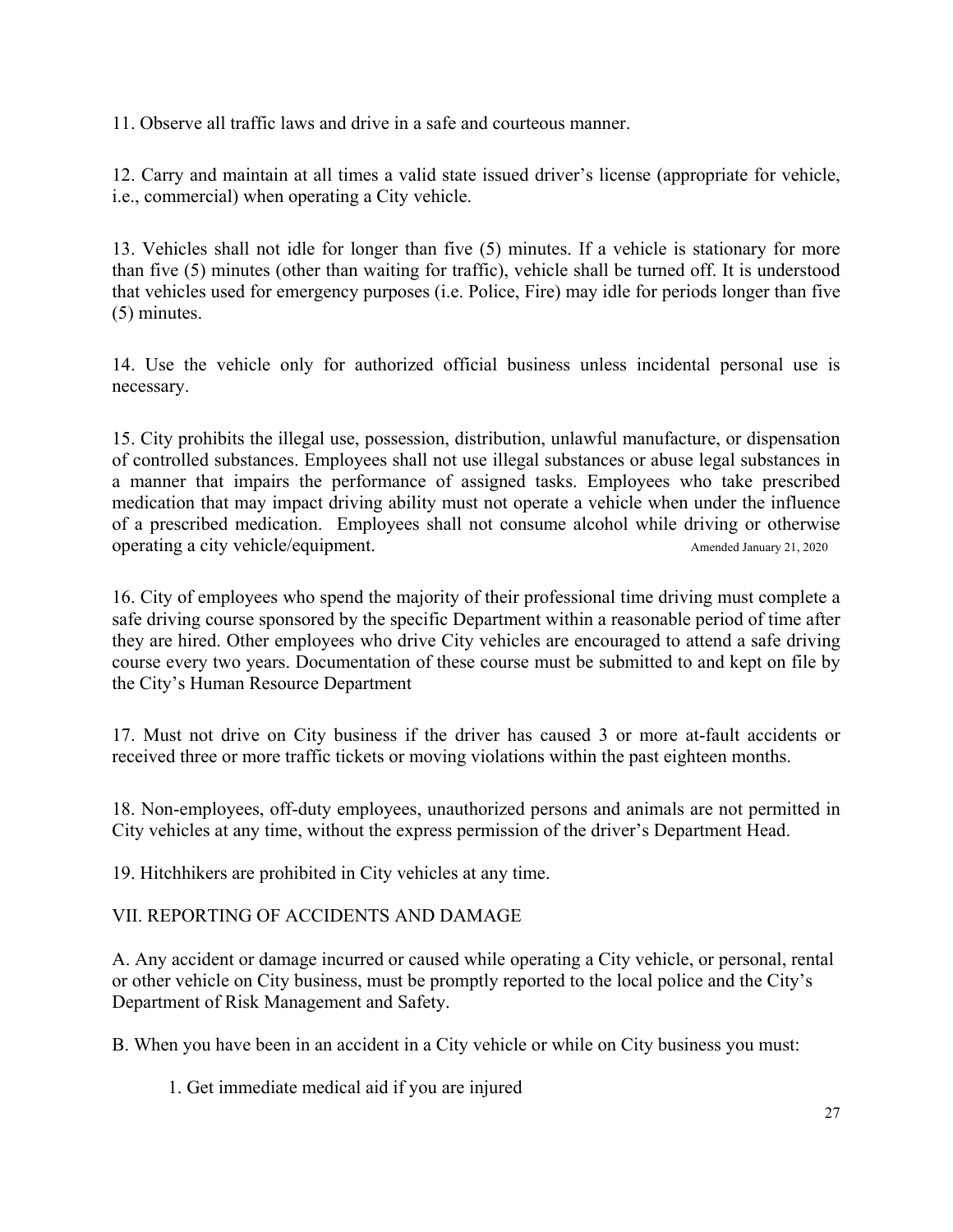11. Observe all traffic laws and drive in a safe and courteous manner.

12. Carry and maintain at all times a valid state issued driver's license (appropriate for vehicle, i.e., commercial) when operating a City vehicle.

13. Vehicles shall not idle for longer than five (5) minutes. If a vehicle is stationary for more than five (5) minutes (other than waiting for traffic), vehicle shall be turned off. It is understood that vehicles used for emergency purposes (i.e. Police, Fire) may idle for periods longer than five (5) minutes.

14. Use the vehicle only for authorized official business unless incidental personal use is necessary.

15. City prohibits the illegal use, possession, distribution, unlawful manufacture, or dispensation of controlled substances. Employees shall not use illegal substances or abuse legal substances in a manner that impairs the performance of assigned tasks. Employees who take prescribed medication that may impact driving ability must not operate a vehicle when under the influence of a prescribed medication. Employees shall not consume alcohol while driving or otherwise operating a city vehicle/equipment. Amended January 21, 2020

16. City of employees who spend the majority of their professional time driving must complete a safe driving course sponsored by the specific Department within a reasonable period of time after they are hired. Other employees who drive City vehicles are encouraged to attend a safe driving course every two years. Documentation of these course must be submitted to and kept on file by the City's Human Resource Department

17. Must not drive on City business if the driver has caused 3 or more at-fault accidents or received three or more traffic tickets or moving violations within the past eighteen months.

18. Non-employees, off-duty employees, unauthorized persons and animals are not permitted in City vehicles at any time, without the express permission of the driver's Department Head.

19. Hitchhikers are prohibited in City vehicles at any time.

#### VII. REPORTING OF ACCIDENTS AND DAMAGE

A. Any accident or damage incurred or caused while operating a City vehicle, or personal, rental or other vehicle on City business, must be promptly reported to the local police and the City's Department of Risk Management and Safety.

B. When you have been in an accident in a City vehicle or while on City business you must:

1. Get immediate medical aid if you are injured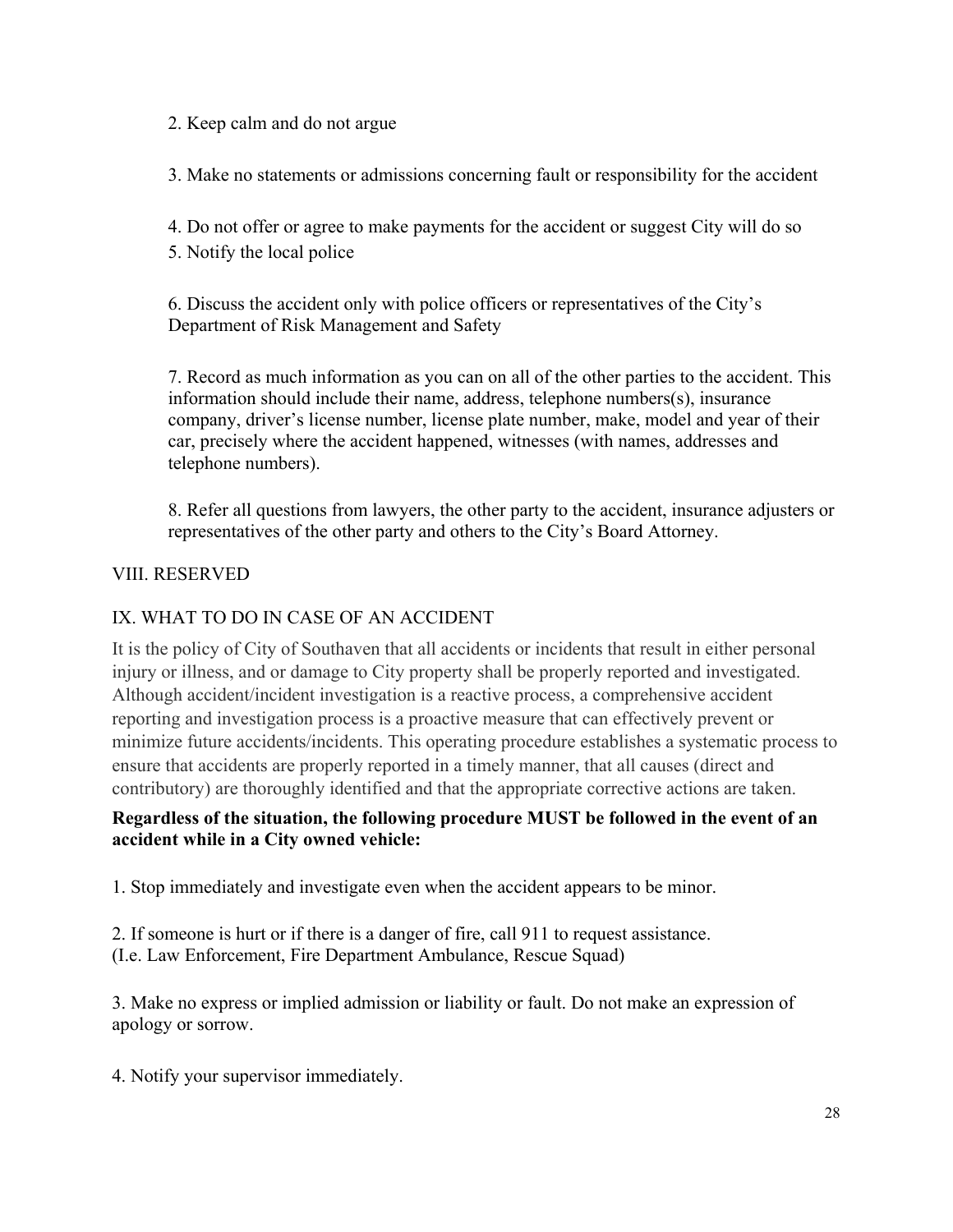2. Keep calm and do not argue

3. Make no statements or admissions concerning fault or responsibility for the accident

4. Do not offer or agree to make payments for the accident or suggest City will do so

5. Notify the local police

6. Discuss the accident only with police officers or representatives of the City's Department of Risk Management and Safety

7. Record as much information as you can on all of the other parties to the accident. This information should include their name, address, telephone numbers(s), insurance company, driver's license number, license plate number, make, model and year of their car, precisely where the accident happened, witnesses (with names, addresses and telephone numbers).

8. Refer all questions from lawyers, the other party to the accident, insurance adjusters or representatives of the other party and others to the City's Board Attorney.

#### VIII. RESERVED

#### IX. WHAT TO DO IN CASE OF AN ACCIDENT

It is the policy of City of Southaven that all accidents or incidents that result in either personal injury or illness, and or damage to City property shall be properly reported and investigated. Although accident/incident investigation is a reactive process, a comprehensive accident reporting and investigation process is a proactive measure that can effectively prevent or minimize future accidents/incidents. This operating procedure establishes a systematic process to ensure that accidents are properly reported in a timely manner, that all causes (direct and contributory) are thoroughly identified and that the appropriate corrective actions are taken.

#### **Regardless of the situation, the following procedure MUST be followed in the event of an accident while in a City owned vehicle:**

1. Stop immediately and investigate even when the accident appears to be minor.

2. If someone is hurt or if there is a danger of fire, call 911 to request assistance. (I.e. Law Enforcement, Fire Department Ambulance, Rescue Squad)

3. Make no express or implied admission or liability or fault. Do not make an expression of apology or sorrow.

4. Notify your supervisor immediately.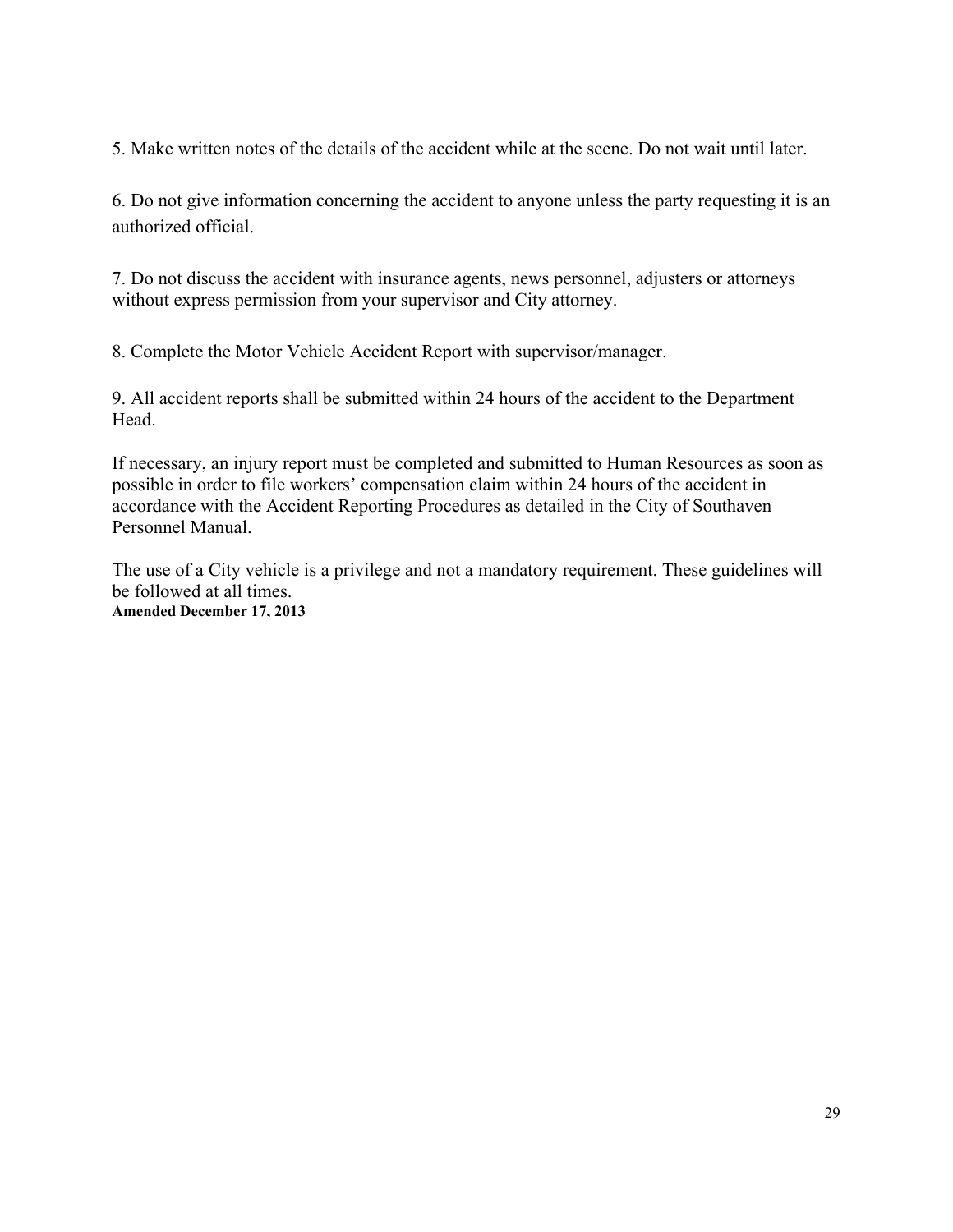5. Make written notes of the details of the accident while at the scene. Do not wait until later.

6. Do not give information concerning the accident to anyone unless the party requesting it is an authorized official.

7. Do not discuss the accident with insurance agents, news personnel, adjusters or attorneys without express permission from your supervisor and City attorney.

8. Complete the Motor Vehicle Accident Report with supervisor/manager.

9. All accident reports shall be submitted within 24 hours of the accident to the Department Head.

If necessary, an injury report must be completed and submitted to Human Resources as soon as possible in order to file workers' compensation claim within 24 hours of the accident in accordance with the Accident Reporting Procedures as detailed in the City of Southaven Personnel Manual.

The use of a City vehicle is a privilege and not a mandatory requirement. These guidelines will be followed at all times. **Amended December 17, 2013**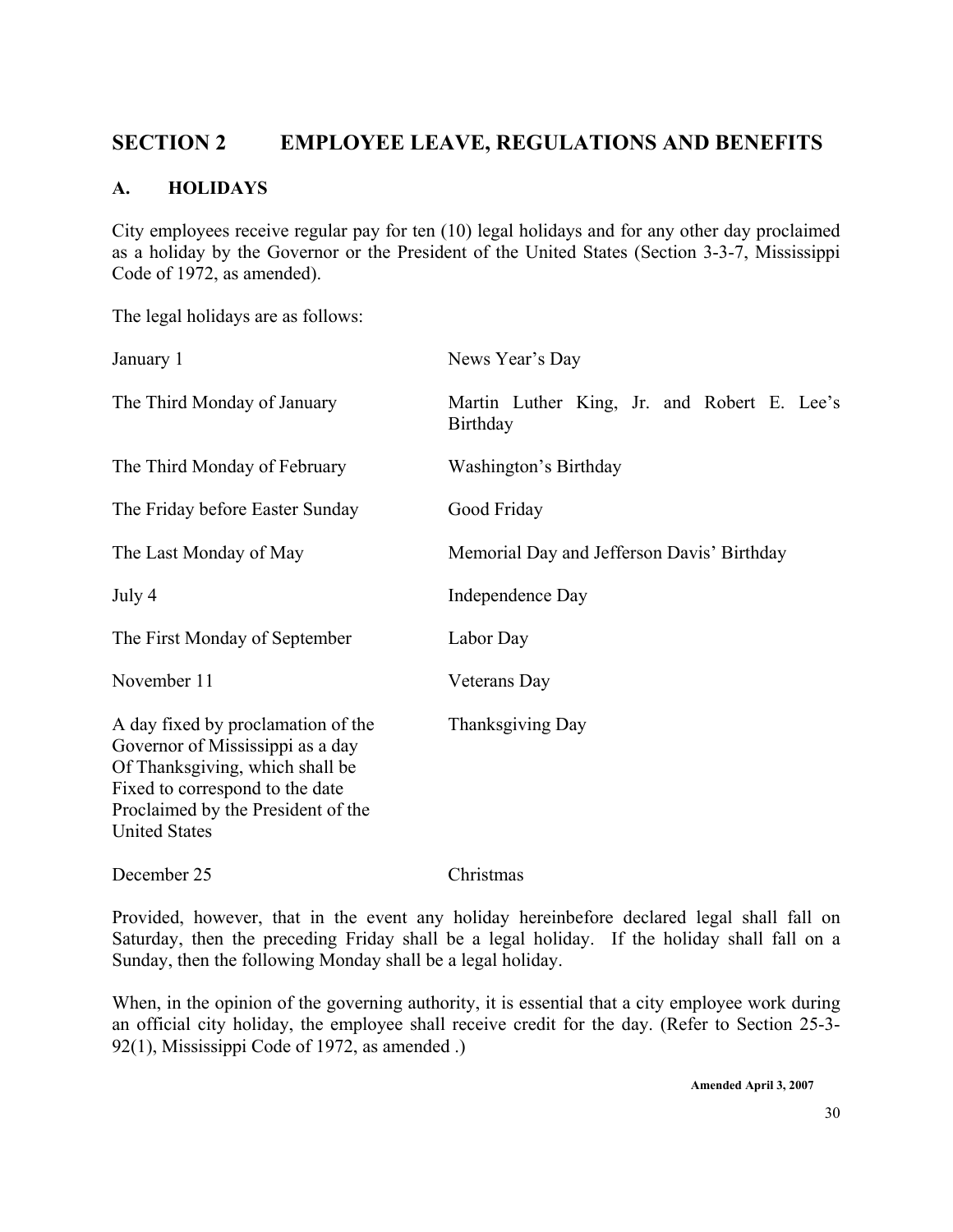### **SECTION 2 EMPLOYEE LEAVE, REGULATIONS AND BENEFITS**

#### **A. HOLIDAYS**

City employees receive regular pay for ten (10) legal holidays and for any other day proclaimed as a holiday by the Governor or the President of the United States (Section 3-3-7, Mississippi Code of 1972, as amended).

The legal holidays are as follows:

| January 1                                                                                                                                                                                                  | News Year's Day                                         |
|------------------------------------------------------------------------------------------------------------------------------------------------------------------------------------------------------------|---------------------------------------------------------|
| The Third Monday of January                                                                                                                                                                                | Martin Luther King, Jr. and Robert E. Lee's<br>Birthday |
| The Third Monday of February                                                                                                                                                                               | Washington's Birthday                                   |
| The Friday before Easter Sunday                                                                                                                                                                            | Good Friday                                             |
| The Last Monday of May                                                                                                                                                                                     | Memorial Day and Jefferson Davis' Birthday              |
| July 4                                                                                                                                                                                                     | Independence Day                                        |
| The First Monday of September                                                                                                                                                                              | Labor Day                                               |
| November 11                                                                                                                                                                                                | Veterans Day                                            |
| A day fixed by proclamation of the<br>Governor of Mississippi as a day<br>Of Thanksgiving, which shall be<br>Fixed to correspond to the date<br>Proclaimed by the President of the<br><b>United States</b> | Thanksgiving Day                                        |
|                                                                                                                                                                                                            |                                                         |

Provided, however, that in the event any holiday hereinbefore declared legal shall fall on Saturday, then the preceding Friday shall be a legal holiday. If the holiday shall fall on a Sunday, then the following Monday shall be a legal holiday.

December 25 Christmas

When, in the opinion of the governing authority, it is essential that a city employee work during an official city holiday, the employee shall receive credit for the day. (Refer to Section 25-3- 92(1), Mississippi Code of 1972, as amended .)

**Amended April 3, 2007**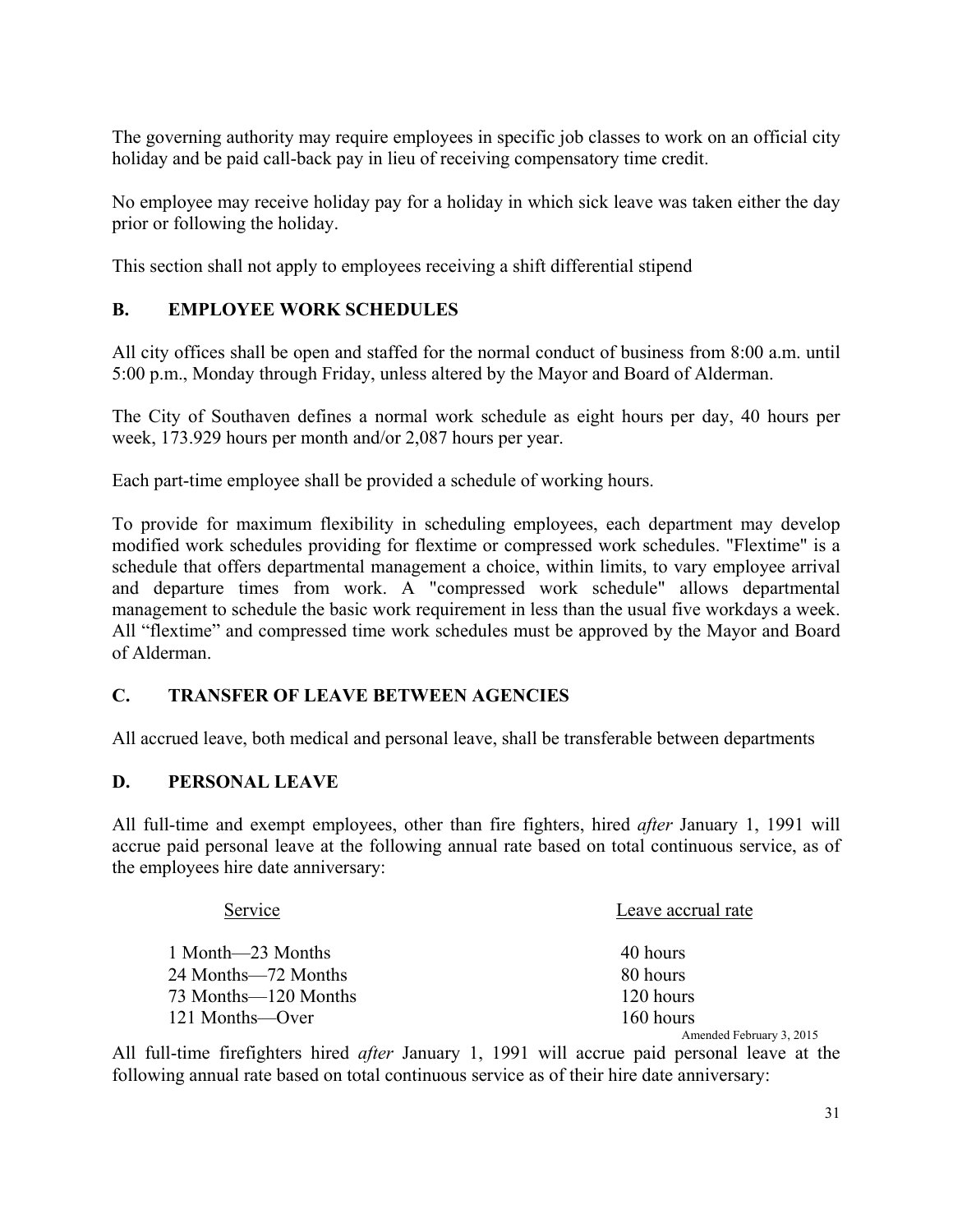The governing authority may require employees in specific job classes to work on an official city holiday and be paid call-back pay in lieu of receiving compensatory time credit.

No employee may receive holiday pay for a holiday in which sick leave was taken either the day prior or following the holiday.

This section shall not apply to employees receiving a shift differential stipend

#### **B. EMPLOYEE WORK SCHEDULES**

All city offices shall be open and staffed for the normal conduct of business from 8:00 a.m. until 5:00 p.m., Monday through Friday, unless altered by the Mayor and Board of Alderman.

The City of Southaven defines a normal work schedule as eight hours per day, 40 hours per week, 173.929 hours per month and/or 2,087 hours per year.

Each part-time employee shall be provided a schedule of working hours.

To provide for maximum flexibility in scheduling employees, each department may develop modified work schedules providing for flextime or compressed work schedules. "Flextime" is a schedule that offers departmental management a choice, within limits, to vary employee arrival and departure times from work. A "compressed work schedule" allows departmental management to schedule the basic work requirement in less than the usual five workdays a week. All "flextime" and compressed time work schedules must be approved by the Mayor and Board of Alderman.

#### **C. TRANSFER OF LEAVE BETWEEN AGENCIES**

All accrued leave, both medical and personal leave, shall be transferable between departments

#### **D. PERSONAL LEAVE**

All full-time and exempt employees, other than fire fighters, hired *after* January 1, 1991 will accrue paid personal leave at the following annual rate based on total continuous service, as of the employees hire date anniversary:

| Service              | Leave accrual rate       |
|----------------------|--------------------------|
| 1 Month—23 Months    | 40 hours                 |
| 24 Months—72 Months  | 80 hours                 |
| 73 Months—120 Months | 120 hours                |
| 121 Months—Over      | 160 hours                |
|                      | Amended February 3, 2015 |

All full-time firefighters hired *after* January 1, 1991 will accrue paid personal leave at the following annual rate based on total continuous service as of their hire date anniversary: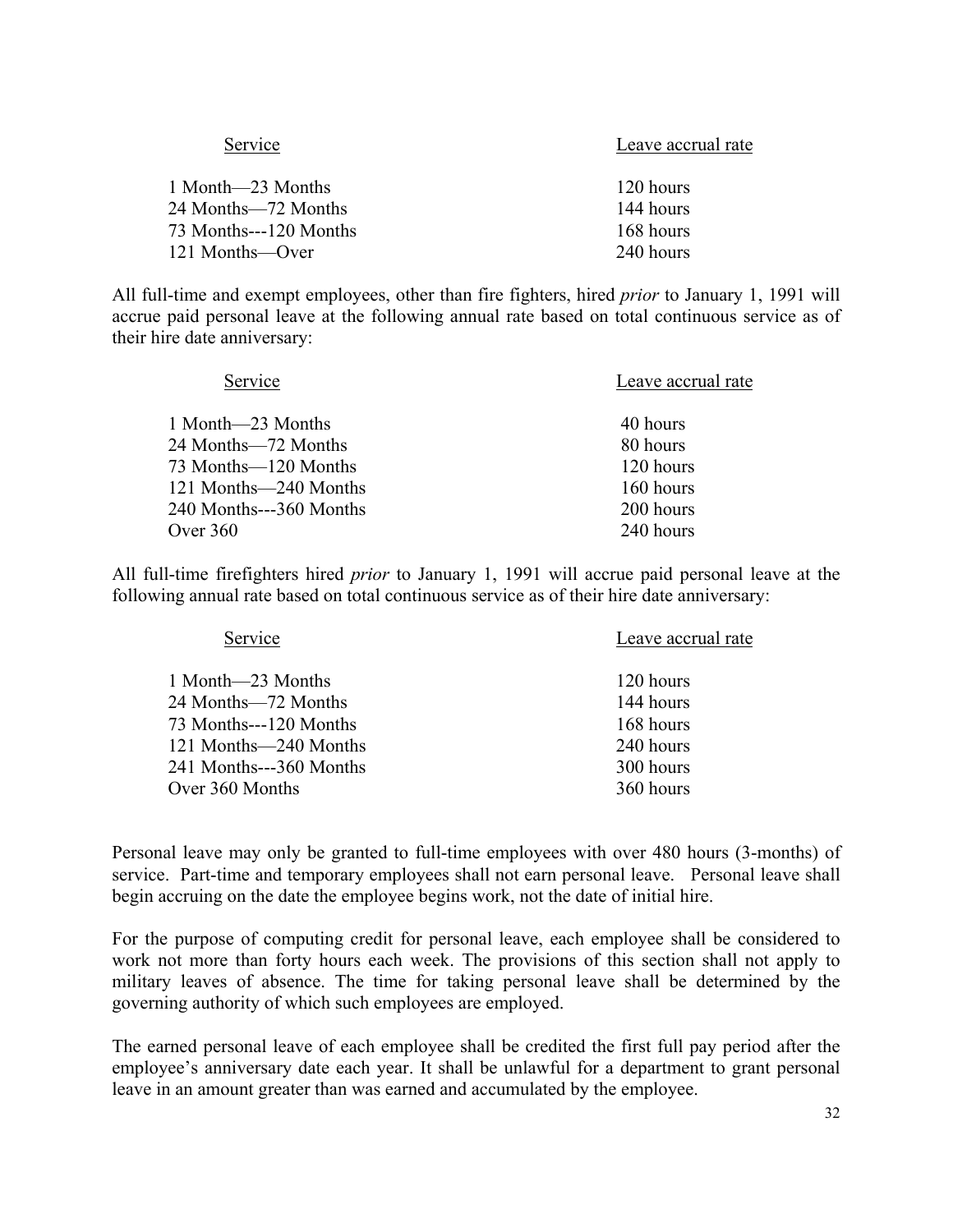| Leave accrual rate |
|--------------------|
| 120 hours          |
| 144 hours          |
| 168 hours          |
| 240 hours          |
|                    |

All full-time and exempt employees, other than fire fighters, hired *prior* to January 1, 1991 will accrue paid personal leave at the following annual rate based on total continuous service as of their hire date anniversary:

| Service                 | Leave accrual rate |
|-------------------------|--------------------|
| 1 Month—23 Months       | 40 hours           |
| 24 Months—72 Months     | 80 hours           |
| 73 Months—120 Months    | 120 hours          |
| 121 Months-240 Months   | 160 hours          |
| 240 Months---360 Months | 200 hours          |
| Over 360                | 240 hours          |

All full-time firefighters hired *prior* to January 1, 1991 will accrue paid personal leave at the following annual rate based on total continuous service as of their hire date anniversary:

| Service                 | Leave accrual rate |  |
|-------------------------|--------------------|--|
| 1 Month-23 Months       | 120 hours          |  |
| 24 Months—72 Months     | 144 hours          |  |
| 73 Months---120 Months  | 168 hours          |  |
| 121 Months-240 Months   | 240 hours          |  |
| 241 Months---360 Months | 300 hours          |  |
| Over 360 Months         | 360 hours          |  |
|                         |                    |  |

Personal leave may only be granted to full-time employees with over 480 hours (3-months) of service. Part-time and temporary employees shall not earn personal leave. Personal leave shall begin accruing on the date the employee begins work, not the date of initial hire.

For the purpose of computing credit for personal leave, each employee shall be considered to work not more than forty hours each week. The provisions of this section shall not apply to military leaves of absence. The time for taking personal leave shall be determined by the governing authority of which such employees are employed.

The earned personal leave of each employee shall be credited the first full pay period after the employee's anniversary date each year. It shall be unlawful for a department to grant personal leave in an amount greater than was earned and accumulated by the employee.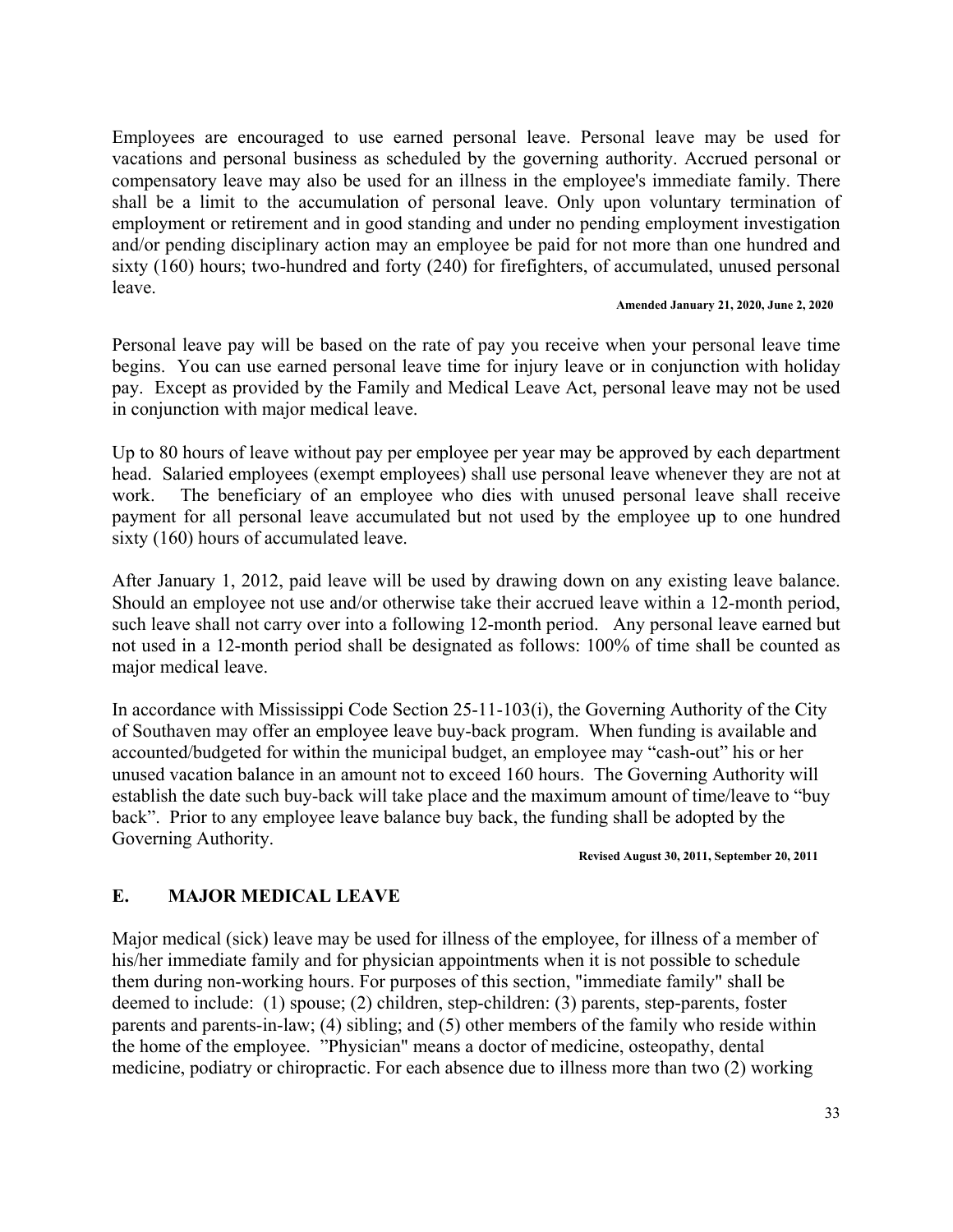Employees are encouraged to use earned personal leave. Personal leave may be used for vacations and personal business as scheduled by the governing authority. Accrued personal or compensatory leave may also be used for an illness in the employee's immediate family. There shall be a limit to the accumulation of personal leave. Only upon voluntary termination of employment or retirement and in good standing and under no pending employment investigation and/or pending disciplinary action may an employee be paid for not more than one hundred and sixty (160) hours; two-hundred and forty (240) for firefighters, of accumulated, unused personal leave.

#### **Amended January 21, 2020, June 2, 2020**

Personal leave pay will be based on the rate of pay you receive when your personal leave time begins. You can use earned personal leave time for injury leave or in conjunction with holiday pay. Except as provided by the Family and Medical Leave Act, personal leave may not be used in conjunction with major medical leave.

Up to 80 hours of leave without pay per employee per year may be approved by each department head. Salaried employees (exempt employees) shall use personal leave whenever they are not at work. The beneficiary of an employee who dies with unused personal leave shall receive payment for all personal leave accumulated but not used by the employee up to one hundred sixty (160) hours of accumulated leave.

After January 1, 2012, paid leave will be used by drawing down on any existing leave balance. Should an employee not use and/or otherwise take their accrued leave within a 12-month period, such leave shall not carry over into a following 12-month period. Any personal leave earned but not used in a 12-month period shall be designated as follows: 100% of time shall be counted as major medical leave.

In accordance with Mississippi Code Section 25-11-103(i), the Governing Authority of the City of Southaven may offer an employee leave buy-back program. When funding is available and accounted/budgeted for within the municipal budget, an employee may "cash-out" his or her unused vacation balance in an amount not to exceed 160 hours. The Governing Authority will establish the date such buy-back will take place and the maximum amount of time/leave to "buy back". Prior to any employee leave balance buy back, the funding shall be adopted by the Governing Authority.

**Revised August 30, 2011, September 20, 2011**

#### **E. MAJOR MEDICAL LEAVE**

Major medical (sick) leave may be used for illness of the employee, for illness of a member of his/her immediate family and for physician appointments when it is not possible to schedule them during non-working hours. For purposes of this section, "immediate family" shall be deemed to include: (1) spouse; (2) children, step-children: (3) parents, step-parents, foster parents and parents-in-law; (4) sibling; and (5) other members of the family who reside within the home of the employee. "Physician" means a doctor of medicine, osteopathy, dental medicine, podiatry or chiropractic. For each absence due to illness more than two (2) working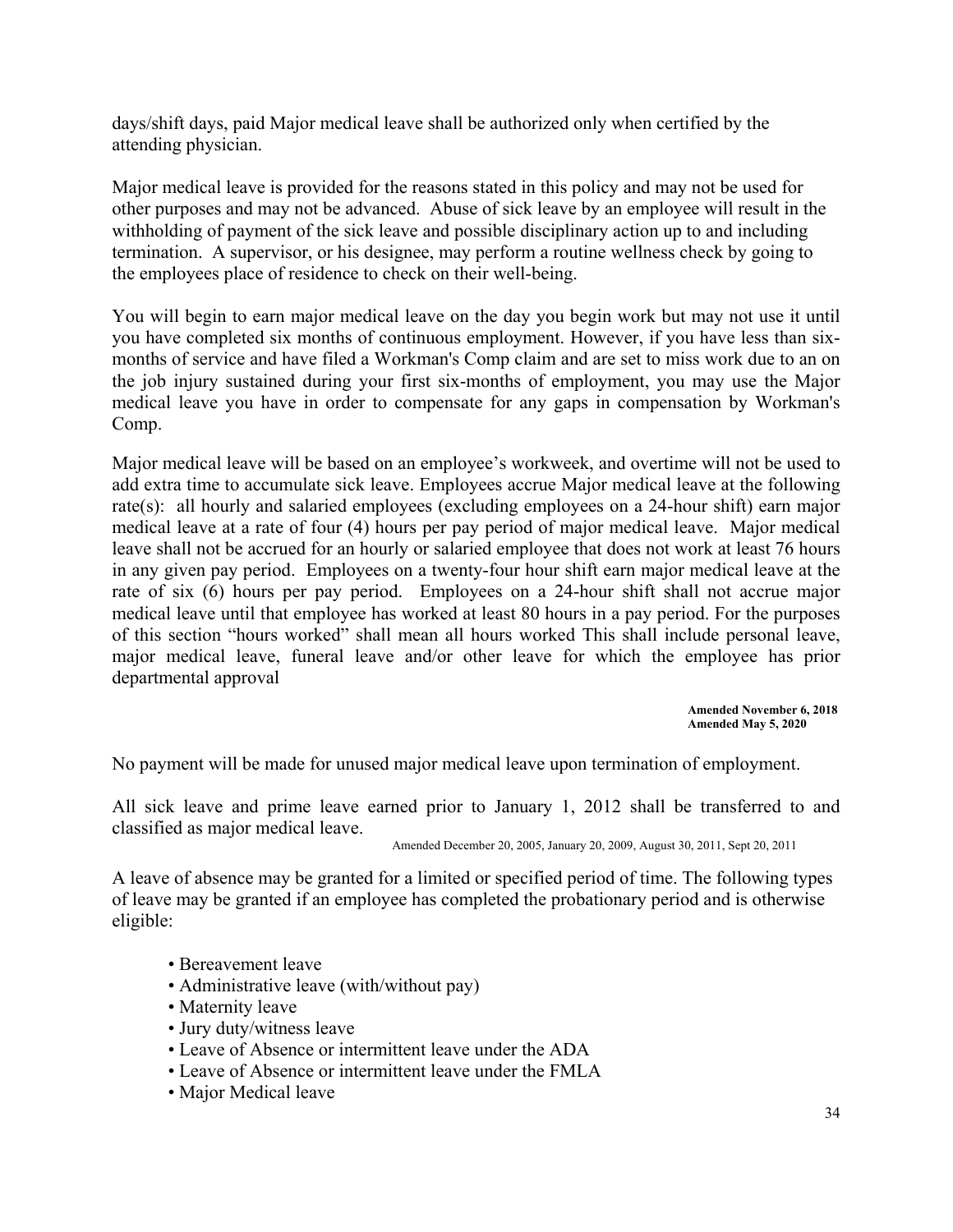days/shift days, paid Major medical leave shall be authorized only when certified by the attending physician.

Major medical leave is provided for the reasons stated in this policy and may not be used for other purposes and may not be advanced. Abuse of sick leave by an employee will result in the withholding of payment of the sick leave and possible disciplinary action up to and including termination. A supervisor, or his designee, may perform a routine wellness check by going to the employees place of residence to check on their well-being.

You will begin to earn major medical leave on the day you begin work but may not use it until you have completed six months of continuous employment. However, if you have less than sixmonths of service and have filed a Workman's Comp claim and are set to miss work due to an on the job injury sustained during your first six-months of employment, you may use the Major medical leave you have in order to compensate for any gaps in compensation by Workman's Comp.

Major medical leave will be based on an employee's workweek, and overtime will not be used to add extra time to accumulate sick leave. Employees accrue Major medical leave at the following rate(s): all hourly and salaried employees (excluding employees on a 24-hour shift) earn major medical leave at a rate of four (4) hours per pay period of major medical leave. Major medical leave shall not be accrued for an hourly or salaried employee that does not work at least 76 hours in any given pay period. Employees on a twenty-four hour shift earn major medical leave at the rate of six (6) hours per pay period. Employees on a 24-hour shift shall not accrue major medical leave until that employee has worked at least 80 hours in a pay period. For the purposes of this section "hours worked" shall mean all hours worked This shall include personal leave, major medical leave, funeral leave and/or other leave for which the employee has prior departmental approval

> **Amended November 6, 2018 Amended May 5, 2020**

No payment will be made for unused major medical leave upon termination of employment.

All sick leave and prime leave earned prior to January 1, 2012 shall be transferred to and classified as major medical leave.

Amended December 20, 2005, January 20, 2009, August 30, 2011, Sept 20, 2011

A leave of absence may be granted for a limited or specified period of time. The following types of leave may be granted if an employee has completed the probationary period and is otherwise eligible:

- Bereavement leave
- Administrative leave (with/without pay)
- Maternity leave
- Jury duty/witness leave
- Leave of Absence or intermittent leave under the ADA
- Leave of Absence or intermittent leave under the FMLA
- Major Medical leave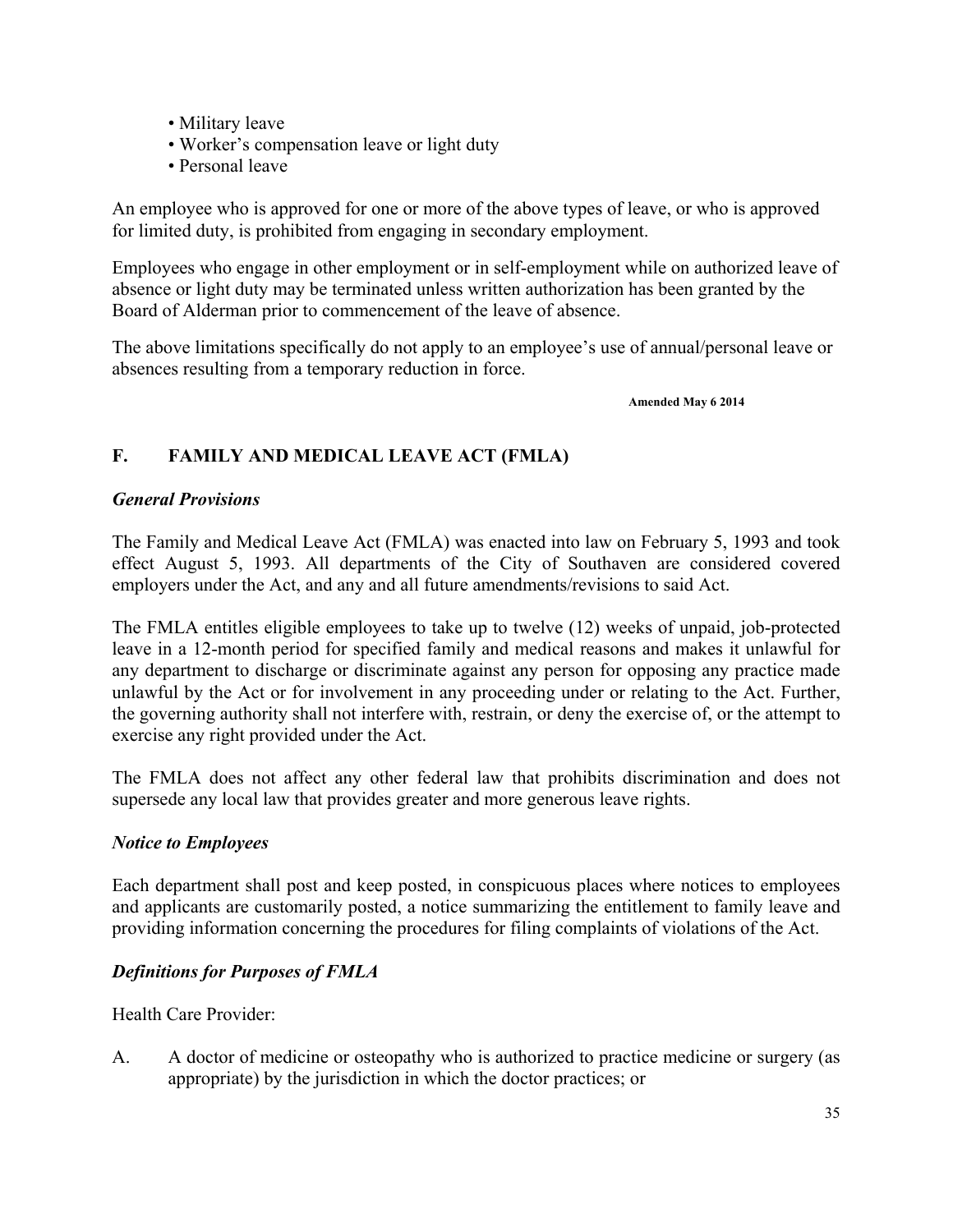- Military leave
- Worker's compensation leave or light duty
- Personal leave

An employee who is approved for one or more of the above types of leave, or who is approved for limited duty, is prohibited from engaging in secondary employment.

Employees who engage in other employment or in self-employment while on authorized leave of absence or light duty may be terminated unless written authorization has been granted by the Board of Alderman prior to commencement of the leave of absence.

The above limitations specifically do not apply to an employee's use of annual/personal leave or absences resulting from a temporary reduction in force.

**Amended May 6 2014** 

#### **F. FAMILY AND MEDICAL LEAVE ACT (FMLA)**

#### *General Provisions*

The Family and Medical Leave Act (FMLA) was enacted into law on February 5, 1993 and took effect August 5, 1993. All departments of the City of Southaven are considered covered employers under the Act, and any and all future amendments/revisions to said Act.

The FMLA entitles eligible employees to take up to twelve (12) weeks of unpaid, job-protected leave in a 12-month period for specified family and medical reasons and makes it unlawful for any department to discharge or discriminate against any person for opposing any practice made unlawful by the Act or for involvement in any proceeding under or relating to the Act. Further, the governing authority shall not interfere with, restrain, or deny the exercise of, or the attempt to exercise any right provided under the Act.

The FMLA does not affect any other federal law that prohibits discrimination and does not supersede any local law that provides greater and more generous leave rights.

#### *Notice to Employees*

Each department shall post and keep posted, in conspicuous places where notices to employees and applicants are customarily posted, a notice summarizing the entitlement to family leave and providing information concerning the procedures for filing complaints of violations of the Act.

#### *Definitions for Purposes of FMLA*

Health Care Provider:

A. A doctor of medicine or osteopathy who is authorized to practice medicine or surgery (as appropriate) by the jurisdiction in which the doctor practices; or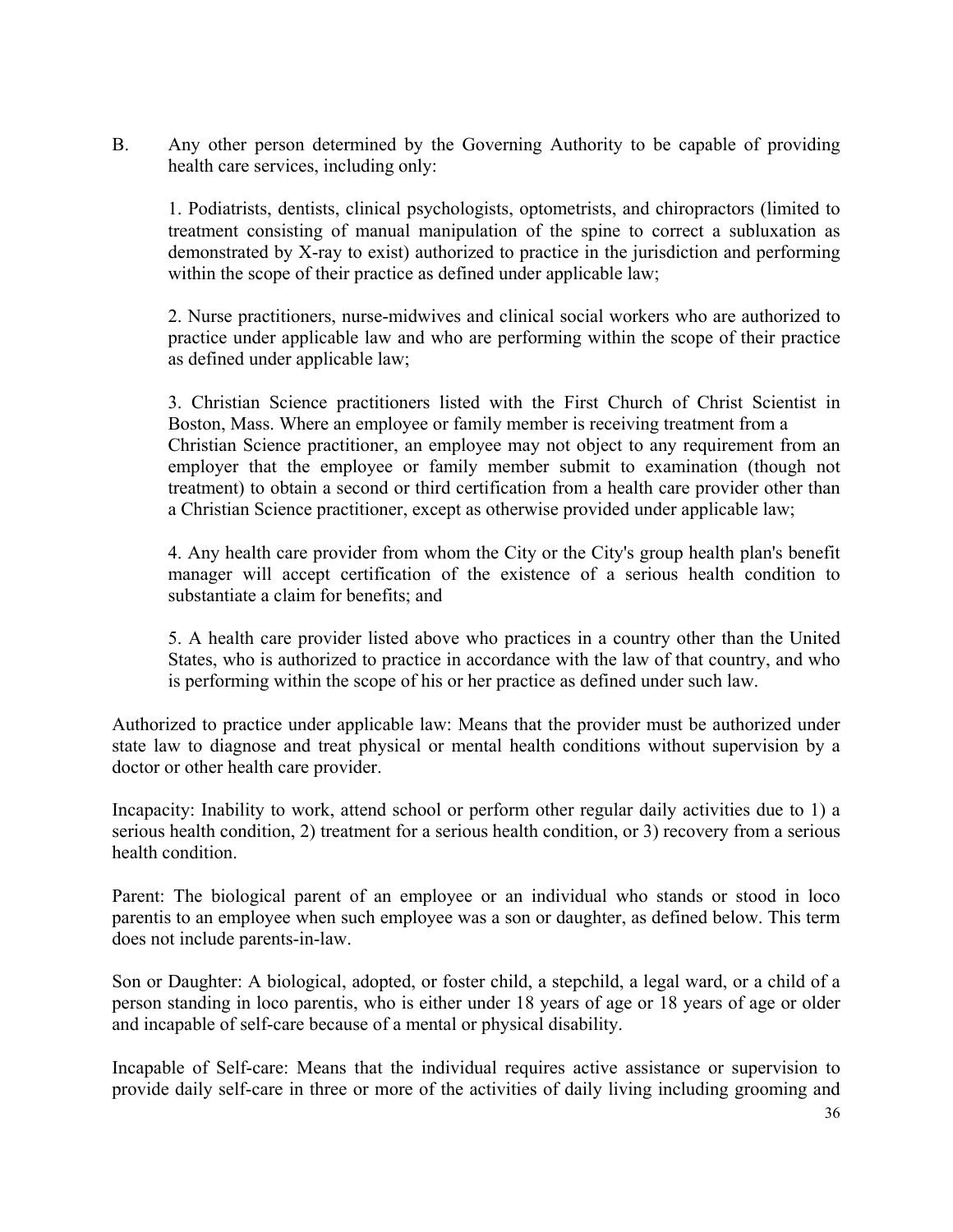B. Any other person determined by the Governing Authority to be capable of providing health care services, including only:

1. Podiatrists, dentists, clinical psychologists, optometrists, and chiropractors (limited to treatment consisting of manual manipulation of the spine to correct a subluxation as demonstrated by X-ray to exist) authorized to practice in the jurisdiction and performing within the scope of their practice as defined under applicable law;

2. Nurse practitioners, nurse-midwives and clinical social workers who are authorized to practice under applicable law and who are performing within the scope of their practice as defined under applicable law;

3. Christian Science practitioners listed with the First Church of Christ Scientist in Boston, Mass. Where an employee or family member is receiving treatment from a Christian Science practitioner, an employee may not object to any requirement from an employer that the employee or family member submit to examination (though not treatment) to obtain a second or third certification from a health care provider other than a Christian Science practitioner, except as otherwise provided under applicable law;

4. Any health care provider from whom the City or the City's group health plan's benefit manager will accept certification of the existence of a serious health condition to substantiate a claim for benefits; and

5. A health care provider listed above who practices in a country other than the United States, who is authorized to practice in accordance with the law of that country, and who is performing within the scope of his or her practice as defined under such law.

Authorized to practice under applicable law: Means that the provider must be authorized under state law to diagnose and treat physical or mental health conditions without supervision by a doctor or other health care provider.

Incapacity: Inability to work, attend school or perform other regular daily activities due to 1) a serious health condition, 2) treatment for a serious health condition, or 3) recovery from a serious health condition.

Parent: The biological parent of an employee or an individual who stands or stood in loco parentis to an employee when such employee was a son or daughter, as defined below. This term does not include parents-in-law.

Son or Daughter: A biological, adopted, or foster child, a stepchild, a legal ward, or a child of a person standing in loco parentis, who is either under 18 years of age or 18 years of age or older and incapable of self-care because of a mental or physical disability.

Incapable of Self-care: Means that the individual requires active assistance or supervision to provide daily self-care in three or more of the activities of daily living including grooming and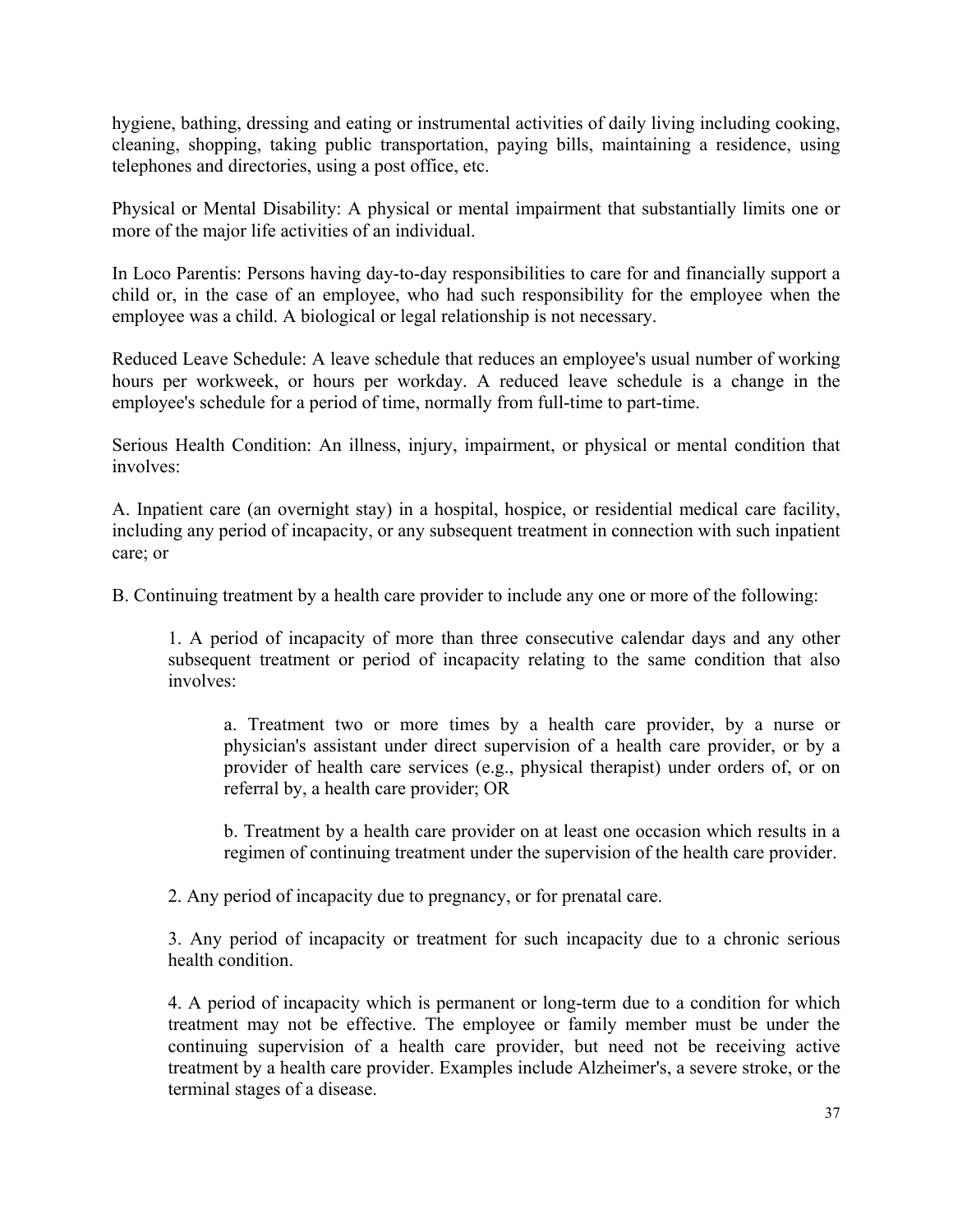hygiene, bathing, dressing and eating or instrumental activities of daily living including cooking, cleaning, shopping, taking public transportation, paying bills, maintaining a residence, using telephones and directories, using a post office, etc.

Physical or Mental Disability: A physical or mental impairment that substantially limits one or more of the major life activities of an individual.

In Loco Parentis: Persons having day-to-day responsibilities to care for and financially support a child or, in the case of an employee, who had such responsibility for the employee when the employee was a child. A biological or legal relationship is not necessary.

Reduced Leave Schedule: A leave schedule that reduces an employee's usual number of working hours per workweek, or hours per workday. A reduced leave schedule is a change in the employee's schedule for a period of time, normally from full-time to part-time.

Serious Health Condition: An illness, injury, impairment, or physical or mental condition that involves:

A. Inpatient care (an overnight stay) in a hospital, hospice, or residential medical care facility, including any period of incapacity, or any subsequent treatment in connection with such inpatient care; or

B. Continuing treatment by a health care provider to include any one or more of the following:

1. A period of incapacity of more than three consecutive calendar days and any other subsequent treatment or period of incapacity relating to the same condition that also involves:

a. Treatment two or more times by a health care provider, by a nurse or physician's assistant under direct supervision of a health care provider, or by a provider of health care services (e.g., physical therapist) under orders of, or on referral by, a health care provider; OR

b. Treatment by a health care provider on at least one occasion which results in a regimen of continuing treatment under the supervision of the health care provider.

2. Any period of incapacity due to pregnancy, or for prenatal care.

3. Any period of incapacity or treatment for such incapacity due to a chronic serious health condition.

4. A period of incapacity which is permanent or long-term due to a condition for which treatment may not be effective. The employee or family member must be under the continuing supervision of a health care provider, but need not be receiving active treatment by a health care provider. Examples include Alzheimer's, a severe stroke, or the terminal stages of a disease.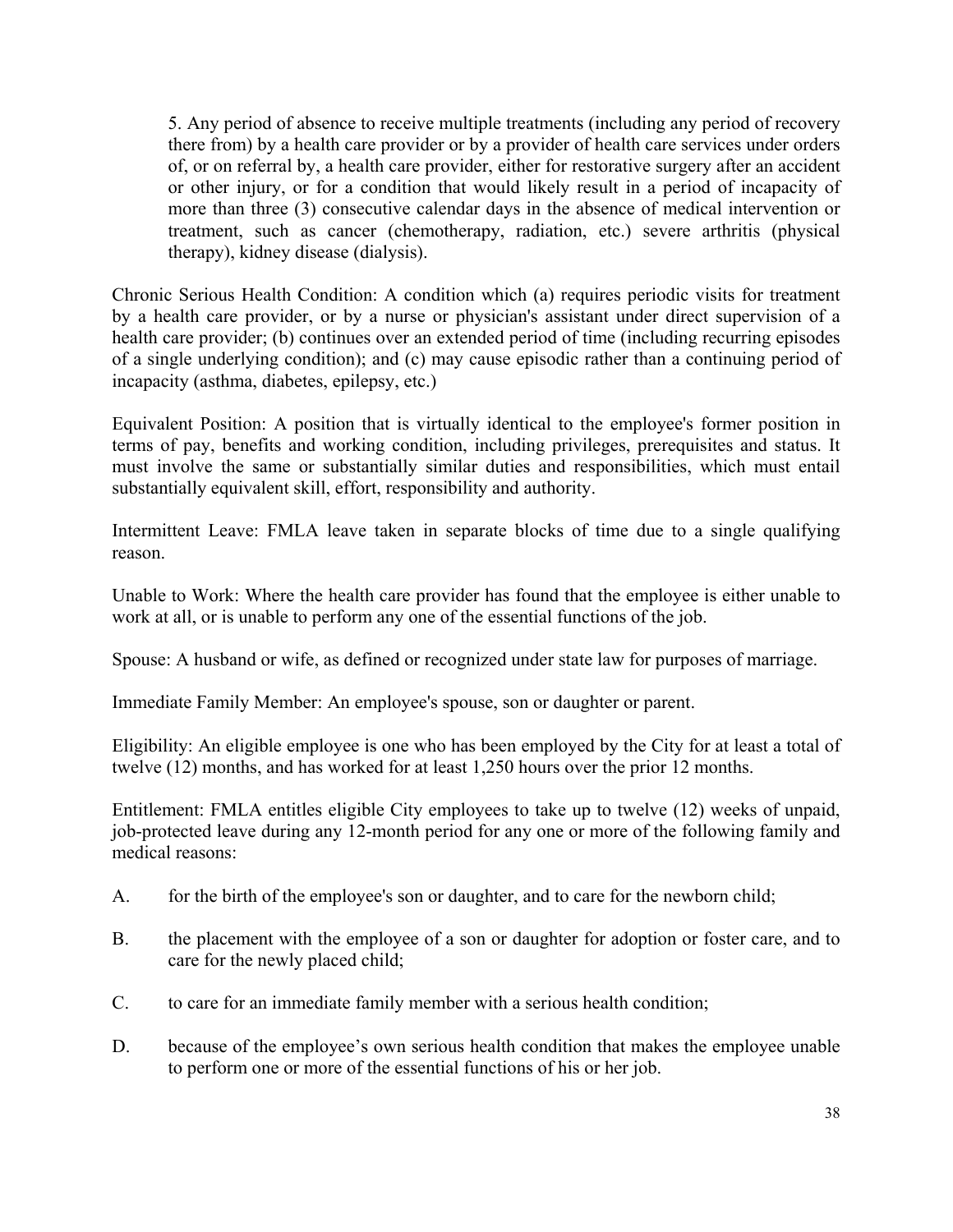5. Any period of absence to receive multiple treatments (including any period of recovery there from) by a health care provider or by a provider of health care services under orders of, or on referral by, a health care provider, either for restorative surgery after an accident or other injury, or for a condition that would likely result in a period of incapacity of more than three (3) consecutive calendar days in the absence of medical intervention or treatment, such as cancer (chemotherapy, radiation, etc.) severe arthritis (physical therapy), kidney disease (dialysis).

Chronic Serious Health Condition: A condition which (a) requires periodic visits for treatment by a health care provider, or by a nurse or physician's assistant under direct supervision of a health care provider; (b) continues over an extended period of time (including recurring episodes of a single underlying condition); and (c) may cause episodic rather than a continuing period of incapacity (asthma, diabetes, epilepsy, etc.)

Equivalent Position: A position that is virtually identical to the employee's former position in terms of pay, benefits and working condition, including privileges, prerequisites and status. It must involve the same or substantially similar duties and responsibilities, which must entail substantially equivalent skill, effort, responsibility and authority.

Intermittent Leave: FMLA leave taken in separate blocks of time due to a single qualifying reason.

Unable to Work: Where the health care provider has found that the employee is either unable to work at all, or is unable to perform any one of the essential functions of the job.

Spouse: A husband or wife, as defined or recognized under state law for purposes of marriage.

Immediate Family Member: An employee's spouse, son or daughter or parent.

Eligibility: An eligible employee is one who has been employed by the City for at least a total of twelve (12) months, and has worked for at least 1,250 hours over the prior 12 months.

Entitlement: FMLA entitles eligible City employees to take up to twelve (12) weeks of unpaid, job-protected leave during any 12-month period for any one or more of the following family and medical reasons:

- A. for the birth of the employee's son or daughter, and to care for the newborn child;
- B. the placement with the employee of a son or daughter for adoption or foster care, and to care for the newly placed child;
- C. to care for an immediate family member with a serious health condition;
- D. because of the employee's own serious health condition that makes the employee unable to perform one or more of the essential functions of his or her job.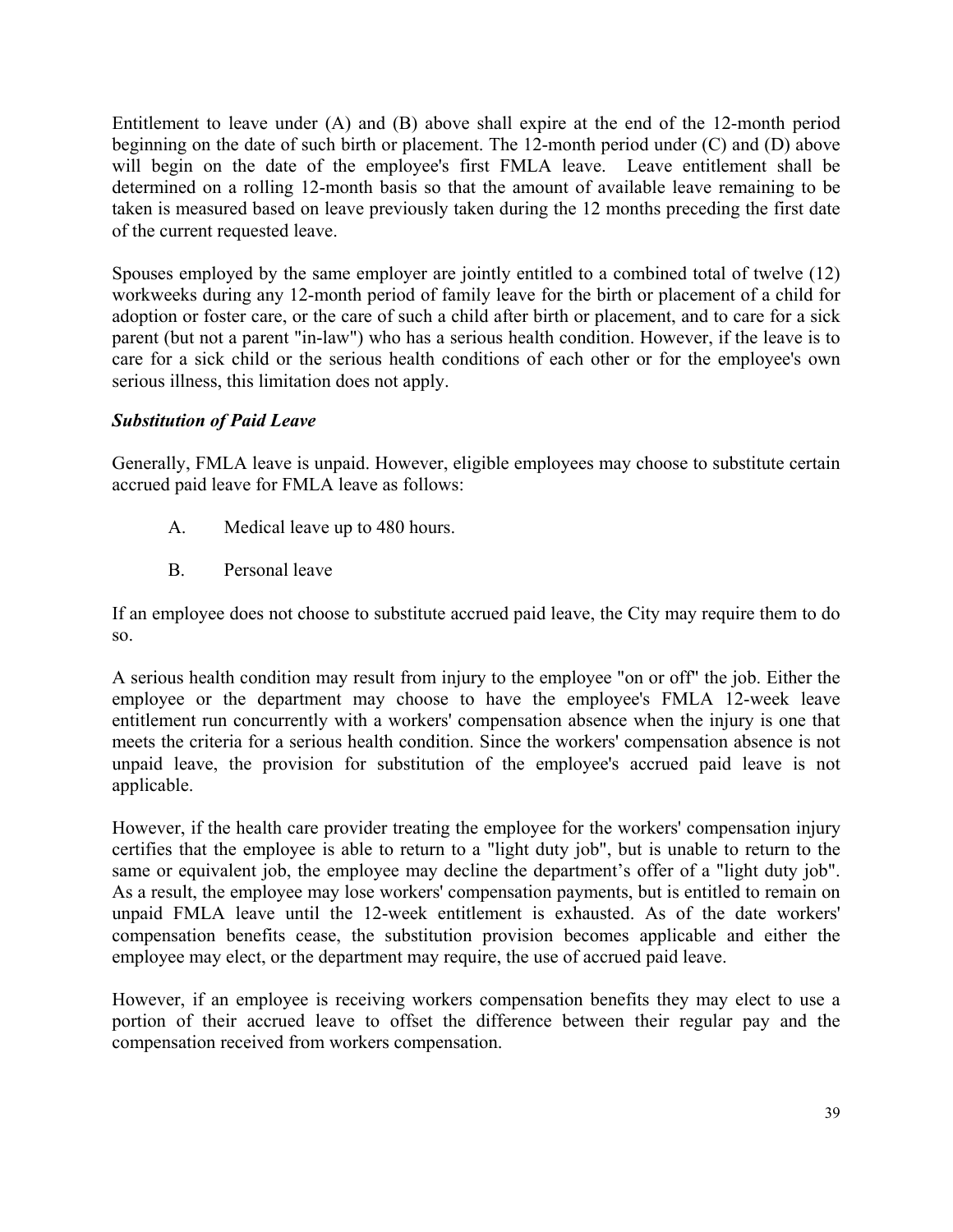Entitlement to leave under (A) and (B) above shall expire at the end of the 12-month period beginning on the date of such birth or placement. The 12-month period under (C) and (D) above will begin on the date of the employee's first FMLA leave. Leave entitlement shall be determined on a rolling 12-month basis so that the amount of available leave remaining to be taken is measured based on leave previously taken during the 12 months preceding the first date of the current requested leave.

Spouses employed by the same employer are jointly entitled to a combined total of twelve (12) workweeks during any 12-month period of family leave for the birth or placement of a child for adoption or foster care, or the care of such a child after birth or placement, and to care for a sick parent (but not a parent "in-law") who has a serious health condition. However, if the leave is to care for a sick child or the serious health conditions of each other or for the employee's own serious illness, this limitation does not apply.

### *Substitution of Paid Leave*

Generally, FMLA leave is unpaid. However, eligible employees may choose to substitute certain accrued paid leave for FMLA leave as follows:

- A. Medical leave up to 480 hours.
- B. Personal leave

If an employee does not choose to substitute accrued paid leave, the City may require them to do so.

A serious health condition may result from injury to the employee "on or off" the job. Either the employee or the department may choose to have the employee's FMLA 12-week leave entitlement run concurrently with a workers' compensation absence when the injury is one that meets the criteria for a serious health condition. Since the workers' compensation absence is not unpaid leave, the provision for substitution of the employee's accrued paid leave is not applicable.

However, if the health care provider treating the employee for the workers' compensation injury certifies that the employee is able to return to a "light duty job", but is unable to return to the same or equivalent job, the employee may decline the department's offer of a "light duty job". As a result, the employee may lose workers' compensation payments, but is entitled to remain on unpaid FMLA leave until the 12-week entitlement is exhausted. As of the date workers' compensation benefits cease, the substitution provision becomes applicable and either the employee may elect, or the department may require, the use of accrued paid leave.

However, if an employee is receiving workers compensation benefits they may elect to use a portion of their accrued leave to offset the difference between their regular pay and the compensation received from workers compensation.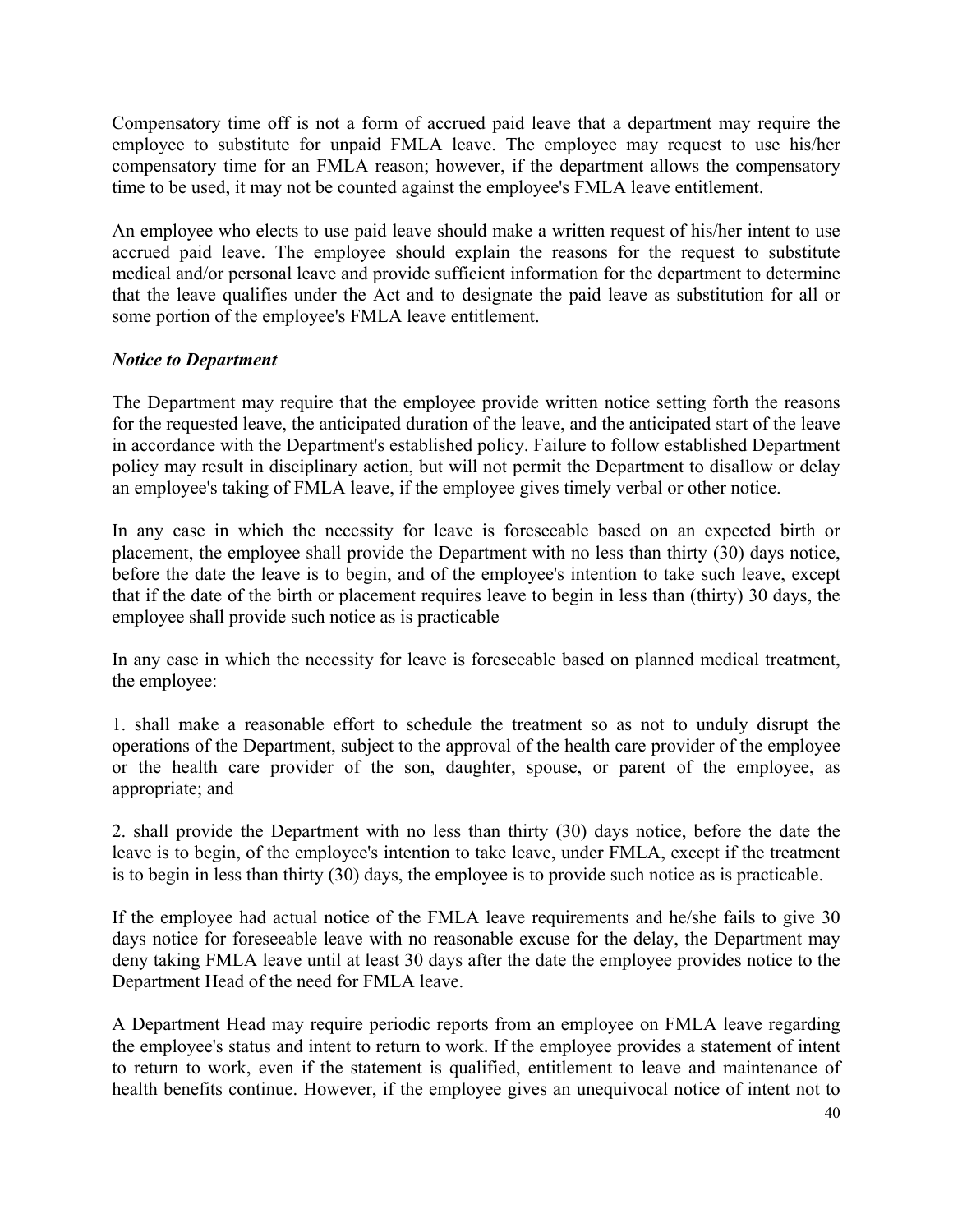Compensatory time off is not a form of accrued paid leave that a department may require the employee to substitute for unpaid FMLA leave. The employee may request to use his/her compensatory time for an FMLA reason; however, if the department allows the compensatory time to be used, it may not be counted against the employee's FMLA leave entitlement.

An employee who elects to use paid leave should make a written request of his/her intent to use accrued paid leave. The employee should explain the reasons for the request to substitute medical and/or personal leave and provide sufficient information for the department to determine that the leave qualifies under the Act and to designate the paid leave as substitution for all or some portion of the employee's FMLA leave entitlement.

### *Notice to Department*

The Department may require that the employee provide written notice setting forth the reasons for the requested leave, the anticipated duration of the leave, and the anticipated start of the leave in accordance with the Department's established policy. Failure to follow established Department policy may result in disciplinary action, but will not permit the Department to disallow or delay an employee's taking of FMLA leave, if the employee gives timely verbal or other notice.

In any case in which the necessity for leave is foreseeable based on an expected birth or placement, the employee shall provide the Department with no less than thirty (30) days notice, before the date the leave is to begin, and of the employee's intention to take such leave, except that if the date of the birth or placement requires leave to begin in less than (thirty) 30 days, the employee shall provide such notice as is practicable

In any case in which the necessity for leave is foreseeable based on planned medical treatment, the employee:

1. shall make a reasonable effort to schedule the treatment so as not to unduly disrupt the operations of the Department, subject to the approval of the health care provider of the employee or the health care provider of the son, daughter, spouse, or parent of the employee, as appropriate; and

2. shall provide the Department with no less than thirty (30) days notice, before the date the leave is to begin, of the employee's intention to take leave, under FMLA, except if the treatment is to begin in less than thirty (30) days, the employee is to provide such notice as is practicable.

If the employee had actual notice of the FMLA leave requirements and he/she fails to give 30 days notice for foreseeable leave with no reasonable excuse for the delay, the Department may deny taking FMLA leave until at least 30 days after the date the employee provides notice to the Department Head of the need for FMLA leave.

A Department Head may require periodic reports from an employee on FMLA leave regarding the employee's status and intent to return to work. If the employee provides a statement of intent to return to work, even if the statement is qualified, entitlement to leave and maintenance of health benefits continue. However, if the employee gives an unequivocal notice of intent not to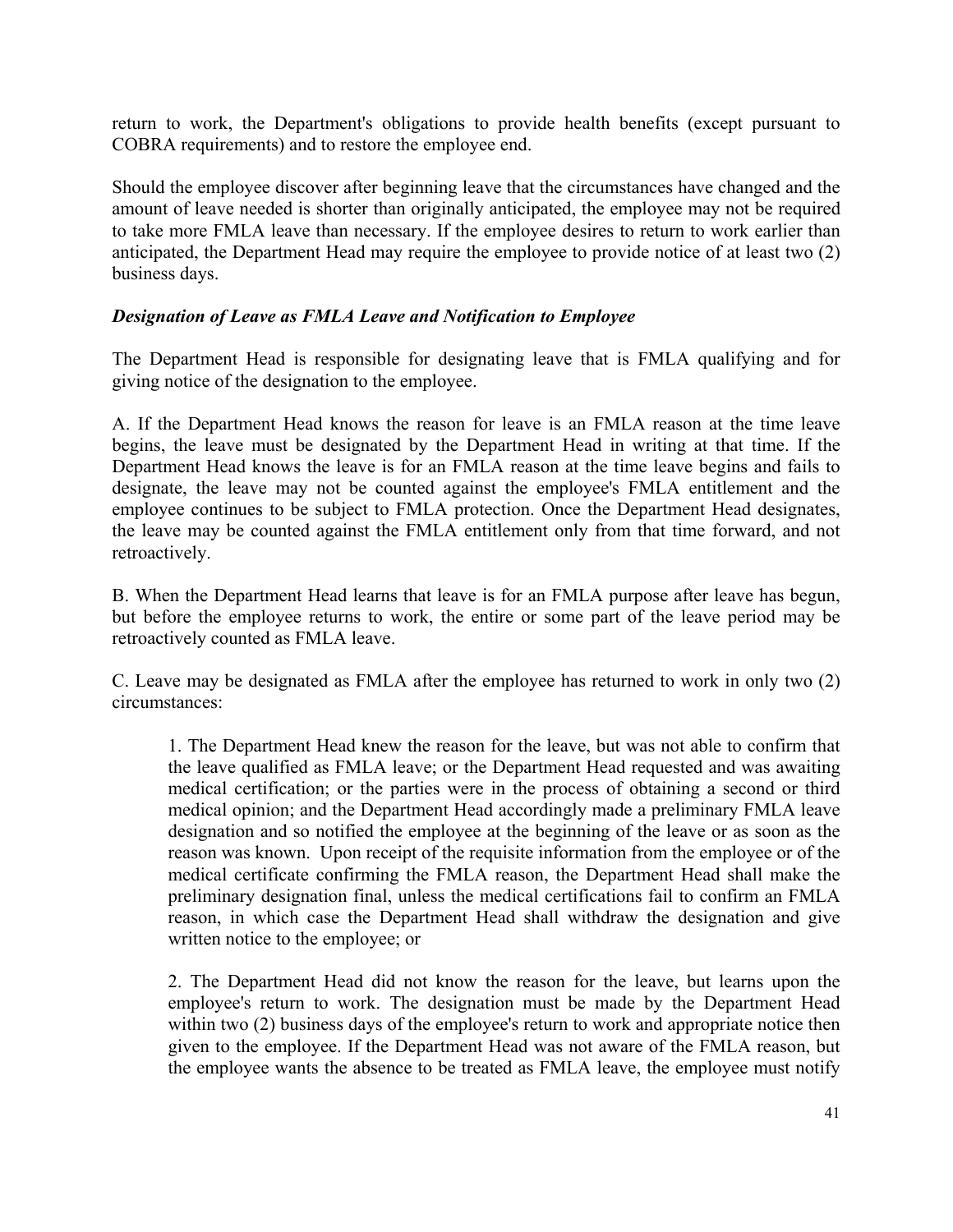return to work, the Department's obligations to provide health benefits (except pursuant to COBRA requirements) and to restore the employee end.

Should the employee discover after beginning leave that the circumstances have changed and the amount of leave needed is shorter than originally anticipated, the employee may not be required to take more FMLA leave than necessary. If the employee desires to return to work earlier than anticipated, the Department Head may require the employee to provide notice of at least two (2) business days.

### *Designation of Leave as FMLA Leave and Notification to Employee*

The Department Head is responsible for designating leave that is FMLA qualifying and for giving notice of the designation to the employee.

A. If the Department Head knows the reason for leave is an FMLA reason at the time leave begins, the leave must be designated by the Department Head in writing at that time. If the Department Head knows the leave is for an FMLA reason at the time leave begins and fails to designate, the leave may not be counted against the employee's FMLA entitlement and the employee continues to be subject to FMLA protection. Once the Department Head designates, the leave may be counted against the FMLA entitlement only from that time forward, and not retroactively.

B. When the Department Head learns that leave is for an FMLA purpose after leave has begun, but before the employee returns to work, the entire or some part of the leave period may be retroactively counted as FMLA leave.

C. Leave may be designated as FMLA after the employee has returned to work in only two (2) circumstances:

1. The Department Head knew the reason for the leave, but was not able to confirm that the leave qualified as FMLA leave; or the Department Head requested and was awaiting medical certification; or the parties were in the process of obtaining a second or third medical opinion; and the Department Head accordingly made a preliminary FMLA leave designation and so notified the employee at the beginning of the leave or as soon as the reason was known. Upon receipt of the requisite information from the employee or of the medical certificate confirming the FMLA reason, the Department Head shall make the preliminary designation final, unless the medical certifications fail to confirm an FMLA reason, in which case the Department Head shall withdraw the designation and give written notice to the employee; or

2. The Department Head did not know the reason for the leave, but learns upon the employee's return to work. The designation must be made by the Department Head within two (2) business days of the employee's return to work and appropriate notice then given to the employee. If the Department Head was not aware of the FMLA reason, but the employee wants the absence to be treated as FMLA leave, the employee must notify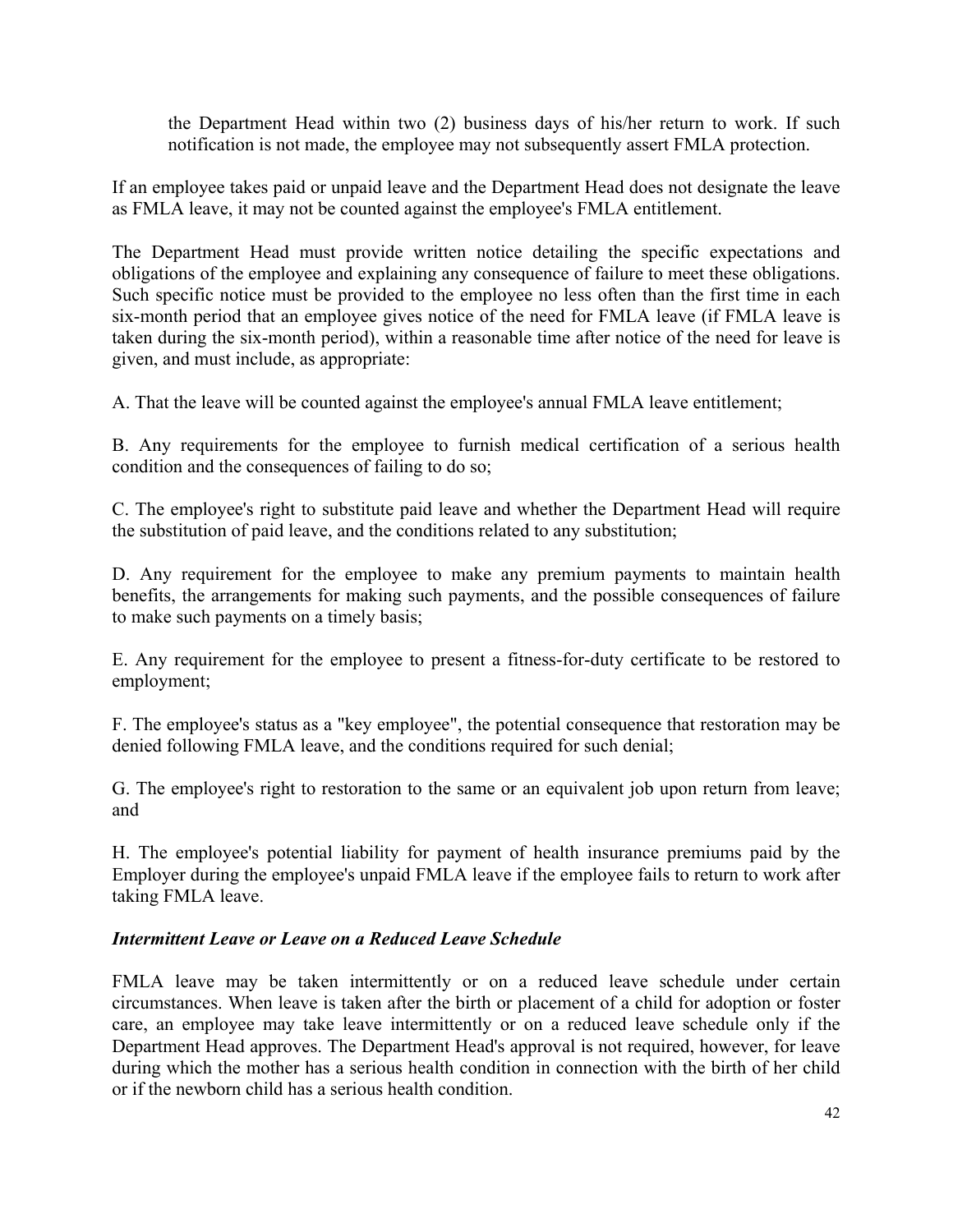the Department Head within two (2) business days of his/her return to work. If such notification is not made, the employee may not subsequently assert FMLA protection.

If an employee takes paid or unpaid leave and the Department Head does not designate the leave as FMLA leave, it may not be counted against the employee's FMLA entitlement.

The Department Head must provide written notice detailing the specific expectations and obligations of the employee and explaining any consequence of failure to meet these obligations. Such specific notice must be provided to the employee no less often than the first time in each six-month period that an employee gives notice of the need for FMLA leave (if FMLA leave is taken during the six-month period), within a reasonable time after notice of the need for leave is given, and must include, as appropriate:

A. That the leave will be counted against the employee's annual FMLA leave entitlement;

B. Any requirements for the employee to furnish medical certification of a serious health condition and the consequences of failing to do so;

C. The employee's right to substitute paid leave and whether the Department Head will require the substitution of paid leave, and the conditions related to any substitution;

D. Any requirement for the employee to make any premium payments to maintain health benefits, the arrangements for making such payments, and the possible consequences of failure to make such payments on a timely basis;

E. Any requirement for the employee to present a fitness-for-duty certificate to be restored to employment;

F. The employee's status as a "key employee", the potential consequence that restoration may be denied following FMLA leave, and the conditions required for such denial;

G. The employee's right to restoration to the same or an equivalent job upon return from leave; and

H. The employee's potential liability for payment of health insurance premiums paid by the Employer during the employee's unpaid FMLA leave if the employee fails to return to work after taking FMLA leave.

#### *Intermittent Leave or Leave on a Reduced Leave Schedule*

FMLA leave may be taken intermittently or on a reduced leave schedule under certain circumstances. When leave is taken after the birth or placement of a child for adoption or foster care, an employee may take leave intermittently or on a reduced leave schedule only if the Department Head approves. The Department Head's approval is not required, however, for leave during which the mother has a serious health condition in connection with the birth of her child or if the newborn child has a serious health condition.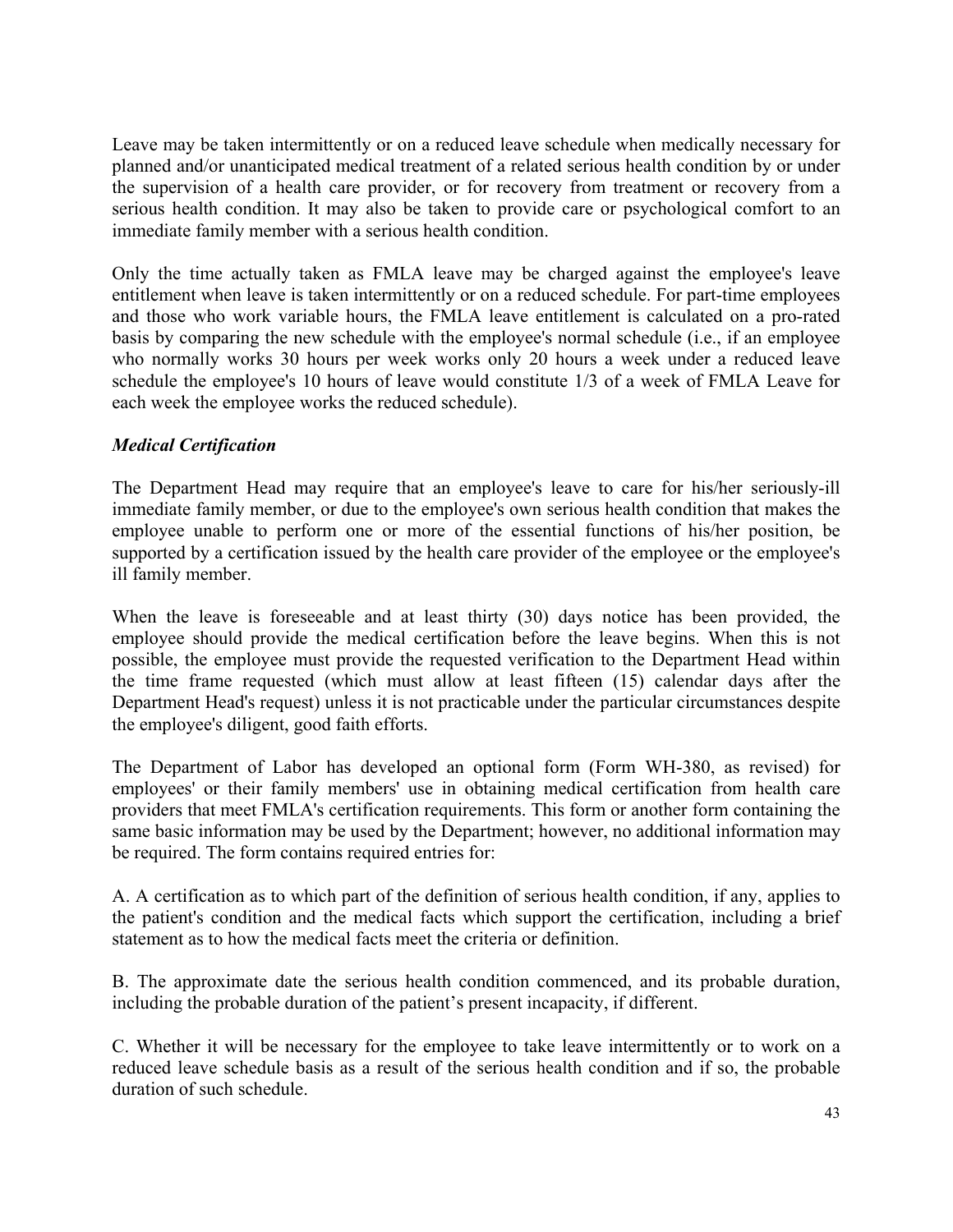Leave may be taken intermittently or on a reduced leave schedule when medically necessary for planned and/or unanticipated medical treatment of a related serious health condition by or under the supervision of a health care provider, or for recovery from treatment or recovery from a serious health condition. It may also be taken to provide care or psychological comfort to an immediate family member with a serious health condition.

Only the time actually taken as FMLA leave may be charged against the employee's leave entitlement when leave is taken intermittently or on a reduced schedule. For part-time employees and those who work variable hours, the FMLA leave entitlement is calculated on a pro-rated basis by comparing the new schedule with the employee's normal schedule (i.e., if an employee who normally works 30 hours per week works only 20 hours a week under a reduced leave schedule the employee's 10 hours of leave would constitute 1/3 of a week of FMLA Leave for each week the employee works the reduced schedule).

### *Medical Certification*

The Department Head may require that an employee's leave to care for his/her seriously-ill immediate family member, or due to the employee's own serious health condition that makes the employee unable to perform one or more of the essential functions of his/her position, be supported by a certification issued by the health care provider of the employee or the employee's ill family member.

When the leave is foreseeable and at least thirty (30) days notice has been provided, the employee should provide the medical certification before the leave begins. When this is not possible, the employee must provide the requested verification to the Department Head within the time frame requested (which must allow at least fifteen (15) calendar days after the Department Head's request) unless it is not practicable under the particular circumstances despite the employee's diligent, good faith efforts.

The Department of Labor has developed an optional form (Form WH-380, as revised) for employees' or their family members' use in obtaining medical certification from health care providers that meet FMLA's certification requirements. This form or another form containing the same basic information may be used by the Department; however, no additional information may be required. The form contains required entries for:

A. A certification as to which part of the definition of serious health condition, if any, applies to the patient's condition and the medical facts which support the certification, including a brief statement as to how the medical facts meet the criteria or definition.

B. The approximate date the serious health condition commenced, and its probable duration, including the probable duration of the patient's present incapacity, if different.

C. Whether it will be necessary for the employee to take leave intermittently or to work on a reduced leave schedule basis as a result of the serious health condition and if so, the probable duration of such schedule.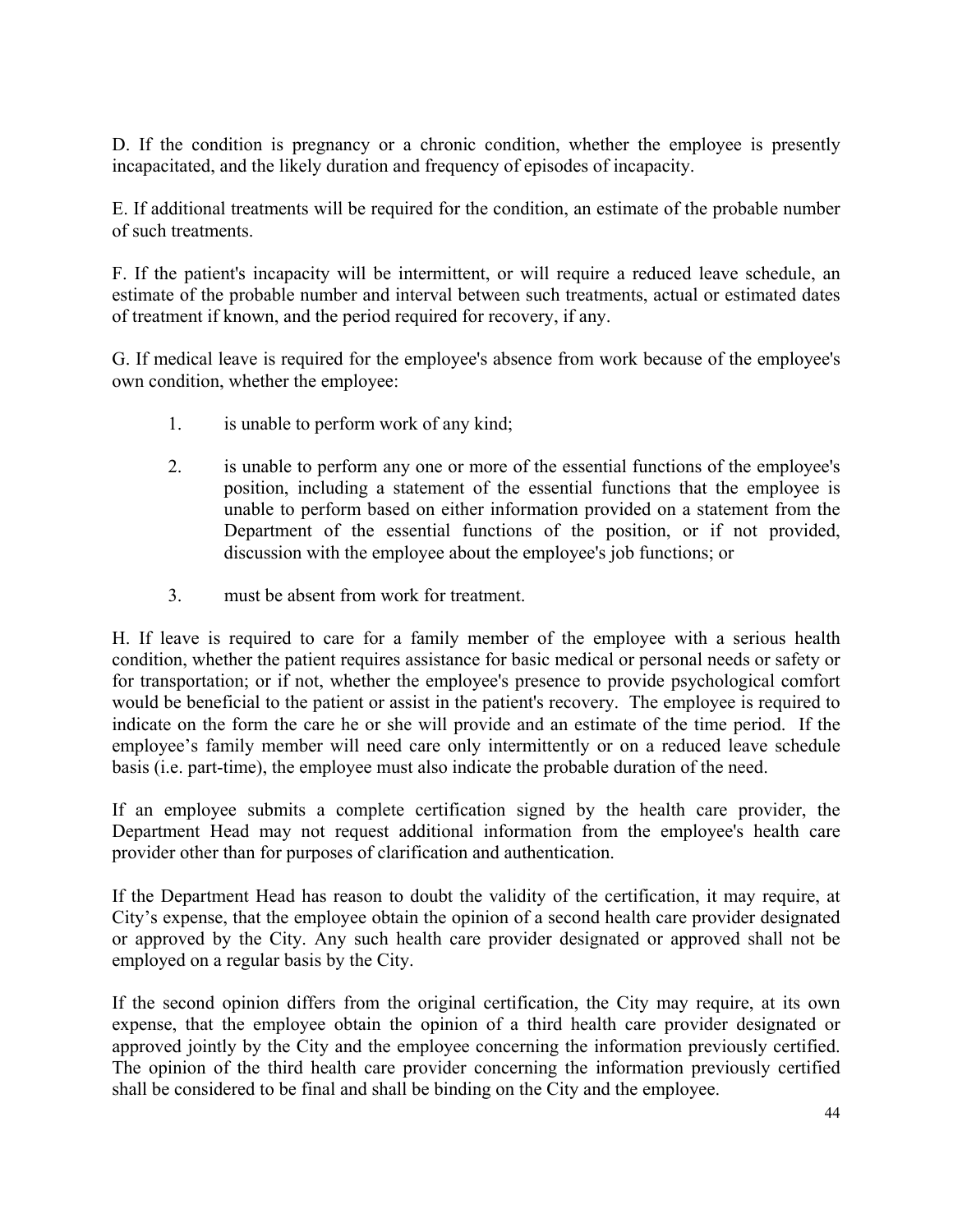D. If the condition is pregnancy or a chronic condition, whether the employee is presently incapacitated, and the likely duration and frequency of episodes of incapacity.

E. If additional treatments will be required for the condition, an estimate of the probable number of such treatments.

F. If the patient's incapacity will be intermittent, or will require a reduced leave schedule, an estimate of the probable number and interval between such treatments, actual or estimated dates of treatment if known, and the period required for recovery, if any.

G. If medical leave is required for the employee's absence from work because of the employee's own condition, whether the employee:

- 1. is unable to perform work of any kind;
- 2. is unable to perform any one or more of the essential functions of the employee's position, including a statement of the essential functions that the employee is unable to perform based on either information provided on a statement from the Department of the essential functions of the position, or if not provided, discussion with the employee about the employee's job functions; or
- 3. must be absent from work for treatment.

H. If leave is required to care for a family member of the employee with a serious health condition, whether the patient requires assistance for basic medical or personal needs or safety or for transportation; or if not, whether the employee's presence to provide psychological comfort would be beneficial to the patient or assist in the patient's recovery. The employee is required to indicate on the form the care he or she will provide and an estimate of the time period. If the employee's family member will need care only intermittently or on a reduced leave schedule basis (i.e. part-time), the employee must also indicate the probable duration of the need.

If an employee submits a complete certification signed by the health care provider, the Department Head may not request additional information from the employee's health care provider other than for purposes of clarification and authentication.

If the Department Head has reason to doubt the validity of the certification, it may require, at City's expense, that the employee obtain the opinion of a second health care provider designated or approved by the City. Any such health care provider designated or approved shall not be employed on a regular basis by the City.

If the second opinion differs from the original certification, the City may require, at its own expense, that the employee obtain the opinion of a third health care provider designated or approved jointly by the City and the employee concerning the information previously certified. The opinion of the third health care provider concerning the information previously certified shall be considered to be final and shall be binding on the City and the employee.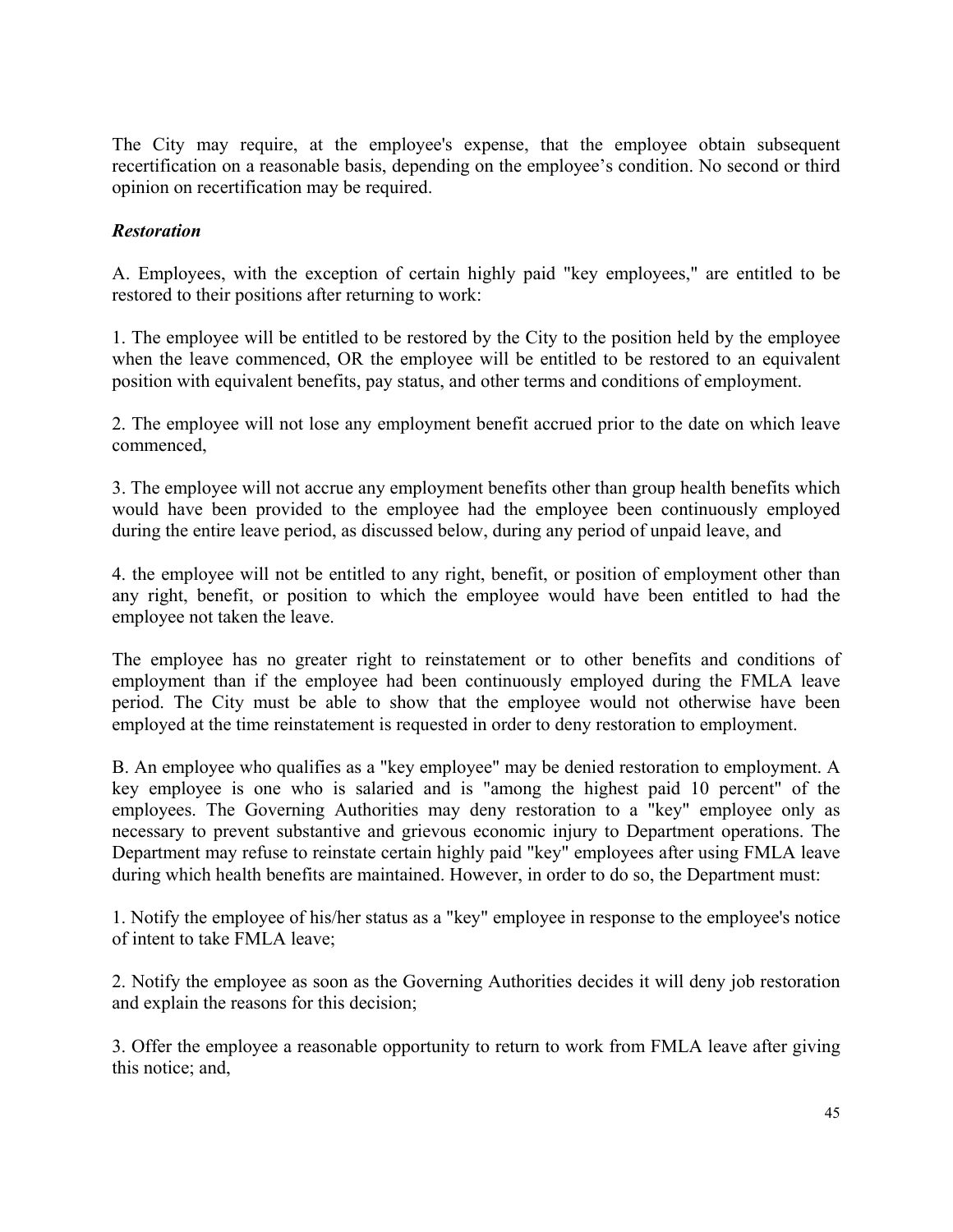The City may require, at the employee's expense, that the employee obtain subsequent recertification on a reasonable basis, depending on the employee's condition. No second or third opinion on recertification may be required.

### *Restoration*

A. Employees, with the exception of certain highly paid "key employees," are entitled to be restored to their positions after returning to work:

1. The employee will be entitled to be restored by the City to the position held by the employee when the leave commenced, OR the employee will be entitled to be restored to an equivalent position with equivalent benefits, pay status, and other terms and conditions of employment.

2. The employee will not lose any employment benefit accrued prior to the date on which leave commenced,

3. The employee will not accrue any employment benefits other than group health benefits which would have been provided to the employee had the employee been continuously employed during the entire leave period, as discussed below, during any period of unpaid leave, and

4. the employee will not be entitled to any right, benefit, or position of employment other than any right, benefit, or position to which the employee would have been entitled to had the employee not taken the leave.

The employee has no greater right to reinstatement or to other benefits and conditions of employment than if the employee had been continuously employed during the FMLA leave period. The City must be able to show that the employee would not otherwise have been employed at the time reinstatement is requested in order to deny restoration to employment.

B. An employee who qualifies as a "key employee" may be denied restoration to employment. A key employee is one who is salaried and is "among the highest paid 10 percent" of the employees. The Governing Authorities may deny restoration to a "key" employee only as necessary to prevent substantive and grievous economic injury to Department operations. The Department may refuse to reinstate certain highly paid "key" employees after using FMLA leave during which health benefits are maintained. However, in order to do so, the Department must:

1. Notify the employee of his/her status as a "key" employee in response to the employee's notice of intent to take FMLA leave;

2. Notify the employee as soon as the Governing Authorities decides it will deny job restoration and explain the reasons for this decision;

3. Offer the employee a reasonable opportunity to return to work from FMLA leave after giving this notice; and,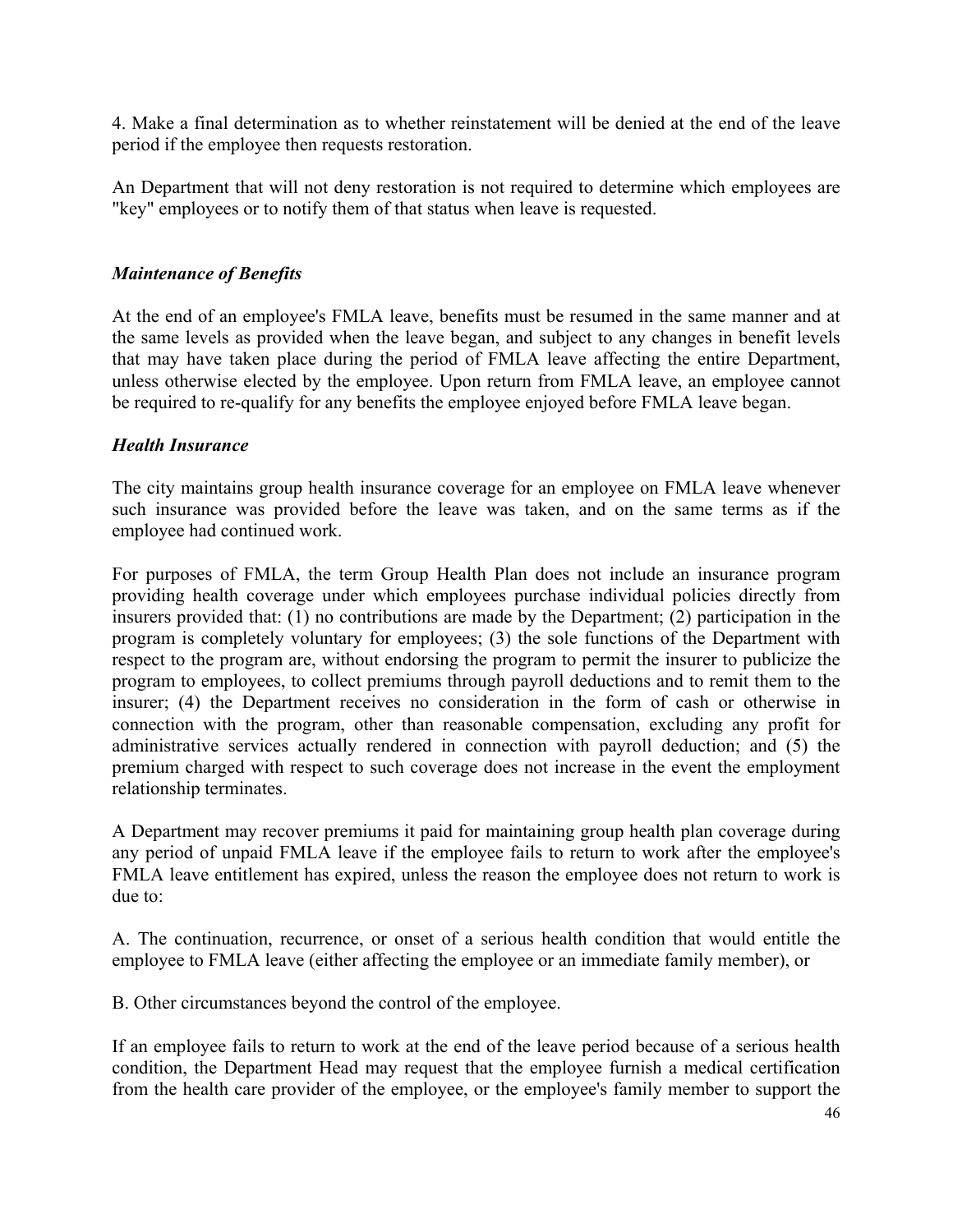4. Make a final determination as to whether reinstatement will be denied at the end of the leave period if the employee then requests restoration.

An Department that will not deny restoration is not required to determine which employees are "key" employees or to notify them of that status when leave is requested.

### *Maintenance of Benefits*

At the end of an employee's FMLA leave, benefits must be resumed in the same manner and at the same levels as provided when the leave began, and subject to any changes in benefit levels that may have taken place during the period of FMLA leave affecting the entire Department, unless otherwise elected by the employee. Upon return from FMLA leave, an employee cannot be required to re-qualify for any benefits the employee enjoyed before FMLA leave began.

#### *Health Insurance*

The city maintains group health insurance coverage for an employee on FMLA leave whenever such insurance was provided before the leave was taken, and on the same terms as if the employee had continued work.

For purposes of FMLA, the term Group Health Plan does not include an insurance program providing health coverage under which employees purchase individual policies directly from insurers provided that:  $(1)$  no contributions are made by the Department;  $(2)$  participation in the program is completely voluntary for employees; (3) the sole functions of the Department with respect to the program are, without endorsing the program to permit the insurer to publicize the program to employees, to collect premiums through payroll deductions and to remit them to the insurer; (4) the Department receives no consideration in the form of cash or otherwise in connection with the program, other than reasonable compensation, excluding any profit for administrative services actually rendered in connection with payroll deduction; and (5) the premium charged with respect to such coverage does not increase in the event the employment relationship terminates.

A Department may recover premiums it paid for maintaining group health plan coverage during any period of unpaid FMLA leave if the employee fails to return to work after the employee's FMLA leave entitlement has expired, unless the reason the employee does not return to work is due to:

A. The continuation, recurrence, or onset of a serious health condition that would entitle the employee to FMLA leave (either affecting the employee or an immediate family member), or

B. Other circumstances beyond the control of the employee.

If an employee fails to return to work at the end of the leave period because of a serious health condition, the Department Head may request that the employee furnish a medical certification from the health care provider of the employee, or the employee's family member to support the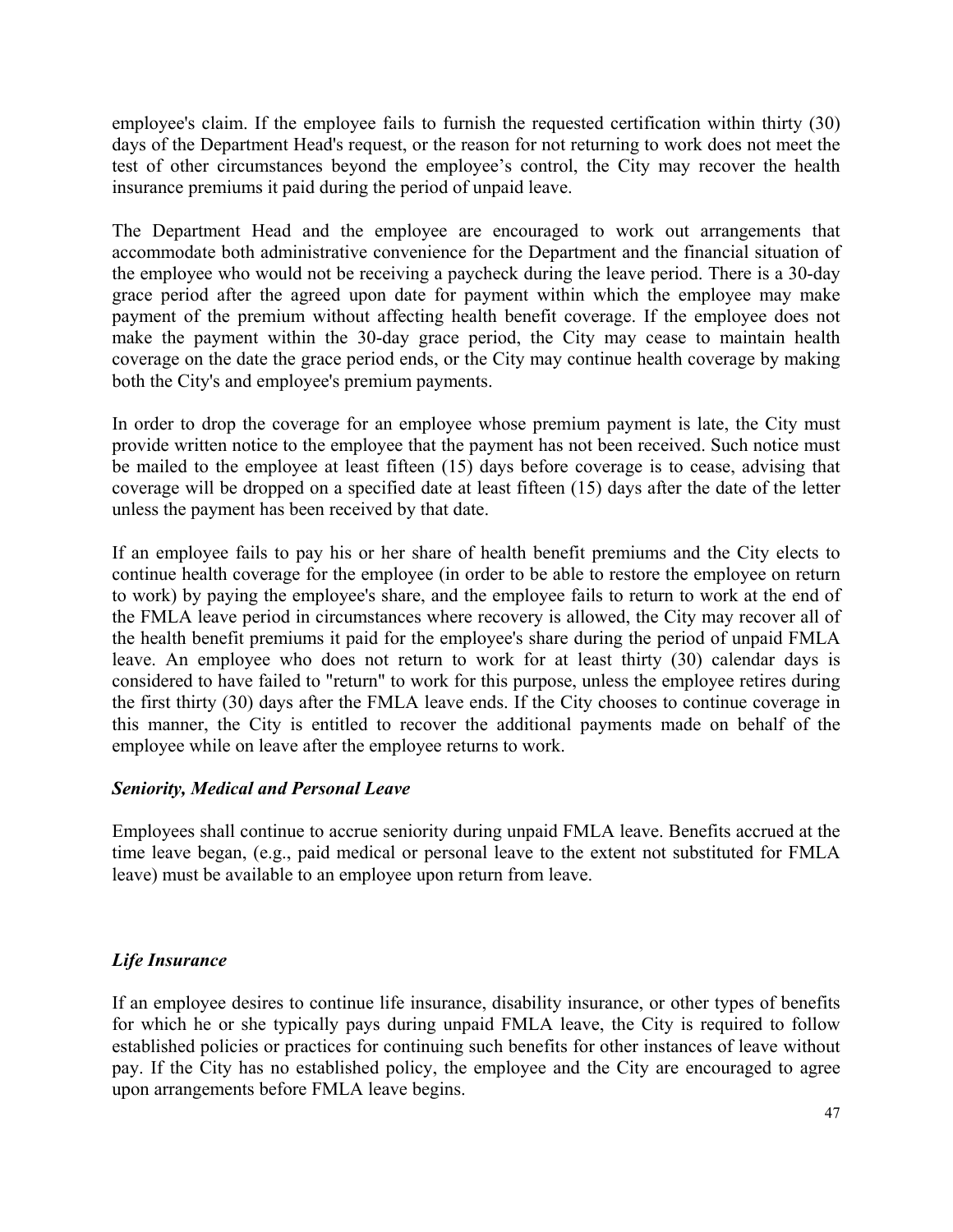employee's claim. If the employee fails to furnish the requested certification within thirty (30) days of the Department Head's request, or the reason for not returning to work does not meet the test of other circumstances beyond the employee's control, the City may recover the health insurance premiums it paid during the period of unpaid leave.

The Department Head and the employee are encouraged to work out arrangements that accommodate both administrative convenience for the Department and the financial situation of the employee who would not be receiving a paycheck during the leave period. There is a 30-day grace period after the agreed upon date for payment within which the employee may make payment of the premium without affecting health benefit coverage. If the employee does not make the payment within the 30-day grace period, the City may cease to maintain health coverage on the date the grace period ends, or the City may continue health coverage by making both the City's and employee's premium payments.

In order to drop the coverage for an employee whose premium payment is late, the City must provide written notice to the employee that the payment has not been received. Such notice must be mailed to the employee at least fifteen (15) days before coverage is to cease, advising that coverage will be dropped on a specified date at least fifteen (15) days after the date of the letter unless the payment has been received by that date.

If an employee fails to pay his or her share of health benefit premiums and the City elects to continue health coverage for the employee (in order to be able to restore the employee on return to work) by paying the employee's share, and the employee fails to return to work at the end of the FMLA leave period in circumstances where recovery is allowed, the City may recover all of the health benefit premiums it paid for the employee's share during the period of unpaid FMLA leave. An employee who does not return to work for at least thirty (30) calendar days is considered to have failed to "return" to work for this purpose, unless the employee retires during the first thirty (30) days after the FMLA leave ends. If the City chooses to continue coverage in this manner, the City is entitled to recover the additional payments made on behalf of the employee while on leave after the employee returns to work.

### *Seniority, Medical and Personal Leave*

Employees shall continue to accrue seniority during unpaid FMLA leave. Benefits accrued at the time leave began, (e.g., paid medical or personal leave to the extent not substituted for FMLA leave) must be available to an employee upon return from leave.

### *Life Insurance*

If an employee desires to continue life insurance, disability insurance, or other types of benefits for which he or she typically pays during unpaid FMLA leave, the City is required to follow established policies or practices for continuing such benefits for other instances of leave without pay. If the City has no established policy, the employee and the City are encouraged to agree upon arrangements before FMLA leave begins.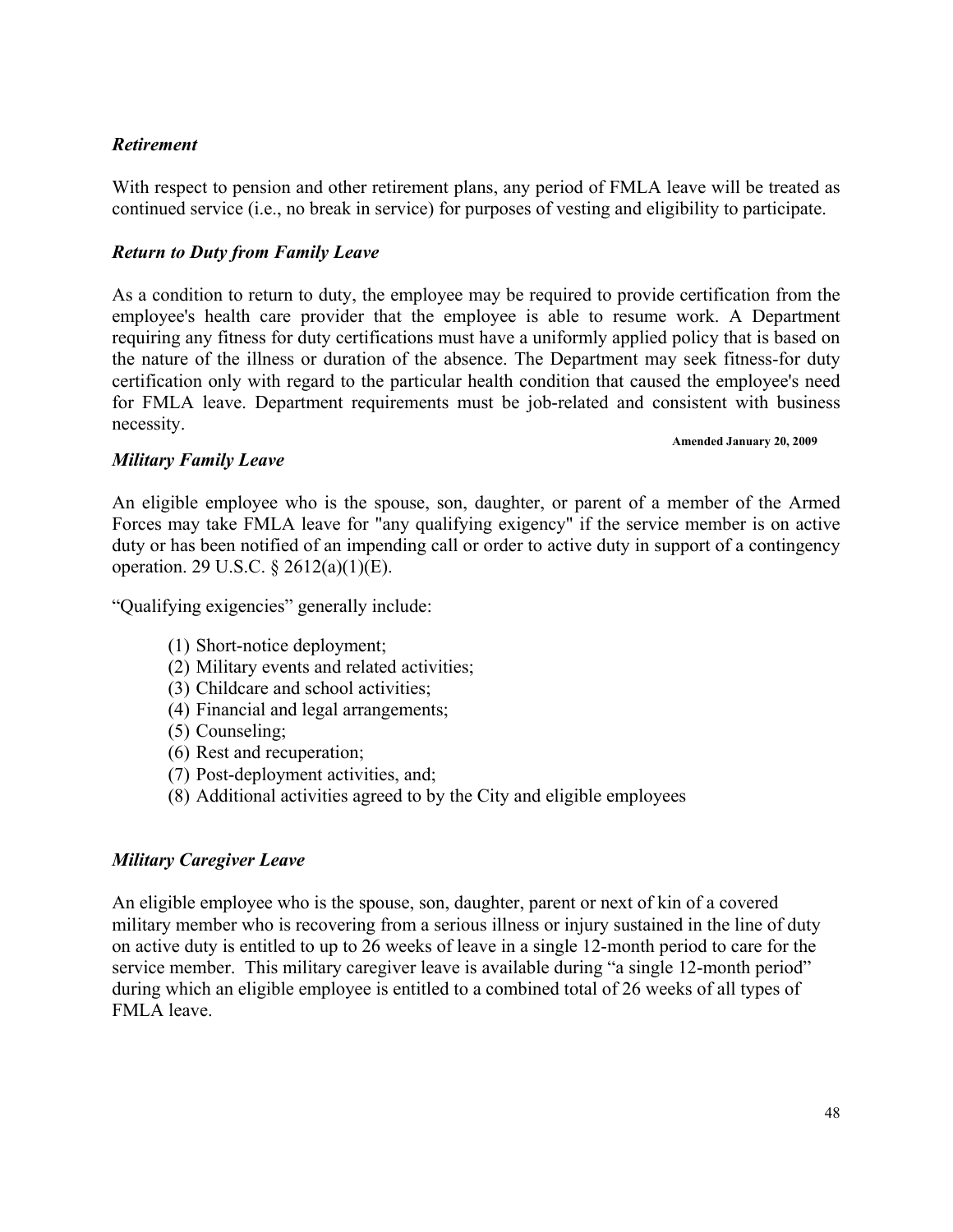### *Retirement*

With respect to pension and other retirement plans, any period of FMLA leave will be treated as continued service (i.e., no break in service) for purposes of vesting and eligibility to participate.

#### *Return to Duty from Family Leave*

As a condition to return to duty, the employee may be required to provide certification from the employee's health care provider that the employee is able to resume work. A Department requiring any fitness for duty certifications must have a uniformly applied policy that is based on the nature of the illness or duration of the absence. The Department may seek fitness-for duty certification only with regard to the particular health condition that caused the employee's need for FMLA leave. Department requirements must be job-related and consistent with business necessity.

#### **Amended January 20, 2009**

### *Military Family Leave*

An eligible employee who is the spouse, son, daughter, or parent of a member of the Armed Forces may take FMLA leave for "any qualifying exigency" if the service member is on active duty or has been notified of an impending call or order to active duty in support of a contingency operation. 29 U.S.C. § 2612(a)(1)(E).

"Qualifying exigencies" generally include:

- (1) Short-notice deployment;
- (2) Military events and related activities;
- (3) Childcare and school activities;
- (4) Financial and legal arrangements;
- (5) Counseling;
- (6) Rest and recuperation;
- (7) Post-deployment activities, and;
- (8) Additional activities agreed to by the City and eligible employees

### *Military Caregiver Leave*

An eligible employee who is the spouse, son, daughter, parent or next of kin of a covered military member who is recovering from a serious illness or injury sustained in the line of duty on active duty is entitled to up to 26 weeks of leave in a single 12-month period to care for the service member. This military caregiver leave is available during "a single 12-month period" during which an eligible employee is entitled to a combined total of 26 weeks of all types of FMLA leave.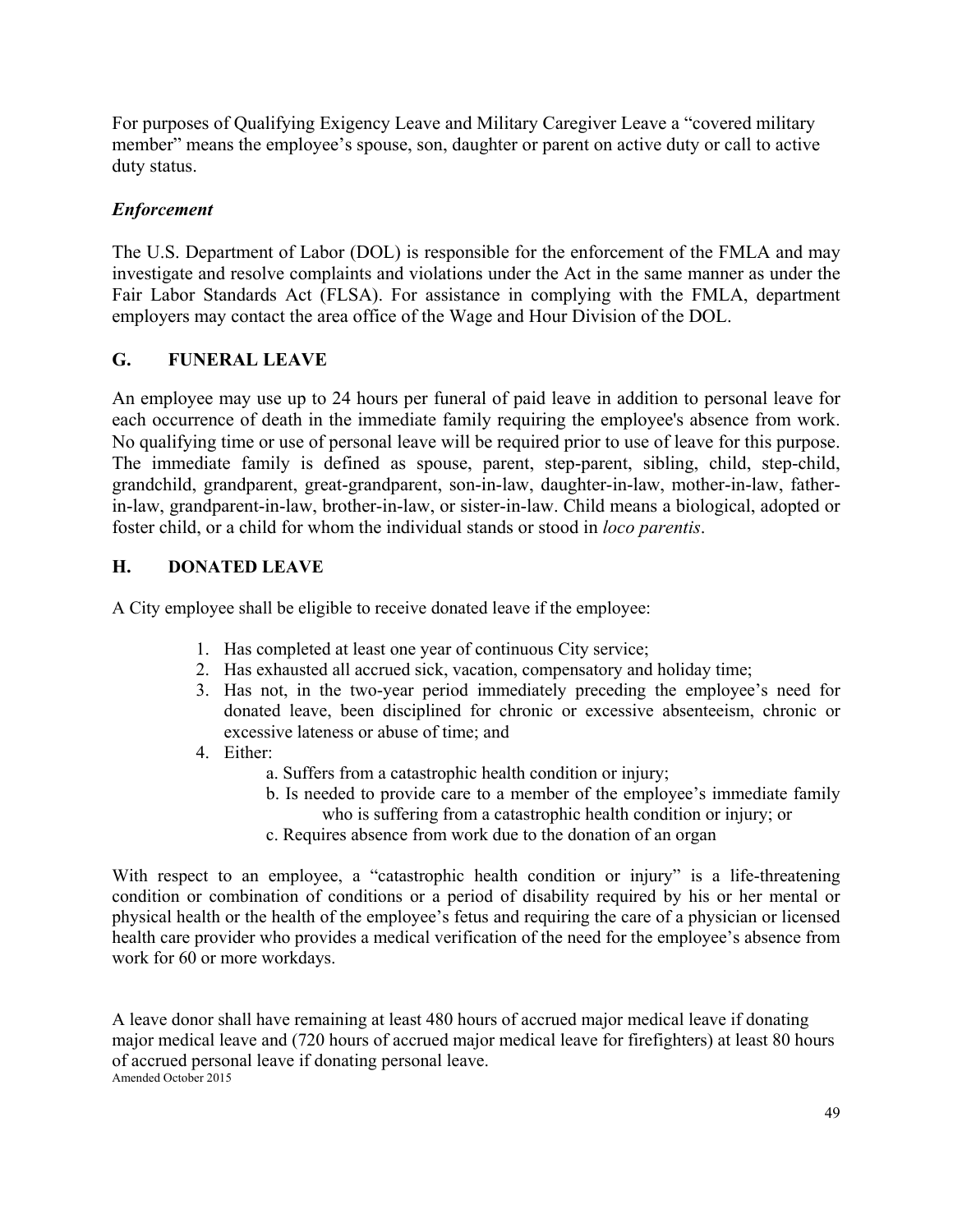For purposes of Qualifying Exigency Leave and Military Caregiver Leave a "covered military member" means the employee's spouse, son, daughter or parent on active duty or call to active duty status.

### *Enforcement*

The U.S. Department of Labor (DOL) is responsible for the enforcement of the FMLA and may investigate and resolve complaints and violations under the Act in the same manner as under the Fair Labor Standards Act (FLSA). For assistance in complying with the FMLA, department employers may contact the area office of the Wage and Hour Division of the DOL.

# **G. FUNERAL LEAVE**

An employee may use up to 24 hours per funeral of paid leave in addition to personal leave for each occurrence of death in the immediate family requiring the employee's absence from work. No qualifying time or use of personal leave will be required prior to use of leave for this purpose. The immediate family is defined as spouse, parent, step-parent, sibling, child, step-child, grandchild, grandparent, great-grandparent, son-in-law, daughter-in-law, mother-in-law, fatherin-law, grandparent-in-law, brother-in-law, or sister-in-law. Child means a biological, adopted or foster child, or a child for whom the individual stands or stood in *loco parentis*.

### **H. DONATED LEAVE**

A City employee shall be eligible to receive donated leave if the employee:

- 1. Has completed at least one year of continuous City service;
- 2. Has exhausted all accrued sick, vacation, compensatory and holiday time;
- 3. Has not, in the two-year period immediately preceding the employee's need for donated leave, been disciplined for chronic or excessive absenteeism, chronic or excessive lateness or abuse of time; and
- 4. Either:
	- a. Suffers from a catastrophic health condition or injury;
	- b. Is needed to provide care to a member of the employee's immediate family who is suffering from a catastrophic health condition or injury; or
	- c. Requires absence from work due to the donation of an organ

With respect to an employee, a "catastrophic health condition or injury" is a life-threatening condition or combination of conditions or a period of disability required by his or her mental or physical health or the health of the employee's fetus and requiring the care of a physician or licensed health care provider who provides a medical verification of the need for the employee's absence from work for 60 or more workdays.

A leave donor shall have remaining at least 480 hours of accrued major medical leave if donating major medical leave and (720 hours of accrued major medical leave for firefighters) at least 80 hours of accrued personal leave if donating personal leave. Amended October 2015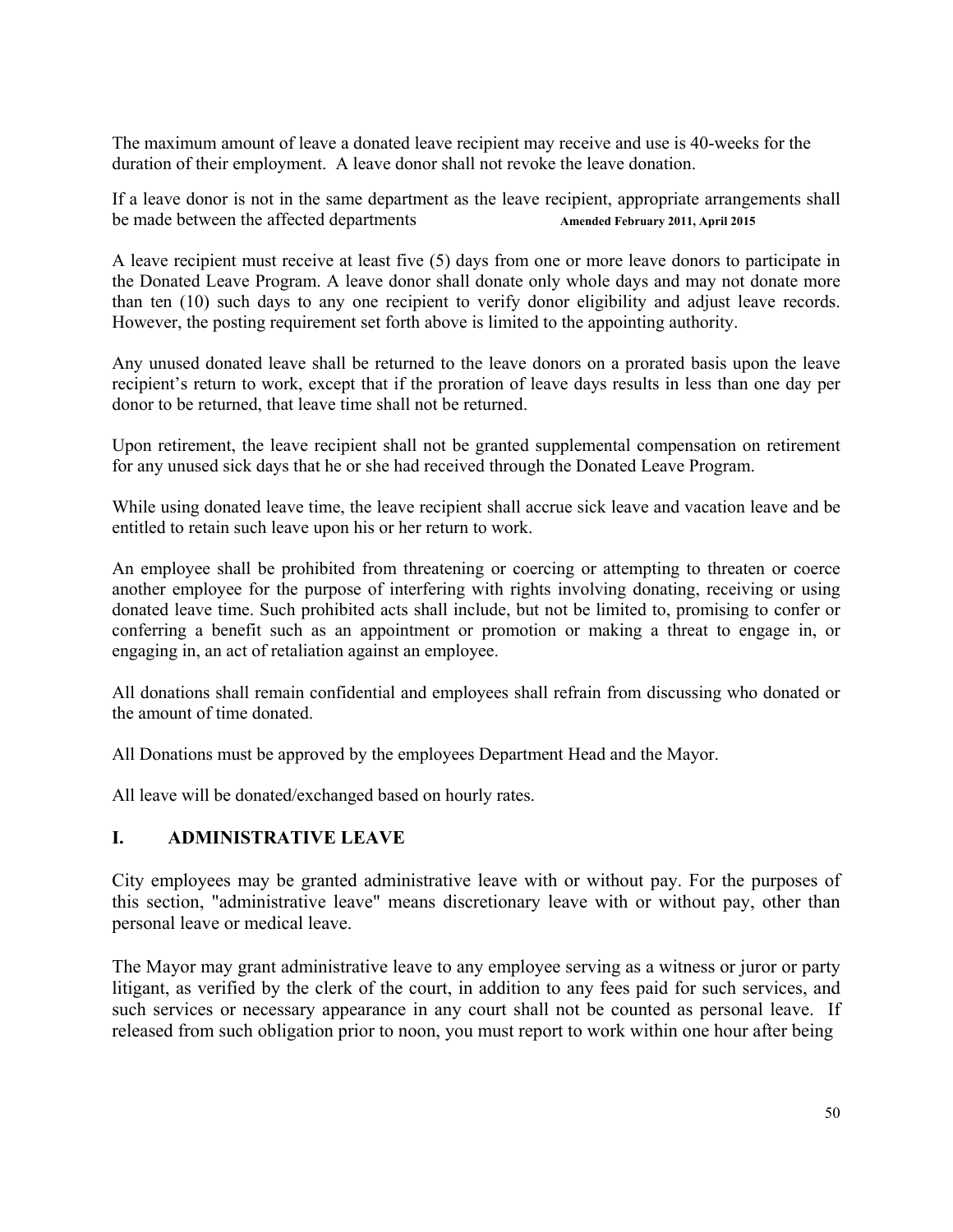The maximum amount of leave a donated leave recipient may receive and use is 40-weeks for the duration of their employment. A leave donor shall not revoke the leave donation.

If a leave donor is not in the same department as the leave recipient, appropriate arrangements shall be made between the affected departments **Amended February 2011, April 2015** 

A leave recipient must receive at least five (5) days from one or more leave donors to participate in the Donated Leave Program. A leave donor shall donate only whole days and may not donate more than ten (10) such days to any one recipient to verify donor eligibility and adjust leave records. However, the posting requirement set forth above is limited to the appointing authority.

Any unused donated leave shall be returned to the leave donors on a prorated basis upon the leave recipient's return to work, except that if the proration of leave days results in less than one day per donor to be returned, that leave time shall not be returned.

Upon retirement, the leave recipient shall not be granted supplemental compensation on retirement for any unused sick days that he or she had received through the Donated Leave Program.

While using donated leave time, the leave recipient shall accrue sick leave and vacation leave and be entitled to retain such leave upon his or her return to work.

An employee shall be prohibited from threatening or coercing or attempting to threaten or coerce another employee for the purpose of interfering with rights involving donating, receiving or using donated leave time. Such prohibited acts shall include, but not be limited to, promising to confer or conferring a benefit such as an appointment or promotion or making a threat to engage in, or engaging in, an act of retaliation against an employee.

All donations shall remain confidential and employees shall refrain from discussing who donated or the amount of time donated.

All Donations must be approved by the employees Department Head and the Mayor.

All leave will be donated/exchanged based on hourly rates.

### **I. ADMINISTRATIVE LEAVE**

City employees may be granted administrative leave with or without pay. For the purposes of this section, "administrative leave" means discretionary leave with or without pay, other than personal leave or medical leave.

The Mayor may grant administrative leave to any employee serving as a witness or juror or party litigant, as verified by the clerk of the court, in addition to any fees paid for such services, and such services or necessary appearance in any court shall not be counted as personal leave. If released from such obligation prior to noon, you must report to work within one hour after being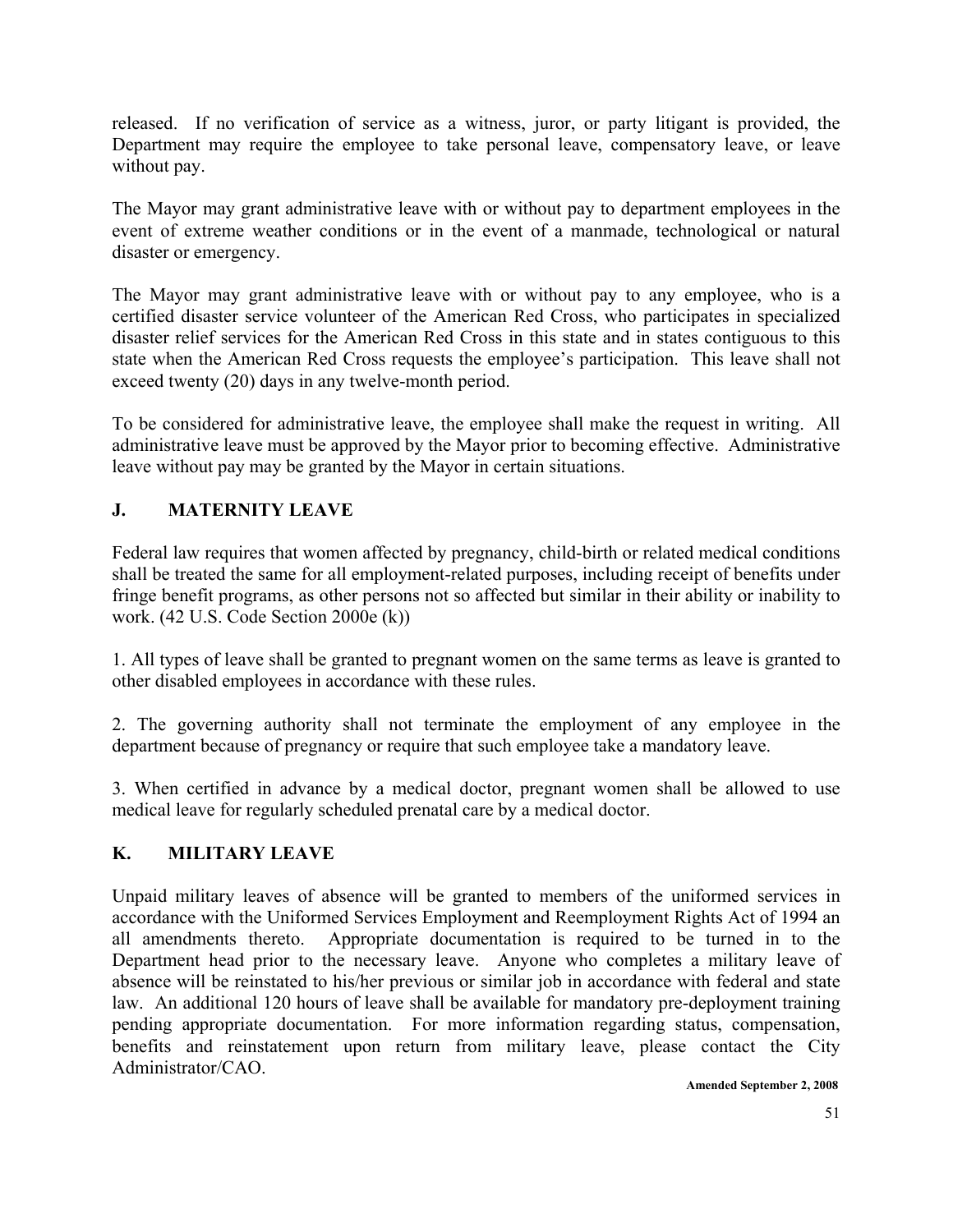released. If no verification of service as a witness, juror, or party litigant is provided, the Department may require the employee to take personal leave, compensatory leave, or leave without pay.

The Mayor may grant administrative leave with or without pay to department employees in the event of extreme weather conditions or in the event of a manmade, technological or natural disaster or emergency.

The Mayor may grant administrative leave with or without pay to any employee, who is a certified disaster service volunteer of the American Red Cross, who participates in specialized disaster relief services for the American Red Cross in this state and in states contiguous to this state when the American Red Cross requests the employee's participation. This leave shall not exceed twenty (20) days in any twelve-month period.

To be considered for administrative leave, the employee shall make the request in writing. All administrative leave must be approved by the Mayor prior to becoming effective. Administrative leave without pay may be granted by the Mayor in certain situations.

# **J. MATERNITY LEAVE**

Federal law requires that women affected by pregnancy, child-birth or related medical conditions shall be treated the same for all employment-related purposes, including receipt of benefits under fringe benefit programs, as other persons not so affected but similar in their ability or inability to work. (42 U.S. Code Section 2000e (k))

1. All types of leave shall be granted to pregnant women on the same terms as leave is granted to other disabled employees in accordance with these rules.

2. The governing authority shall not terminate the employment of any employee in the department because of pregnancy or require that such employee take a mandatory leave.

3. When certified in advance by a medical doctor, pregnant women shall be allowed to use medical leave for regularly scheduled prenatal care by a medical doctor.

### **K. MILITARY LEAVE**

Unpaid military leaves of absence will be granted to members of the uniformed services in accordance with the Uniformed Services Employment and Reemployment Rights Act of 1994 an all amendments thereto. Appropriate documentation is required to be turned in to the Department head prior to the necessary leave. Anyone who completes a military leave of absence will be reinstated to his/her previous or similar job in accordance with federal and state law. An additional 120 hours of leave shall be available for mandatory pre-deployment training pending appropriate documentation. For more information regarding status, compensation, benefits and reinstatement upon return from military leave, please contact the City Administrator/CAO.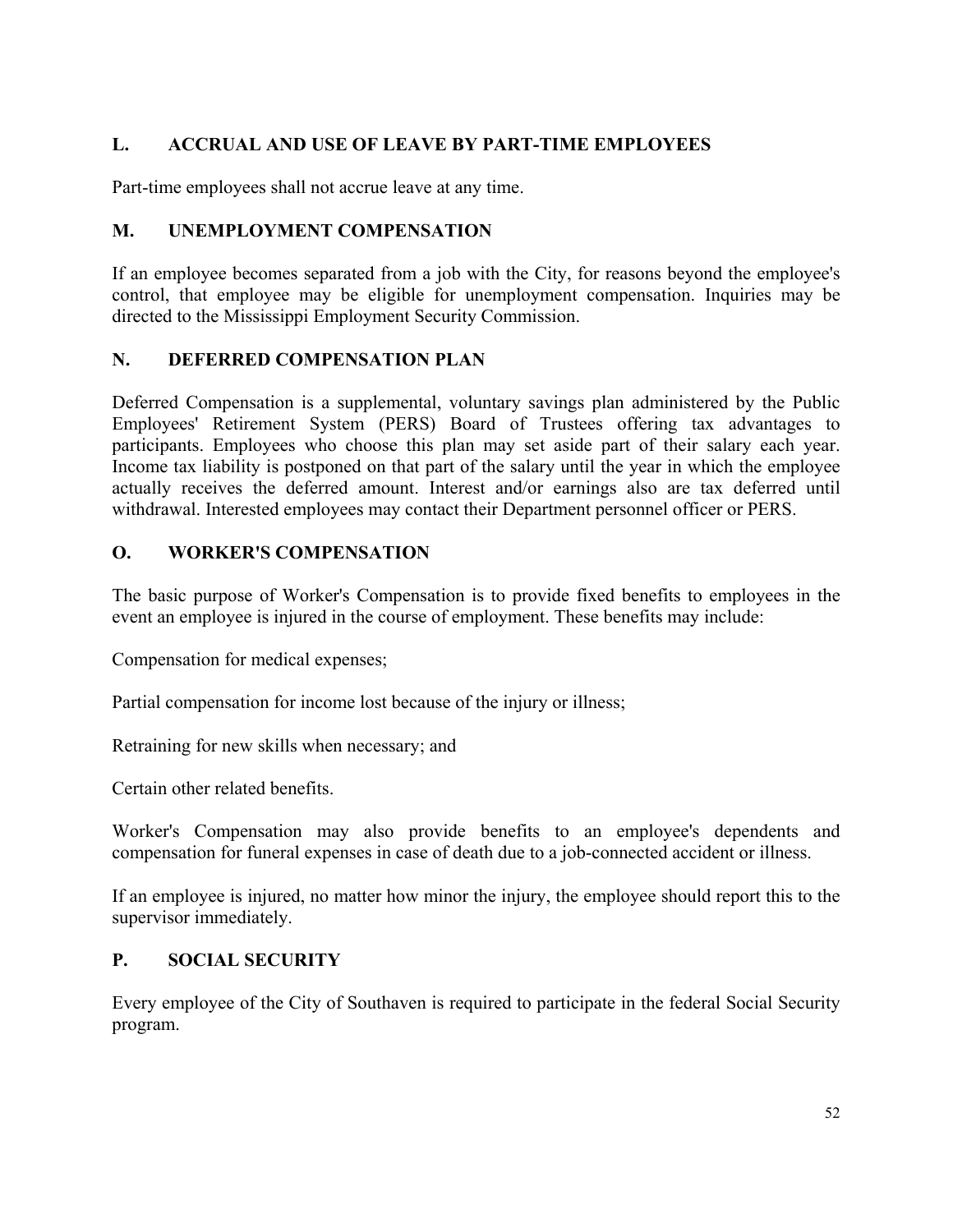## **L. ACCRUAL AND USE OF LEAVE BY PART-TIME EMPLOYEES**

Part-time employees shall not accrue leave at any time.

#### **M. UNEMPLOYMENT COMPENSATION**

If an employee becomes separated from a job with the City, for reasons beyond the employee's control, that employee may be eligible for unemployment compensation. Inquiries may be directed to the Mississippi Employment Security Commission.

### **N. DEFERRED COMPENSATION PLAN**

Deferred Compensation is a supplemental, voluntary savings plan administered by the Public Employees' Retirement System (PERS) Board of Trustees offering tax advantages to participants. Employees who choose this plan may set aside part of their salary each year. Income tax liability is postponed on that part of the salary until the year in which the employee actually receives the deferred amount. Interest and/or earnings also are tax deferred until withdrawal. Interested employees may contact their Department personnel officer or PERS.

### **O. WORKER'S COMPENSATION**

The basic purpose of Worker's Compensation is to provide fixed benefits to employees in the event an employee is injured in the course of employment. These benefits may include:

Compensation for medical expenses;

Partial compensation for income lost because of the injury or illness;

Retraining for new skills when necessary; and

Certain other related benefits.

Worker's Compensation may also provide benefits to an employee's dependents and compensation for funeral expenses in case of death due to a job-connected accident or illness.

If an employee is injured, no matter how minor the injury, the employee should report this to the supervisor immediately.

#### **P. SOCIAL SECURITY**

Every employee of the City of Southaven is required to participate in the federal Social Security program.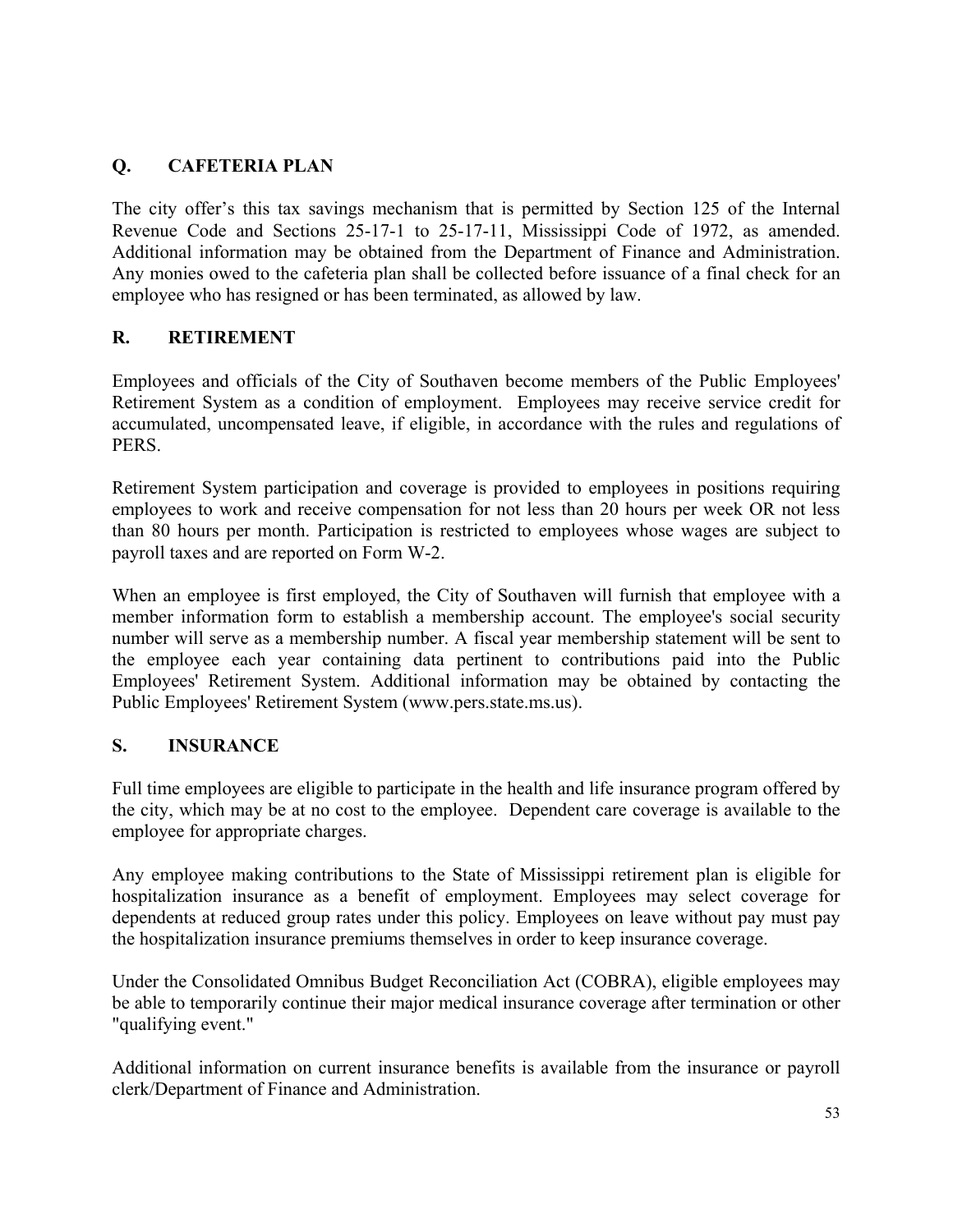# **Q. CAFETERIA PLAN**

The city offer's this tax savings mechanism that is permitted by Section 125 of the Internal Revenue Code and Sections 25-17-1 to 25-17-11, Mississippi Code of 1972, as amended. Additional information may be obtained from the Department of Finance and Administration. Any monies owed to the cafeteria plan shall be collected before issuance of a final check for an employee who has resigned or has been terminated, as allowed by law.

### **R. RETIREMENT**

Employees and officials of the City of Southaven become members of the Public Employees' Retirement System as a condition of employment. Employees may receive service credit for accumulated, uncompensated leave, if eligible, in accordance with the rules and regulations of PERS.

Retirement System participation and coverage is provided to employees in positions requiring employees to work and receive compensation for not less than 20 hours per week OR not less than 80 hours per month. Participation is restricted to employees whose wages are subject to payroll taxes and are reported on Form W-2.

When an employee is first employed, the City of Southaven will furnish that employee with a member information form to establish a membership account. The employee's social security number will serve as a membership number. A fiscal year membership statement will be sent to the employee each year containing data pertinent to contributions paid into the Public Employees' Retirement System. Additional information may be obtained by contacting the Public Employees' Retirement System (www.pers.state.ms.us).

#### **S. INSURANCE**

Full time employees are eligible to participate in the health and life insurance program offered by the city, which may be at no cost to the employee. Dependent care coverage is available to the employee for appropriate charges.

Any employee making contributions to the State of Mississippi retirement plan is eligible for hospitalization insurance as a benefit of employment. Employees may select coverage for dependents at reduced group rates under this policy. Employees on leave without pay must pay the hospitalization insurance premiums themselves in order to keep insurance coverage.

Under the Consolidated Omnibus Budget Reconciliation Act (COBRA), eligible employees may be able to temporarily continue their major medical insurance coverage after termination or other "qualifying event."

Additional information on current insurance benefits is available from the insurance or payroll clerk/Department of Finance and Administration.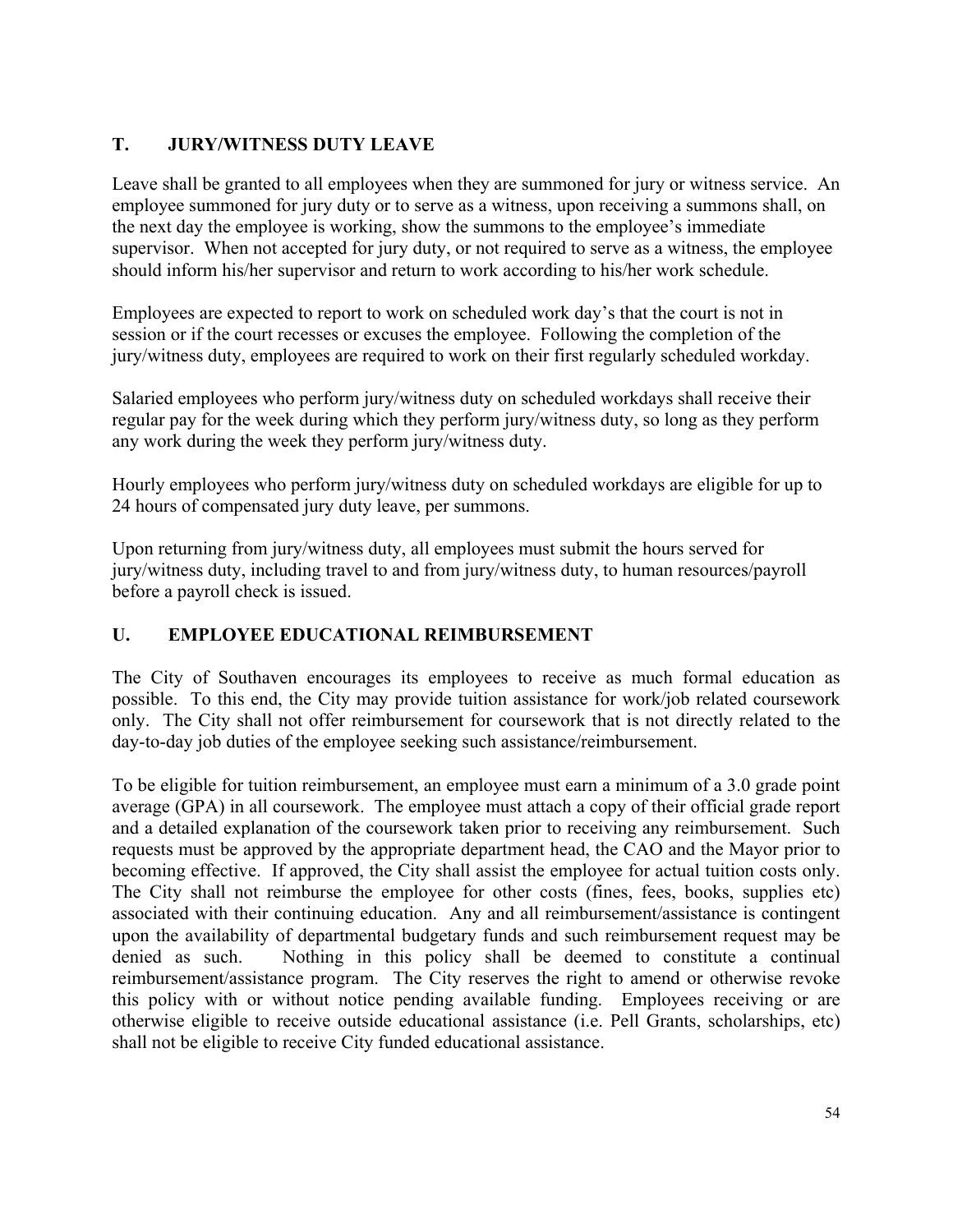## **T. JURY/WITNESS DUTY LEAVE**

Leave shall be granted to all employees when they are summoned for jury or witness service. An employee summoned for jury duty or to serve as a witness, upon receiving a summons shall, on the next day the employee is working, show the summons to the employee's immediate supervisor. When not accepted for jury duty, or not required to serve as a witness, the employee should inform his/her supervisor and return to work according to his/her work schedule.

Employees are expected to report to work on scheduled work day's that the court is not in session or if the court recesses or excuses the employee. Following the completion of the jury/witness duty, employees are required to work on their first regularly scheduled workday.

Salaried employees who perform jury/witness duty on scheduled workdays shall receive their regular pay for the week during which they perform jury/witness duty, so long as they perform any work during the week they perform jury/witness duty.

Hourly employees who perform jury/witness duty on scheduled workdays are eligible for up to 24 hours of compensated jury duty leave, per summons.

Upon returning from jury/witness duty, all employees must submit the hours served for jury/witness duty, including travel to and from jury/witness duty, to human resources/payroll before a payroll check is issued.

# **U. EMPLOYEE EDUCATIONAL REIMBURSEMENT**

The City of Southaven encourages its employees to receive as much formal education as possible. To this end, the City may provide tuition assistance for work/job related coursework only. The City shall not offer reimbursement for coursework that is not directly related to the day-to-day job duties of the employee seeking such assistance/reimbursement.

To be eligible for tuition reimbursement, an employee must earn a minimum of a 3.0 grade point average (GPA) in all coursework. The employee must attach a copy of their official grade report and a detailed explanation of the coursework taken prior to receiving any reimbursement. Such requests must be approved by the appropriate department head, the CAO and the Mayor prior to becoming effective. If approved, the City shall assist the employee for actual tuition costs only. The City shall not reimburse the employee for other costs (fines, fees, books, supplies etc) associated with their continuing education. Any and all reimbursement/assistance is contingent upon the availability of departmental budgetary funds and such reimbursement request may be denied as such. Nothing in this policy shall be deemed to constitute a continual reimbursement/assistance program. The City reserves the right to amend or otherwise revoke this policy with or without notice pending available funding. Employees receiving or are otherwise eligible to receive outside educational assistance (i.e. Pell Grants, scholarships, etc) shall not be eligible to receive City funded educational assistance.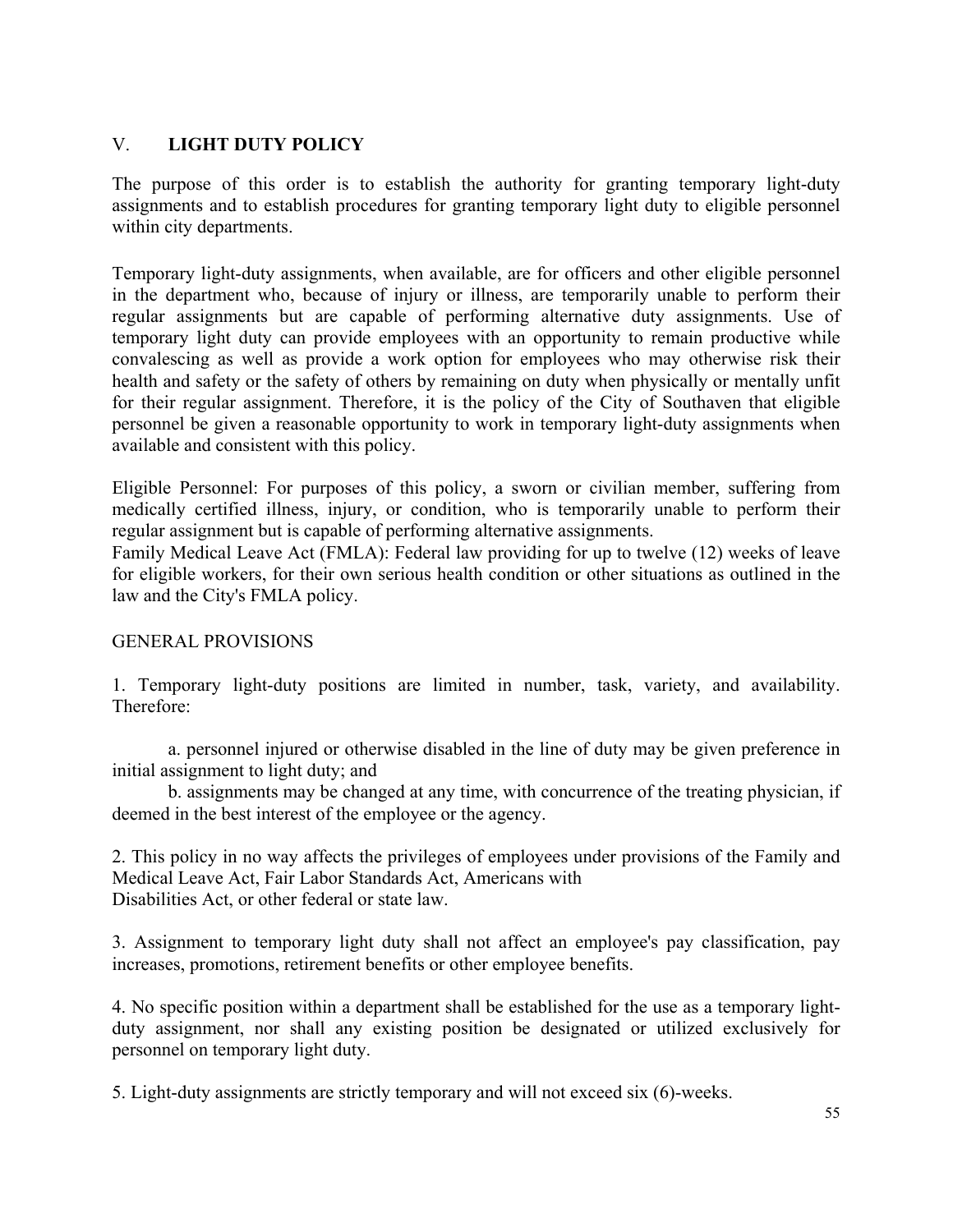## V. **LIGHT DUTY POLICY**

The purpose of this order is to establish the authority for granting temporary light-duty assignments and to establish procedures for granting temporary light duty to eligible personnel within city departments.

Temporary light-duty assignments, when available, are for officers and other eligible personnel in the department who, because of injury or illness, are temporarily unable to perform their regular assignments but are capable of performing alternative duty assignments. Use of temporary light duty can provide employees with an opportunity to remain productive while convalescing as well as provide a work option for employees who may otherwise risk their health and safety or the safety of others by remaining on duty when physically or mentally unfit for their regular assignment. Therefore, it is the policy of the City of Southaven that eligible personnel be given a reasonable opportunity to work in temporary light-duty assignments when available and consistent with this policy.

Eligible Personnel: For purposes of this policy, a sworn or civilian member, suffering from medically certified illness, injury, or condition, who is temporarily unable to perform their regular assignment but is capable of performing alternative assignments.

Family Medical Leave Act (FMLA): Federal law providing for up to twelve (12) weeks of leave for eligible workers, for their own serious health condition or other situations as outlined in the law and the City's FMLA policy.

#### GENERAL PROVISIONS

1. Temporary light-duty positions are limited in number, task, variety, and availability. Therefore:

a. personnel injured or otherwise disabled in the line of duty may be given preference in initial assignment to light duty; and

b. assignments may be changed at any time, with concurrence of the treating physician, if deemed in the best interest of the employee or the agency.

2. This policy in no way affects the privileges of employees under provisions of the Family and Medical Leave Act, Fair Labor Standards Act, Americans with Disabilities Act, or other federal or state law.

3. Assignment to temporary light duty shall not affect an employee's pay classification, pay increases, promotions, retirement benefits or other employee benefits.

4. No specific position within a department shall be established for the use as a temporary lightduty assignment, nor shall any existing position be designated or utilized exclusively for personnel on temporary light duty.

5. Light-duty assignments are strictly temporary and will not exceed six (6)-weeks.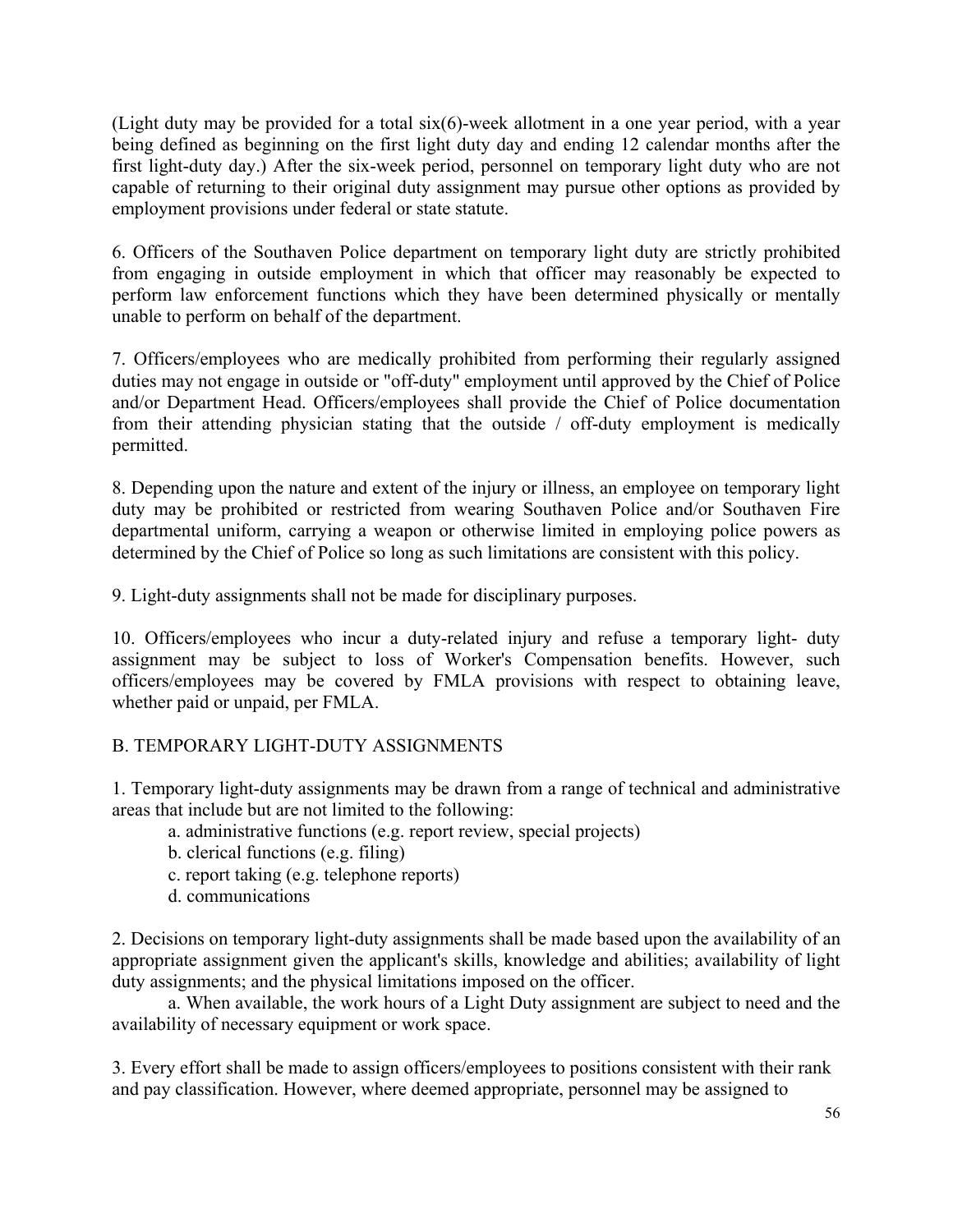(Light duty may be provided for a total  $six(6)$ -week allotment in a one year period, with a year being defined as beginning on the first light duty day and ending 12 calendar months after the first light-duty day.) After the six-week period, personnel on temporary light duty who are not capable of returning to their original duty assignment may pursue other options as provided by employment provisions under federal or state statute.

6. Officers of the Southaven Police department on temporary light duty are strictly prohibited from engaging in outside employment in which that officer may reasonably be expected to perform law enforcement functions which they have been determined physically or mentally unable to perform on behalf of the department.

7. Officers/employees who are medically prohibited from performing their regularly assigned duties may not engage in outside or "off-duty" employment until approved by the Chief of Police and/or Department Head. Officers/employees shall provide the Chief of Police documentation from their attending physician stating that the outside / off-duty employment is medically permitted.

8. Depending upon the nature and extent of the injury or illness, an employee on temporary light duty may be prohibited or restricted from wearing Southaven Police and/or Southaven Fire departmental uniform, carrying a weapon or otherwise limited in employing police powers as determined by the Chief of Police so long as such limitations are consistent with this policy.

9. Light-duty assignments shall not be made for disciplinary purposes.

10. Officers/employees who incur a duty-related injury and refuse a temporary light- duty assignment may be subject to loss of Worker's Compensation benefits. However, such officers/employees may be covered by FMLA provisions with respect to obtaining leave, whether paid or unpaid, per FMLA.

# B. TEMPORARY LIGHT-DUTY ASSIGNMENTS

1. Temporary light-duty assignments may be drawn from a range of technical and administrative areas that include but are not limited to the following:

- a. administrative functions (e.g. report review, special projects)
- b. clerical functions (e.g. filing)
- c. report taking (e.g. telephone reports)
- d. communications

2. Decisions on temporary light-duty assignments shall be made based upon the availability of an appropriate assignment given the applicant's skills, knowledge and abilities; availability of light duty assignments; and the physical limitations imposed on the officer.

a. When available, the work hours of a Light Duty assignment are subject to need and the availability of necessary equipment or work space.

3. Every effort shall be made to assign officers/employees to positions consistent with their rank and pay classification. However, where deemed appropriate, personnel may be assigned to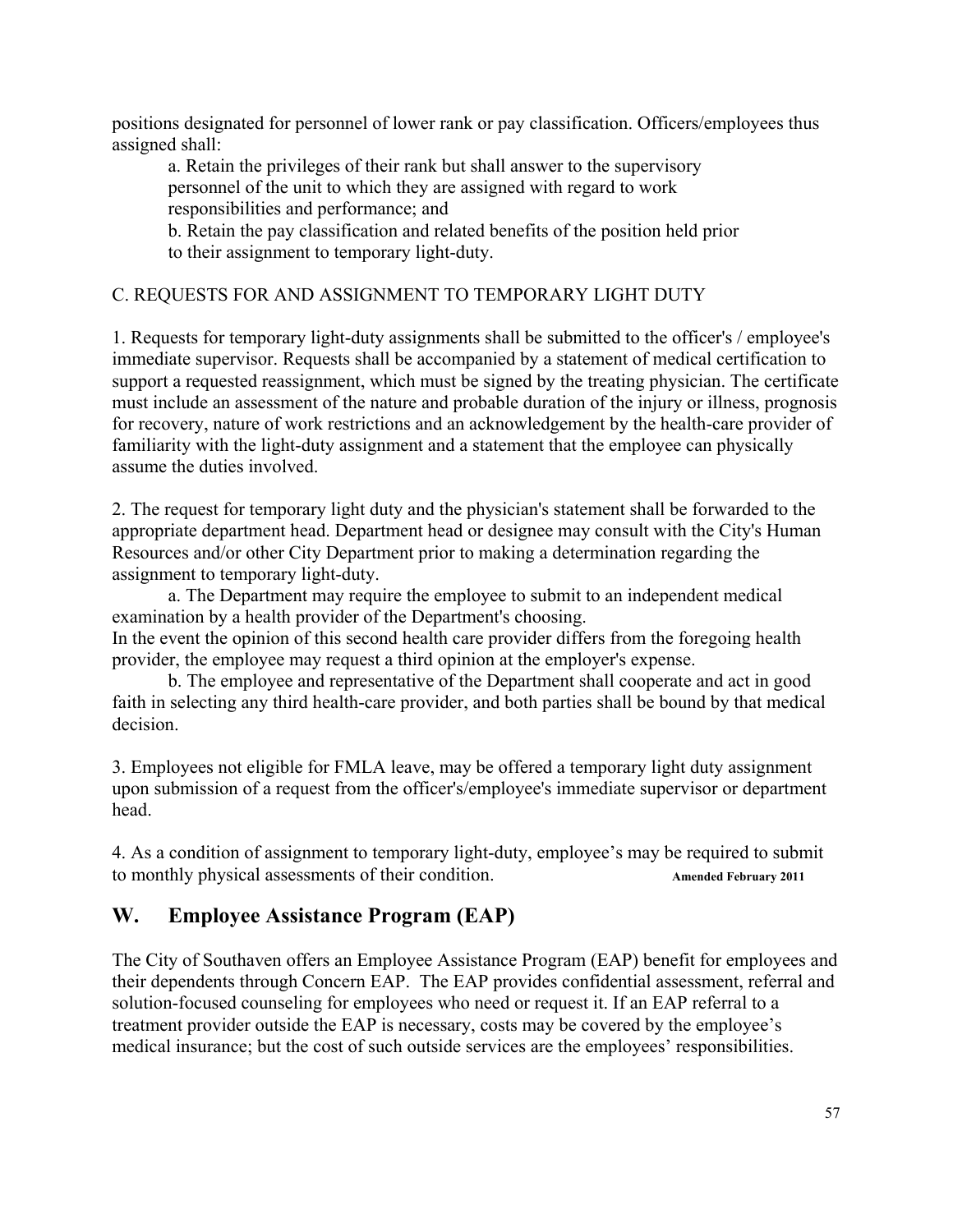positions designated for personnel of lower rank or pay classification. Officers/employees thus assigned shall:

a. Retain the privileges of their rank but shall answer to the supervisory personnel of the unit to which they are assigned with regard to work responsibilities and performance; and

b. Retain the pay classification and related benefits of the position held prior to their assignment to temporary light-duty.

### C. REQUESTS FOR AND ASSIGNMENT TO TEMPORARY LIGHT DUTY

1. Requests for temporary light-duty assignments shall be submitted to the officer's / employee's immediate supervisor. Requests shall be accompanied by a statement of medical certification to support a requested reassignment, which must be signed by the treating physician. The certificate must include an assessment of the nature and probable duration of the injury or illness, prognosis for recovery, nature of work restrictions and an acknowledgement by the health-care provider of familiarity with the light-duty assignment and a statement that the employee can physically assume the duties involved.

2. The request for temporary light duty and the physician's statement shall be forwarded to the appropriate department head. Department head or designee may consult with the City's Human Resources and/or other City Department prior to making a determination regarding the assignment to temporary light-duty.

a. The Department may require the employee to submit to an independent medical examination by a health provider of the Department's choosing.

In the event the opinion of this second health care provider differs from the foregoing health provider, the employee may request a third opinion at the employer's expense.

b. The employee and representative of the Department shall cooperate and act in good faith in selecting any third health-care provider, and both parties shall be bound by that medical decision.

3. Employees not eligible for FMLA leave, may be offered a temporary light duty assignment upon submission of a request from the officer's/employee's immediate supervisor or department head.

4. As a condition of assignment to temporary light-duty, employee's may be required to submit to monthly physical assessments of their condition. **Amended February 2011** 

# **W. Employee Assistance Program (EAP)**

The City of Southaven offers an Employee Assistance Program (EAP) benefit for employees and their dependents through Concern EAP. The EAP provides confidential assessment, referral and solution-focused counseling for employees who need or request it. If an EAP referral to a treatment provider outside the EAP is necessary, costs may be covered by the employee's medical insurance; but the cost of such outside services are the employees' responsibilities.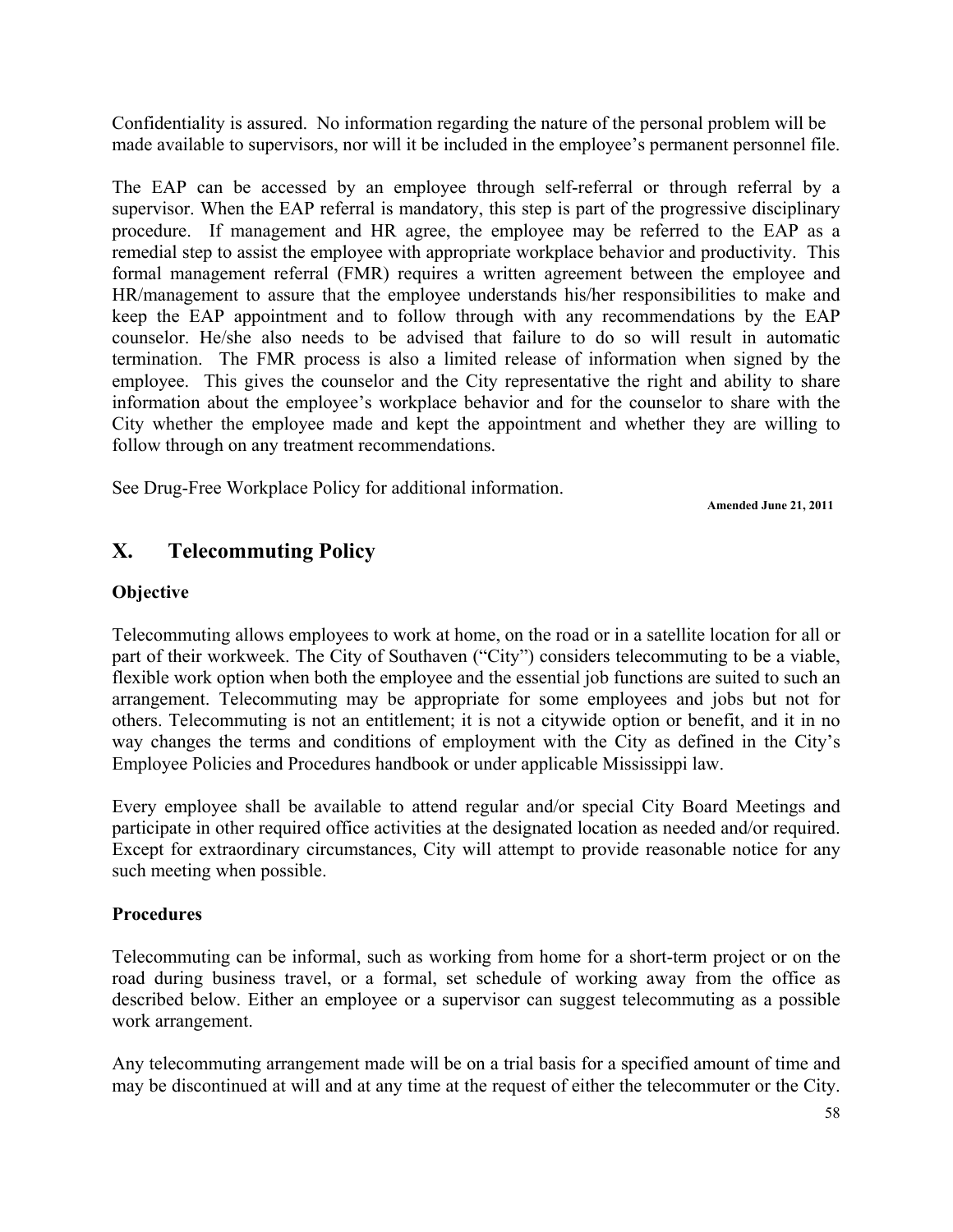Confidentiality is assured. No information regarding the nature of the personal problem will be made available to supervisors, nor will it be included in the employee's permanent personnel file.

The EAP can be accessed by an employee through self-referral or through referral by a supervisor. When the EAP referral is mandatory, this step is part of the progressive disciplinary procedure. If management and HR agree, the employee may be referred to the EAP as a remedial step to assist the employee with appropriate workplace behavior and productivity. This formal management referral (FMR) requires a written agreement between the employee and HR/management to assure that the employee understands his/her responsibilities to make and keep the EAP appointment and to follow through with any recommendations by the EAP counselor. He/she also needs to be advised that failure to do so will result in automatic termination. The FMR process is also a limited release of information when signed by the employee. This gives the counselor and the City representative the right and ability to share information about the employee's workplace behavior and for the counselor to share with the City whether the employee made and kept the appointment and whether they are willing to follow through on any treatment recommendations.

See Drug-Free Workplace Policy for additional information.

**Amended June 21, 2011** 

# **X. Telecommuting Policy**

### **Objective**

Telecommuting allows employees to work at home, on the road or in a satellite location for all or part of their workweek. The City of Southaven ("City") considers telecommuting to be a viable, flexible work option when both the employee and the essential job functions are suited to such an arrangement. Telecommuting may be appropriate for some employees and jobs but not for others. Telecommuting is not an entitlement; it is not a citywide option or benefit, and it in no way changes the terms and conditions of employment with the City as defined in the City's Employee Policies and Procedures handbook or under applicable Mississippi law.

Every employee shall be available to attend regular and/or special City Board Meetings and participate in other required office activities at the designated location as needed and/or required. Except for extraordinary circumstances, City will attempt to provide reasonable notice for any such meeting when possible.

### **Procedures**

Telecommuting can be informal, such as working from home for a short-term project or on the road during business travel, or a formal, set schedule of working away from the office as described below. Either an employee or a supervisor can suggest telecommuting as a possible work arrangement.

Any telecommuting arrangement made will be on a trial basis for a specified amount of time and may be discontinued at will and at any time at the request of either the telecommuter or the City.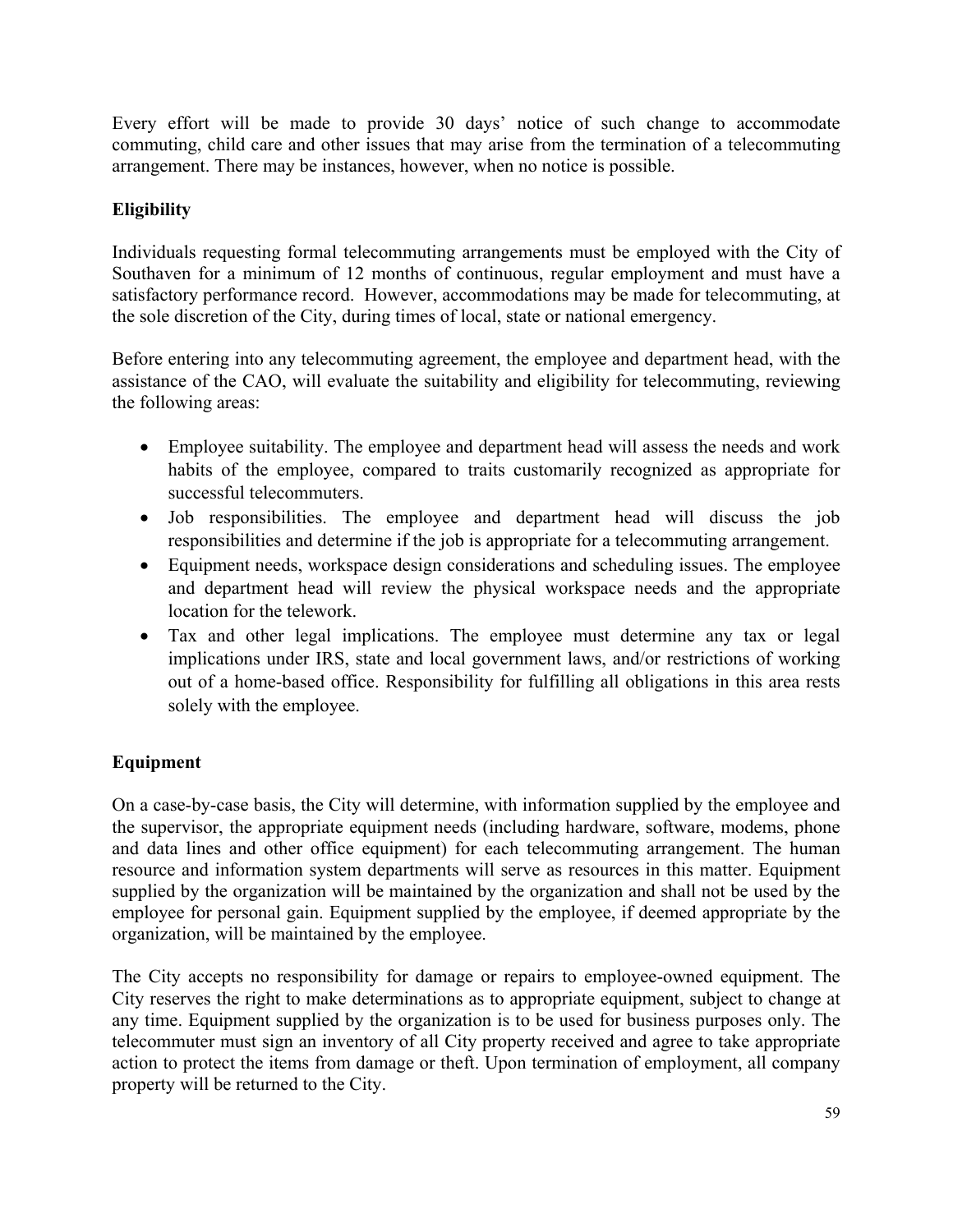Every effort will be made to provide 30 days' notice of such change to accommodate commuting, child care and other issues that may arise from the termination of a telecommuting arrangement. There may be instances, however, when no notice is possible.

# **Eligibility**

Individuals requesting formal telecommuting arrangements must be employed with the City of Southaven for a minimum of 12 months of continuous, regular employment and must have a satisfactory performance record. However, accommodations may be made for telecommuting, at the sole discretion of the City, during times of local, state or national emergency.

Before entering into any telecommuting agreement, the employee and department head, with the assistance of the CAO, will evaluate the suitability and eligibility for telecommuting, reviewing the following areas:

- Employee suitability. The employee and department head will assess the needs and work habits of the employee, compared to traits customarily recognized as appropriate for successful telecommuters.
- Job responsibilities. The employee and department head will discuss the job responsibilities and determine if the job is appropriate for a telecommuting arrangement.
- Equipment needs, workspace design considerations and scheduling issues. The employee and department head will review the physical workspace needs and the appropriate location for the telework.
- Tax and other legal implications. The employee must determine any tax or legal implications under IRS, state and local government laws, and/or restrictions of working out of a home-based office. Responsibility for fulfilling all obligations in this area rests solely with the employee.

# **Equipment**

On a case-by-case basis, the City will determine, with information supplied by the employee and the supervisor, the appropriate equipment needs (including hardware, software, modems, phone and data lines and other office equipment) for each telecommuting arrangement. The human resource and information system departments will serve as resources in this matter. Equipment supplied by the organization will be maintained by the organization and shall not be used by the employee for personal gain. Equipment supplied by the employee, if deemed appropriate by the organization, will be maintained by the employee.

The City accepts no responsibility for damage or repairs to employee-owned equipment. The City reserves the right to make determinations as to appropriate equipment, subject to change at any time. Equipment supplied by the organization is to be used for business purposes only. The telecommuter must sign an inventory of all City property received and agree to take appropriate action to protect the items from damage or theft. Upon termination of employment, all company property will be returned to the City.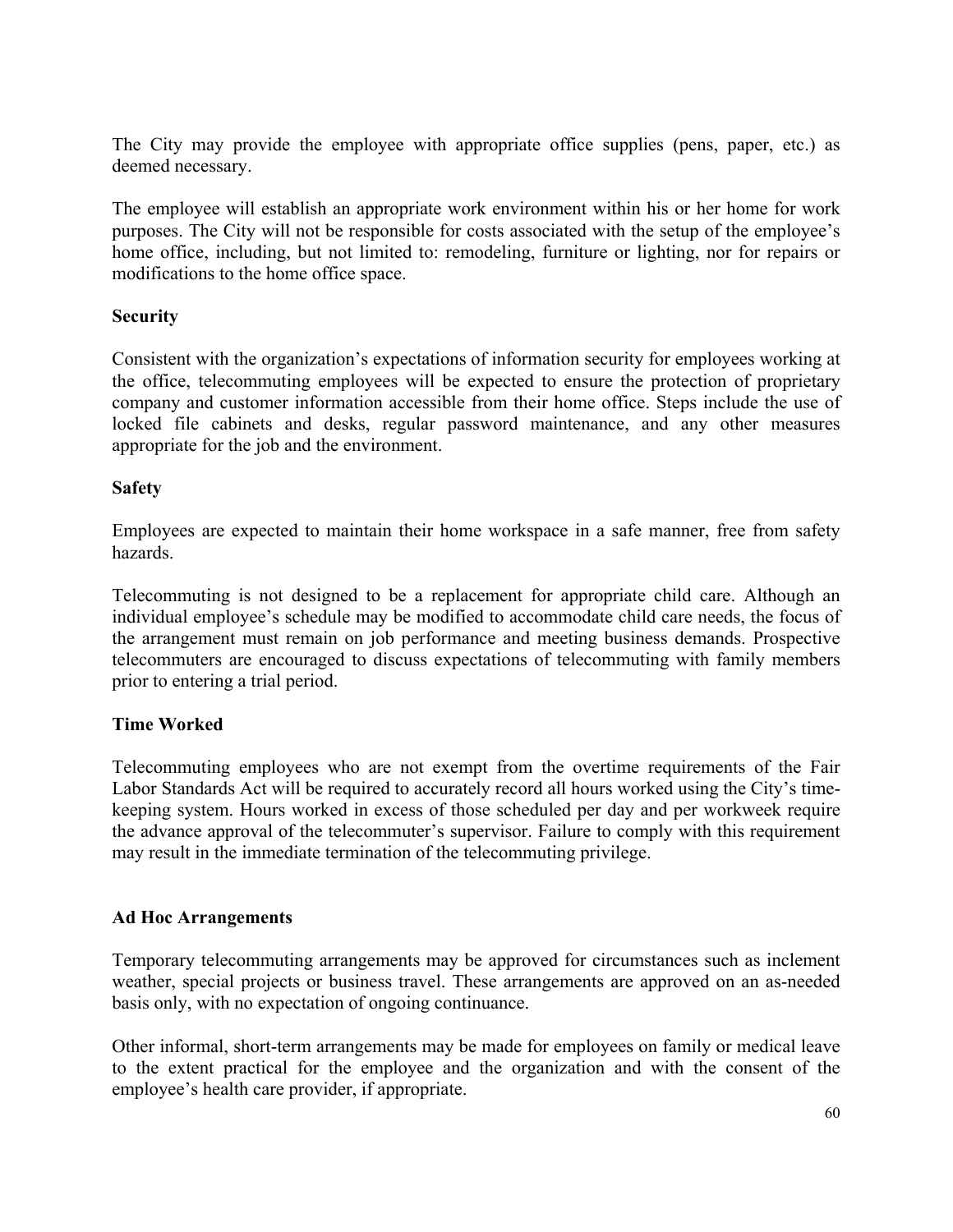The City may provide the employee with appropriate office supplies (pens, paper, etc.) as deemed necessary.

The employee will establish an appropriate work environment within his or her home for work purposes. The City will not be responsible for costs associated with the setup of the employee's home office, including, but not limited to: remodeling, furniture or lighting, nor for repairs or modifications to the home office space.

## **Security**

Consistent with the organization's expectations of information security for employees working at the office, telecommuting employees will be expected to ensure the protection of proprietary company and customer information accessible from their home office. Steps include the use of locked file cabinets and desks, regular password maintenance, and any other measures appropriate for the job and the environment.

### **Safety**

Employees are expected to maintain their home workspace in a safe manner, free from safety hazards.

Telecommuting is not designed to be a replacement for appropriate child care. Although an individual employee's schedule may be modified to accommodate child care needs, the focus of the arrangement must remain on job performance and meeting business demands. Prospective telecommuters are encouraged to discuss expectations of telecommuting with family members prior to entering a trial period.

### **Time Worked**

Telecommuting employees who are not exempt from the overtime requirements of the Fair Labor Standards Act will be required to accurately record all hours worked using the City's timekeeping system. Hours worked in excess of those scheduled per day and per workweek require the advance approval of the telecommuter's supervisor. Failure to comply with this requirement may result in the immediate termination of the telecommuting privilege.

### **Ad Hoc Arrangements**

Temporary telecommuting arrangements may be approved for circumstances such as inclement weather, special projects or business travel. These arrangements are approved on an as-needed basis only, with no expectation of ongoing continuance.

Other informal, short-term arrangements may be made for employees on family or medical leave to the extent practical for the employee and the organization and with the consent of the employee's health care provider, if appropriate.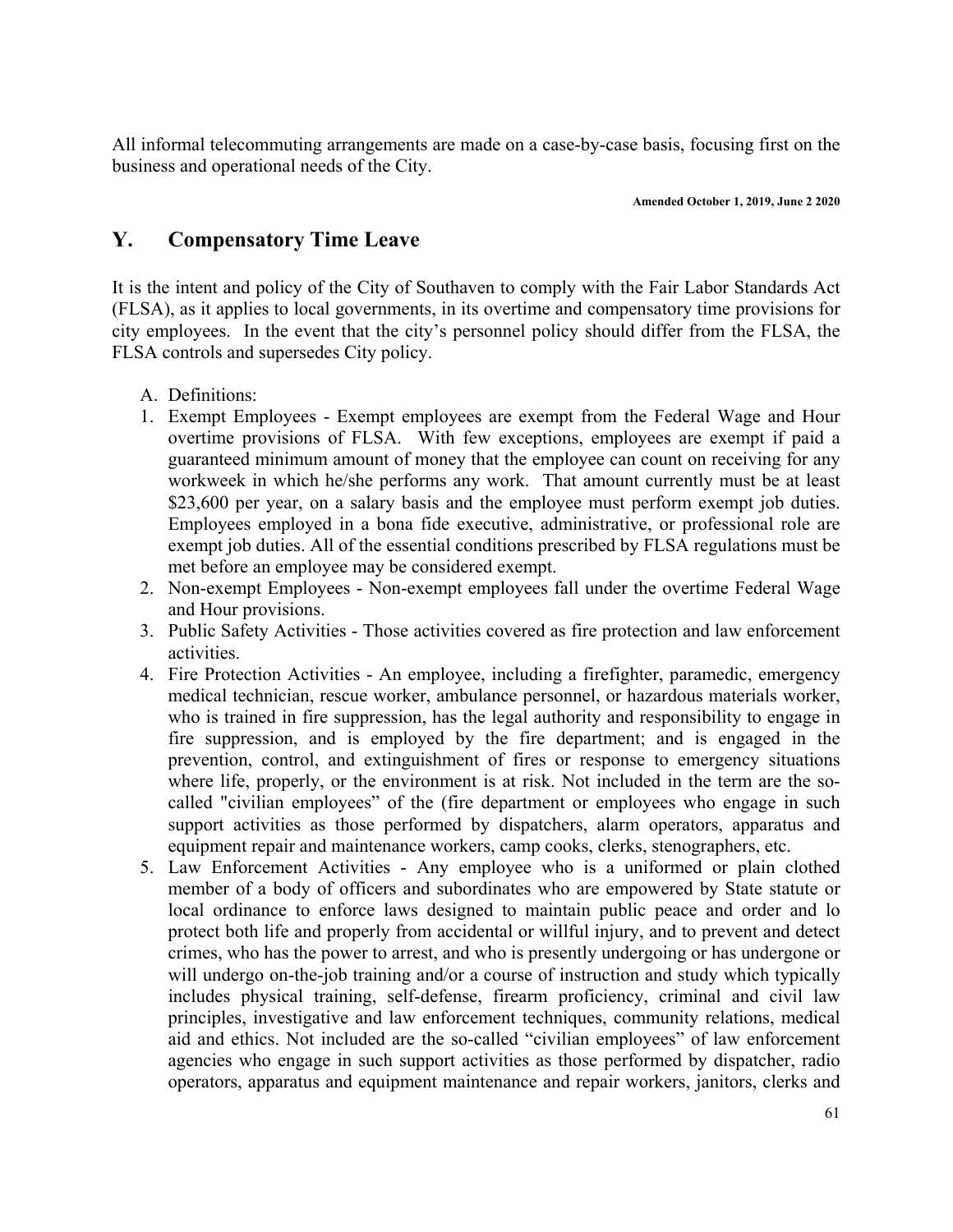All informal telecommuting arrangements are made on a case-by-case basis, focusing first on the business and operational needs of the City.

 **Amended October 1, 2019, June 2 2020** 

# **Y. Compensatory Time Leave**

It is the intent and policy of the City of Southaven to comply with the Fair Labor Standards Act (FLSA), as it applies to local governments, in its overtime and compensatory time provisions for city employees. In the event that the city's personnel policy should differ from the FLSA, the FLSA controls and supersedes City policy.

- A. Definitions:
- 1. Exempt Employees Exempt employees are exempt from the Federal Wage and Hour overtime provisions of FLSA. With few exceptions, employees are exempt if paid a guaranteed minimum amount of money that the employee can count on receiving for any workweek in which he/she performs any work. That amount currently must be at least \$23,600 per year, on a salary basis and the employee must perform exempt job duties. Employees employed in a bona fide executive, administrative, or professional role are exempt job duties. All of the essential conditions prescribed by FLSA regulations must be met before an employee may be considered exempt.
- 2. Non-exempt Employees Non-exempt employees fall under the overtime Federal Wage and Hour provisions.
- 3. Public Safety Activities Those activities covered as fire protection and law enforcement activities.
- 4. Fire Protection Activities An employee, including a firefighter, paramedic, emergency medical technician, rescue worker, ambulance personnel, or hazardous materials worker, who is trained in fire suppression, has the legal authority and responsibility to engage in fire suppression, and is employed by the fire department; and is engaged in the prevention, control, and extinguishment of fires or response to emergency situations where life, properly, or the environment is at risk. Not included in the term are the socalled "civilian employees" of the (fire department or employees who engage in such support activities as those performed by dispatchers, alarm operators, apparatus and equipment repair and maintenance workers, camp cooks, clerks, stenographers, etc.
- 5. Law Enforcement Activities Any employee who is a uniformed or plain clothed member of a body of officers and subordinates who are empowered by State statute or local ordinance to enforce laws designed to maintain public peace and order and lo protect both life and properly from accidental or willful injury, and to prevent and detect crimes, who has the power to arrest, and who is presently undergoing or has undergone or will undergo on-the-job training and/or a course of instruction and study which typically includes physical training, self-defense, firearm proficiency, criminal and civil law principles, investigative and law enforcement techniques, community relations, medical aid and ethics. Not included are the so-called "civilian employees" of law enforcement agencies who engage in such support activities as those performed by dispatcher, radio operators, apparatus and equipment maintenance and repair workers, janitors, clerks and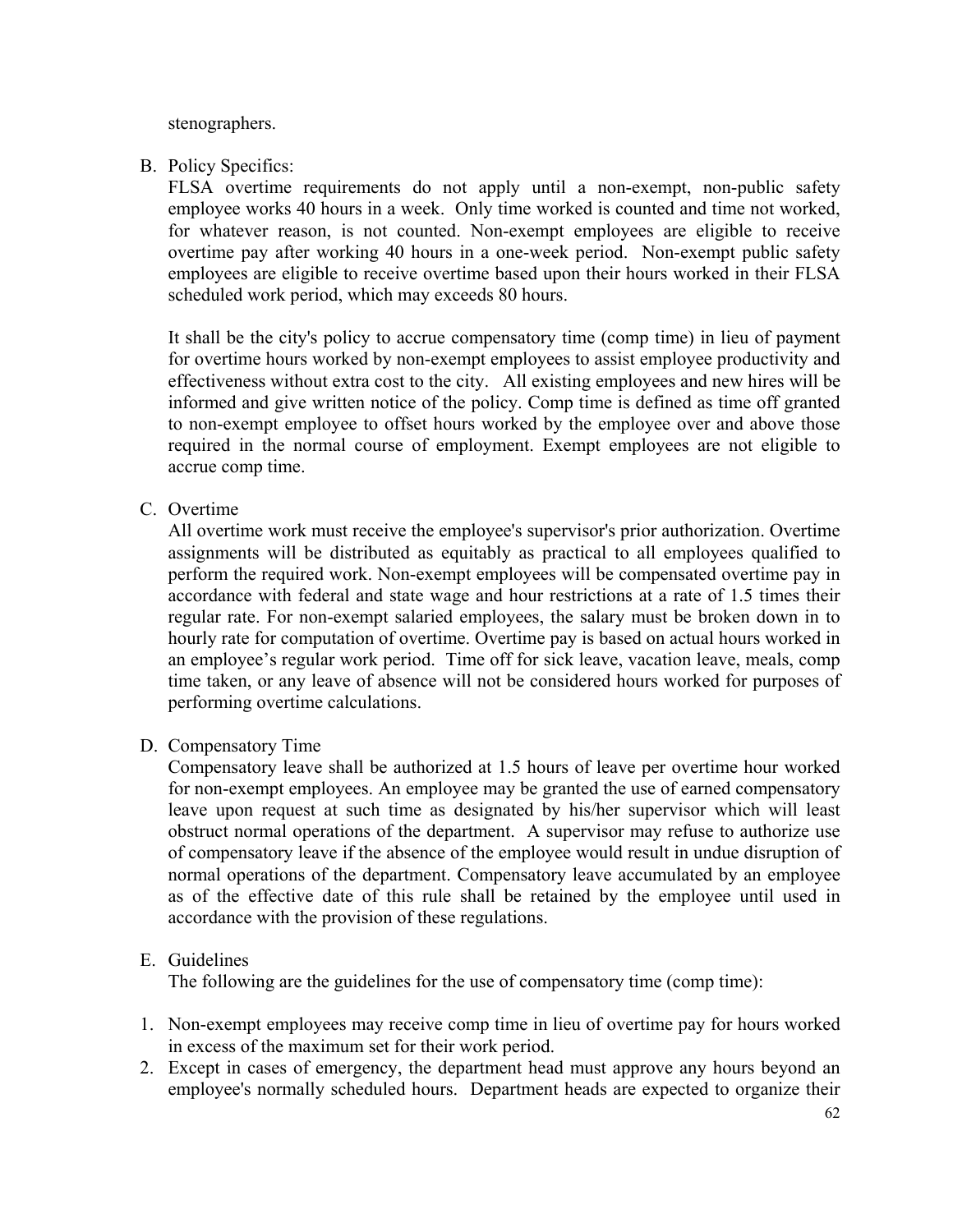stenographers.

B. Policy Specifics:

FLSA overtime requirements do not apply until a non-exempt, non-public safety employee works 40 hours in a week. Only time worked is counted and time not worked, for whatever reason, is not counted. Non-exempt employees are eligible to receive overtime pay after working 40 hours in a one-week period. Non-exempt public safety employees are eligible to receive overtime based upon their hours worked in their FLSA scheduled work period, which may exceeds 80 hours.

It shall be the city's policy to accrue compensatory time (comp time) in lieu of payment for overtime hours worked by non-exempt employees to assist employee productivity and effectiveness without extra cost to the city. All existing employees and new hires will be informed and give written notice of the policy. Comp time is defined as time off granted to non-exempt employee to offset hours worked by the employee over and above those required in the normal course of employment. Exempt employees are not eligible to accrue comp time.

### C. Overtime

All overtime work must receive the employee's supervisor's prior authorization. Overtime assignments will be distributed as equitably as practical to all employees qualified to perform the required work. Non-exempt employees will be compensated overtime pay in accordance with federal and state wage and hour restrictions at a rate of 1.5 times their regular rate. For non-exempt salaried employees, the salary must be broken down in to hourly rate for computation of overtime. Overtime pay is based on actual hours worked in an employee's regular work period. Time off for sick leave, vacation leave, meals, comp time taken, or any leave of absence will not be considered hours worked for purposes of performing overtime calculations.

D. Compensatory Time

Compensatory leave shall be authorized at 1.5 hours of leave per overtime hour worked for non-exempt employees. An employee may be granted the use of earned compensatory leave upon request at such time as designated by his/her supervisor which will least obstruct normal operations of the department. A supervisor may refuse to authorize use of compensatory leave if the absence of the employee would result in undue disruption of normal operations of the department. Compensatory leave accumulated by an employee as of the effective date of this rule shall be retained by the employee until used in accordance with the provision of these regulations.

#### E. Guidelines

The following are the guidelines for the use of compensatory time (comp time):

- 1. Non-exempt employees may receive comp time in lieu of overtime pay for hours worked in excess of the maximum set for their work period.
- 2. Except in cases of emergency, the department head must approve any hours beyond an employee's normally scheduled hours. Department heads are expected to organize their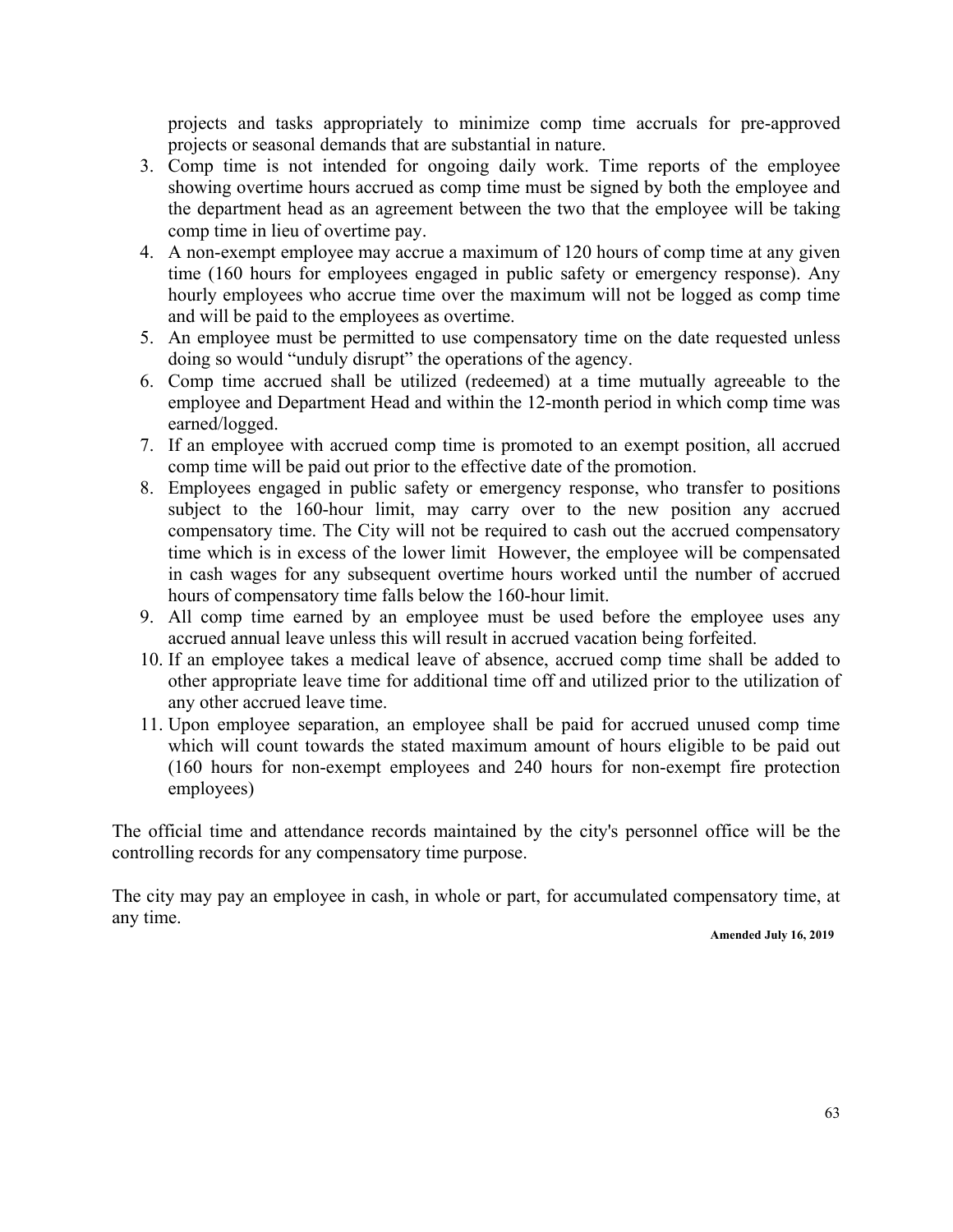projects and tasks appropriately to minimize comp time accruals for pre-approved projects or seasonal demands that are substantial in nature.

- 3. Comp time is not intended for ongoing daily work. Time reports of the employee showing overtime hours accrued as comp time must be signed by both the employee and the department head as an agreement between the two that the employee will be taking comp time in lieu of overtime pay.
- 4. A non-exempt employee may accrue a maximum of 120 hours of comp time at any given time (160 hours for employees engaged in public safety or emergency response). Any hourly employees who accrue time over the maximum will not be logged as comp time and will be paid to the employees as overtime.
- 5. An employee must be permitted to use compensatory time on the date requested unless doing so would "unduly disrupt" the operations of the agency.
- 6. Comp time accrued shall be utilized (redeemed) at a time mutually agreeable to the employee and Department Head and within the 12-month period in which comp time was earned/logged.
- 7. If an employee with accrued comp time is promoted to an exempt position, all accrued comp time will be paid out prior to the effective date of the promotion.
- 8. Employees engaged in public safety or emergency response, who transfer to positions subject to the 160-hour limit, may carry over to the new position any accrued compensatory time. The City will not be required to cash out the accrued compensatory time which is in excess of the lower limit However, the employee will be compensated in cash wages for any subsequent overtime hours worked until the number of accrued hours of compensatory time falls below the 160-hour limit.
- 9. All comp time earned by an employee must be used before the employee uses any accrued annual leave unless this will result in accrued vacation being forfeited.
- 10. If an employee takes a medical leave of absence, accrued comp time shall be added to other appropriate leave time for additional time off and utilized prior to the utilization of any other accrued leave time.
- 11. Upon employee separation, an employee shall be paid for accrued unused comp time which will count towards the stated maximum amount of hours eligible to be paid out (160 hours for non-exempt employees and 240 hours for non-exempt fire protection employees)

The official time and attendance records maintained by the city's personnel office will be the controlling records for any compensatory time purpose.

The city may pay an employee in cash, in whole or part, for accumulated compensatory time, at any time.

**Amended July 16, 2019**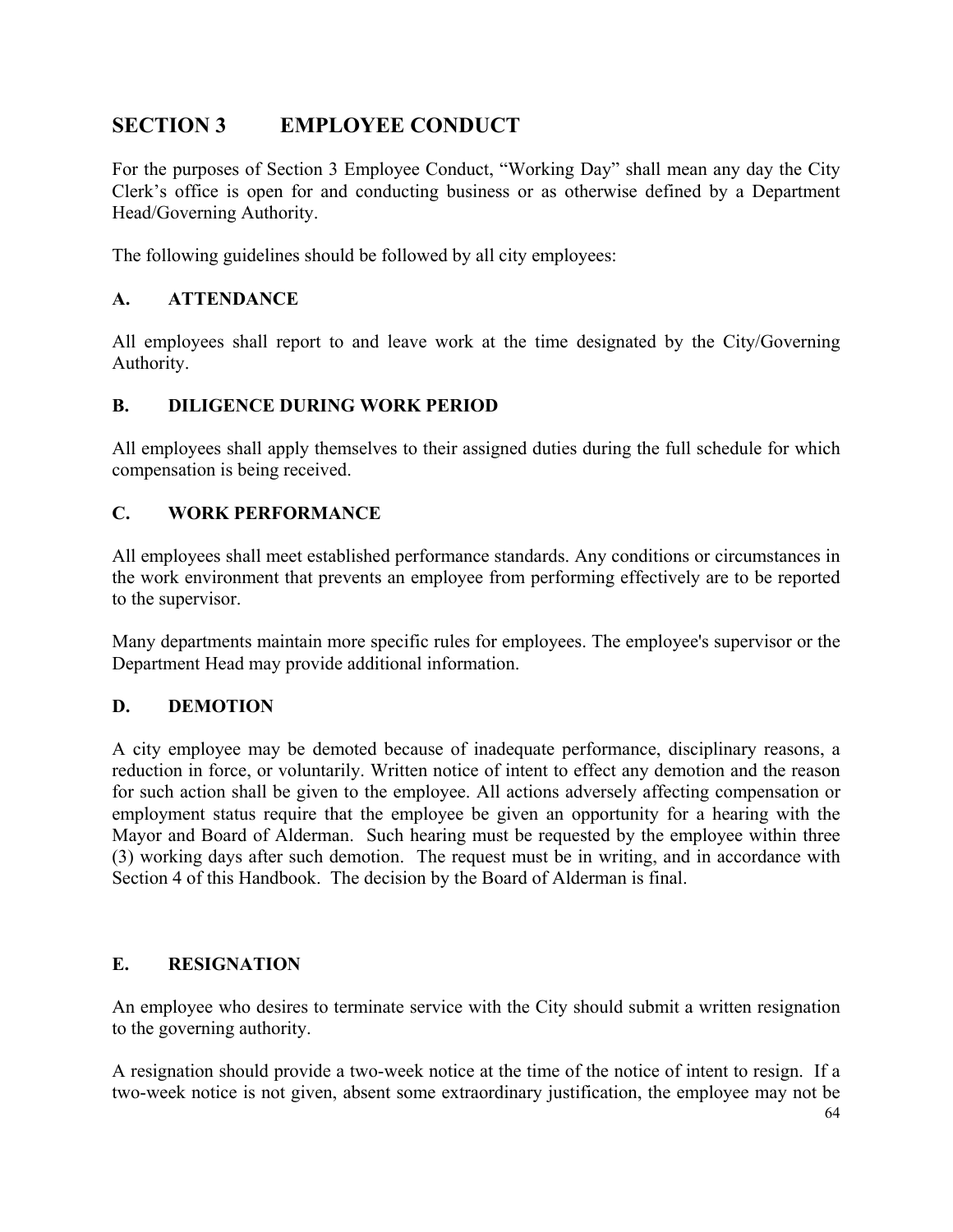# **SECTION 3 EMPLOYEE CONDUCT**

For the purposes of Section 3 Employee Conduct, "Working Day" shall mean any day the City Clerk's office is open for and conducting business or as otherwise defined by a Department Head/Governing Authority.

The following guidelines should be followed by all city employees:

### **A. ATTENDANCE**

All employees shall report to and leave work at the time designated by the City/Governing Authority.

### **B. DILIGENCE DURING WORK PERIOD**

All employees shall apply themselves to their assigned duties during the full schedule for which compensation is being received.

### **C. WORK PERFORMANCE**

All employees shall meet established performance standards. Any conditions or circumstances in the work environment that prevents an employee from performing effectively are to be reported to the supervisor.

Many departments maintain more specific rules for employees. The employee's supervisor or the Department Head may provide additional information.

### **D. DEMOTION**

A city employee may be demoted because of inadequate performance, disciplinary reasons, a reduction in force, or voluntarily. Written notice of intent to effect any demotion and the reason for such action shall be given to the employee. All actions adversely affecting compensation or employment status require that the employee be given an opportunity for a hearing with the Mayor and Board of Alderman. Such hearing must be requested by the employee within three (3) working days after such demotion. The request must be in writing, and in accordance with Section 4 of this Handbook. The decision by the Board of Alderman is final.

### **E. RESIGNATION**

An employee who desires to terminate service with the City should submit a written resignation to the governing authority.

A resignation should provide a two-week notice at the time of the notice of intent to resign. If a two-week notice is not given, absent some extraordinary justification, the employee may not be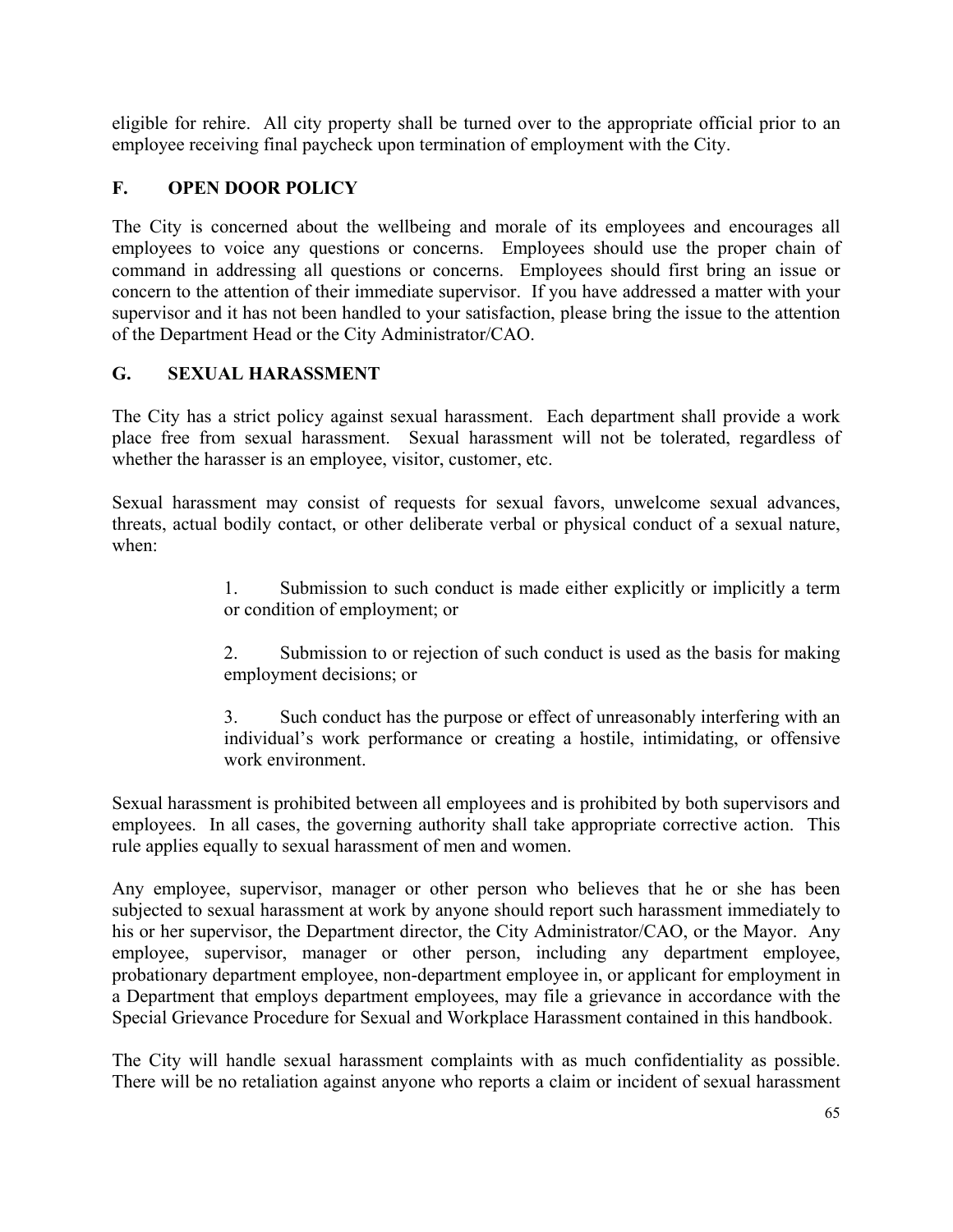eligible for rehire. All city property shall be turned over to the appropriate official prior to an employee receiving final paycheck upon termination of employment with the City.

## **F. OPEN DOOR POLICY**

The City is concerned about the wellbeing and morale of its employees and encourages all employees to voice any questions or concerns. Employees should use the proper chain of command in addressing all questions or concerns. Employees should first bring an issue or concern to the attention of their immediate supervisor. If you have addressed a matter with your supervisor and it has not been handled to your satisfaction, please bring the issue to the attention of the Department Head or the City Administrator/CAO.

## **G. SEXUAL HARASSMENT**

The City has a strict policy against sexual harassment. Each department shall provide a work place free from sexual harassment. Sexual harassment will not be tolerated, regardless of whether the harasser is an employee, visitor, customer, etc.

Sexual harassment may consist of requests for sexual favors, unwelcome sexual advances, threats, actual bodily contact, or other deliberate verbal or physical conduct of a sexual nature, when:

> 1. Submission to such conduct is made either explicitly or implicitly a term or condition of employment; or

> 2. Submission to or rejection of such conduct is used as the basis for making employment decisions; or

> 3. Such conduct has the purpose or effect of unreasonably interfering with an individual's work performance or creating a hostile, intimidating, or offensive work environment.

Sexual harassment is prohibited between all employees and is prohibited by both supervisors and employees. In all cases, the governing authority shall take appropriate corrective action. This rule applies equally to sexual harassment of men and women.

Any employee, supervisor, manager or other person who believes that he or she has been subjected to sexual harassment at work by anyone should report such harassment immediately to his or her supervisor, the Department director, the City Administrator/CAO, or the Mayor. Any employee, supervisor, manager or other person, including any department employee, probationary department employee, non-department employee in, or applicant for employment in a Department that employs department employees, may file a grievance in accordance with the Special Grievance Procedure for Sexual and Workplace Harassment contained in this handbook.

The City will handle sexual harassment complaints with as much confidentiality as possible. There will be no retaliation against anyone who reports a claim or incident of sexual harassment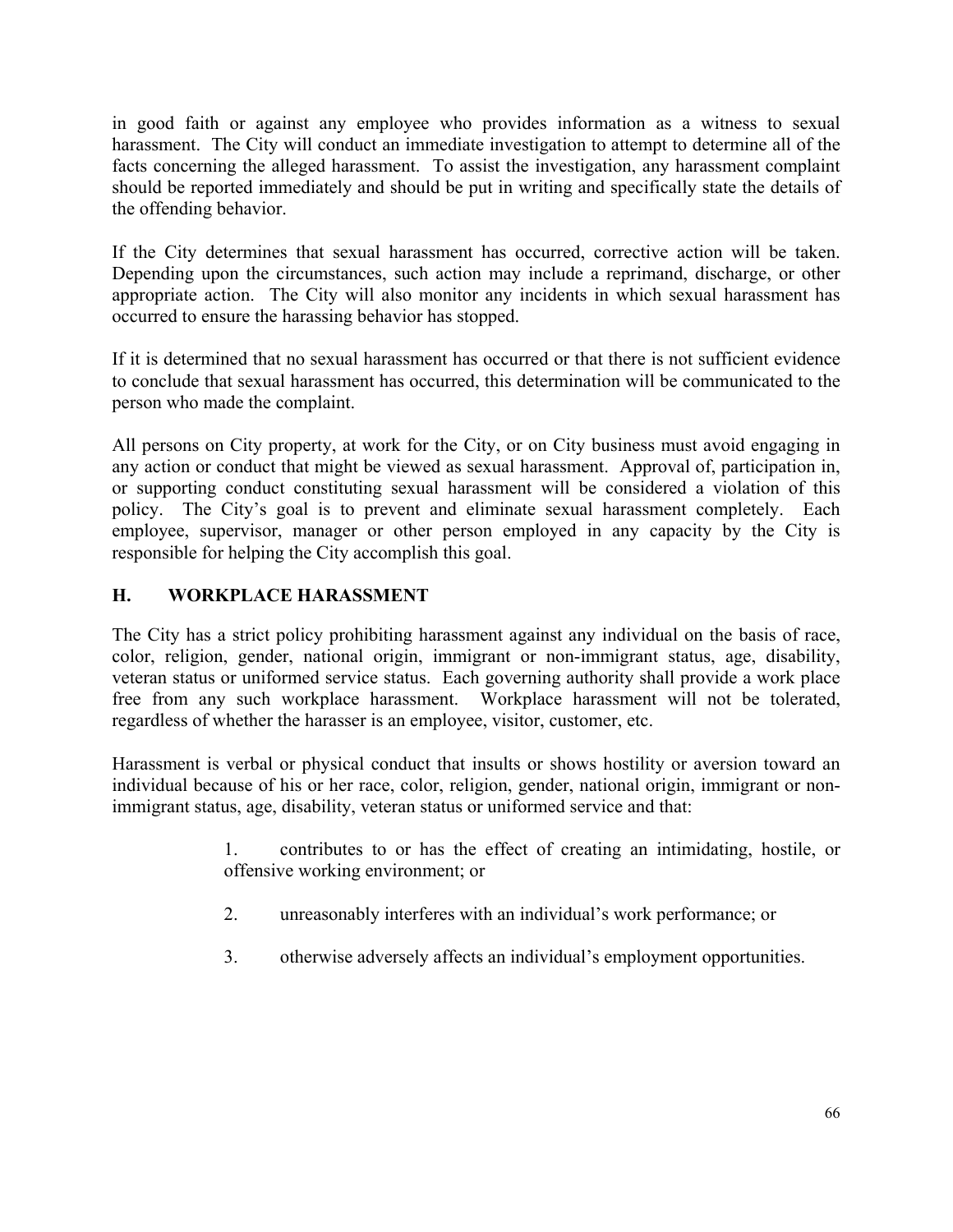in good faith or against any employee who provides information as a witness to sexual harassment. The City will conduct an immediate investigation to attempt to determine all of the facts concerning the alleged harassment. To assist the investigation, any harassment complaint should be reported immediately and should be put in writing and specifically state the details of the offending behavior.

If the City determines that sexual harassment has occurred, corrective action will be taken. Depending upon the circumstances, such action may include a reprimand, discharge, or other appropriate action. The City will also monitor any incidents in which sexual harassment has occurred to ensure the harassing behavior has stopped.

If it is determined that no sexual harassment has occurred or that there is not sufficient evidence to conclude that sexual harassment has occurred, this determination will be communicated to the person who made the complaint.

All persons on City property, at work for the City, or on City business must avoid engaging in any action or conduct that might be viewed as sexual harassment. Approval of, participation in, or supporting conduct constituting sexual harassment will be considered a violation of this policy. The City's goal is to prevent and eliminate sexual harassment completely. Each employee, supervisor, manager or other person employed in any capacity by the City is responsible for helping the City accomplish this goal.

# **H. WORKPLACE HARASSMENT**

The City has a strict policy prohibiting harassment against any individual on the basis of race, color, religion, gender, national origin, immigrant or non-immigrant status, age, disability, veteran status or uniformed service status. Each governing authority shall provide a work place free from any such workplace harassment. Workplace harassment will not be tolerated, regardless of whether the harasser is an employee, visitor, customer, etc.

Harassment is verbal or physical conduct that insults or shows hostility or aversion toward an individual because of his or her race, color, religion, gender, national origin, immigrant or nonimmigrant status, age, disability, veteran status or uniformed service and that:

> 1. contributes to or has the effect of creating an intimidating, hostile, or offensive working environment; or

- 2. unreasonably interferes with an individual's work performance; or
- 3. otherwise adversely affects an individual's employment opportunities.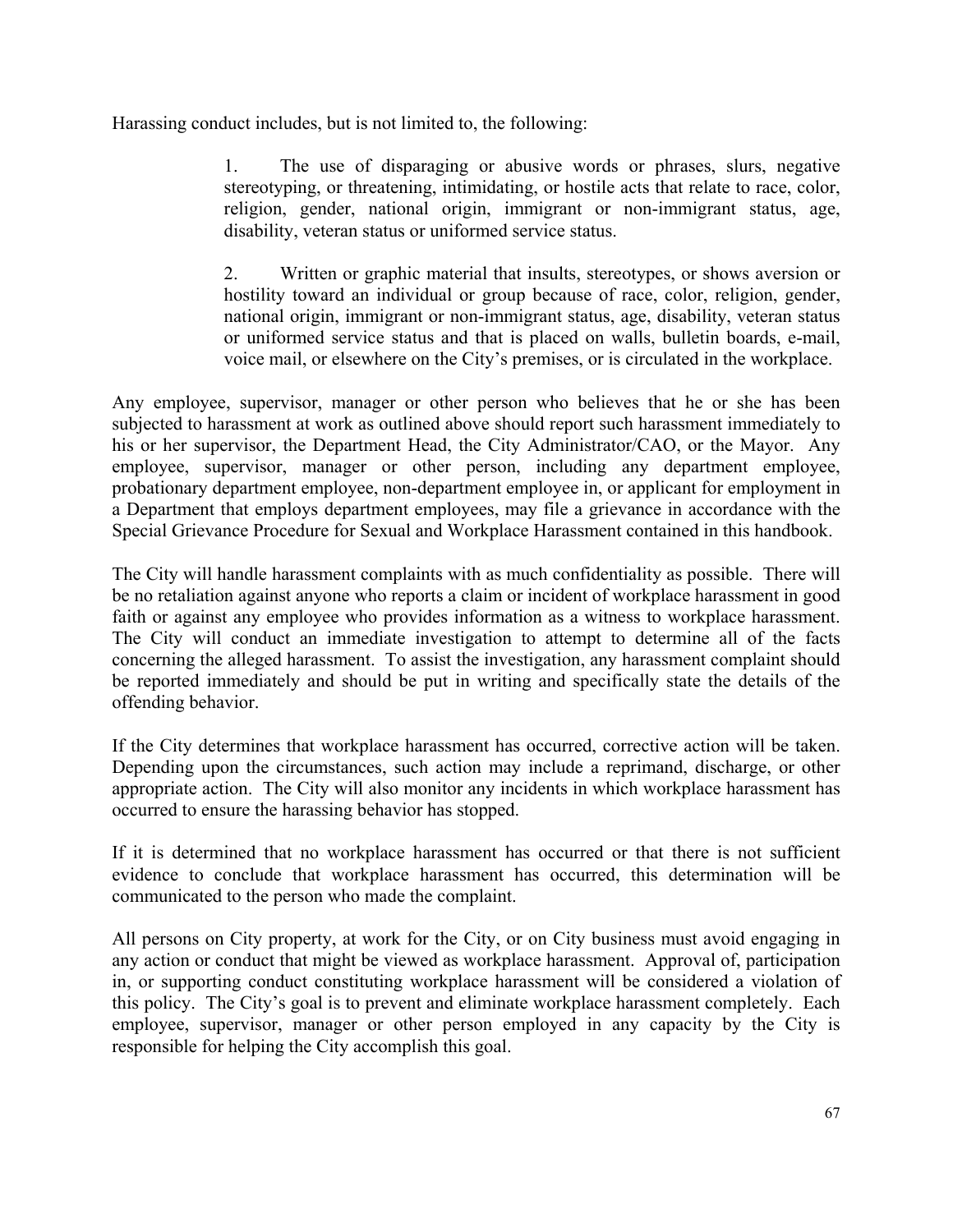Harassing conduct includes, but is not limited to, the following:

 1. The use of disparaging or abusive words or phrases, slurs, negative stereotyping, or threatening, intimidating, or hostile acts that relate to race, color, religion, gender, national origin, immigrant or non-immigrant status, age, disability, veteran status or uniformed service status.

 2. Written or graphic material that insults, stereotypes, or shows aversion or hostility toward an individual or group because of race, color, religion, gender, national origin, immigrant or non-immigrant status, age, disability, veteran status or uniformed service status and that is placed on walls, bulletin boards, e-mail, voice mail, or elsewhere on the City's premises, or is circulated in the workplace.

Any employee, supervisor, manager or other person who believes that he or she has been subjected to harassment at work as outlined above should report such harassment immediately to his or her supervisor, the Department Head, the City Administrator/CAO, or the Mayor. Any employee, supervisor, manager or other person, including any department employee, probationary department employee, non-department employee in, or applicant for employment in a Department that employs department employees, may file a grievance in accordance with the Special Grievance Procedure for Sexual and Workplace Harassment contained in this handbook.

The City will handle harassment complaints with as much confidentiality as possible. There will be no retaliation against anyone who reports a claim or incident of workplace harassment in good faith or against any employee who provides information as a witness to workplace harassment. The City will conduct an immediate investigation to attempt to determine all of the facts concerning the alleged harassment. To assist the investigation, any harassment complaint should be reported immediately and should be put in writing and specifically state the details of the offending behavior.

If the City determines that workplace harassment has occurred, corrective action will be taken. Depending upon the circumstances, such action may include a reprimand, discharge, or other appropriate action. The City will also monitor any incidents in which workplace harassment has occurred to ensure the harassing behavior has stopped.

If it is determined that no workplace harassment has occurred or that there is not sufficient evidence to conclude that workplace harassment has occurred, this determination will be communicated to the person who made the complaint.

All persons on City property, at work for the City, or on City business must avoid engaging in any action or conduct that might be viewed as workplace harassment. Approval of, participation in, or supporting conduct constituting workplace harassment will be considered a violation of this policy. The City's goal is to prevent and eliminate workplace harassment completely. Each employee, supervisor, manager or other person employed in any capacity by the City is responsible for helping the City accomplish this goal.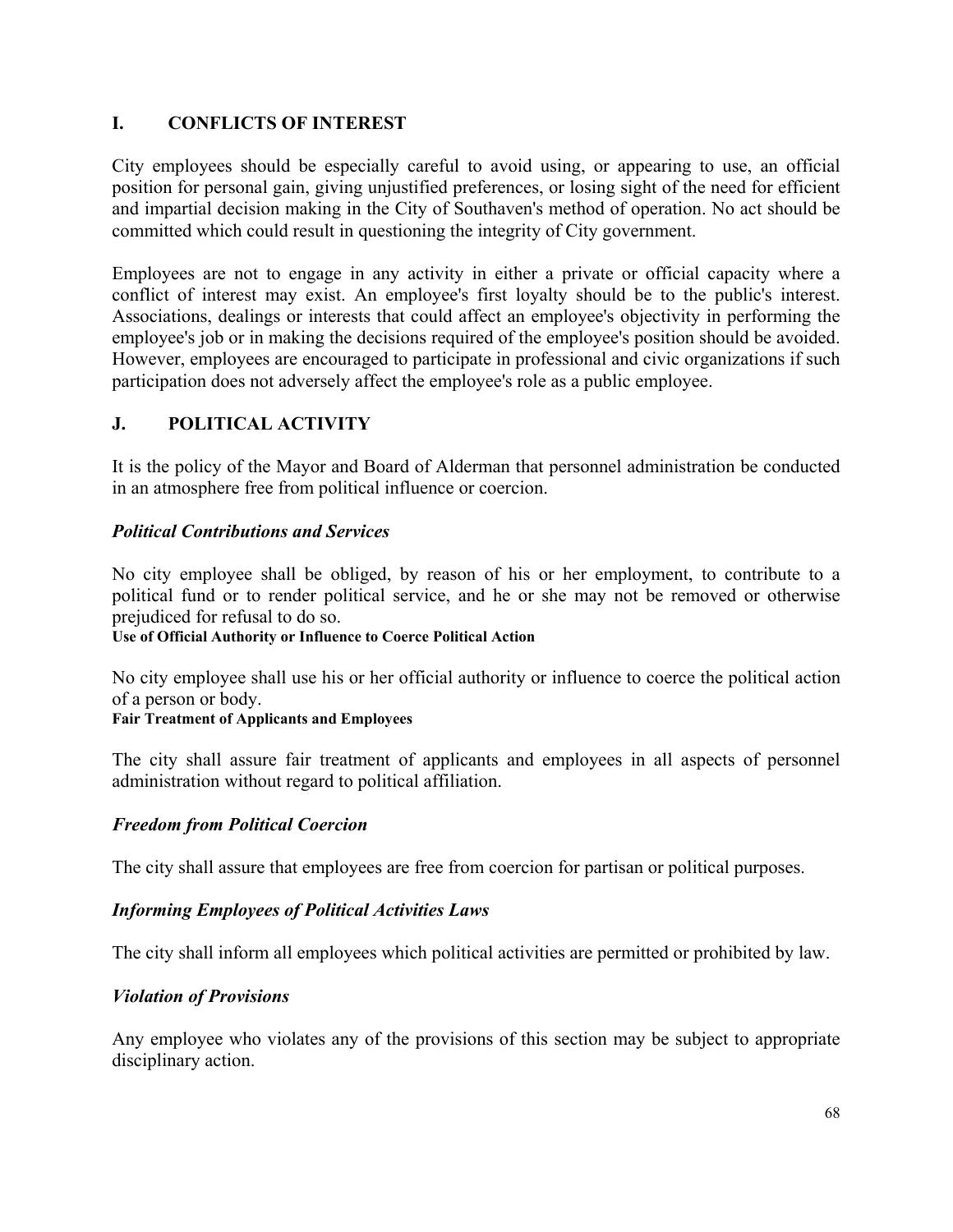### **I. CONFLICTS OF INTEREST**

City employees should be especially careful to avoid using, or appearing to use, an official position for personal gain, giving unjustified preferences, or losing sight of the need for efficient and impartial decision making in the City of Southaven's method of operation. No act should be committed which could result in questioning the integrity of City government.

Employees are not to engage in any activity in either a private or official capacity where a conflict of interest may exist. An employee's first loyalty should be to the public's interest. Associations, dealings or interests that could affect an employee's objectivity in performing the employee's job or in making the decisions required of the employee's position should be avoided. However, employees are encouraged to participate in professional and civic organizations if such participation does not adversely affect the employee's role as a public employee.

## **J. POLITICAL ACTIVITY**

It is the policy of the Mayor and Board of Alderman that personnel administration be conducted in an atmosphere free from political influence or coercion.

### *Political Contributions and Services*

No city employee shall be obliged, by reason of his or her employment, to contribute to a political fund or to render political service, and he or she may not be removed or otherwise prejudiced for refusal to do so.

#### **Use of Official Authority or Influence to Coerce Political Action**

No city employee shall use his or her official authority or influence to coerce the political action of a person or body.

### **Fair Treatment of Applicants and Employees**

The city shall assure fair treatment of applicants and employees in all aspects of personnel administration without regard to political affiliation.

#### *Freedom from Political Coercion*

The city shall assure that employees are free from coercion for partisan or political purposes.

### *Informing Employees of Political Activities Laws*

The city shall inform all employees which political activities are permitted or prohibited by law.

### *Violation of Provisions*

Any employee who violates any of the provisions of this section may be subject to appropriate disciplinary action.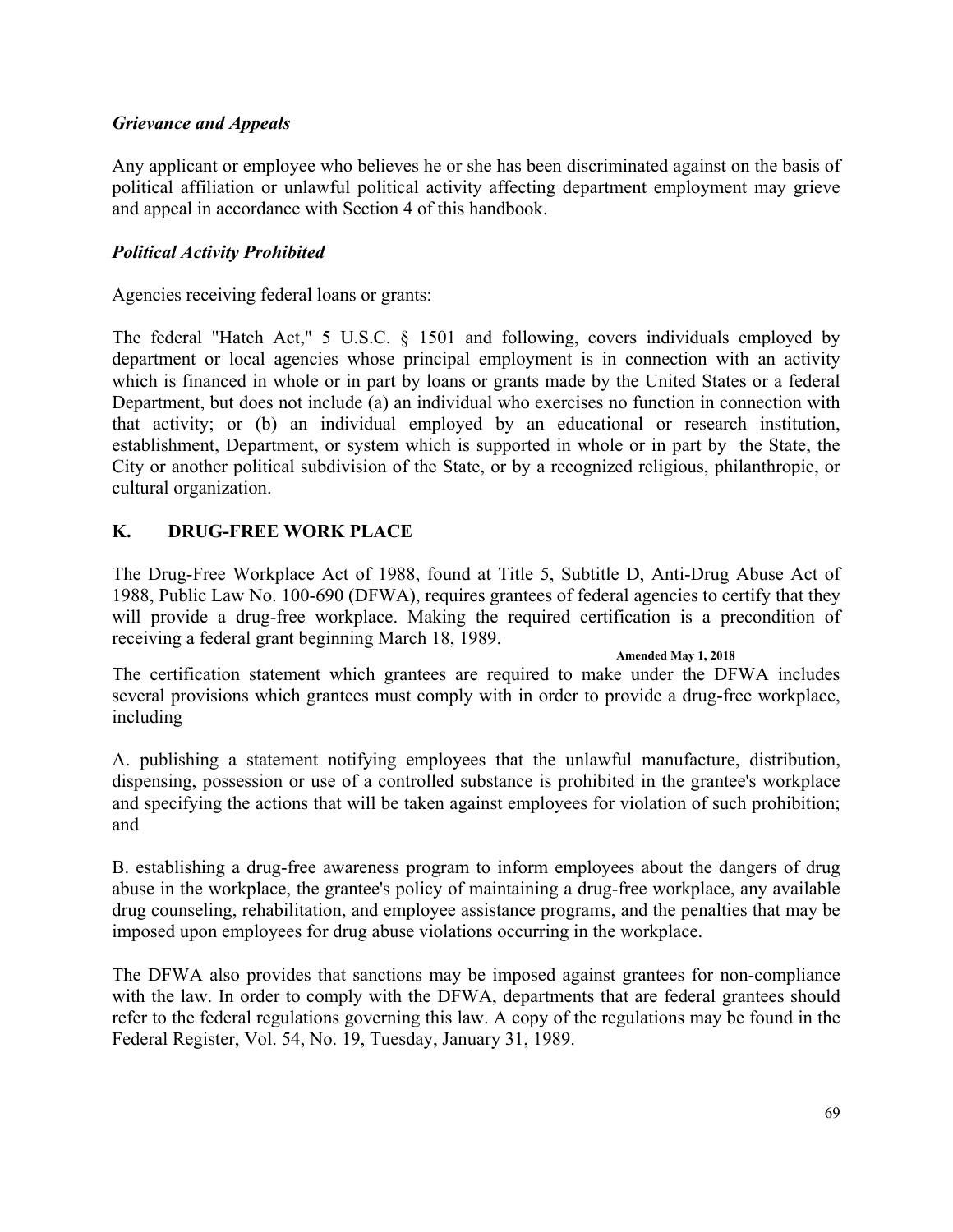### *Grievance and Appeals*

Any applicant or employee who believes he or she has been discriminated against on the basis of political affiliation or unlawful political activity affecting department employment may grieve and appeal in accordance with Section 4 of this handbook.

### *Political Activity Prohibited*

Agencies receiving federal loans or grants:

The federal "Hatch Act," 5 U.S.C. § 1501 and following, covers individuals employed by department or local agencies whose principal employment is in connection with an activity which is financed in whole or in part by loans or grants made by the United States or a federal Department, but does not include (a) an individual who exercises no function in connection with that activity; or (b) an individual employed by an educational or research institution, establishment, Department, or system which is supported in whole or in part by the State, the City or another political subdivision of the State, or by a recognized religious, philanthropic, or cultural organization.

### **K. DRUG-FREE WORK PLACE**

The Drug-Free Workplace Act of 1988, found at Title 5, Subtitle D, Anti-Drug Abuse Act of 1988, Public Law No. 100-690 (DFWA), requires grantees of federal agencies to certify that they will provide a drug-free workplace. Making the required certification is a precondition of receiving a federal grant beginning March 18, 1989.

#### **Amended May 1, 2018**

The certification statement which grantees are required to make under the DFWA includes several provisions which grantees must comply with in order to provide a drug-free workplace, including

A. publishing a statement notifying employees that the unlawful manufacture, distribution, dispensing, possession or use of a controlled substance is prohibited in the grantee's workplace and specifying the actions that will be taken against employees for violation of such prohibition; and

B. establishing a drug-free awareness program to inform employees about the dangers of drug abuse in the workplace, the grantee's policy of maintaining a drug-free workplace, any available drug counseling, rehabilitation, and employee assistance programs, and the penalties that may be imposed upon employees for drug abuse violations occurring in the workplace.

The DFWA also provides that sanctions may be imposed against grantees for non-compliance with the law. In order to comply with the DFWA, departments that are federal grantees should refer to the federal regulations governing this law. A copy of the regulations may be found in the Federal Register, Vol. 54, No. 19, Tuesday, January 31, 1989.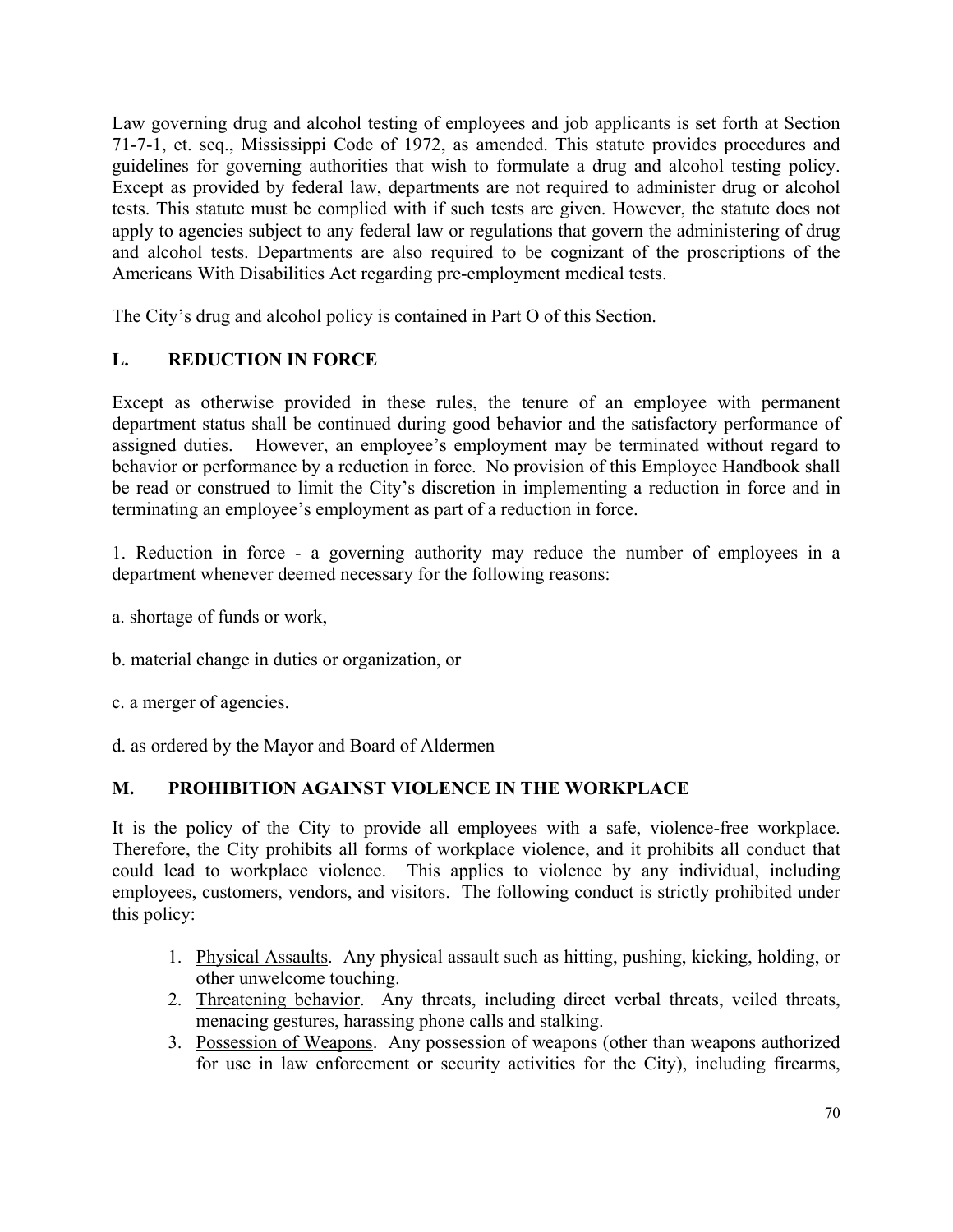Law governing drug and alcohol testing of employees and job applicants is set forth at Section 71-7-1, et. seq., Mississippi Code of 1972, as amended. This statute provides procedures and guidelines for governing authorities that wish to formulate a drug and alcohol testing policy. Except as provided by federal law, departments are not required to administer drug or alcohol tests. This statute must be complied with if such tests are given. However, the statute does not apply to agencies subject to any federal law or regulations that govern the administering of drug and alcohol tests. Departments are also required to be cognizant of the proscriptions of the Americans With Disabilities Act regarding pre-employment medical tests.

The City's drug and alcohol policy is contained in Part O of this Section.

# **L. REDUCTION IN FORCE**

Except as otherwise provided in these rules, the tenure of an employee with permanent department status shall be continued during good behavior and the satisfactory performance of assigned duties. However, an employee's employment may be terminated without regard to behavior or performance by a reduction in force. No provision of this Employee Handbook shall be read or construed to limit the City's discretion in implementing a reduction in force and in terminating an employee's employment as part of a reduction in force.

1. Reduction in force - a governing authority may reduce the number of employees in a department whenever deemed necessary for the following reasons:

a. shortage of funds or work,

b. material change in duties or organization, or

c. a merger of agencies.

d. as ordered by the Mayor and Board of Aldermen

### **M. PROHIBITION AGAINST VIOLENCE IN THE WORKPLACE**

It is the policy of the City to provide all employees with a safe, violence-free workplace. Therefore, the City prohibits all forms of workplace violence, and it prohibits all conduct that could lead to workplace violence. This applies to violence by any individual, including employees, customers, vendors, and visitors. The following conduct is strictly prohibited under this policy:

- 1. Physical Assaults. Any physical assault such as hitting, pushing, kicking, holding, or other unwelcome touching.
- 2. Threatening behavior. Any threats, including direct verbal threats, veiled threats, menacing gestures, harassing phone calls and stalking.
- 3. Possession of Weapons. Any possession of weapons (other than weapons authorized for use in law enforcement or security activities for the City), including firearms,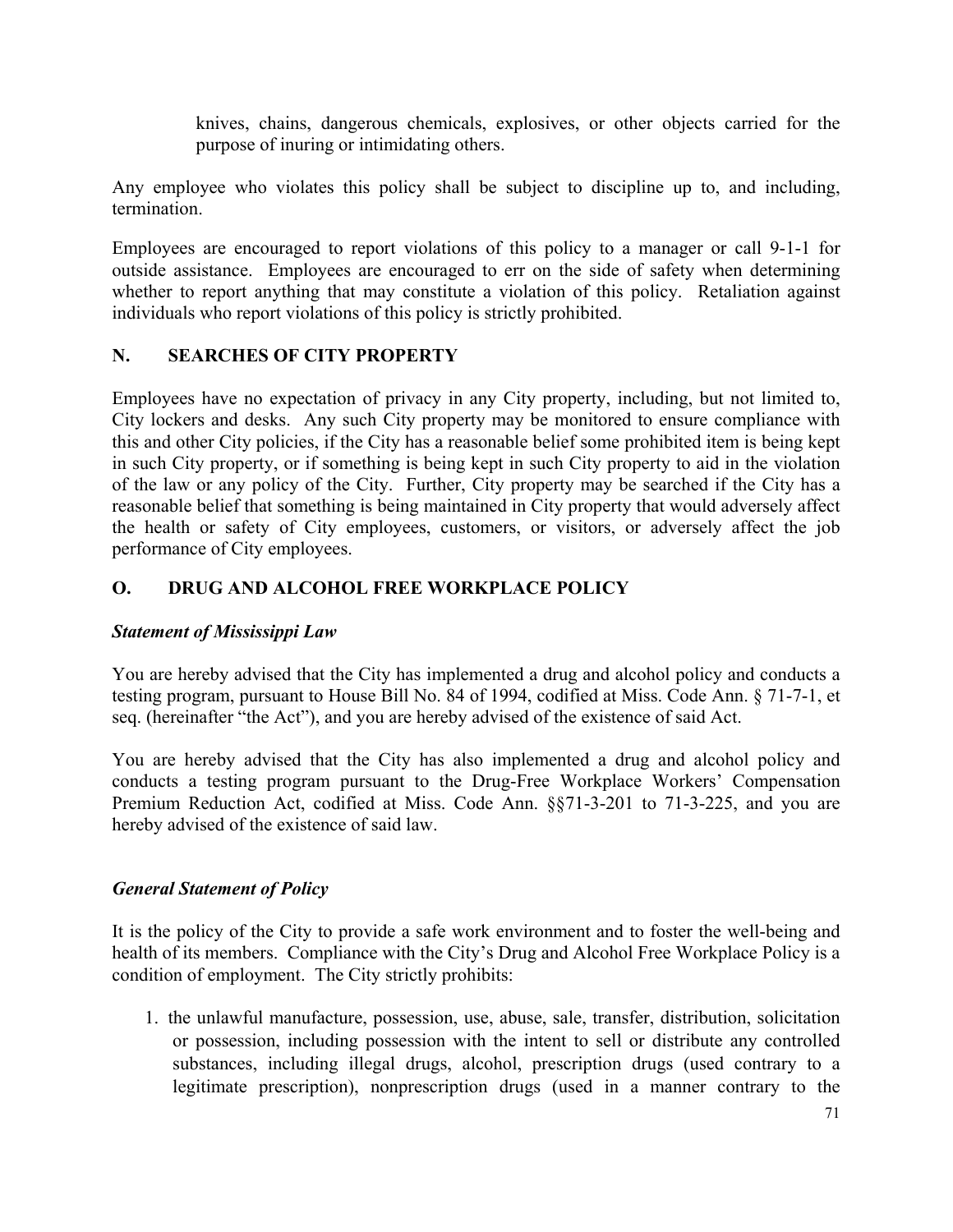knives, chains, dangerous chemicals, explosives, or other objects carried for the purpose of inuring or intimidating others.

Any employee who violates this policy shall be subject to discipline up to, and including, termination.

Employees are encouraged to report violations of this policy to a manager or call 9-1-1 for outside assistance. Employees are encouraged to err on the side of safety when determining whether to report anything that may constitute a violation of this policy. Retaliation against individuals who report violations of this policy is strictly prohibited.

# **N. SEARCHES OF CITY PROPERTY**

Employees have no expectation of privacy in any City property, including, but not limited to, City lockers and desks. Any such City property may be monitored to ensure compliance with this and other City policies, if the City has a reasonable belief some prohibited item is being kept in such City property, or if something is being kept in such City property to aid in the violation of the law or any policy of the City. Further, City property may be searched if the City has a reasonable belief that something is being maintained in City property that would adversely affect the health or safety of City employees, customers, or visitors, or adversely affect the job performance of City employees.

## **O. DRUG AND ALCOHOL FREE WORKPLACE POLICY**

### *Statement of Mississippi Law*

You are hereby advised that the City has implemented a drug and alcohol policy and conducts a testing program, pursuant to House Bill No. 84 of 1994, codified at Miss. Code Ann. § 71-7-1, et seq. (hereinafter "the Act"), and you are hereby advised of the existence of said Act.

You are hereby advised that the City has also implemented a drug and alcohol policy and conducts a testing program pursuant to the Drug-Free Workplace Workers' Compensation Premium Reduction Act, codified at Miss. Code Ann. §§71-3-201 to 71-3-225, and you are hereby advised of the existence of said law.

### *General Statement of Policy*

It is the policy of the City to provide a safe work environment and to foster the well-being and health of its members. Compliance with the City's Drug and Alcohol Free Workplace Policy is a condition of employment. The City strictly prohibits:

1. the unlawful manufacture, possession, use, abuse, sale, transfer, distribution, solicitation or possession, including possession with the intent to sell or distribute any controlled substances, including illegal drugs, alcohol, prescription drugs (used contrary to a legitimate prescription), nonprescription drugs (used in a manner contrary to the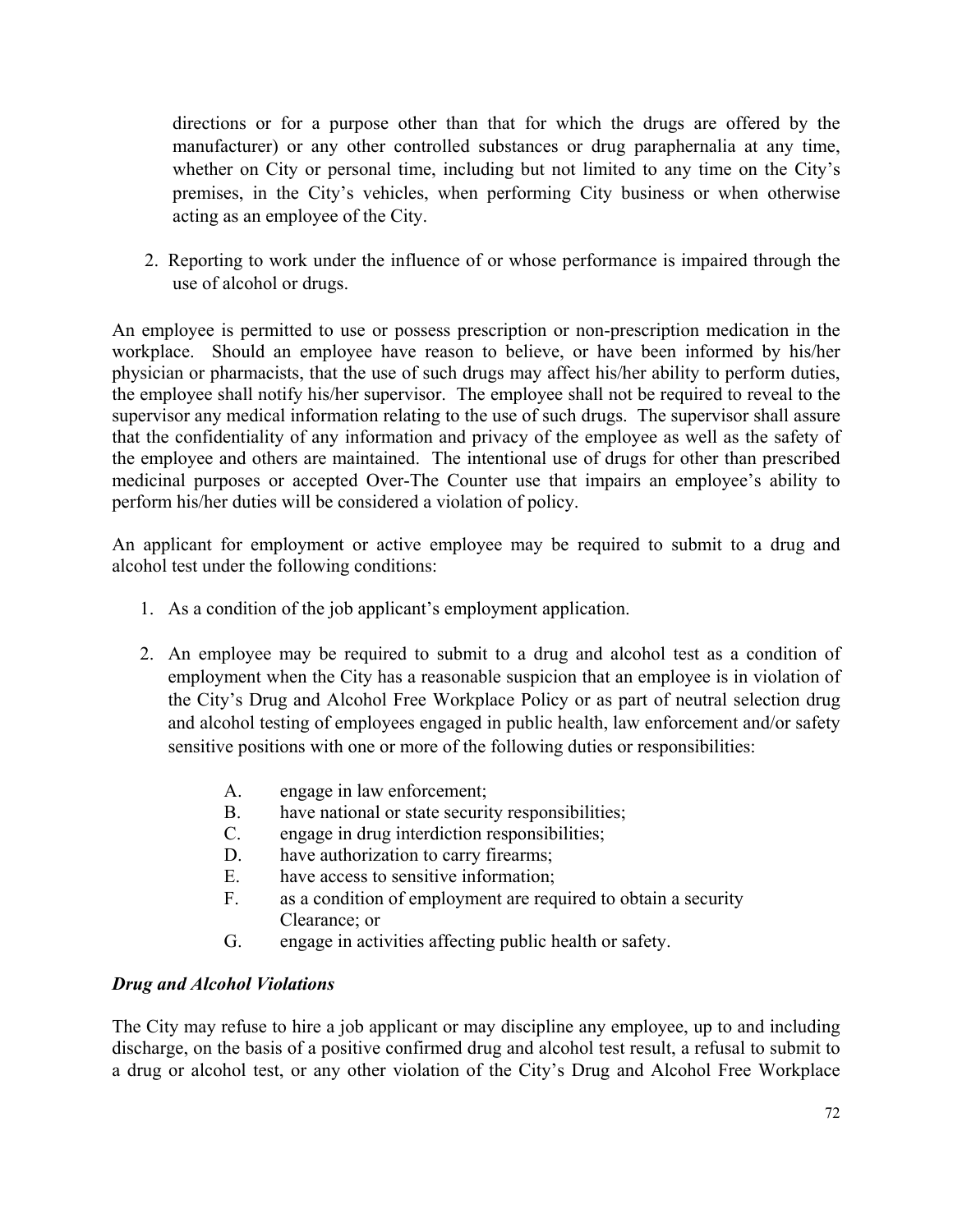directions or for a purpose other than that for which the drugs are offered by the manufacturer) or any other controlled substances or drug paraphernalia at any time, whether on City or personal time, including but not limited to any time on the City's premises, in the City's vehicles, when performing City business or when otherwise acting as an employee of the City.

2. Reporting to work under the influence of or whose performance is impaired through the use of alcohol or drugs.

An employee is permitted to use or possess prescription or non-prescription medication in the workplace. Should an employee have reason to believe, or have been informed by his/her physician or pharmacists, that the use of such drugs may affect his/her ability to perform duties, the employee shall notify his/her supervisor. The employee shall not be required to reveal to the supervisor any medical information relating to the use of such drugs. The supervisor shall assure that the confidentiality of any information and privacy of the employee as well as the safety of the employee and others are maintained. The intentional use of drugs for other than prescribed medicinal purposes or accepted Over-The Counter use that impairs an employee's ability to perform his/her duties will be considered a violation of policy.

An applicant for employment or active employee may be required to submit to a drug and alcohol test under the following conditions:

- 1. As a condition of the job applicant's employment application.
- 2. An employee may be required to submit to a drug and alcohol test as a condition of employment when the City has a reasonable suspicion that an employee is in violation of the City's Drug and Alcohol Free Workplace Policy or as part of neutral selection drug and alcohol testing of employees engaged in public health, law enforcement and/or safety sensitive positions with one or more of the following duties or responsibilities:
	- A. engage in law enforcement;
	- B. have national or state security responsibilities;
	- C. engage in drug interdiction responsibilities;
	- D. have authorization to carry firearms;
	- E. have access to sensitive information;
	- F. as a condition of employment are required to obtain a security Clearance; or
	- G. engage in activities affecting public health or safety.

### *Drug and Alcohol Violations*

The City may refuse to hire a job applicant or may discipline any employee, up to and including discharge, on the basis of a positive confirmed drug and alcohol test result, a refusal to submit to a drug or alcohol test, or any other violation of the City's Drug and Alcohol Free Workplace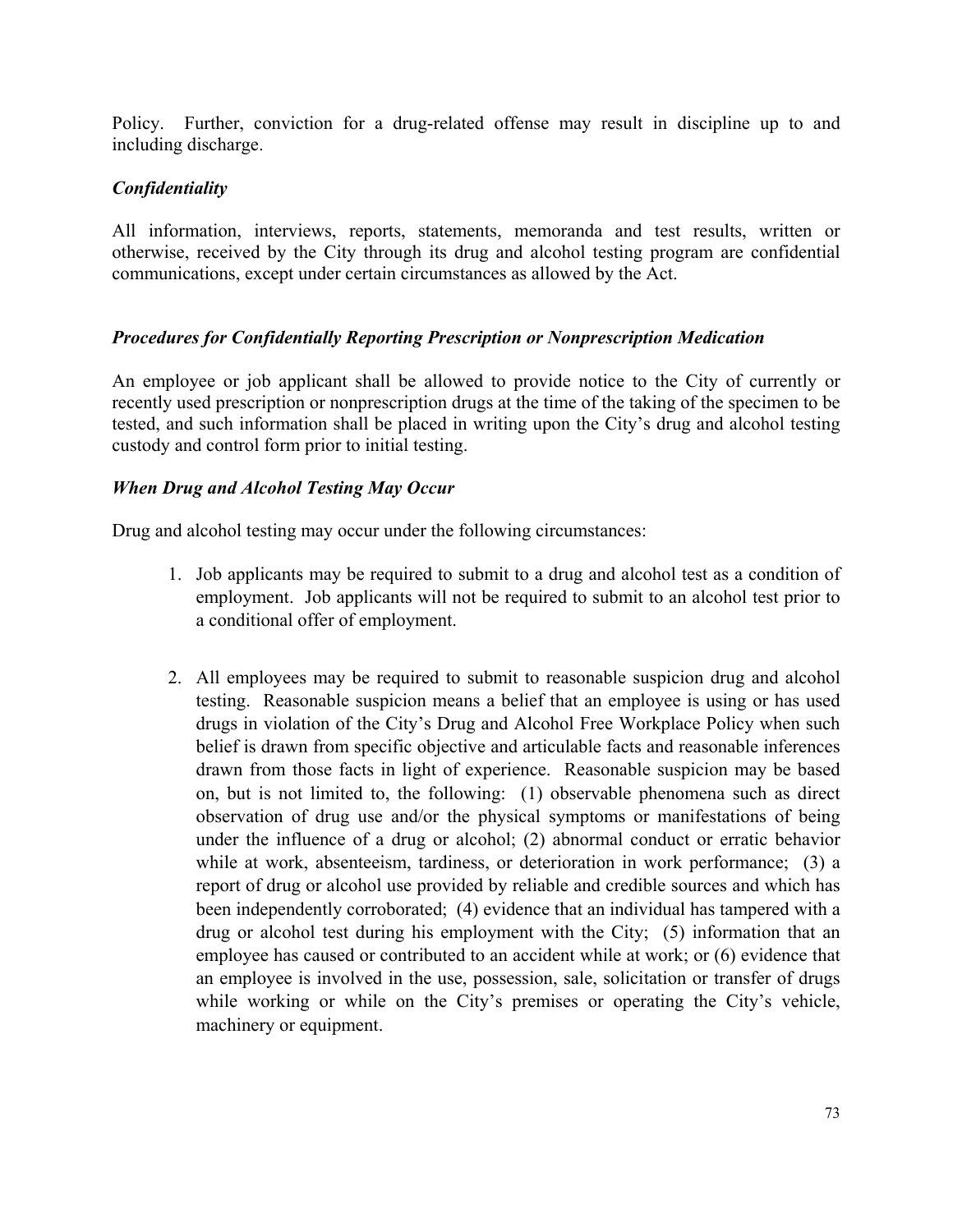Policy. Further, conviction for a drug-related offense may result in discipline up to and including discharge.

### *Confidentiality*

All information, interviews, reports, statements, memoranda and test results, written or otherwise, received by the City through its drug and alcohol testing program are confidential communications, except under certain circumstances as allowed by the Act.

### *Procedures for Confidentially Reporting Prescription or Nonprescription Medication*

An employee or job applicant shall be allowed to provide notice to the City of currently or recently used prescription or nonprescription drugs at the time of the taking of the specimen to be tested, and such information shall be placed in writing upon the City's drug and alcohol testing custody and control form prior to initial testing.

#### *When Drug and Alcohol Testing May Occur*

Drug and alcohol testing may occur under the following circumstances:

- 1. Job applicants may be required to submit to a drug and alcohol test as a condition of employment. Job applicants will not be required to submit to an alcohol test prior to a conditional offer of employment.
- 2. All employees may be required to submit to reasonable suspicion drug and alcohol testing. Reasonable suspicion means a belief that an employee is using or has used drugs in violation of the City's Drug and Alcohol Free Workplace Policy when such belief is drawn from specific objective and articulable facts and reasonable inferences drawn from those facts in light of experience. Reasonable suspicion may be based on, but is not limited to, the following: (1) observable phenomena such as direct observation of drug use and/or the physical symptoms or manifestations of being under the influence of a drug or alcohol; (2) abnormal conduct or erratic behavior while at work, absenteeism, tardiness, or deterioration in work performance; (3) a report of drug or alcohol use provided by reliable and credible sources and which has been independently corroborated; (4) evidence that an individual has tampered with a drug or alcohol test during his employment with the City; (5) information that an employee has caused or contributed to an accident while at work; or (6) evidence that an employee is involved in the use, possession, sale, solicitation or transfer of drugs while working or while on the City's premises or operating the City's vehicle, machinery or equipment.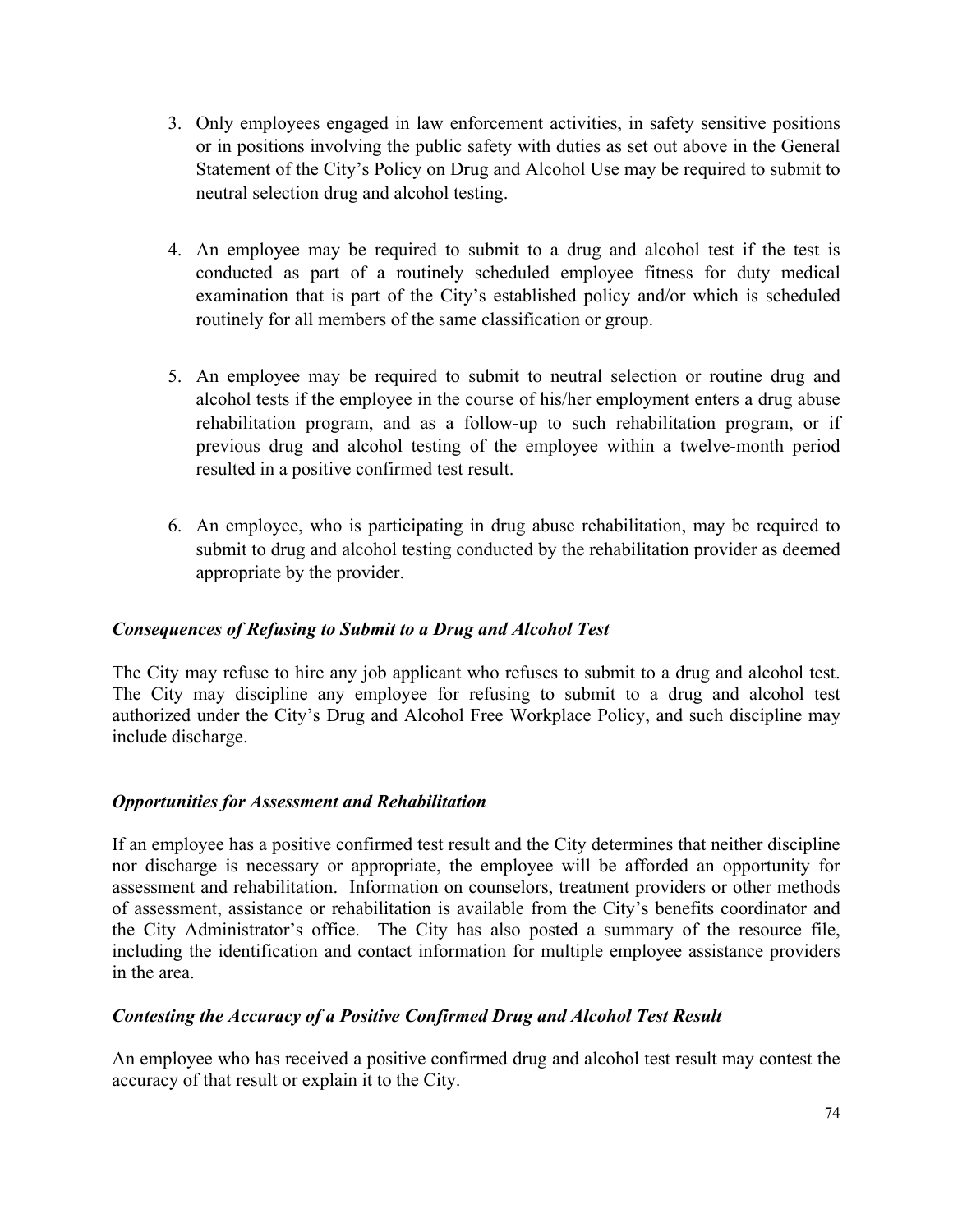- 3. Only employees engaged in law enforcement activities, in safety sensitive positions or in positions involving the public safety with duties as set out above in the General Statement of the City's Policy on Drug and Alcohol Use may be required to submit to neutral selection drug and alcohol testing.
- 4. An employee may be required to submit to a drug and alcohol test if the test is conducted as part of a routinely scheduled employee fitness for duty medical examination that is part of the City's established policy and/or which is scheduled routinely for all members of the same classification or group.
- 5. An employee may be required to submit to neutral selection or routine drug and alcohol tests if the employee in the course of his/her employment enters a drug abuse rehabilitation program, and as a follow-up to such rehabilitation program, or if previous drug and alcohol testing of the employee within a twelve-month period resulted in a positive confirmed test result.
- 6. An employee, who is participating in drug abuse rehabilitation, may be required to submit to drug and alcohol testing conducted by the rehabilitation provider as deemed appropriate by the provider.

### *Consequences of Refusing to Submit to a Drug and Alcohol Test*

The City may refuse to hire any job applicant who refuses to submit to a drug and alcohol test. The City may discipline any employee for refusing to submit to a drug and alcohol test authorized under the City's Drug and Alcohol Free Workplace Policy, and such discipline may include discharge.

# *Opportunities for Assessment and Rehabilitation*

If an employee has a positive confirmed test result and the City determines that neither discipline nor discharge is necessary or appropriate, the employee will be afforded an opportunity for assessment and rehabilitation. Information on counselors, treatment providers or other methods of assessment, assistance or rehabilitation is available from the City's benefits coordinator and the City Administrator's office. The City has also posted a summary of the resource file, including the identification and contact information for multiple employee assistance providers in the area.

### *Contesting the Accuracy of a Positive Confirmed Drug and Alcohol Test Result*

An employee who has received a positive confirmed drug and alcohol test result may contest the accuracy of that result or explain it to the City.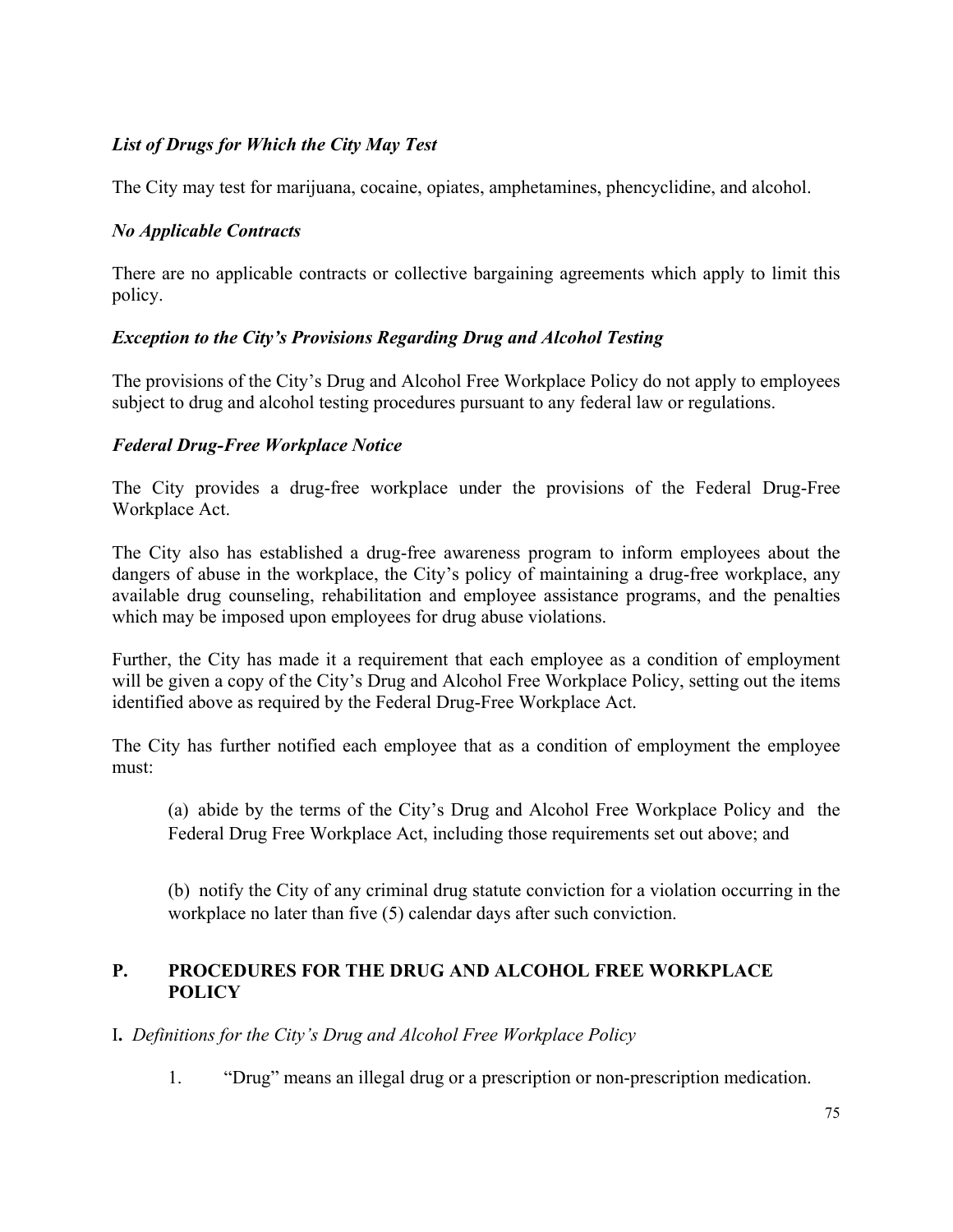## *List of Drugs for Which the City May Test*

The City may test for marijuana, cocaine, opiates, amphetamines, phencyclidine, and alcohol.

#### *No Applicable Contracts*

There are no applicable contracts or collective bargaining agreements which apply to limit this policy.

### *Exception to the City's Provisions Regarding Drug and Alcohol Testing*

The provisions of the City's Drug and Alcohol Free Workplace Policy do not apply to employees subject to drug and alcohol testing procedures pursuant to any federal law or regulations.

#### *Federal Drug-Free Workplace Notice*

The City provides a drug-free workplace under the provisions of the Federal Drug-Free Workplace Act.

The City also has established a drug-free awareness program to inform employees about the dangers of abuse in the workplace, the City's policy of maintaining a drug-free workplace, any available drug counseling, rehabilitation and employee assistance programs, and the penalties which may be imposed upon employees for drug abuse violations.

Further, the City has made it a requirement that each employee as a condition of employment will be given a copy of the City's Drug and Alcohol Free Workplace Policy, setting out the items identified above as required by the Federal Drug-Free Workplace Act.

The City has further notified each employee that as a condition of employment the employee must:

(a) abide by the terms of the City's Drug and Alcohol Free Workplace Policy and the Federal Drug Free Workplace Act, including those requirements set out above; and

(b) notify the City of any criminal drug statute conviction for a violation occurring in the workplace no later than five (5) calendar days after such conviction.

## **P. PROCEDURES FOR THE DRUG AND ALCOHOL FREE WORKPLACE POLICY**

### I**.** *Definitions for the City's Drug and Alcohol Free Workplace Policy*

1. "Drug" means an illegal drug or a prescription or non-prescription medication.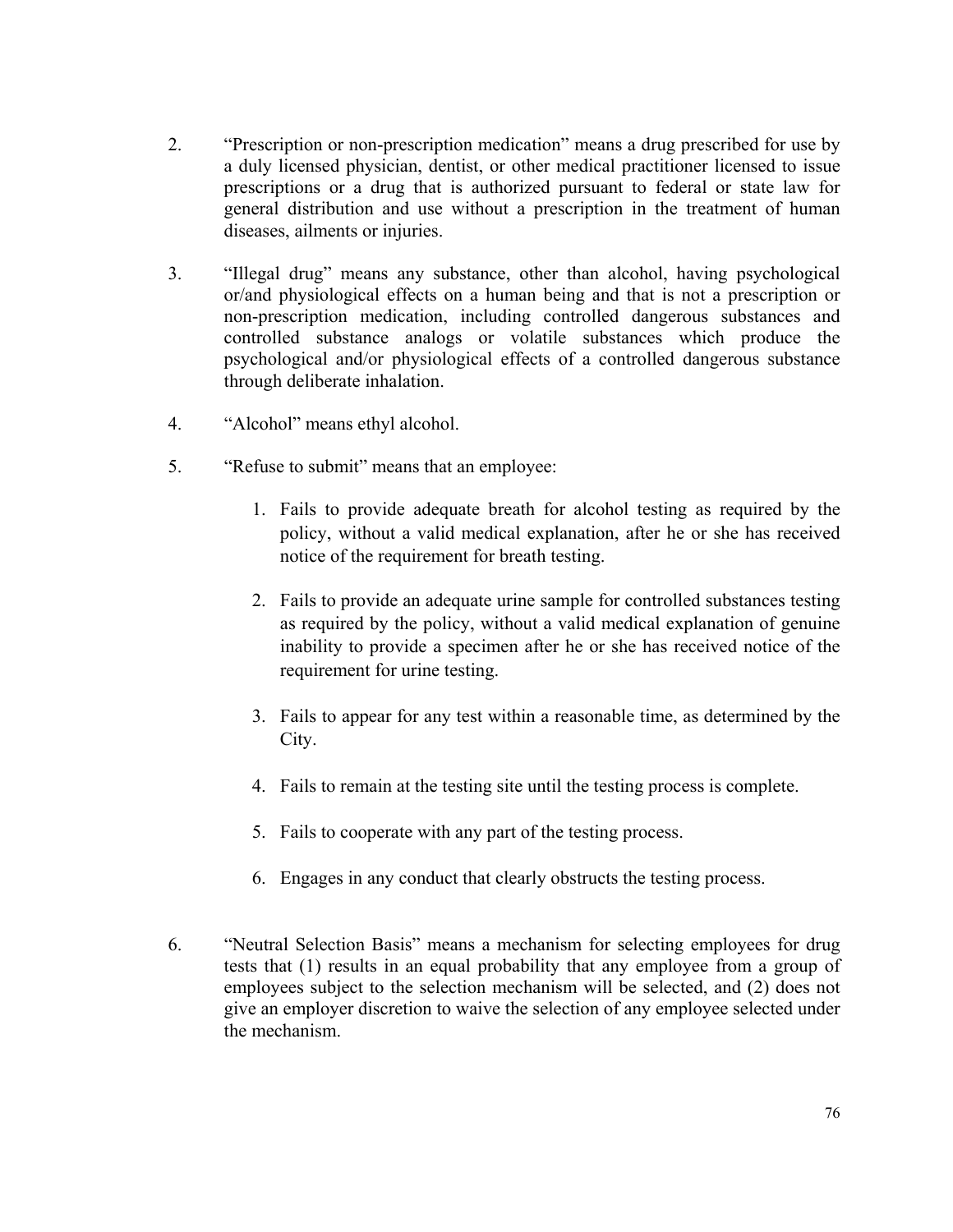- 2. "Prescription or non-prescription medication" means a drug prescribed for use by a duly licensed physician, dentist, or other medical practitioner licensed to issue prescriptions or a drug that is authorized pursuant to federal or state law for general distribution and use without a prescription in the treatment of human diseases, ailments or injuries.
- 3. "Illegal drug" means any substance, other than alcohol, having psychological or/and physiological effects on a human being and that is not a prescription or non-prescription medication, including controlled dangerous substances and controlled substance analogs or volatile substances which produce the psychological and/or physiological effects of a controlled dangerous substance through deliberate inhalation.
- 4. "Alcohol" means ethyl alcohol.
- 5. "Refuse to submit" means that an employee:
	- 1. Fails to provide adequate breath for alcohol testing as required by the policy, without a valid medical explanation, after he or she has received notice of the requirement for breath testing.
	- 2. Fails to provide an adequate urine sample for controlled substances testing as required by the policy, without a valid medical explanation of genuine inability to provide a specimen after he or she has received notice of the requirement for urine testing.
	- 3. Fails to appear for any test within a reasonable time, as determined by the City.
	- 4. Fails to remain at the testing site until the testing process is complete.
	- 5. Fails to cooperate with any part of the testing process.
	- 6. Engages in any conduct that clearly obstructs the testing process.
- 6. "Neutral Selection Basis" means a mechanism for selecting employees for drug tests that (1) results in an equal probability that any employee from a group of employees subject to the selection mechanism will be selected, and (2) does not give an employer discretion to waive the selection of any employee selected under the mechanism.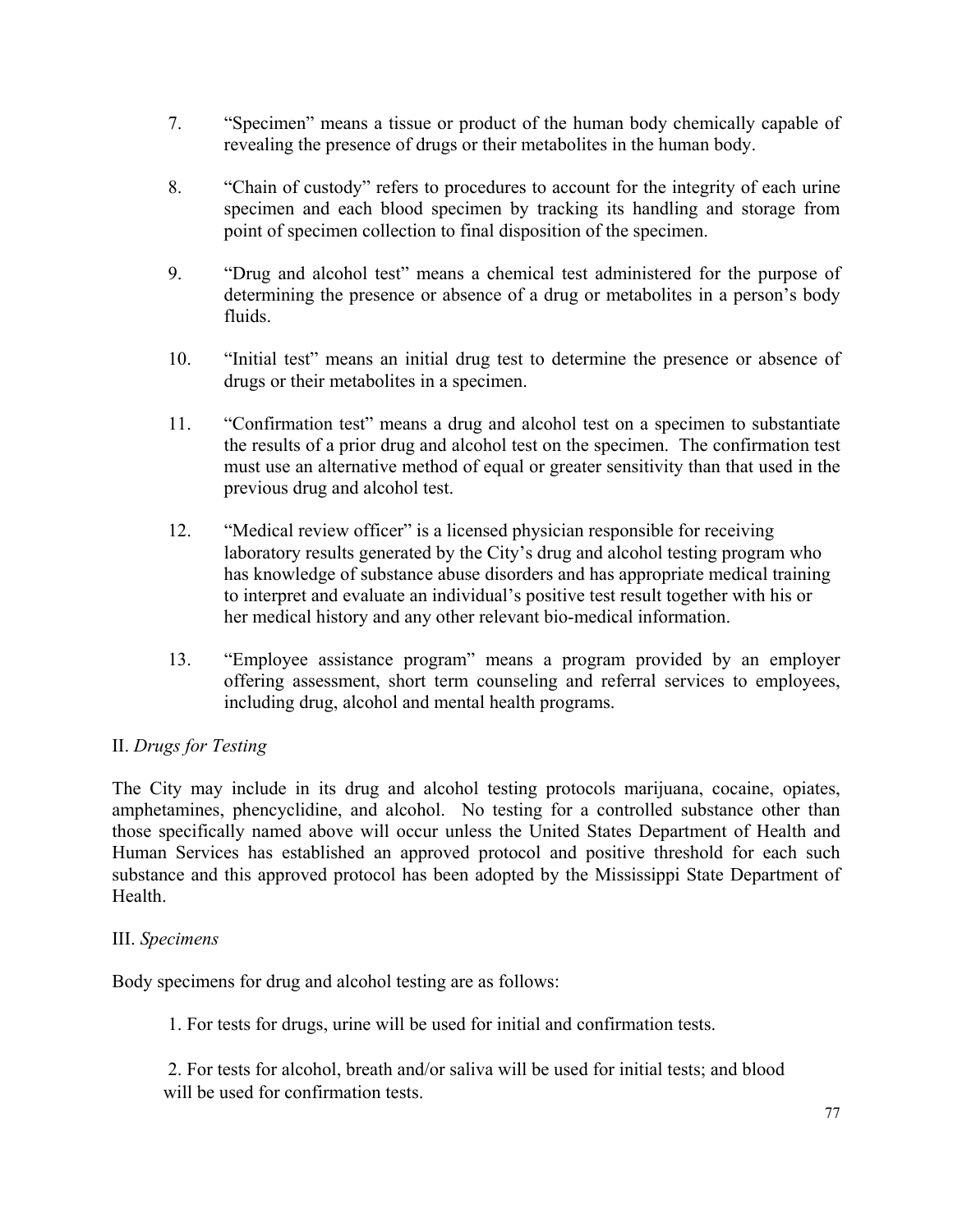- 7. "Specimen" means a tissue or product of the human body chemically capable of revealing the presence of drugs or their metabolites in the human body.
- 8. "Chain of custody" refers to procedures to account for the integrity of each urine specimen and each blood specimen by tracking its handling and storage from point of specimen collection to final disposition of the specimen.
- 9. "Drug and alcohol test" means a chemical test administered for the purpose of determining the presence or absence of a drug or metabolites in a person's body fluids.
- 10. "Initial test" means an initial drug test to determine the presence or absence of drugs or their metabolites in a specimen.
- 11. "Confirmation test" means a drug and alcohol test on a specimen to substantiate the results of a prior drug and alcohol test on the specimen. The confirmation test must use an alternative method of equal or greater sensitivity than that used in the previous drug and alcohol test.
- 12. "Medical review officer" is a licensed physician responsible for receiving laboratory results generated by the City's drug and alcohol testing program who has knowledge of substance abuse disorders and has appropriate medical training to interpret and evaluate an individual's positive test result together with his or her medical history and any other relevant bio-medical information.
- 13. "Employee assistance program" means a program provided by an employer offering assessment, short term counseling and referral services to employees, including drug, alcohol and mental health programs.

# II. *Drugs for Testing*

The City may include in its drug and alcohol testing protocols marijuana, cocaine, opiates, amphetamines, phencyclidine, and alcohol. No testing for a controlled substance other than those specifically named above will occur unless the United States Department of Health and Human Services has established an approved protocol and positive threshold for each such substance and this approved protocol has been adopted by the Mississippi State Department of Health.

### III. *Specimens*

Body specimens for drug and alcohol testing are as follows:

1. For tests for drugs, urine will be used for initial and confirmation tests.

2. For tests for alcohol, breath and/or saliva will be used for initial tests; and blood will be used for confirmation tests.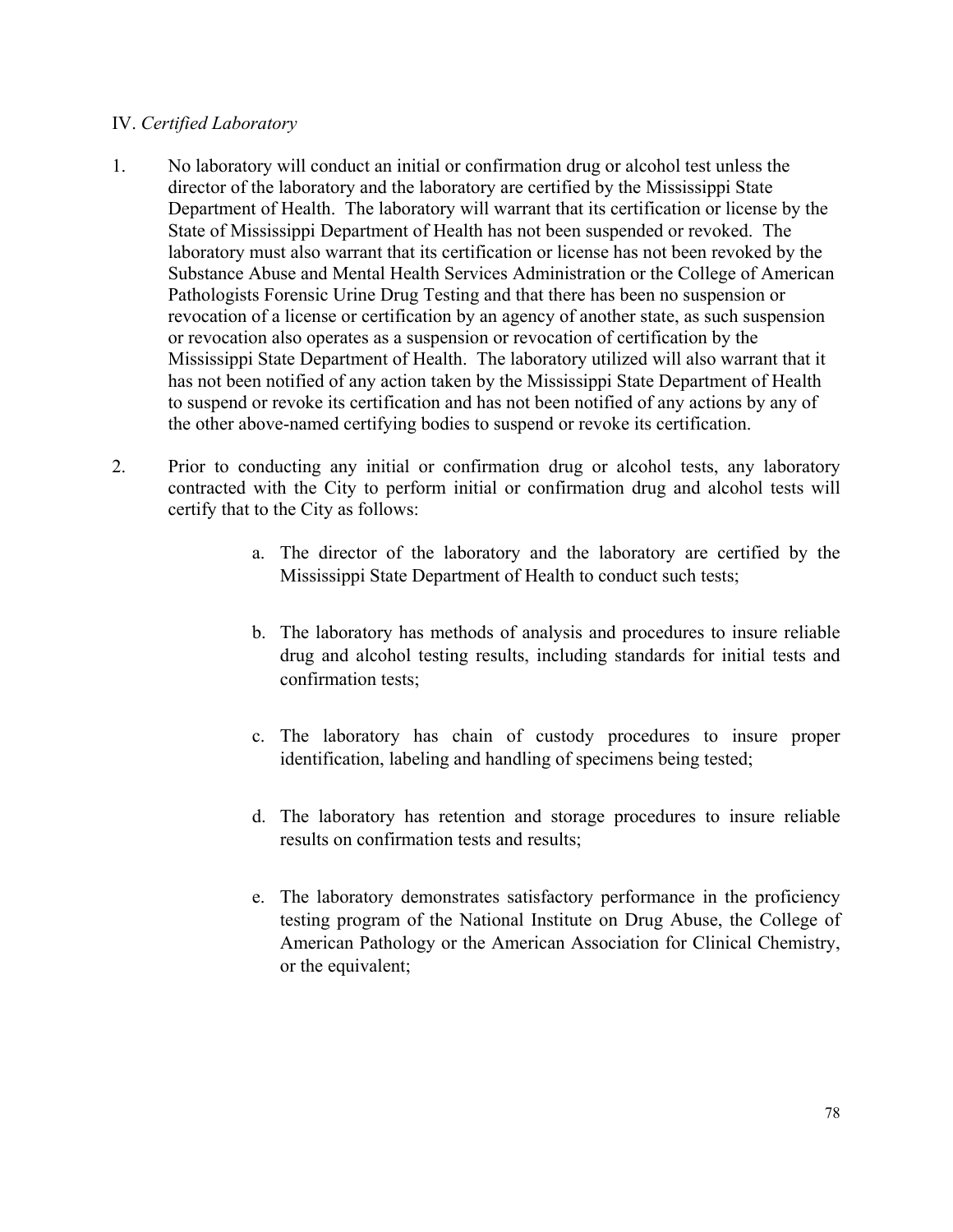#### IV. *Certified Laboratory*

- 1. No laboratory will conduct an initial or confirmation drug or alcohol test unless the director of the laboratory and the laboratory are certified by the Mississippi State Department of Health. The laboratory will warrant that its certification or license by the State of Mississippi Department of Health has not been suspended or revoked. The laboratory must also warrant that its certification or license has not been revoked by the Substance Abuse and Mental Health Services Administration or the College of American Pathologists Forensic Urine Drug Testing and that there has been no suspension or revocation of a license or certification by an agency of another state, as such suspension or revocation also operates as a suspension or revocation of certification by the Mississippi State Department of Health. The laboratory utilized will also warrant that it has not been notified of any action taken by the Mississippi State Department of Health to suspend or revoke its certification and has not been notified of any actions by any of the other above-named certifying bodies to suspend or revoke its certification.
- 2. Prior to conducting any initial or confirmation drug or alcohol tests, any laboratory contracted with the City to perform initial or confirmation drug and alcohol tests will certify that to the City as follows:
	- a. The director of the laboratory and the laboratory are certified by the Mississippi State Department of Health to conduct such tests;
	- b. The laboratory has methods of analysis and procedures to insure reliable drug and alcohol testing results, including standards for initial tests and confirmation tests;
	- c. The laboratory has chain of custody procedures to insure proper identification, labeling and handling of specimens being tested;
	- d. The laboratory has retention and storage procedures to insure reliable results on confirmation tests and results;
	- e. The laboratory demonstrates satisfactory performance in the proficiency testing program of the National Institute on Drug Abuse, the College of American Pathology or the American Association for Clinical Chemistry, or the equivalent;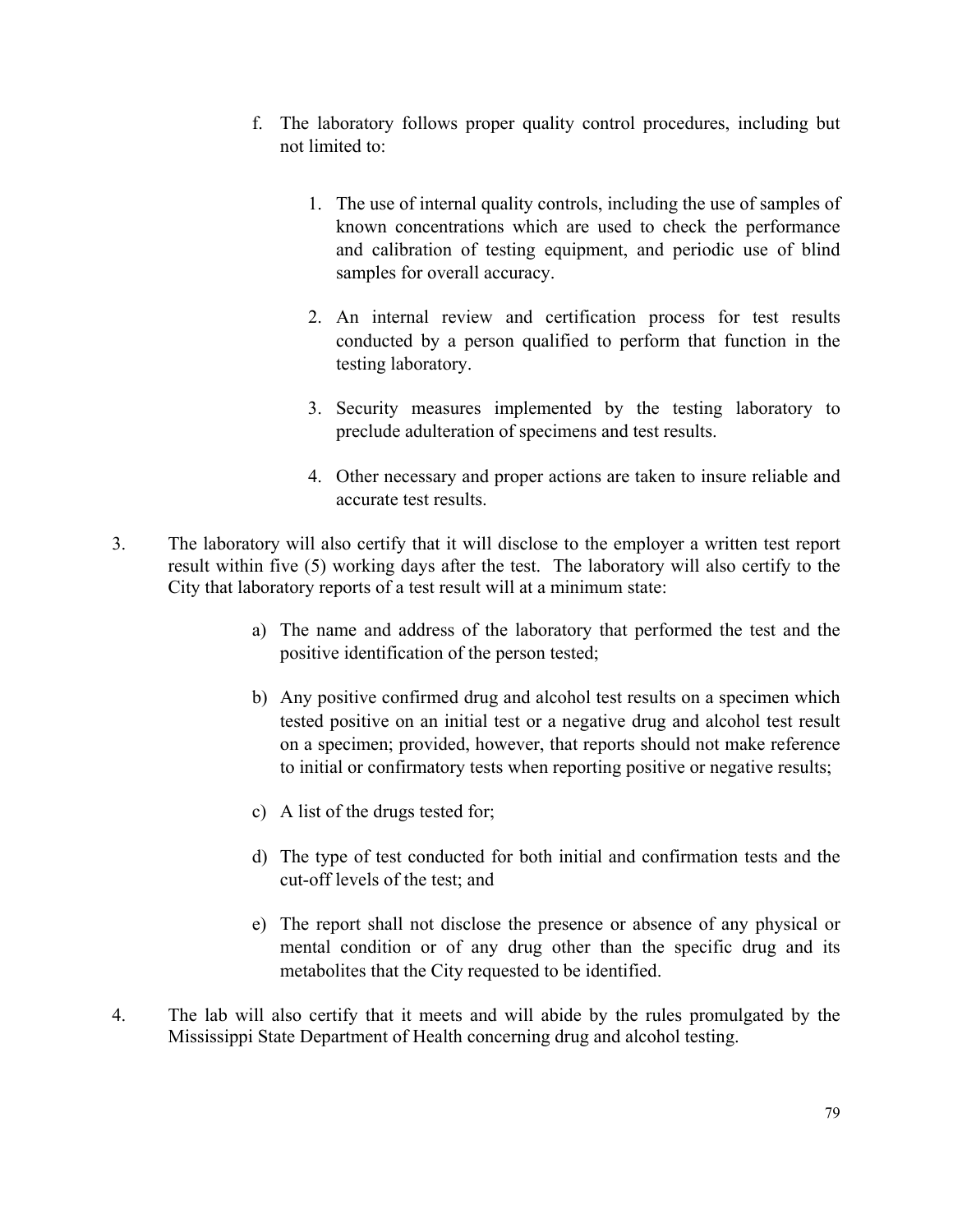- f. The laboratory follows proper quality control procedures, including but not limited to:
	- 1. The use of internal quality controls, including the use of samples of known concentrations which are used to check the performance and calibration of testing equipment, and periodic use of blind samples for overall accuracy.
	- 2. An internal review and certification process for test results conducted by a person qualified to perform that function in the testing laboratory.
	- 3. Security measures implemented by the testing laboratory to preclude adulteration of specimens and test results.
	- 4. Other necessary and proper actions are taken to insure reliable and accurate test results.
- 3. The laboratory will also certify that it will disclose to the employer a written test report result within five (5) working days after the test. The laboratory will also certify to the City that laboratory reports of a test result will at a minimum state:
	- a) The name and address of the laboratory that performed the test and the positive identification of the person tested;
	- b) Any positive confirmed drug and alcohol test results on a specimen which tested positive on an initial test or a negative drug and alcohol test result on a specimen; provided, however, that reports should not make reference to initial or confirmatory tests when reporting positive or negative results;
	- c) A list of the drugs tested for;
	- d) The type of test conducted for both initial and confirmation tests and the cut-off levels of the test; and
	- e) The report shall not disclose the presence or absence of any physical or mental condition or of any drug other than the specific drug and its metabolites that the City requested to be identified.
- 4. The lab will also certify that it meets and will abide by the rules promulgated by the Mississippi State Department of Health concerning drug and alcohol testing.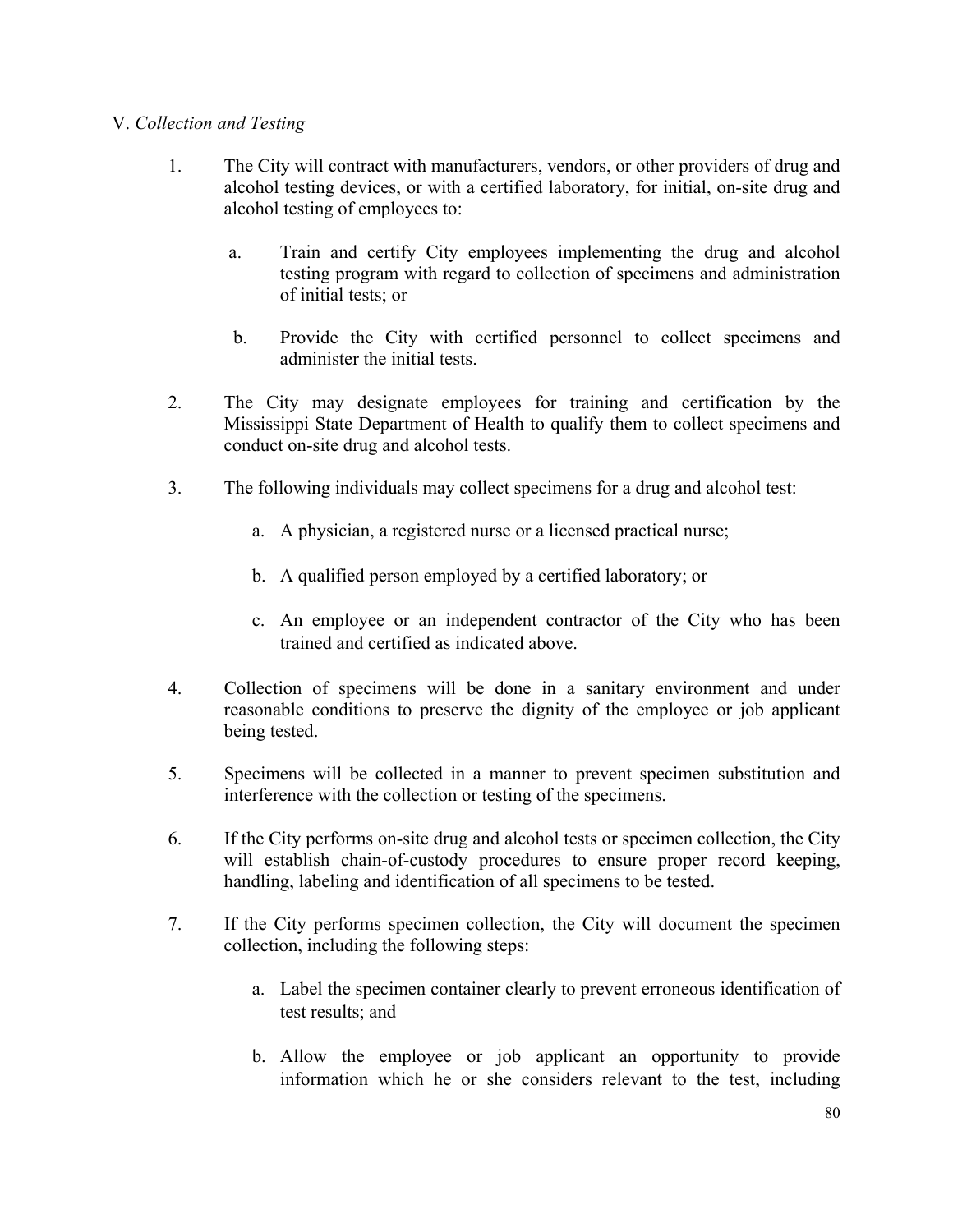#### V. *Collection and Testing*

- 1. The City will contract with manufacturers, vendors, or other providers of drug and alcohol testing devices, or with a certified laboratory, for initial, on-site drug and alcohol testing of employees to:
	- a. Train and certify City employees implementing the drug and alcohol testing program with regard to collection of specimens and administration of initial tests; or
	- b. Provide the City with certified personnel to collect specimens and administer the initial tests.
- 2. The City may designate employees for training and certification by the Mississippi State Department of Health to qualify them to collect specimens and conduct on-site drug and alcohol tests.
- 3. The following individuals may collect specimens for a drug and alcohol test:
	- a. A physician, a registered nurse or a licensed practical nurse;
	- b. A qualified person employed by a certified laboratory; or
	- c. An employee or an independent contractor of the City who has been trained and certified as indicated above.
- 4. Collection of specimens will be done in a sanitary environment and under reasonable conditions to preserve the dignity of the employee or job applicant being tested.
- 5. Specimens will be collected in a manner to prevent specimen substitution and interference with the collection or testing of the specimens.
- 6. If the City performs on-site drug and alcohol tests or specimen collection, the City will establish chain-of-custody procedures to ensure proper record keeping, handling, labeling and identification of all specimens to be tested.
- 7. If the City performs specimen collection, the City will document the specimen collection, including the following steps:
	- a. Label the specimen container clearly to prevent erroneous identification of test results; and
	- b. Allow the employee or job applicant an opportunity to provide information which he or she considers relevant to the test, including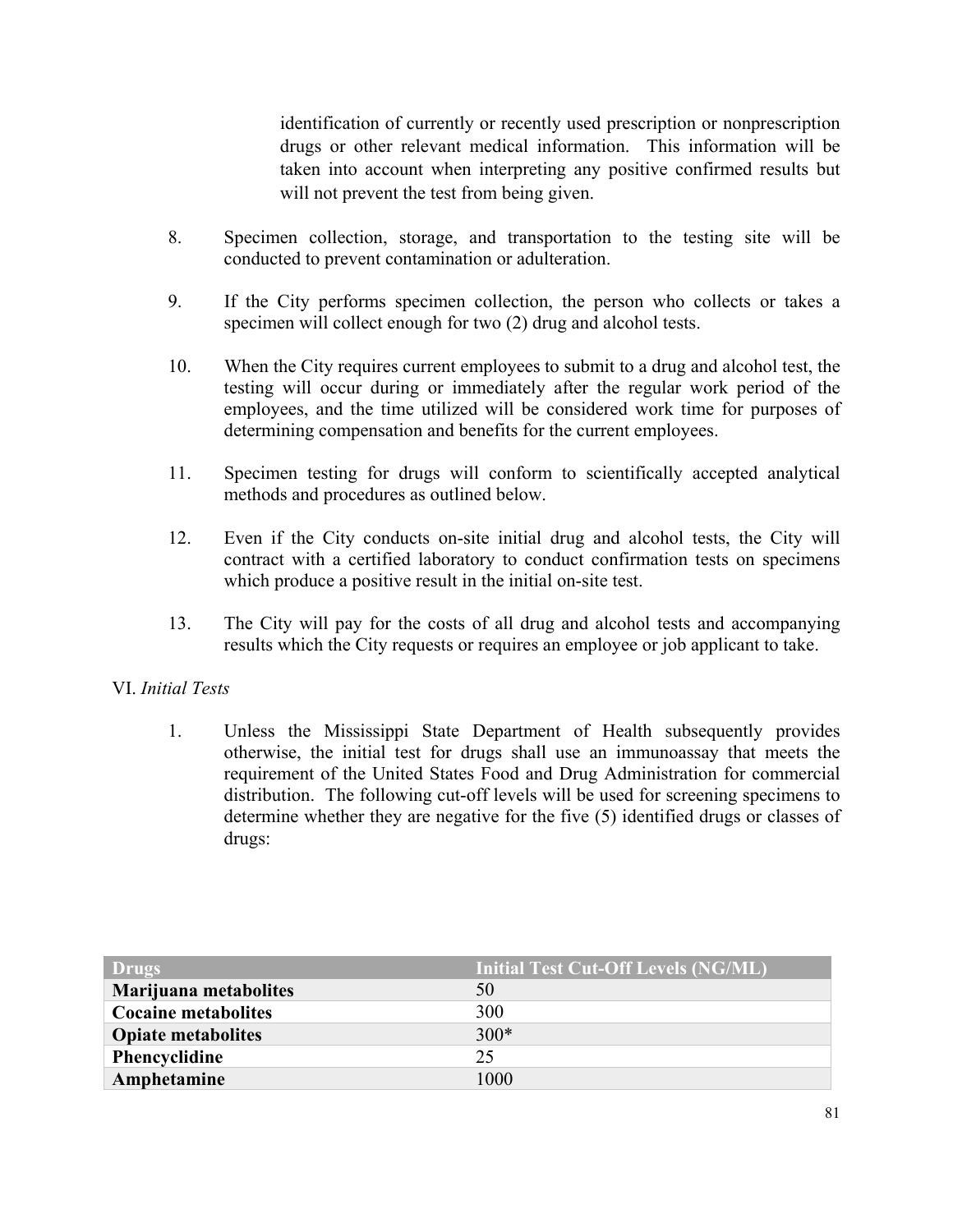identification of currently or recently used prescription or nonprescription drugs or other relevant medical information. This information will be taken into account when interpreting any positive confirmed results but will not prevent the test from being given.

- 8. Specimen collection, storage, and transportation to the testing site will be conducted to prevent contamination or adulteration.
- 9. If the City performs specimen collection, the person who collects or takes a specimen will collect enough for two (2) drug and alcohol tests.
- 10. When the City requires current employees to submit to a drug and alcohol test, the testing will occur during or immediately after the regular work period of the employees, and the time utilized will be considered work time for purposes of determining compensation and benefits for the current employees.
- 11. Specimen testing for drugs will conform to scientifically accepted analytical methods and procedures as outlined below.
- 12. Even if the City conducts on-site initial drug and alcohol tests, the City will contract with a certified laboratory to conduct confirmation tests on specimens which produce a positive result in the initial on-site test.
- 13. The City will pay for the costs of all drug and alcohol tests and accompanying results which the City requests or requires an employee or job applicant to take.

### VI. *Initial Tests*

1. Unless the Mississippi State Department of Health subsequently provides otherwise, the initial test for drugs shall use an immunoassay that meets the requirement of the United States Food and Drug Administration for commercial distribution. The following cut-off levels will be used for screening specimens to determine whether they are negative for the five (5) identified drugs or classes of drugs:

| <b>Drugs</b>               | Initial Test Cut-Off Levels (NG/ML) |
|----------------------------|-------------------------------------|
| Marijuana metabolites      | 50                                  |
| <b>Cocaine metabolites</b> | 300                                 |
| <b>Opiate metabolites</b>  | $300*$                              |
| Phencyclidine              | 25                                  |
| Amphetamine                | 1000                                |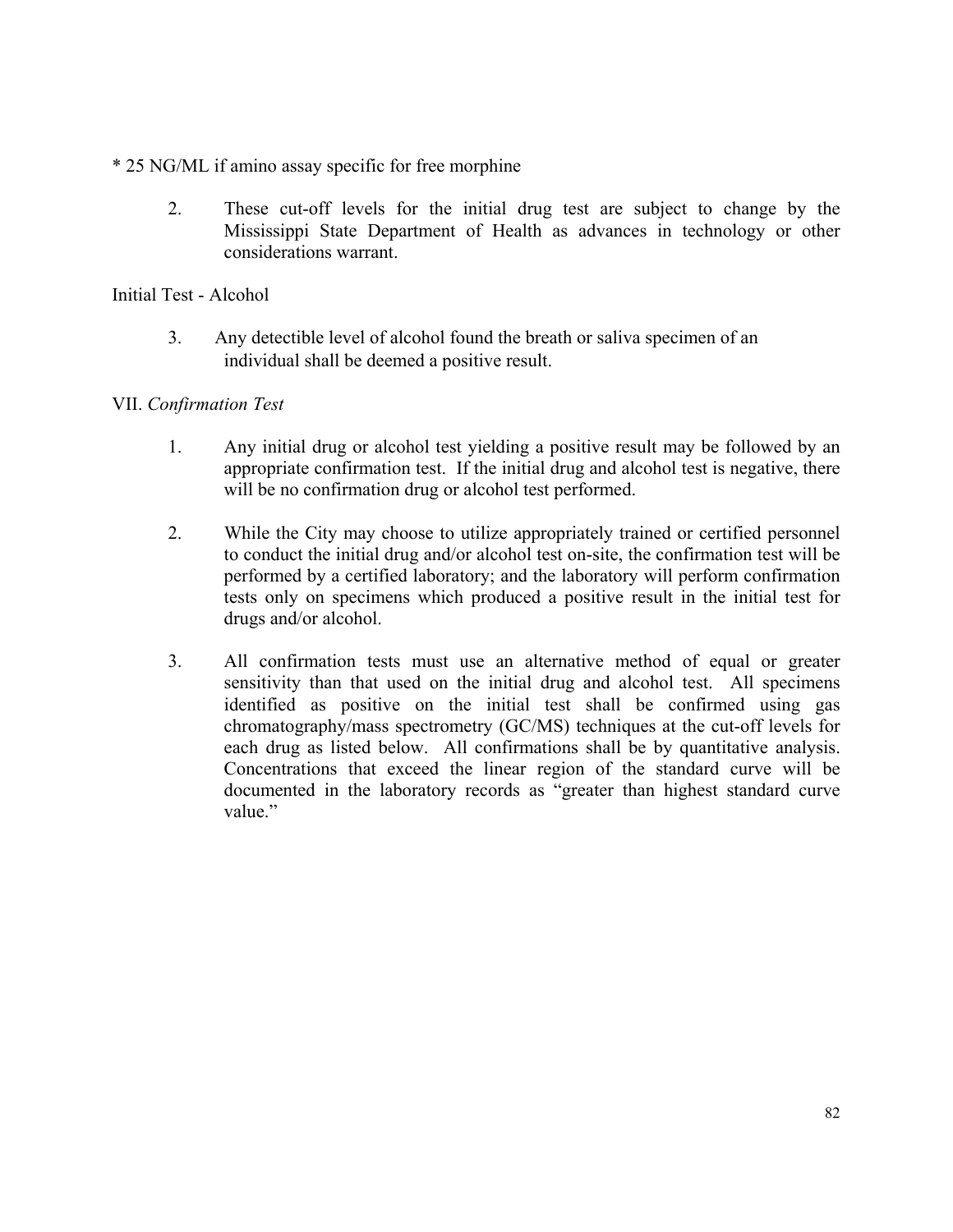- \* 25 NG/ML if amino assay specific for free morphine
	- 2. These cut-off levels for the initial drug test are subject to change by the Mississippi State Department of Health as advances in technology or other considerations warrant.

#### Initial Test - Alcohol

3. Any detectible level of alcohol found the breath or saliva specimen of an individual shall be deemed a positive result.

#### VII. *Confirmation Test*

- 1. Any initial drug or alcohol test yielding a positive result may be followed by an appropriate confirmation test. If the initial drug and alcohol test is negative, there will be no confirmation drug or alcohol test performed.
- 2. While the City may choose to utilize appropriately trained or certified personnel to conduct the initial drug and/or alcohol test on-site, the confirmation test will be performed by a certified laboratory; and the laboratory will perform confirmation tests only on specimens which produced a positive result in the initial test for drugs and/or alcohol.
- 3. All confirmation tests must use an alternative method of equal or greater sensitivity than that used on the initial drug and alcohol test. All specimens identified as positive on the initial test shall be confirmed using gas chromatography/mass spectrometry (GC/MS) techniques at the cut-off levels for each drug as listed below. All confirmations shall be by quantitative analysis. Concentrations that exceed the linear region of the standard curve will be documented in the laboratory records as "greater than highest standard curve value."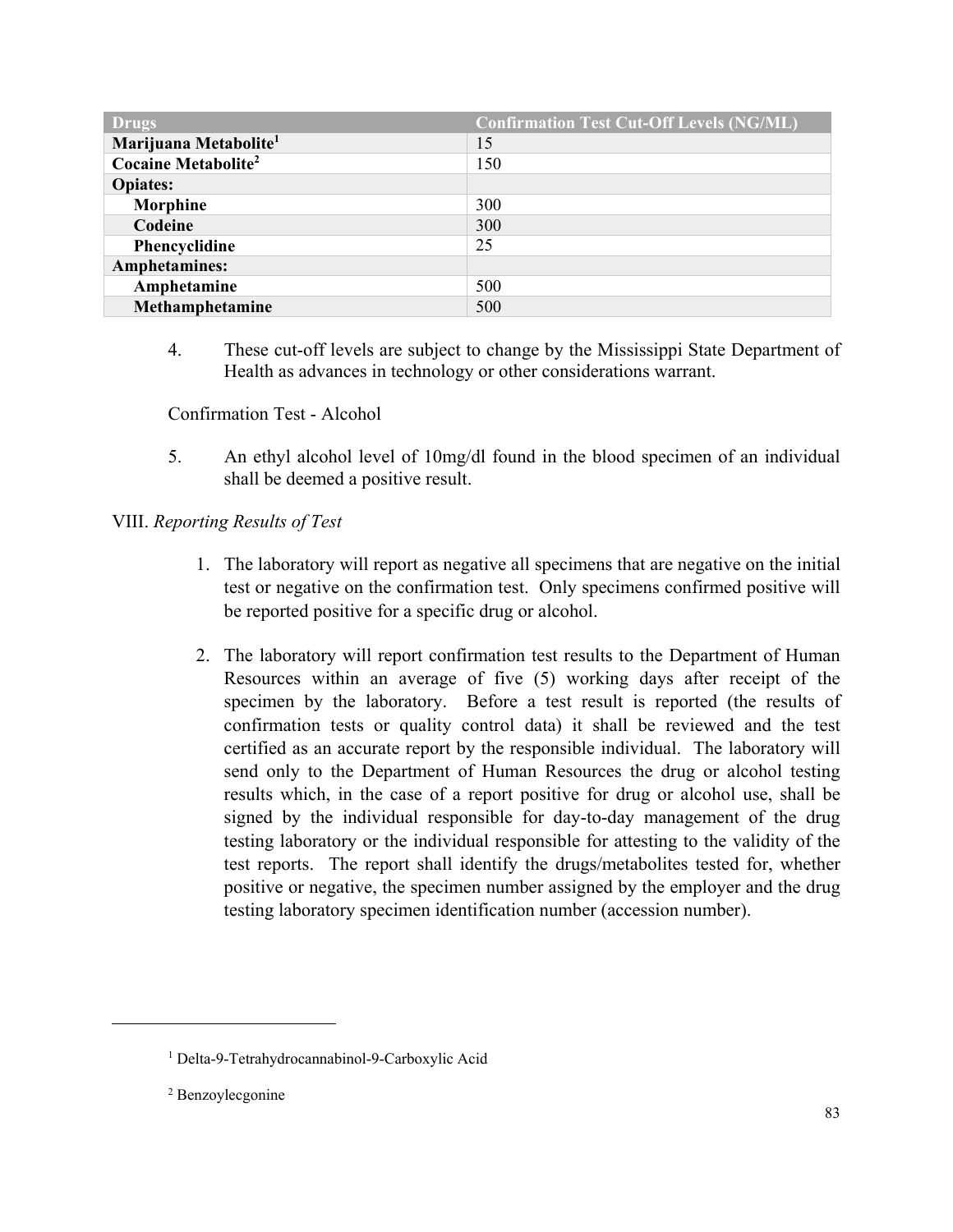| <b>Drugs</b>                          | <b>Confirmation Test Cut-Off Levels (NG/ML)</b> |
|---------------------------------------|-------------------------------------------------|
| Marijuana Metabolite <sup>1</sup>     | 15                                              |
| <b>Cocaine Metabolite<sup>2</sup></b> | 150                                             |
| <b>Opiates:</b>                       |                                                 |
| Morphine                              | 300                                             |
| Codeine                               | 300                                             |
| Phencyclidine                         | 25                                              |
| Amphetamines:                         |                                                 |
| Amphetamine                           | 500                                             |
| Methamphetamine                       | 500                                             |

4. These cut-off levels are subject to change by the Mississippi State Department of Health as advances in technology or other considerations warrant.

Confirmation Test - Alcohol

5. An ethyl alcohol level of 10mg/dl found in the blood specimen of an individual shall be deemed a positive result.

VIII. *Reporting Results of Test*

- 1. The laboratory will report as negative all specimens that are negative on the initial test or negative on the confirmation test. Only specimens confirmed positive will be reported positive for a specific drug or alcohol.
- 2. The laboratory will report confirmation test results to the Department of Human Resources within an average of five (5) working days after receipt of the specimen by the laboratory. Before a test result is reported (the results of confirmation tests or quality control data) it shall be reviewed and the test certified as an accurate report by the responsible individual. The laboratory will send only to the Department of Human Resources the drug or alcohol testing results which, in the case of a report positive for drug or alcohol use, shall be signed by the individual responsible for day-to-day management of the drug testing laboratory or the individual responsible for attesting to the validity of the test reports. The report shall identify the drugs/metabolites tested for, whether positive or negative, the specimen number assigned by the employer and the drug testing laboratory specimen identification number (accession number).

 $\overline{\phantom{a}}$ 

<sup>1</sup> Delta-9-Tetrahydrocannabinol-9-Carboxylic Acid

<sup>2</sup> Benzoylecgonine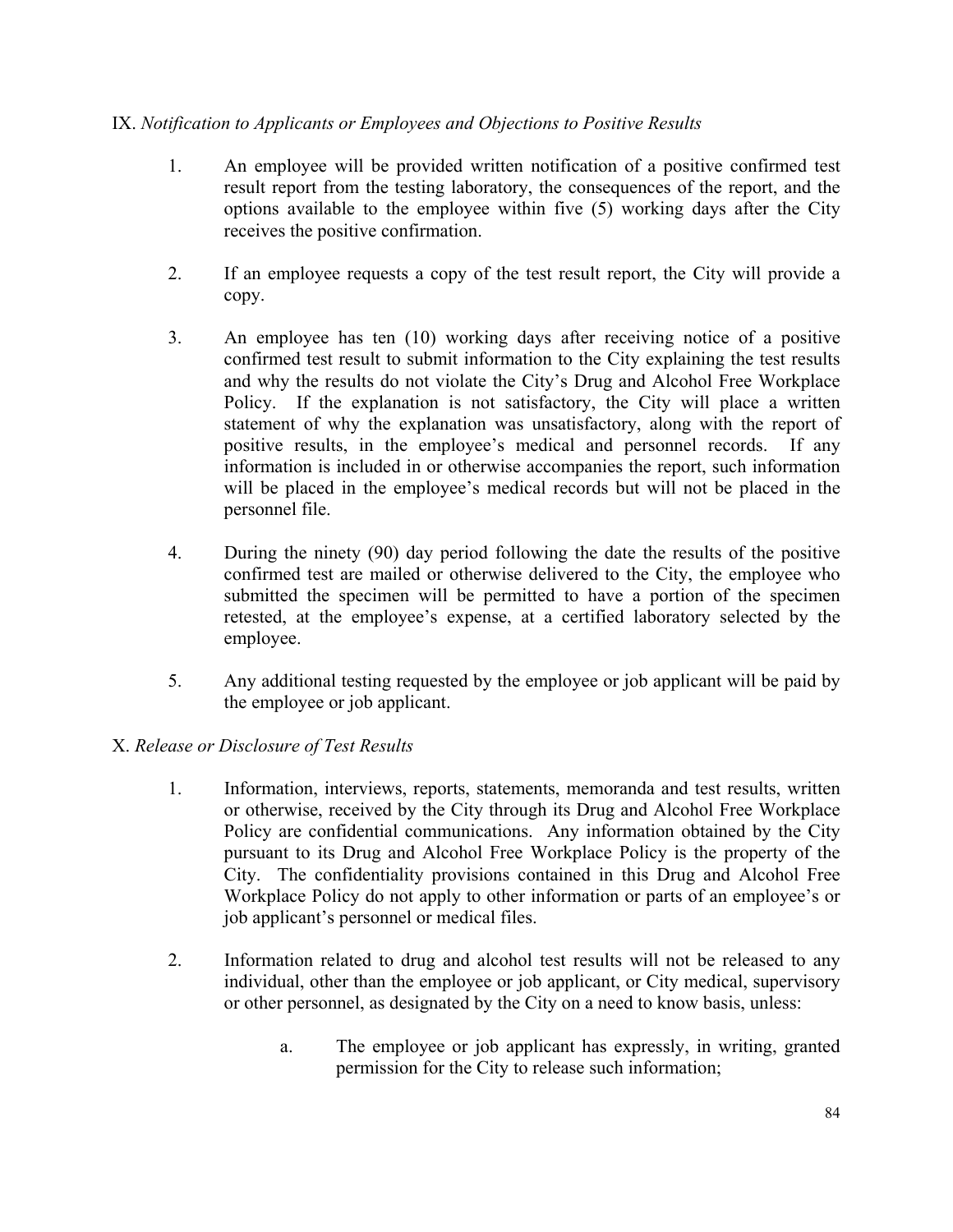#### IX. *Notification to Applicants or Employees and Objections to Positive Results*

- 1. An employee will be provided written notification of a positive confirmed test result report from the testing laboratory, the consequences of the report, and the options available to the employee within five (5) working days after the City receives the positive confirmation.
- 2. If an employee requests a copy of the test result report, the City will provide a copy.
- 3. An employee has ten (10) working days after receiving notice of a positive confirmed test result to submit information to the City explaining the test results and why the results do not violate the City's Drug and Alcohol Free Workplace Policy. If the explanation is not satisfactory, the City will place a written statement of why the explanation was unsatisfactory, along with the report of positive results, in the employee's medical and personnel records. If any information is included in or otherwise accompanies the report, such information will be placed in the employee's medical records but will not be placed in the personnel file.
- 4. During the ninety (90) day period following the date the results of the positive confirmed test are mailed or otherwise delivered to the City, the employee who submitted the specimen will be permitted to have a portion of the specimen retested, at the employee's expense, at a certified laboratory selected by the employee.
- 5. Any additional testing requested by the employee or job applicant will be paid by the employee or job applicant.

### X. *Release or Disclosure of Test Results*

- 1. Information, interviews, reports, statements, memoranda and test results, written or otherwise, received by the City through its Drug and Alcohol Free Workplace Policy are confidential communications. Any information obtained by the City pursuant to its Drug and Alcohol Free Workplace Policy is the property of the City. The confidentiality provisions contained in this Drug and Alcohol Free Workplace Policy do not apply to other information or parts of an employee's or job applicant's personnel or medical files.
- 2. Information related to drug and alcohol test results will not be released to any individual, other than the employee or job applicant, or City medical, supervisory or other personnel, as designated by the City on a need to know basis, unless:
	- a. The employee or job applicant has expressly, in writing, granted permission for the City to release such information;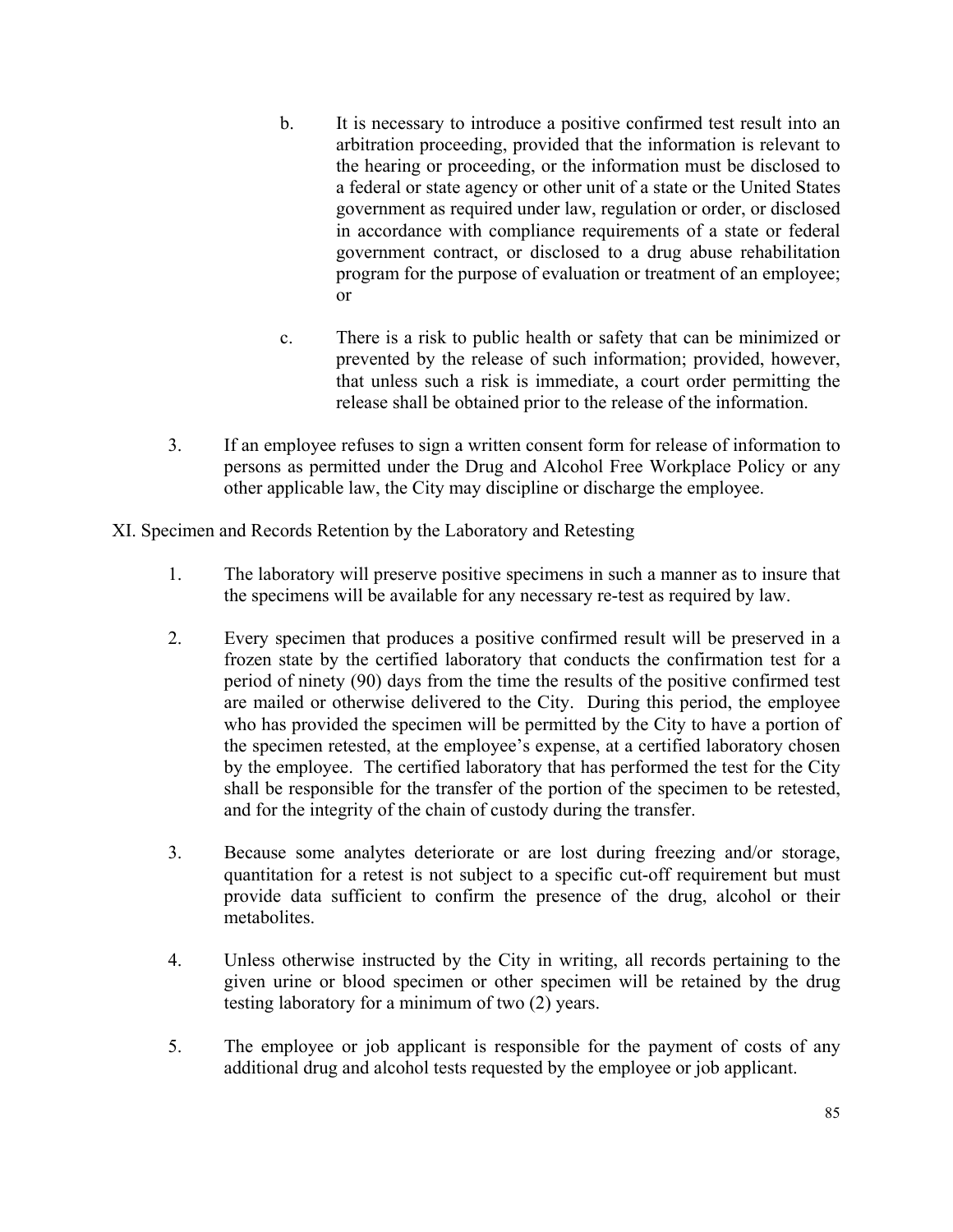- b. It is necessary to introduce a positive confirmed test result into an arbitration proceeding, provided that the information is relevant to the hearing or proceeding, or the information must be disclosed to a federal or state agency or other unit of a state or the United States government as required under law, regulation or order, or disclosed in accordance with compliance requirements of a state or federal government contract, or disclosed to a drug abuse rehabilitation program for the purpose of evaluation or treatment of an employee; or
- c. There is a risk to public health or safety that can be minimized or prevented by the release of such information; provided, however, that unless such a risk is immediate, a court order permitting the release shall be obtained prior to the release of the information.
- 3. If an employee refuses to sign a written consent form for release of information to persons as permitted under the Drug and Alcohol Free Workplace Policy or any other applicable law, the City may discipline or discharge the employee.
- XI. Specimen and Records Retention by the Laboratory and Retesting
	- 1. The laboratory will preserve positive specimens in such a manner as to insure that the specimens will be available for any necessary re-test as required by law.
	- 2. Every specimen that produces a positive confirmed result will be preserved in a frozen state by the certified laboratory that conducts the confirmation test for a period of ninety (90) days from the time the results of the positive confirmed test are mailed or otherwise delivered to the City. During this period, the employee who has provided the specimen will be permitted by the City to have a portion of the specimen retested, at the employee's expense, at a certified laboratory chosen by the employee. The certified laboratory that has performed the test for the City shall be responsible for the transfer of the portion of the specimen to be retested, and for the integrity of the chain of custody during the transfer.
	- 3. Because some analytes deteriorate or are lost during freezing and/or storage, quantitation for a retest is not subject to a specific cut-off requirement but must provide data sufficient to confirm the presence of the drug, alcohol or their metabolites.
	- 4. Unless otherwise instructed by the City in writing, all records pertaining to the given urine or blood specimen or other specimen will be retained by the drug testing laboratory for a minimum of two (2) years.
	- 5. The employee or job applicant is responsible for the payment of costs of any additional drug and alcohol tests requested by the employee or job applicant.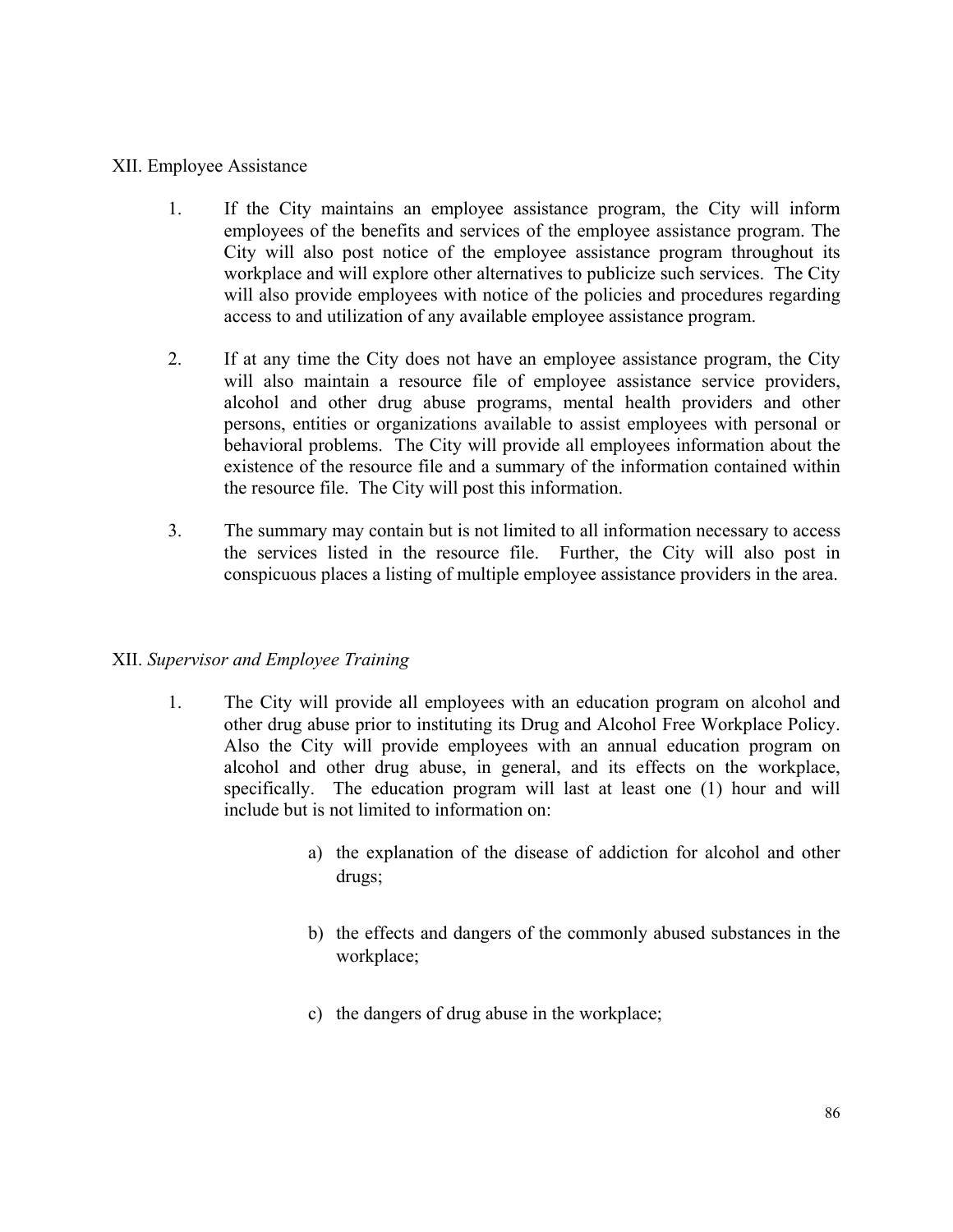#### XII. Employee Assistance

- 1. If the City maintains an employee assistance program, the City will inform employees of the benefits and services of the employee assistance program. The City will also post notice of the employee assistance program throughout its workplace and will explore other alternatives to publicize such services. The City will also provide employees with notice of the policies and procedures regarding access to and utilization of any available employee assistance program.
- 2. If at any time the City does not have an employee assistance program, the City will also maintain a resource file of employee assistance service providers, alcohol and other drug abuse programs, mental health providers and other persons, entities or organizations available to assist employees with personal or behavioral problems. The City will provide all employees information about the existence of the resource file and a summary of the information contained within the resource file. The City will post this information.
- 3. The summary may contain but is not limited to all information necessary to access the services listed in the resource file. Further, the City will also post in conspicuous places a listing of multiple employee assistance providers in the area.

### XII. *Supervisor and Employee Training*

- 1. The City will provide all employees with an education program on alcohol and other drug abuse prior to instituting its Drug and Alcohol Free Workplace Policy. Also the City will provide employees with an annual education program on alcohol and other drug abuse, in general, and its effects on the workplace, specifically. The education program will last at least one (1) hour and will include but is not limited to information on:
	- a) the explanation of the disease of addiction for alcohol and other drugs;
	- b) the effects and dangers of the commonly abused substances in the workplace;
	- c) the dangers of drug abuse in the workplace;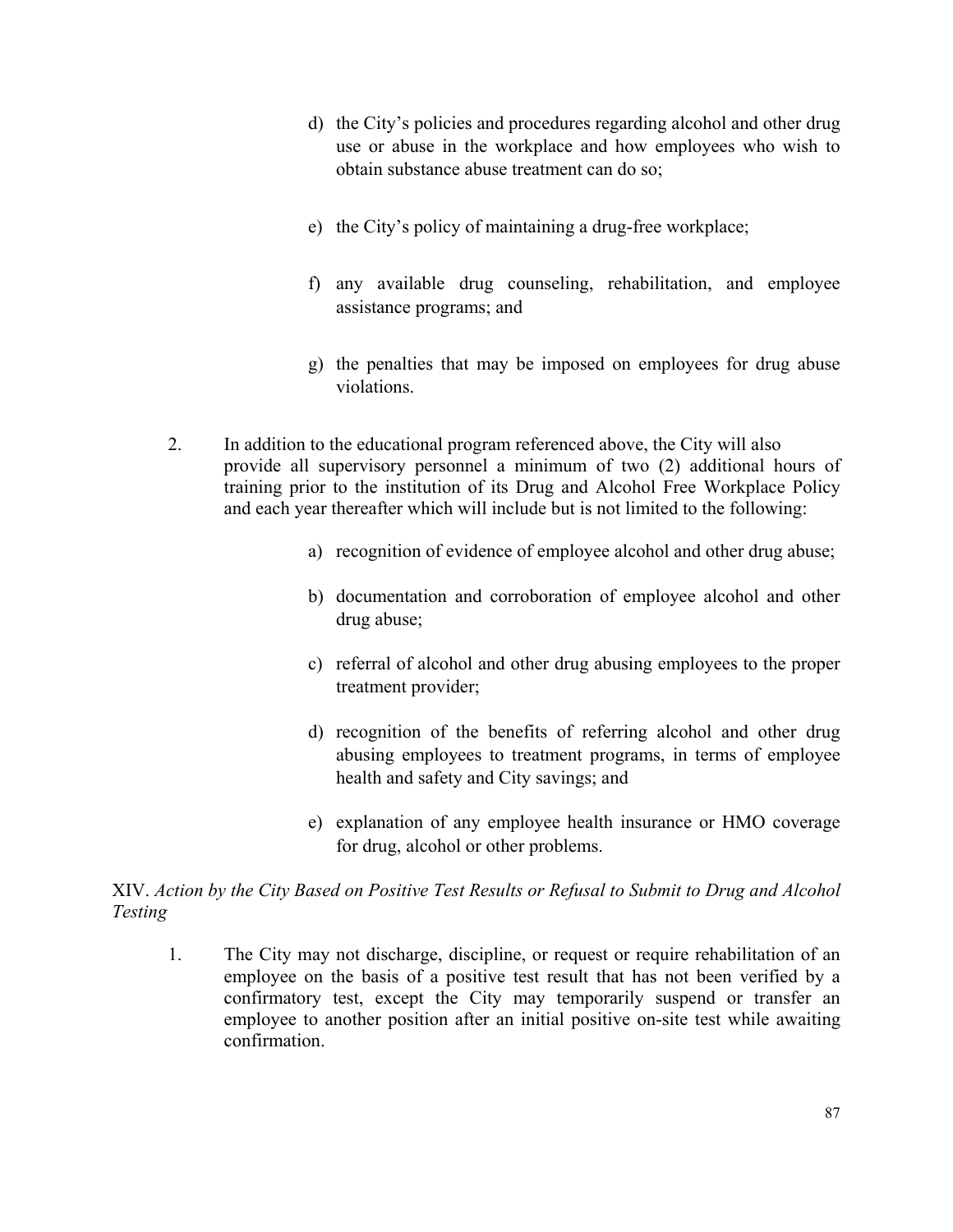- d) the City's policies and procedures regarding alcohol and other drug use or abuse in the workplace and how employees who wish to obtain substance abuse treatment can do so;
- e) the City's policy of maintaining a drug-free workplace;
- f) any available drug counseling, rehabilitation, and employee assistance programs; and
- g) the penalties that may be imposed on employees for drug abuse violations.
- 2. In addition to the educational program referenced above, the City will also provide all supervisory personnel a minimum of two (2) additional hours of training prior to the institution of its Drug and Alcohol Free Workplace Policy and each year thereafter which will include but is not limited to the following:
	- a) recognition of evidence of employee alcohol and other drug abuse;
	- b) documentation and corroboration of employee alcohol and other drug abuse;
	- c) referral of alcohol and other drug abusing employees to the proper treatment provider;
	- d) recognition of the benefits of referring alcohol and other drug abusing employees to treatment programs, in terms of employee health and safety and City savings; and
	- e) explanation of any employee health insurance or HMO coverage for drug, alcohol or other problems.

## XIV. *Action by the City Based on Positive Test Results or Refusal to Submit to Drug and Alcohol Testing*

1. The City may not discharge, discipline, or request or require rehabilitation of an employee on the basis of a positive test result that has not been verified by a confirmatory test, except the City may temporarily suspend or transfer an employee to another position after an initial positive on-site test while awaiting confirmation.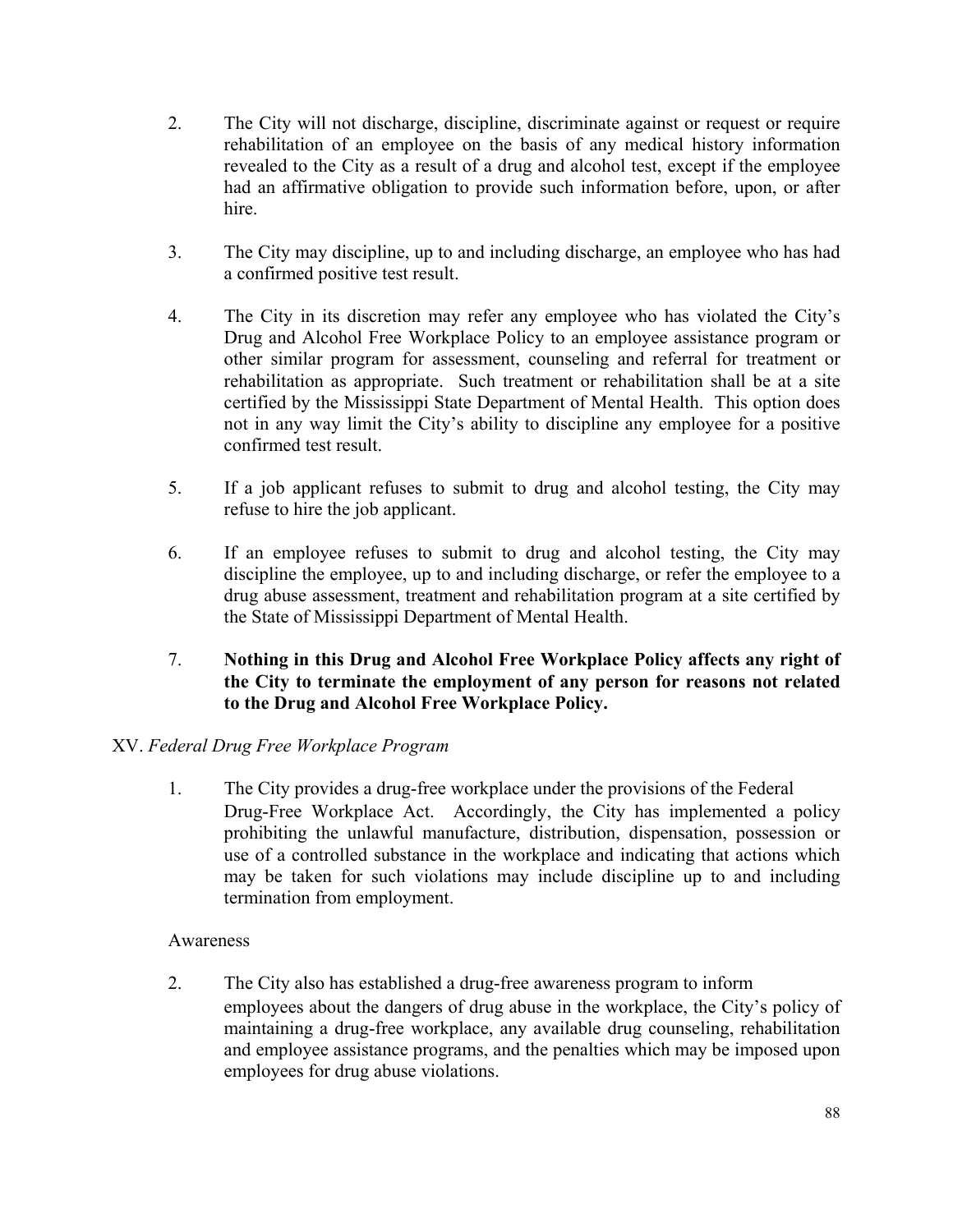- 2. The City will not discharge, discipline, discriminate against or request or require rehabilitation of an employee on the basis of any medical history information revealed to the City as a result of a drug and alcohol test, except if the employee had an affirmative obligation to provide such information before, upon, or after hire.
- 3. The City may discipline, up to and including discharge, an employee who has had a confirmed positive test result.
- 4. The City in its discretion may refer any employee who has violated the City's Drug and Alcohol Free Workplace Policy to an employee assistance program or other similar program for assessment, counseling and referral for treatment or rehabilitation as appropriate. Such treatment or rehabilitation shall be at a site certified by the Mississippi State Department of Mental Health. This option does not in any way limit the City's ability to discipline any employee for a positive confirmed test result.
- 5. If a job applicant refuses to submit to drug and alcohol testing, the City may refuse to hire the job applicant.
- 6. If an employee refuses to submit to drug and alcohol testing, the City may discipline the employee, up to and including discharge, or refer the employee to a drug abuse assessment, treatment and rehabilitation program at a site certified by the State of Mississippi Department of Mental Health.
- 7. **Nothing in this Drug and Alcohol Free Workplace Policy affects any right of the City to terminate the employment of any person for reasons not related to the Drug and Alcohol Free Workplace Policy.**

### XV. *Federal Drug Free Workplace Program*

1. The City provides a drug-free workplace under the provisions of the Federal Drug-Free Workplace Act. Accordingly, the City has implemented a policy prohibiting the unlawful manufacture, distribution, dispensation, possession or use of a controlled substance in the workplace and indicating that actions which may be taken for such violations may include discipline up to and including termination from employment.

### Awareness

2. The City also has established a drug-free awareness program to inform employees about the dangers of drug abuse in the workplace, the City's policy of maintaining a drug-free workplace, any available drug counseling, rehabilitation and employee assistance programs, and the penalties which may be imposed upon employees for drug abuse violations.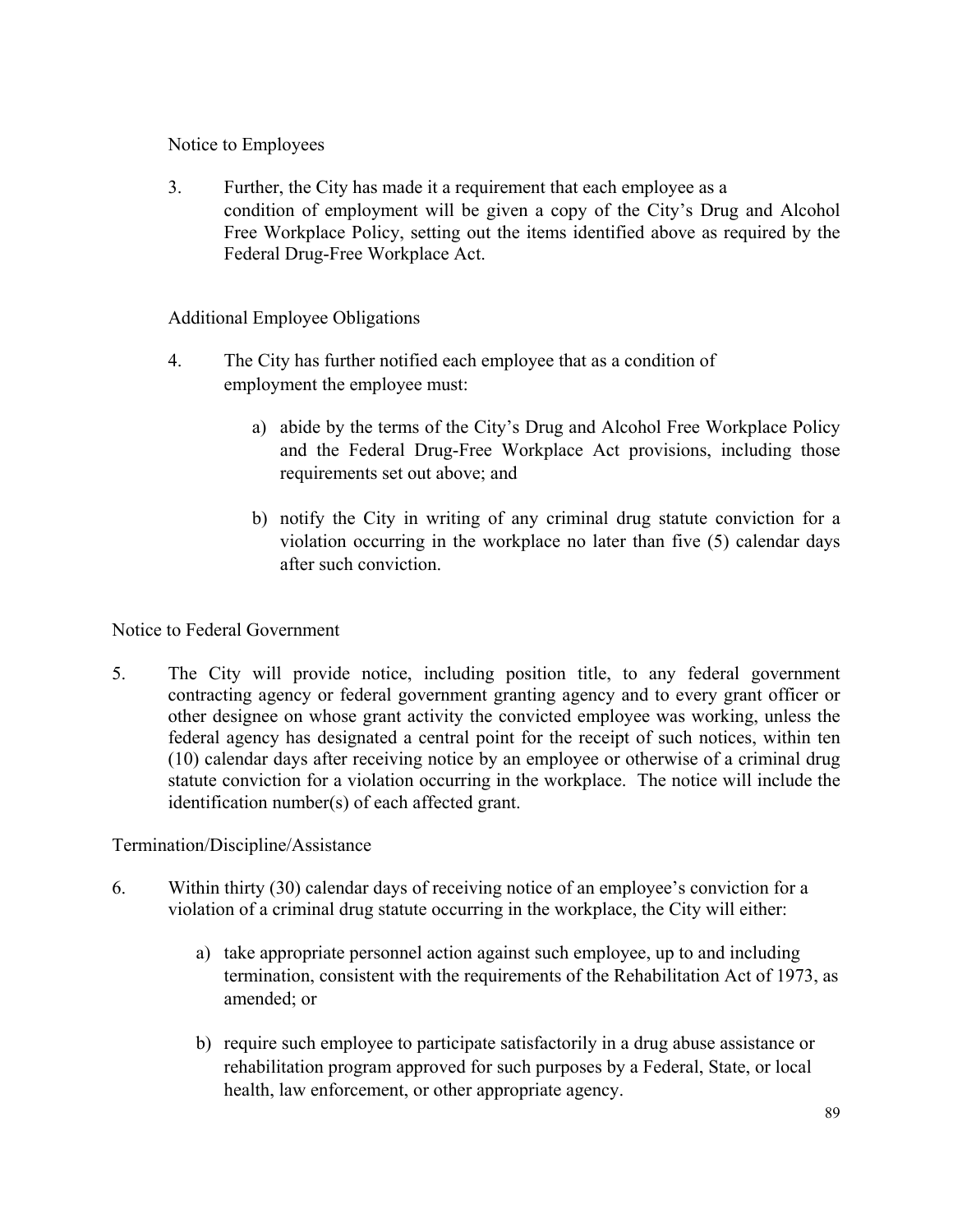### Notice to Employees

3. Further, the City has made it a requirement that each employee as a condition of employment will be given a copy of the City's Drug and Alcohol Free Workplace Policy, setting out the items identified above as required by the Federal Drug-Free Workplace Act.

## Additional Employee Obligations

- 4. The City has further notified each employee that as a condition of employment the employee must:
	- a) abide by the terms of the City's Drug and Alcohol Free Workplace Policy and the Federal Drug-Free Workplace Act provisions, including those requirements set out above; and
	- b) notify the City in writing of any criminal drug statute conviction for a violation occurring in the workplace no later than five (5) calendar days after such conviction.

# Notice to Federal Government

5. The City will provide notice, including position title, to any federal government contracting agency or federal government granting agency and to every grant officer or other designee on whose grant activity the convicted employee was working, unless the federal agency has designated a central point for the receipt of such notices, within ten (10) calendar days after receiving notice by an employee or otherwise of a criminal drug statute conviction for a violation occurring in the workplace. The notice will include the identification number(s) of each affected grant.

# Termination/Discipline/Assistance

- 6. Within thirty (30) calendar days of receiving notice of an employee's conviction for a violation of a criminal drug statute occurring in the workplace, the City will either:
	- a) take appropriate personnel action against such employee, up to and including termination, consistent with the requirements of the Rehabilitation Act of 1973, as amended; or
	- b) require such employee to participate satisfactorily in a drug abuse assistance or rehabilitation program approved for such purposes by a Federal, State, or local health, law enforcement, or other appropriate agency.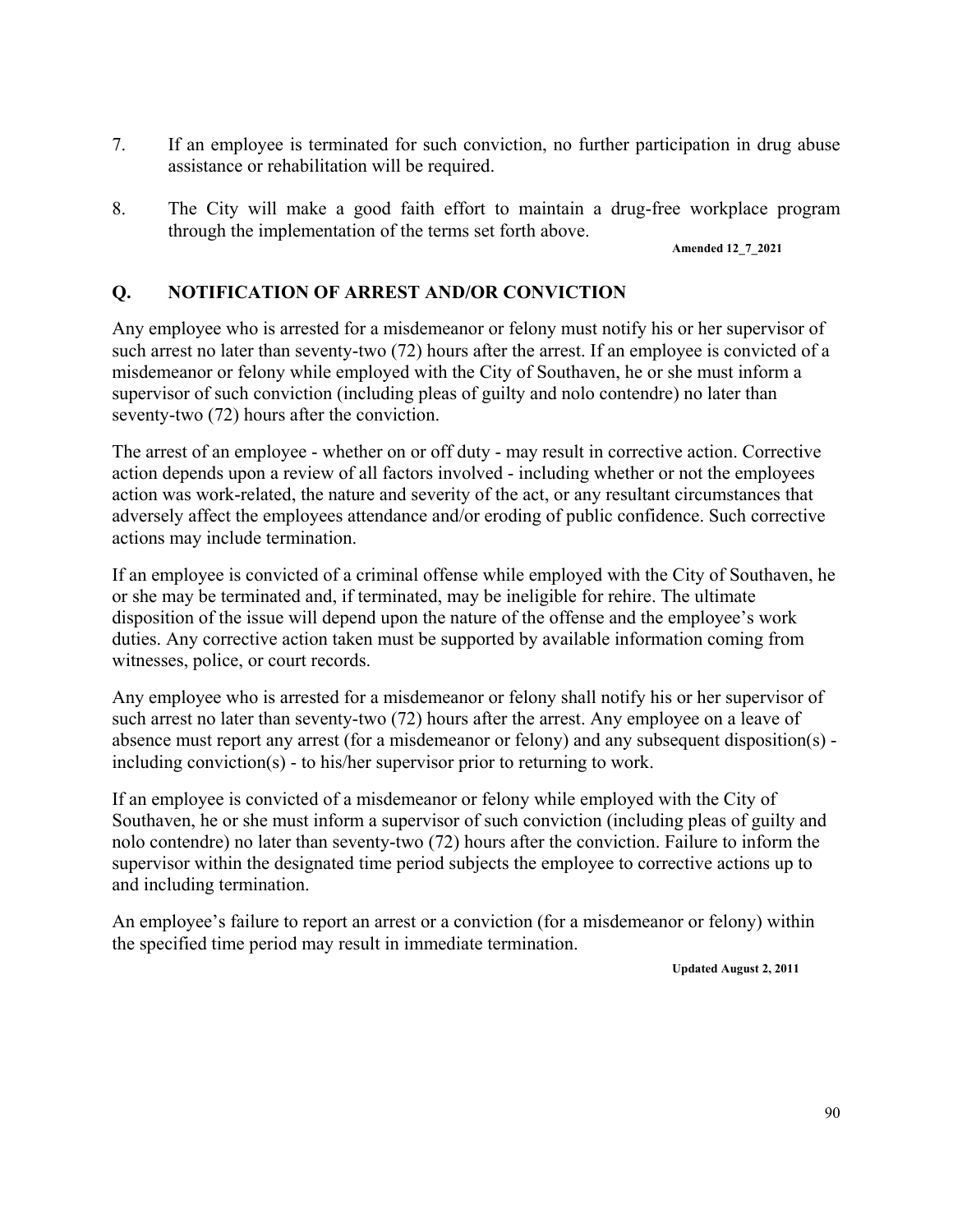- 7. If an employee is terminated for such conviction, no further participation in drug abuse assistance or rehabilitation will be required.
- 8. The City will make a good faith effort to maintain a drug-free workplace program through the implementation of the terms set forth above.

**Amended 12\_7\_2021** 

## **Q. NOTIFICATION OF ARREST AND/OR CONVICTION**

Any employee who is arrested for a misdemeanor or felony must notify his or her supervisor of such arrest no later than seventy-two (72) hours after the arrest. If an employee is convicted of a misdemeanor or felony while employed with the City of Southaven, he or she must inform a supervisor of such conviction (including pleas of guilty and nolo contendre) no later than seventy-two (72) hours after the conviction.

The arrest of an employee - whether on or off duty - may result in corrective action. Corrective action depends upon a review of all factors involved - including whether or not the employees action was work-related, the nature and severity of the act, or any resultant circumstances that adversely affect the employees attendance and/or eroding of public confidence. Such corrective actions may include termination.

If an employee is convicted of a criminal offense while employed with the City of Southaven, he or she may be terminated and, if terminated, may be ineligible for rehire. The ultimate disposition of the issue will depend upon the nature of the offense and the employee's work duties. Any corrective action taken must be supported by available information coming from witnesses, police, or court records.

Any employee who is arrested for a misdemeanor or felony shall notify his or her supervisor of such arrest no later than seventy-two (72) hours after the arrest. Any employee on a leave of absence must report any arrest (for a misdemeanor or felony) and any subsequent disposition(s) including conviction(s) - to his/her supervisor prior to returning to work.

If an employee is convicted of a misdemeanor or felony while employed with the City of Southaven, he or she must inform a supervisor of such conviction (including pleas of guilty and nolo contendre) no later than seventy-two (72) hours after the conviction. Failure to inform the supervisor within the designated time period subjects the employee to corrective actions up to and including termination.

An employee's failure to report an arrest or a conviction (for a misdemeanor or felony) within the specified time period may result in immediate termination.

**Updated August 2, 2011**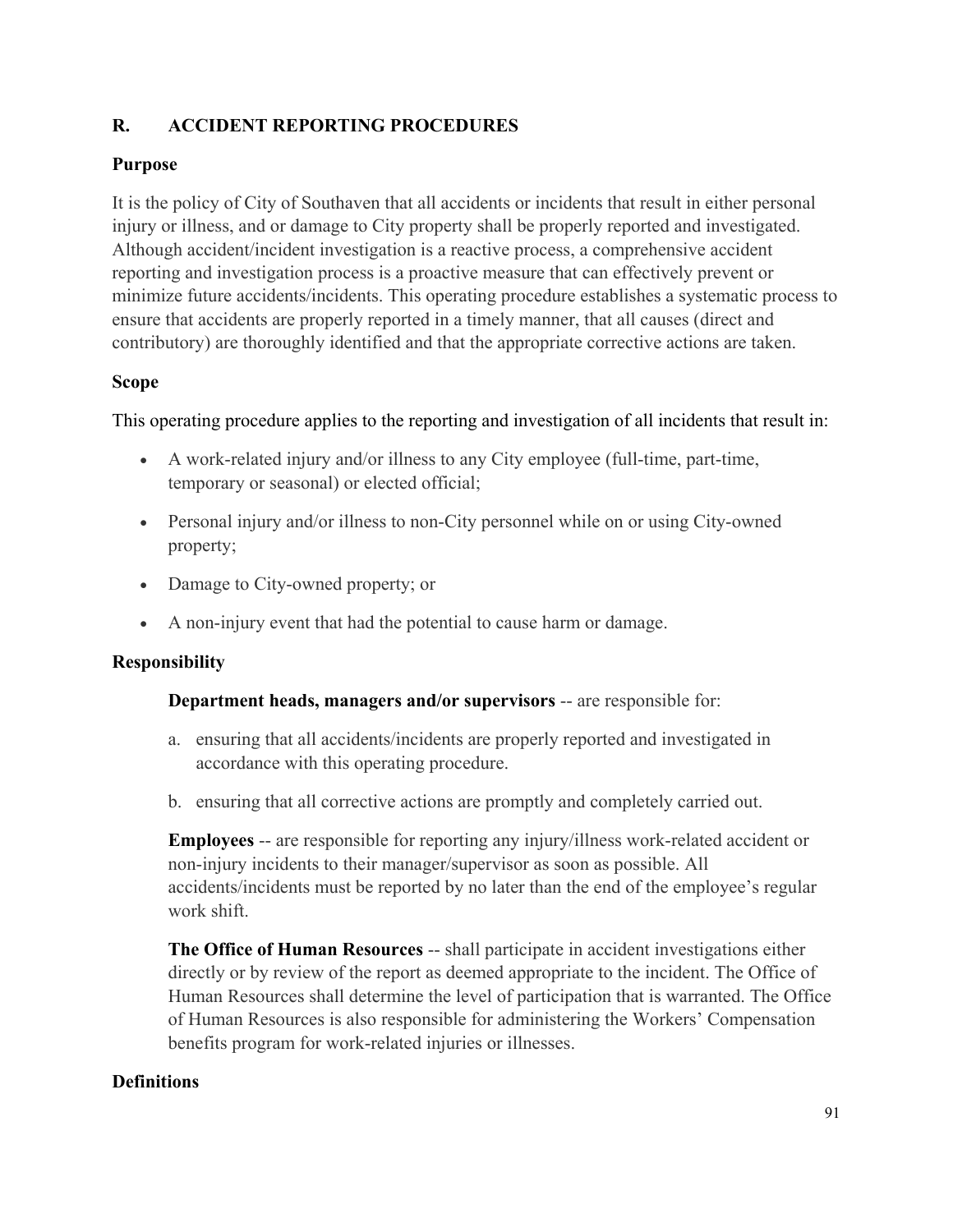# **R. ACCIDENT REPORTING PROCEDURES**

#### **Purpose**

It is the policy of City of Southaven that all accidents or incidents that result in either personal injury or illness, and or damage to City property shall be properly reported and investigated. Although accident/incident investigation is a reactive process, a comprehensive accident reporting and investigation process is a proactive measure that can effectively prevent or minimize future accidents/incidents. This operating procedure establishes a systematic process to ensure that accidents are properly reported in a timely manner, that all causes (direct and contributory) are thoroughly identified and that the appropriate corrective actions are taken.

#### **Scope**

This operating procedure applies to the reporting and investigation of all incidents that result in:

- A work-related injury and/or illness to any City employee (full-time, part-time, temporary or seasonal) or elected official;
- Personal injury and/or illness to non-City personnel while on or using City-owned property;
- Damage to City-owned property; or
- A non-injury event that had the potential to cause harm or damage.

#### **Responsibility**

#### **Department heads, managers and/or supervisors** -- are responsible for:

- a. ensuring that all accidents/incidents are properly reported and investigated in accordance with this operating procedure.
- b. ensuring that all corrective actions are promptly and completely carried out.

**Employees** -- are responsible for reporting any injury/illness work-related accident or non-injury incidents to their manager/supervisor as soon as possible. All accidents/incidents must be reported by no later than the end of the employee's regular work shift.

**The Office of Human Resources** -- shall participate in accident investigations either directly or by review of the report as deemed appropriate to the incident. The Office of Human Resources shall determine the level of participation that is warranted. The Office of Human Resources is also responsible for administering the Workers' Compensation benefits program for work-related injuries or illnesses.

#### **Definitions**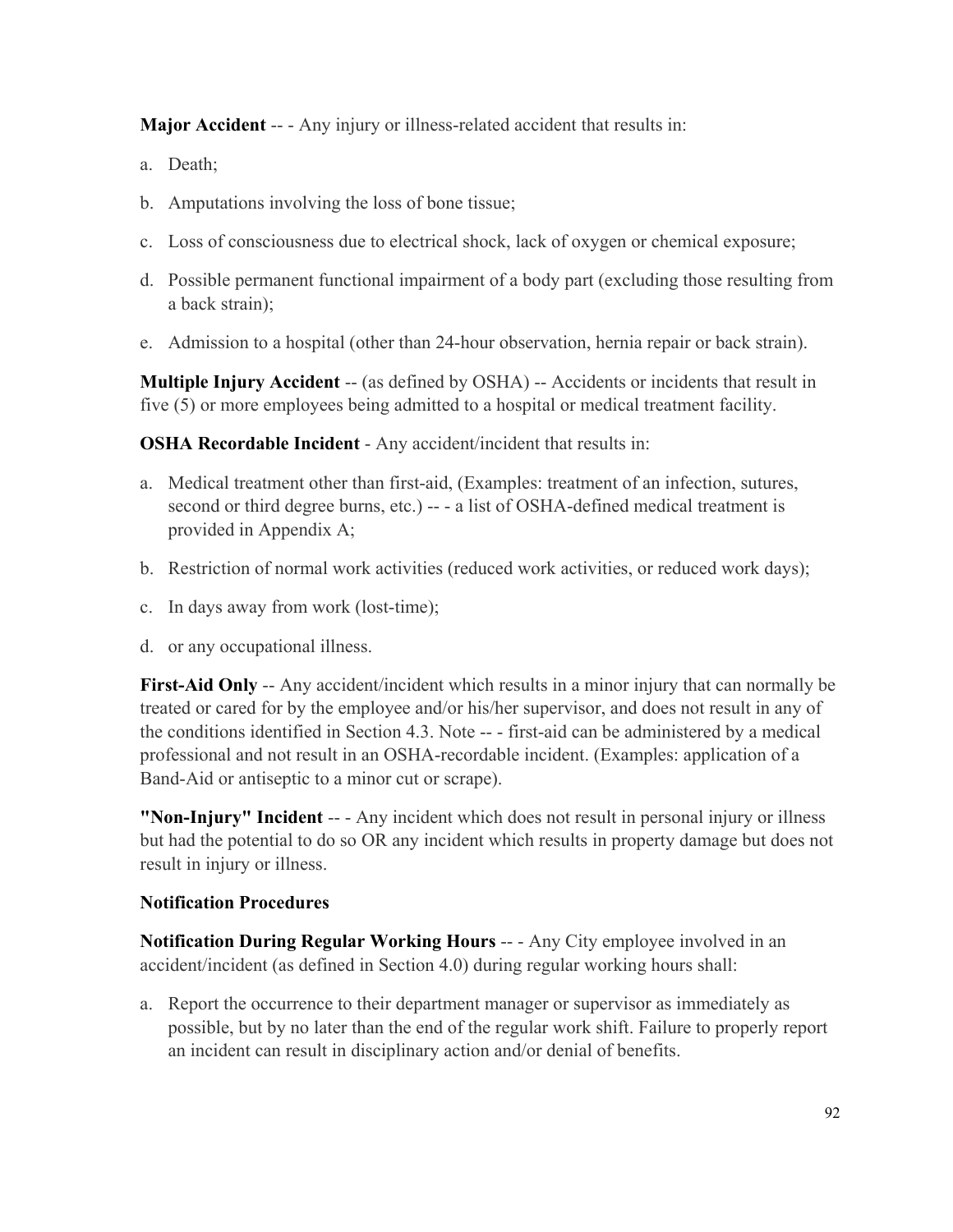**Major Accident** -- - Any injury or illness-related accident that results in:

- a. Death;
- b. Amputations involving the loss of bone tissue;
- c. Loss of consciousness due to electrical shock, lack of oxygen or chemical exposure;
- d. Possible permanent functional impairment of a body part (excluding those resulting from a back strain);
- e. Admission to a hospital (other than 24-hour observation, hernia repair or back strain).

**Multiple Injury Accident** -- (as defined by OSHA) -- Accidents or incidents that result in five (5) or more employees being admitted to a hospital or medical treatment facility.

**OSHA Recordable Incident** - Any accident/incident that results in:

- a. Medical treatment other than first-aid, (Examples: treatment of an infection, sutures, second or third degree burns, etc.) -- - a list of OSHA-defined medical treatment is provided in Appendix A;
- b. Restriction of normal work activities (reduced work activities, or reduced work days);
- c. In days away from work (lost-time);
- d. or any occupational illness.

**First-Aid Only** -- Any accident/incident which results in a minor injury that can normally be treated or cared for by the employee and/or his/her supervisor, and does not result in any of the conditions identified in Section 4.3. Note -- - first-aid can be administered by a medical professional and not result in an OSHA-recordable incident. (Examples: application of a Band-Aid or antiseptic to a minor cut or scrape).

**"Non-Injury" Incident** -- - Any incident which does not result in personal injury or illness but had the potential to do so OR any incident which results in property damage but does not result in injury or illness.

# **Notification Procedures**

**Notification During Regular Working Hours** -- - Any City employee involved in an accident/incident (as defined in Section 4.0) during regular working hours shall:

a. Report the occurrence to their department manager or supervisor as immediately as possible, but by no later than the end of the regular work shift. Failure to properly report an incident can result in disciplinary action and/or denial of benefits.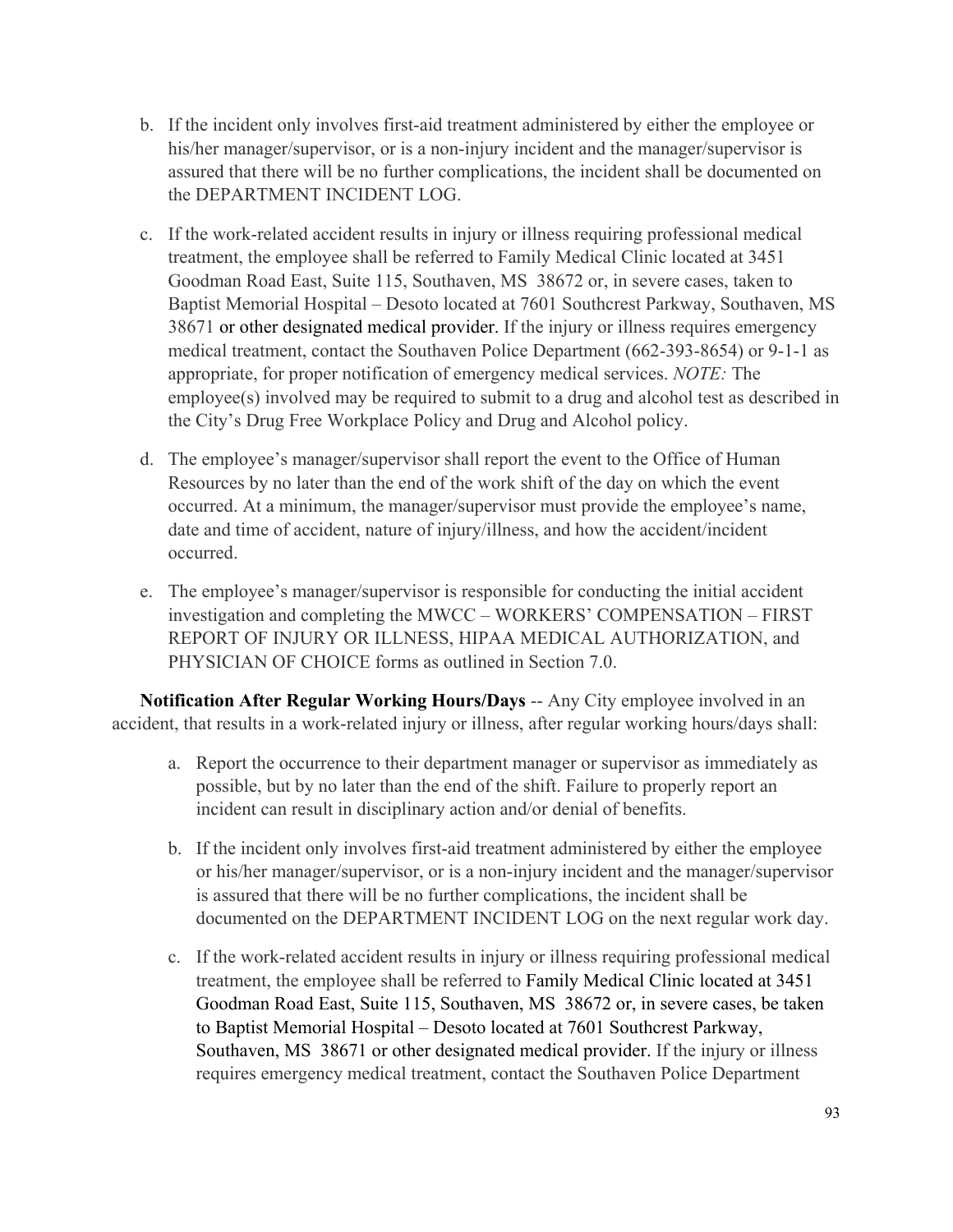- b. If the incident only involves first-aid treatment administered by either the employee or his/her manager/supervisor, or is a non-injury incident and the manager/supervisor is assured that there will be no further complications, the incident shall be documented on the DEPARTMENT INCIDENT LOG.
- c. If the work-related accident results in injury or illness requiring professional medical treatment, the employee shall be referred to Family Medical Clinic located at 3451 Goodman Road East, Suite 115, Southaven, MS 38672 or, in severe cases, taken to Baptist Memorial Hospital – Desoto located at 7601 Southcrest Parkway, Southaven, MS 38671 or other designated medical provider. If the injury or illness requires emergency medical treatment, contact the Southaven Police Department (662-393-8654) or 9-1-1 as appropriate, for proper notification of emergency medical services. *NOTE:* The employee(s) involved may be required to submit to a drug and alcohol test as described in the City's Drug Free Workplace Policy and Drug and Alcohol policy.
- d. The employee's manager/supervisor shall report the event to the Office of Human Resources by no later than the end of the work shift of the day on which the event occurred. At a minimum, the manager/supervisor must provide the employee's name, date and time of accident, nature of injury/illness, and how the accident/incident occurred.
- e. The employee's manager/supervisor is responsible for conducting the initial accident investigation and completing the MWCC – WORKERS' COMPENSATION – FIRST REPORT OF INJURY OR ILLNESS, HIPAA MEDICAL AUTHORIZATION, and PHYSICIAN OF CHOICE forms as outlined in Section 7.0.

**Notification After Regular Working Hours/Days** -- Any City employee involved in an accident, that results in a work-related injury or illness, after regular working hours/days shall:

- a. Report the occurrence to their department manager or supervisor as immediately as possible, but by no later than the end of the shift. Failure to properly report an incident can result in disciplinary action and/or denial of benefits.
- b. If the incident only involves first-aid treatment administered by either the employee or his/her manager/supervisor, or is a non-injury incident and the manager/supervisor is assured that there will be no further complications, the incident shall be documented on the DEPARTMENT INCIDENT LOG on the next regular work day.
- c. If the work-related accident results in injury or illness requiring professional medical treatment, the employee shall be referred to Family Medical Clinic located at 3451 Goodman Road East, Suite 115, Southaven, MS 38672 or, in severe cases, be taken to Baptist Memorial Hospital – Desoto located at 7601 Southcrest Parkway, Southaven, MS 38671 or other designated medical provider. If the injury or illness requires emergency medical treatment, contact the Southaven Police Department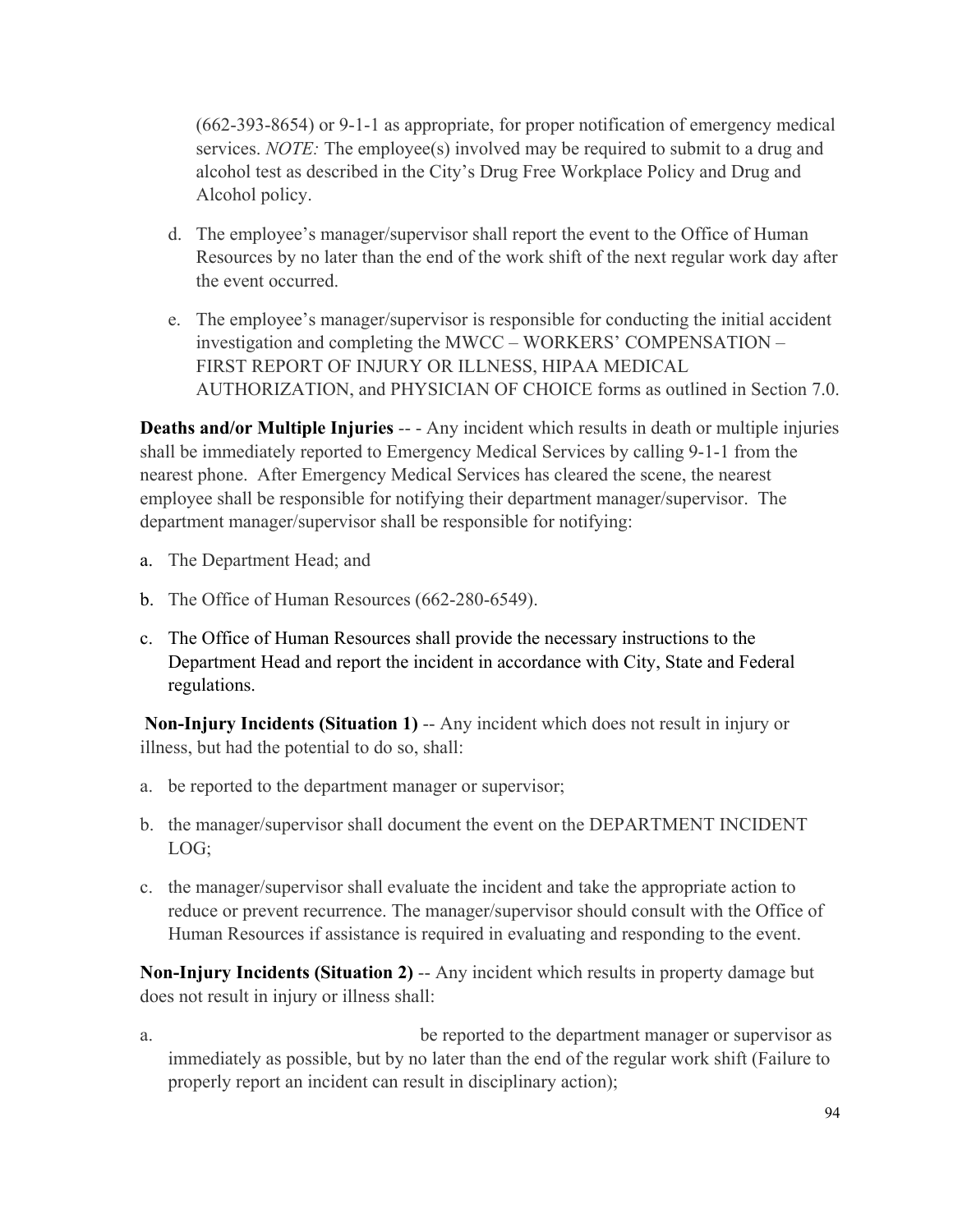(662-393-8654) or 9-1-1 as appropriate, for proper notification of emergency medical services. *NOTE:* The employee(s) involved may be required to submit to a drug and alcohol test as described in the City's Drug Free Workplace Policy and Drug and Alcohol policy.

- d. The employee's manager/supervisor shall report the event to the Office of Human Resources by no later than the end of the work shift of the next regular work day after the event occurred.
- e. The employee's manager/supervisor is responsible for conducting the initial accident investigation and completing the MWCC – WORKERS' COMPENSATION – FIRST REPORT OF INJURY OR ILLNESS, HIPAA MEDICAL AUTHORIZATION, and PHYSICIAN OF CHOICE forms as outlined in Section 7.0.

**Deaths and/or Multiple Injuries** -- - Any incident which results in death or multiple injuries shall be immediately reported to Emergency Medical Services by calling 9-1-1 from the nearest phone. After Emergency Medical Services has cleared the scene, the nearest employee shall be responsible for notifying their department manager/supervisor. The department manager/supervisor shall be responsible for notifying:

- a. The Department Head; and
- b. The Office of Human Resources (662-280-6549).
- c. The Office of Human Resources shall provide the necessary instructions to the Department Head and report the incident in accordance with City, State and Federal regulations.

**Non-Injury Incidents (Situation 1)** -- Any incident which does not result in injury or illness, but had the potential to do so, shall:

- a. be reported to the department manager or supervisor;
- b. the manager/supervisor shall document the event on the DEPARTMENT INCIDENT LOG;
- c. the manager/supervisor shall evaluate the incident and take the appropriate action to reduce or prevent recurrence. The manager/supervisor should consult with the Office of Human Resources if assistance is required in evaluating and responding to the event.

**Non-Injury Incidents (Situation 2)** -- Any incident which results in property damage but does not result in injury or illness shall:

a. be reported to the department manager or supervisor as immediately as possible, but by no later than the end of the regular work shift (Failure to properly report an incident can result in disciplinary action);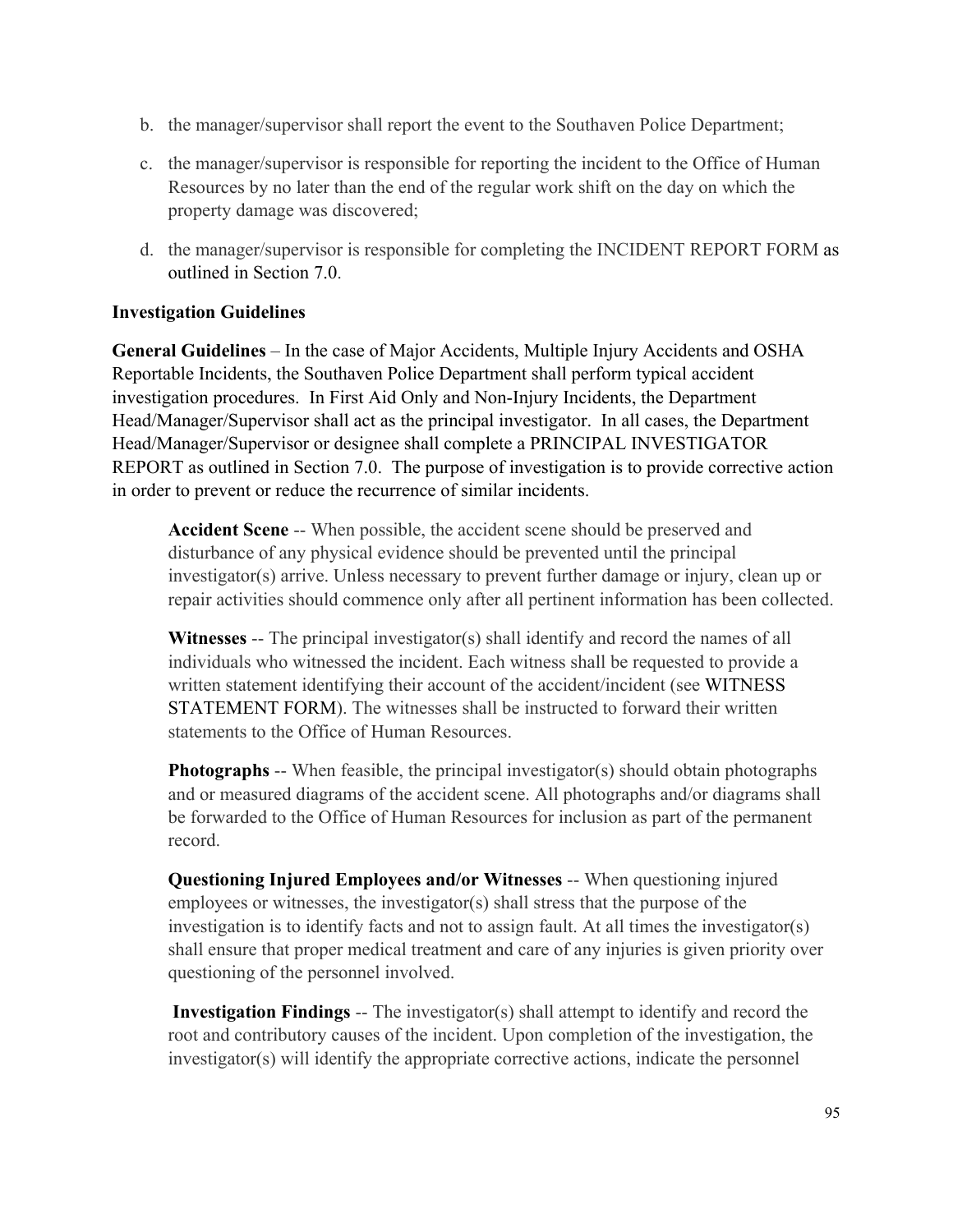- b. the manager/supervisor shall report the event to the Southaven Police Department;
- c. the manager/supervisor is responsible for reporting the incident to the Office of Human Resources by no later than the end of the regular work shift on the day on which the property damage was discovered;
- d. the manager/supervisor is responsible for completing the INCIDENT REPORT FORM as outlined in Section 7.0.

### **Investigation Guidelines**

**General Guidelines** – In the case of Major Accidents, Multiple Injury Accidents and OSHA Reportable Incidents, the Southaven Police Department shall perform typical accident investigation procedures. In First Aid Only and Non-Injury Incidents, the Department Head/Manager/Supervisor shall act as the principal investigator. In all cases, the Department Head/Manager/Supervisor or designee shall complete a PRINCIPAL INVESTIGATOR REPORT as outlined in Section 7.0. The purpose of investigation is to provide corrective action in order to prevent or reduce the recurrence of similar incidents.

**Accident Scene** -- When possible, the accident scene should be preserved and disturbance of any physical evidence should be prevented until the principal investigator(s) arrive. Unless necessary to prevent further damage or injury, clean up or repair activities should commence only after all pertinent information has been collected.

**Witnesses** -- The principal investigator(s) shall identify and record the names of all individuals who witnessed the incident. Each witness shall be requested to provide a written statement identifying their account of the accident/incident (see WITNESS STATEMENT FORM). The witnesses shall be instructed to forward their written statements to the Office of Human Resources.

**Photographs** -- When feasible, the principal investigator(s) should obtain photographs and or measured diagrams of the accident scene. All photographs and/or diagrams shall be forwarded to the Office of Human Resources for inclusion as part of the permanent record.

**Questioning Injured Employees and/or Witnesses** -- When questioning injured employees or witnesses, the investigator(s) shall stress that the purpose of the investigation is to identify facts and not to assign fault. At all times the investigator(s) shall ensure that proper medical treatment and care of any injuries is given priority over questioning of the personnel involved.

**Investigation Findings** -- The investigator(s) shall attempt to identify and record the root and contributory causes of the incident. Upon completion of the investigation, the investigator(s) will identify the appropriate corrective actions, indicate the personnel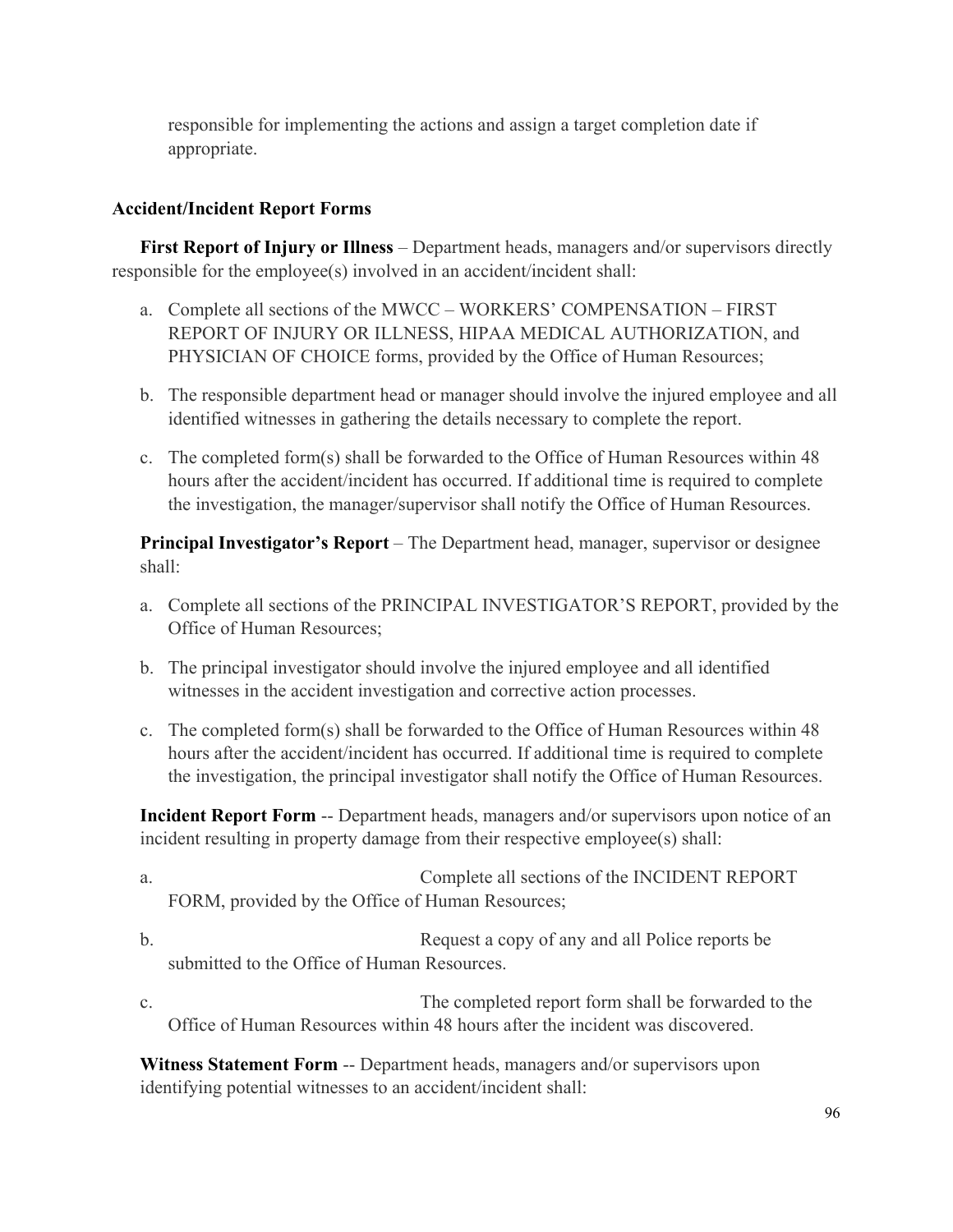responsible for implementing the actions and assign a target completion date if appropriate.

#### **Accident/Incident Report Forms**

**First Report of Injury or Illness** – Department heads, managers and/or supervisors directly responsible for the employee(s) involved in an accident/incident shall:

- a. Complete all sections of the MWCC WORKERS' COMPENSATION FIRST REPORT OF INJURY OR ILLNESS, HIPAA MEDICAL AUTHORIZATION, and PHYSICIAN OF CHOICE forms, provided by the Office of Human Resources;
- b. The responsible department head or manager should involve the injured employee and all identified witnesses in gathering the details necessary to complete the report.
- c. The completed form(s) shall be forwarded to the Office of Human Resources within 48 hours after the accident/incident has occurred. If additional time is required to complete the investigation, the manager/supervisor shall notify the Office of Human Resources.

**Principal Investigator's Report** – The Department head, manager, supervisor or designee shall:

- a. Complete all sections of the PRINCIPAL INVESTIGATOR'S REPORT, provided by the Office of Human Resources;
- b. The principal investigator should involve the injured employee and all identified witnesses in the accident investigation and corrective action processes.
- c. The completed form(s) shall be forwarded to the Office of Human Resources within 48 hours after the accident/incident has occurred. If additional time is required to complete the investigation, the principal investigator shall notify the Office of Human Resources.

**Incident Report Form** -- Department heads, managers and/or supervisors upon notice of an incident resulting in property damage from their respective employee(s) shall:

- a. Complete all sections of the INCIDENT REPORT FORM, provided by the Office of Human Resources;
- b. Request a copy of any and all Police reports be submitted to the Office of Human Resources.
- c. The completed report form shall be forwarded to the Office of Human Resources within 48 hours after the incident was discovered.

**Witness Statement Form** -- Department heads, managers and/or supervisors upon identifying potential witnesses to an accident/incident shall: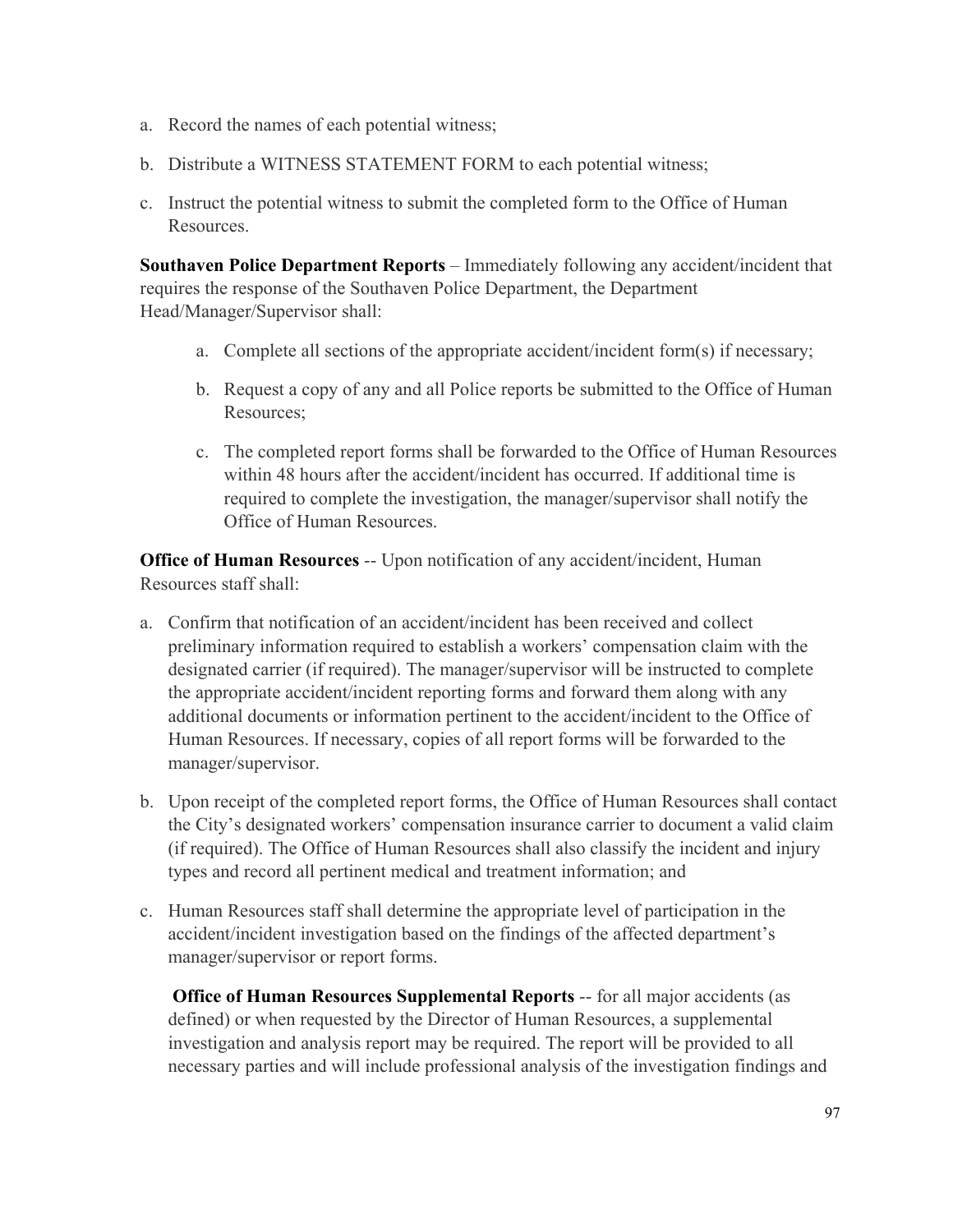- a. Record the names of each potential witness;
- b. Distribute a WITNESS STATEMENT FORM to each potential witness;
- c. Instruct the potential witness to submit the completed form to the Office of Human Resources.

**Southaven Police Department Reports** – Immediately following any accident/incident that requires the response of the Southaven Police Department, the Department Head/Manager/Supervisor shall:

- a. Complete all sections of the appropriate accident/incident form(s) if necessary;
- b. Request a copy of any and all Police reports be submitted to the Office of Human Resources;
- c. The completed report forms shall be forwarded to the Office of Human Resources within 48 hours after the accident/incident has occurred. If additional time is required to complete the investigation, the manager/supervisor shall notify the Office of Human Resources.

**Office of Human Resources** -- Upon notification of any accident/incident, Human Resources staff shall:

- a. Confirm that notification of an accident/incident has been received and collect preliminary information required to establish a workers' compensation claim with the designated carrier (if required). The manager/supervisor will be instructed to complete the appropriate accident/incident reporting forms and forward them along with any additional documents or information pertinent to the accident/incident to the Office of Human Resources. If necessary, copies of all report forms will be forwarded to the manager/supervisor.
- b. Upon receipt of the completed report forms, the Office of Human Resources shall contact the City's designated workers' compensation insurance carrier to document a valid claim (if required). The Office of Human Resources shall also classify the incident and injury types and record all pertinent medical and treatment information; and
- c. Human Resources staff shall determine the appropriate level of participation in the accident/incident investigation based on the findings of the affected department's manager/supervisor or report forms.

**Office of Human Resources Supplemental Reports** -- for all major accidents (as defined) or when requested by the Director of Human Resources, a supplemental investigation and analysis report may be required. The report will be provided to all necessary parties and will include professional analysis of the investigation findings and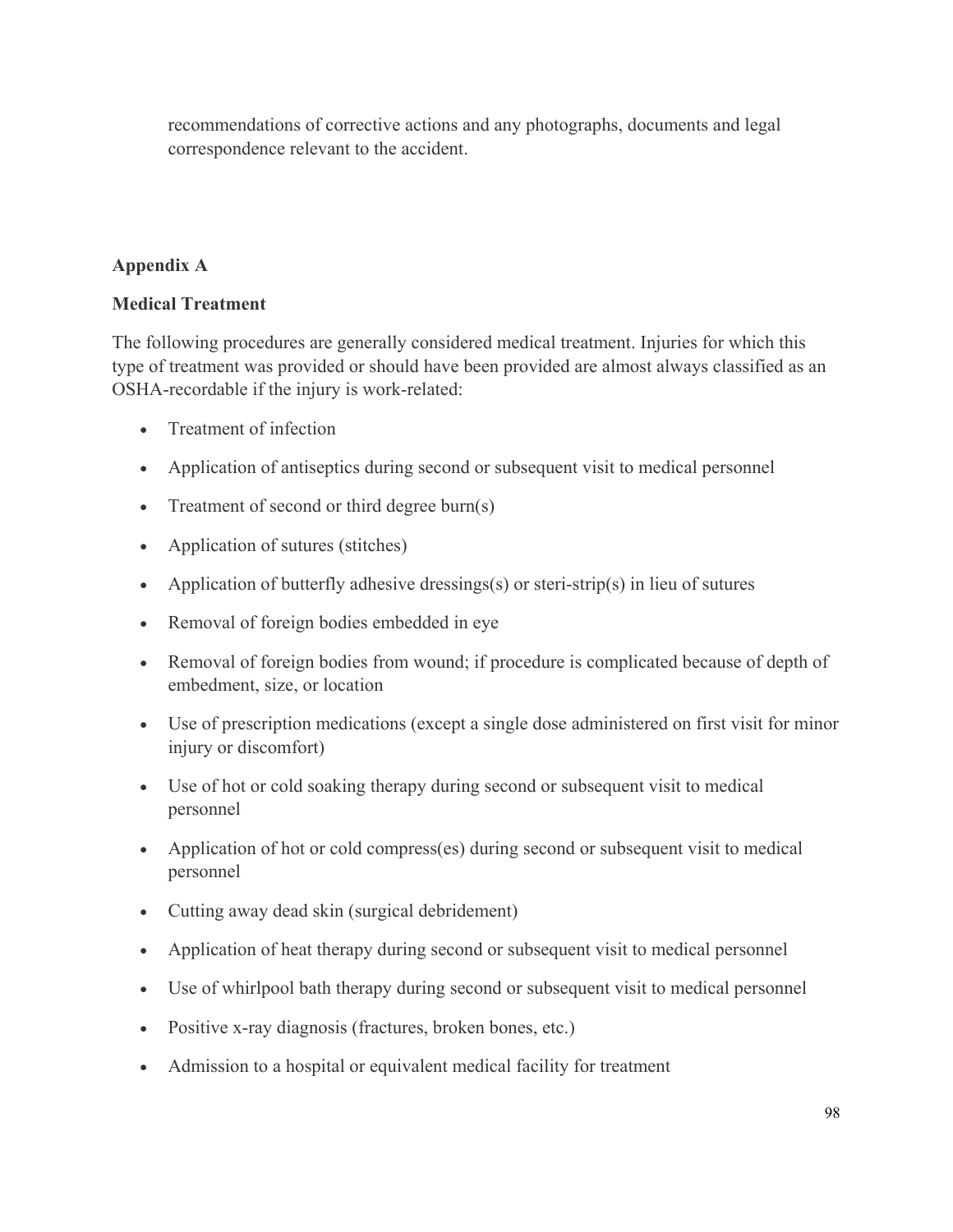recommendations of corrective actions and any photographs, documents and legal correspondence relevant to the accident.

# **Appendix A**

#### **Medical Treatment**

The following procedures are generally considered medical treatment. Injuries for which this type of treatment was provided or should have been provided are almost always classified as an OSHA-recordable if the injury is work-related:

- Treatment of infection
- Application of antiseptics during second or subsequent visit to medical personnel
- Treatment of second or third degree burn $(s)$
- Application of sutures (stitches)
- Application of butterfly adhesive dressings(s) or steri-strip(s) in lieu of sutures
- Removal of foreign bodies embedded in eye
- Removal of foreign bodies from wound; if procedure is complicated because of depth of embedment, size, or location
- Use of prescription medications (except a single dose administered on first visit for minor injury or discomfort)
- Use of hot or cold soaking therapy during second or subsequent visit to medical personnel
- Application of hot or cold compress(es) during second or subsequent visit to medical personnel
- Cutting away dead skin (surgical debridement)
- Application of heat therapy during second or subsequent visit to medical personnel
- Use of whirlpool bath therapy during second or subsequent visit to medical personnel
- Positive x-ray diagnosis (fractures, broken bones, etc.)
- Admission to a hospital or equivalent medical facility for treatment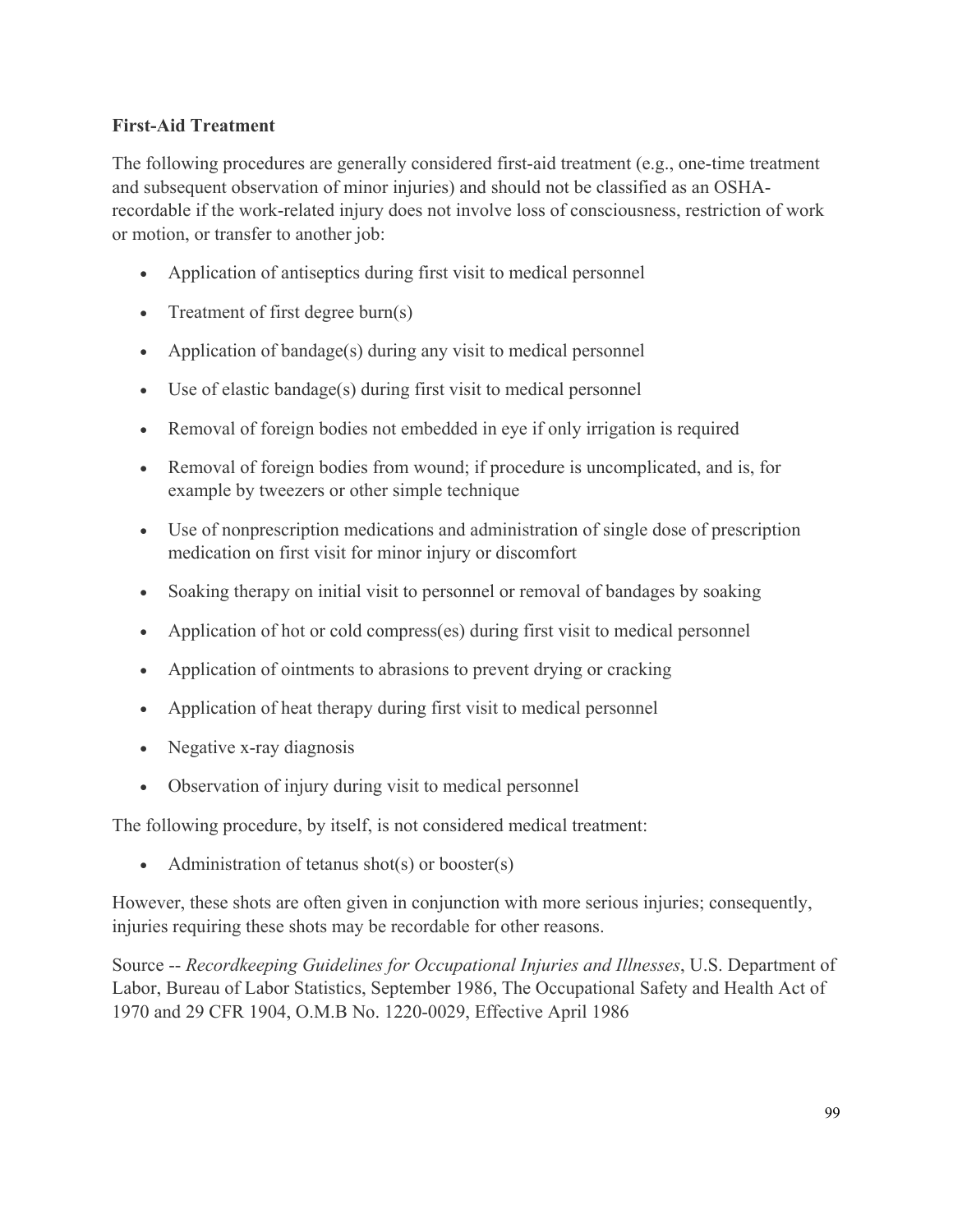### **First-Aid Treatment**

The following procedures are generally considered first-aid treatment (e.g., one-time treatment and subsequent observation of minor injuries) and should not be classified as an OSHArecordable if the work-related injury does not involve loss of consciousness, restriction of work or motion, or transfer to another job:

- Application of antiseptics during first visit to medical personnel
- Treatment of first degree burn $(s)$
- Application of bandage(s) during any visit to medical personnel
- Use of elastic bandage(s) during first visit to medical personnel
- Removal of foreign bodies not embedded in eye if only irrigation is required
- Removal of foreign bodies from wound; if procedure is uncomplicated, and is, for example by tweezers or other simple technique
- Use of nonprescription medications and administration of single dose of prescription medication on first visit for minor injury or discomfort
- Soaking therapy on initial visit to personnel or removal of bandages by soaking
- Application of hot or cold compress(es) during first visit to medical personnel
- Application of ointments to abrasions to prevent drying or cracking
- Application of heat therapy during first visit to medical personnel
- Negative x-ray diagnosis
- Observation of injury during visit to medical personnel

The following procedure, by itself, is not considered medical treatment:

• Administration of tetanus shot(s) or booster(s)

However, these shots are often given in conjunction with more serious injuries; consequently, injuries requiring these shots may be recordable for other reasons.

Source -- *Recordkeeping Guidelines for Occupational Injuries and Illnesses*, U.S. Department of Labor, Bureau of Labor Statistics, September 1986, The Occupational Safety and Health Act of 1970 and 29 CFR 1904, O.M.B No. 1220-0029, Effective April 1986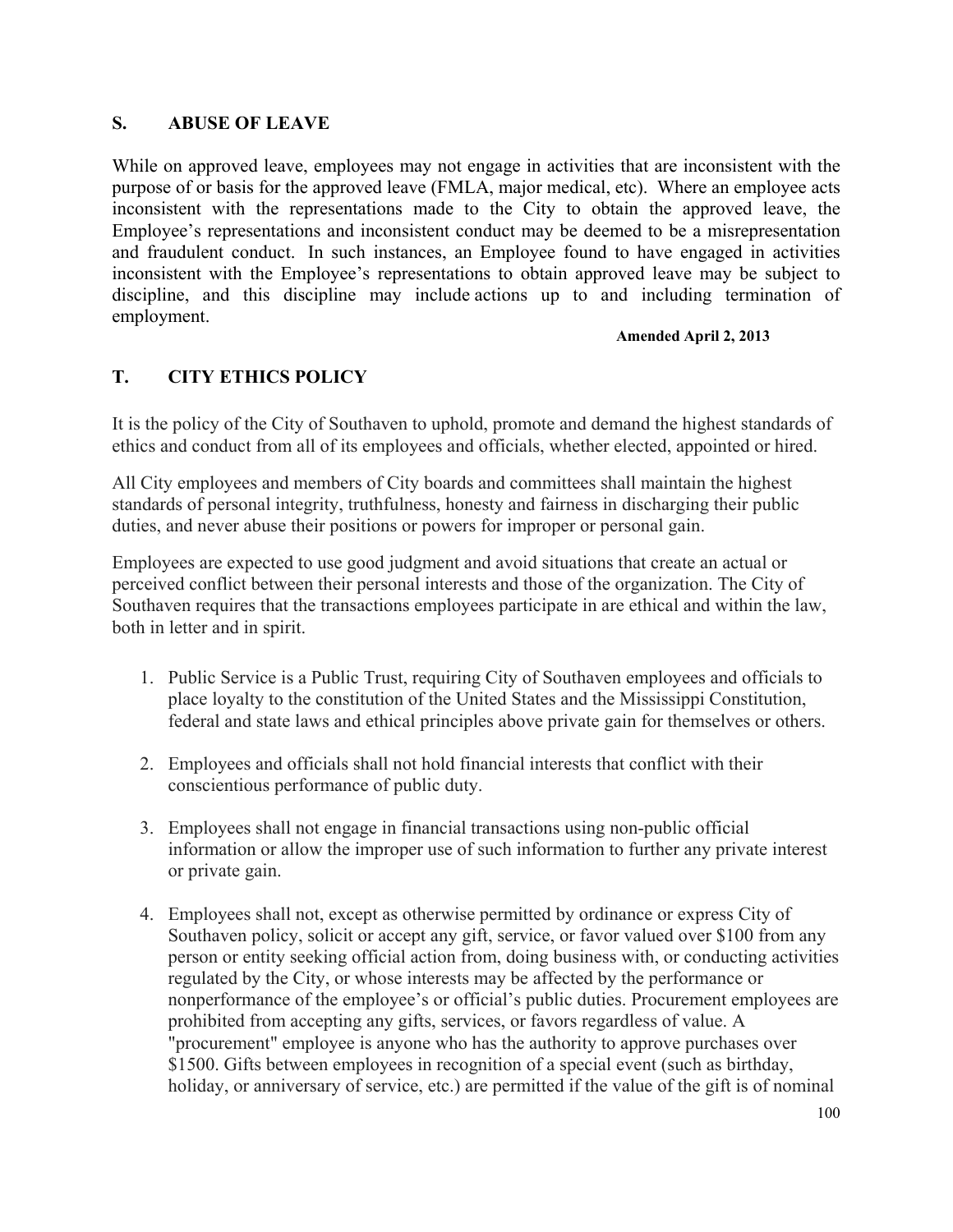#### **S. ABUSE OF LEAVE**

While on approved leave, employees may not engage in activities that are inconsistent with the purpose of or basis for the approved leave (FMLA, major medical, etc). Where an employee acts inconsistent with the representations made to the City to obtain the approved leave, the Employee's representations and inconsistent conduct may be deemed to be a misrepresentation and fraudulent conduct. In such instances, an Employee found to have engaged in activities inconsistent with the Employee's representations to obtain approved leave may be subject to discipline, and this discipline may include actions up to and including termination of employment.

#### **Amended April 2, 2013**

## **T. CITY ETHICS POLICY**

It is the policy of the City of Southaven to uphold, promote and demand the highest standards of ethics and conduct from all of its employees and officials, whether elected, appointed or hired.

All City employees and members of City boards and committees shall maintain the highest standards of personal integrity, truthfulness, honesty and fairness in discharging their public duties, and never abuse their positions or powers for improper or personal gain.

Employees are expected to use good judgment and avoid situations that create an actual or perceived conflict between their personal interests and those of the organization. The City of Southaven requires that the transactions employees participate in are ethical and within the law, both in letter and in spirit.

- 1. Public Service is a Public Trust, requiring City of Southaven employees and officials to place loyalty to the constitution of the United States and the Mississippi Constitution, federal and state laws and ethical principles above private gain for themselves or others.
- 2. Employees and officials shall not hold financial interests that conflict with their conscientious performance of public duty.
- 3. Employees shall not engage in financial transactions using non-public official information or allow the improper use of such information to further any private interest or private gain.
- 4. Employees shall not, except as otherwise permitted by ordinance or express City of Southaven policy, solicit or accept any gift, service, or favor valued over \$100 from any person or entity seeking official action from, doing business with, or conducting activities regulated by the City, or whose interests may be affected by the performance or nonperformance of the employee's or official's public duties. Procurement employees are prohibited from accepting any gifts, services, or favors regardless of value. A "procurement" employee is anyone who has the authority to approve purchases over \$1500. Gifts between employees in recognition of a special event (such as birthday, holiday, or anniversary of service, etc.) are permitted if the value of the gift is of nominal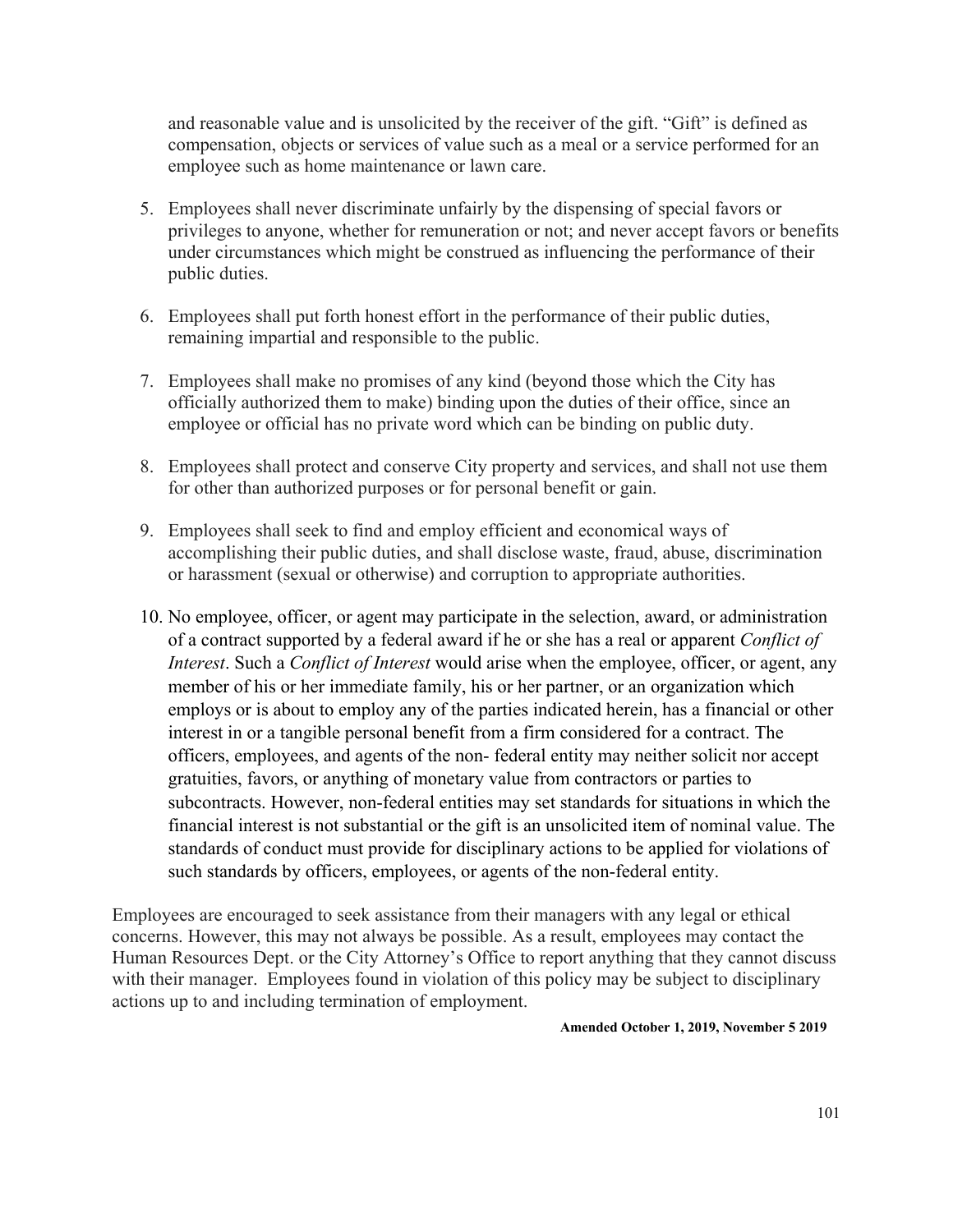and reasonable value and is unsolicited by the receiver of the gift. "Gift" is defined as compensation, objects or services of value such as a meal or a service performed for an employee such as home maintenance or lawn care.

- 5. Employees shall never discriminate unfairly by the dispensing of special favors or privileges to anyone, whether for remuneration or not; and never accept favors or benefits under circumstances which might be construed as influencing the performance of their public duties.
- 6. Employees shall put forth honest effort in the performance of their public duties, remaining impartial and responsible to the public.
- 7. Employees shall make no promises of any kind (beyond those which the City has officially authorized them to make) binding upon the duties of their office, since an employee or official has no private word which can be binding on public duty.
- 8. Employees shall protect and conserve City property and services, and shall not use them for other than authorized purposes or for personal benefit or gain.
- 9. Employees shall seek to find and employ efficient and economical ways of accomplishing their public duties, and shall disclose waste, fraud, abuse, discrimination or harassment (sexual or otherwise) and corruption to appropriate authorities.
- 10. No employee, officer, or agent may participate in the selection, award, or administration of a contract supported by a federal award if he or she has a real or apparent *Conflict of Interest*. Such a *Conflict of Interest* would arise when the employee, officer, or agent, any member of his or her immediate family, his or her partner, or an organization which employs or is about to employ any of the parties indicated herein, has a financial or other interest in or a tangible personal benefit from a firm considered for a contract. The officers, employees, and agents of the non- federal entity may neither solicit nor accept gratuities, favors, or anything of monetary value from contractors or parties to subcontracts. However, non-federal entities may set standards for situations in which the financial interest is not substantial or the gift is an unsolicited item of nominal value. The standards of conduct must provide for disciplinary actions to be applied for violations of such standards by officers, employees, or agents of the non-federal entity.

Employees are encouraged to seek assistance from their managers with any legal or ethical concerns. However, this may not always be possible. As a result, employees may contact the Human Resources Dept. or the City Attorney's Office to report anything that they cannot discuss with their manager. Employees found in violation of this policy may be subject to disciplinary actions up to and including termination of employment.

**Amended October 1, 2019, November 5 2019**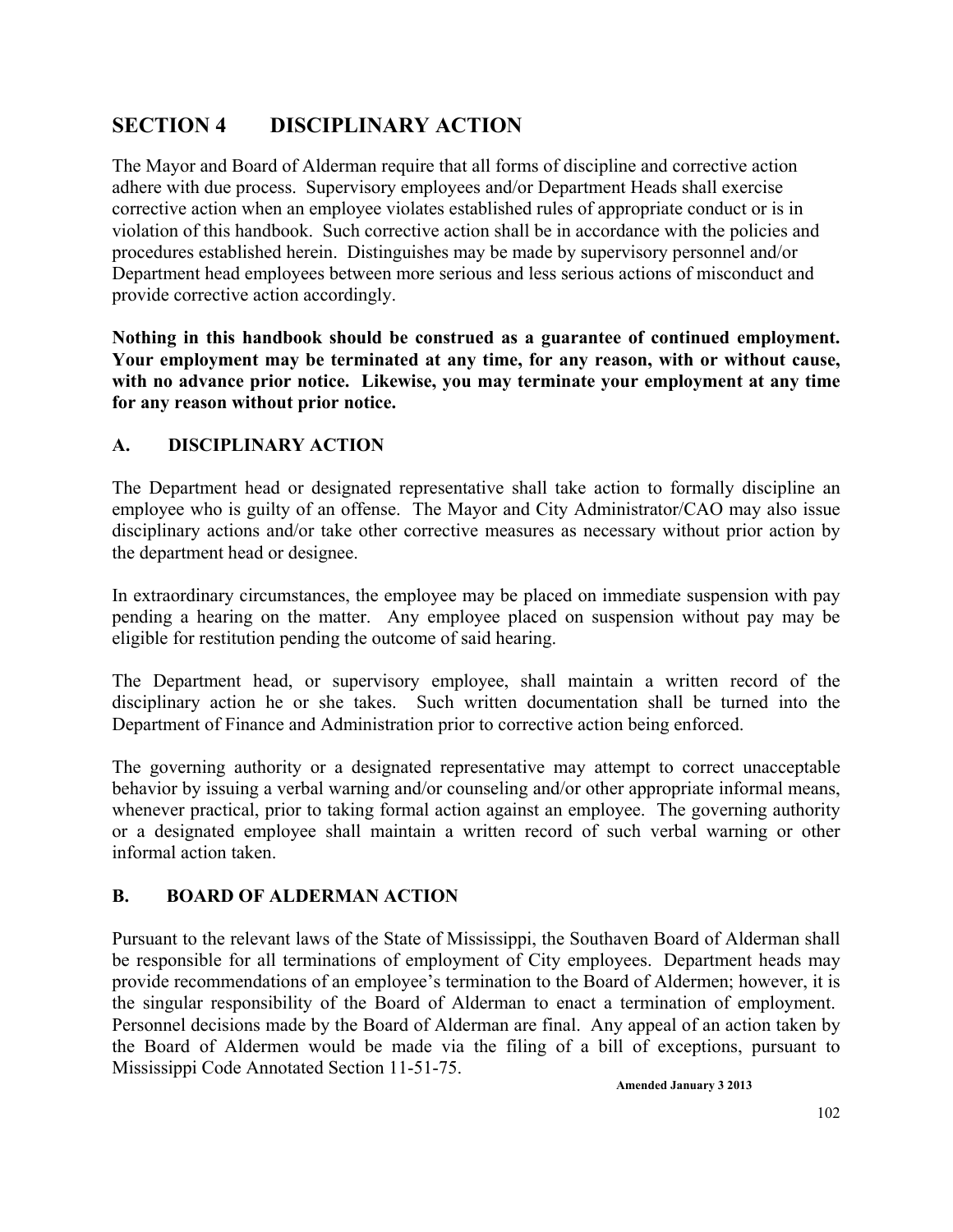# **SECTION 4 DISCIPLINARY ACTION**

The Mayor and Board of Alderman require that all forms of discipline and corrective action adhere with due process. Supervisory employees and/or Department Heads shall exercise corrective action when an employee violates established rules of appropriate conduct or is in violation of this handbook. Such corrective action shall be in accordance with the policies and procedures established herein. Distinguishes may be made by supervisory personnel and/or Department head employees between more serious and less serious actions of misconduct and provide corrective action accordingly.

**Nothing in this handbook should be construed as a guarantee of continued employment. Your employment may be terminated at any time, for any reason, with or without cause, with no advance prior notice. Likewise, you may terminate your employment at any time for any reason without prior notice.** 

### **A. DISCIPLINARY ACTION**

The Department head or designated representative shall take action to formally discipline an employee who is guilty of an offense. The Mayor and City Administrator/CAO may also issue disciplinary actions and/or take other corrective measures as necessary without prior action by the department head or designee.

In extraordinary circumstances, the employee may be placed on immediate suspension with pay pending a hearing on the matter. Any employee placed on suspension without pay may be eligible for restitution pending the outcome of said hearing.

The Department head, or supervisory employee, shall maintain a written record of the disciplinary action he or she takes. Such written documentation shall be turned into the Department of Finance and Administration prior to corrective action being enforced.

The governing authority or a designated representative may attempt to correct unacceptable behavior by issuing a verbal warning and/or counseling and/or other appropriate informal means, whenever practical, prior to taking formal action against an employee. The governing authority or a designated employee shall maintain a written record of such verbal warning or other informal action taken.

### **B. BOARD OF ALDERMAN ACTION**

Pursuant to the relevant laws of the State of Mississippi, the Southaven Board of Alderman shall be responsible for all terminations of employment of City employees. Department heads may provide recommendations of an employee's termination to the Board of Aldermen; however, it is the singular responsibility of the Board of Alderman to enact a termination of employment. Personnel decisions made by the Board of Alderman are final. Any appeal of an action taken by the Board of Aldermen would be made via the filing of a bill of exceptions, pursuant to Mississippi Code Annotated Section 11-51-75.

**Amended January 3 2013**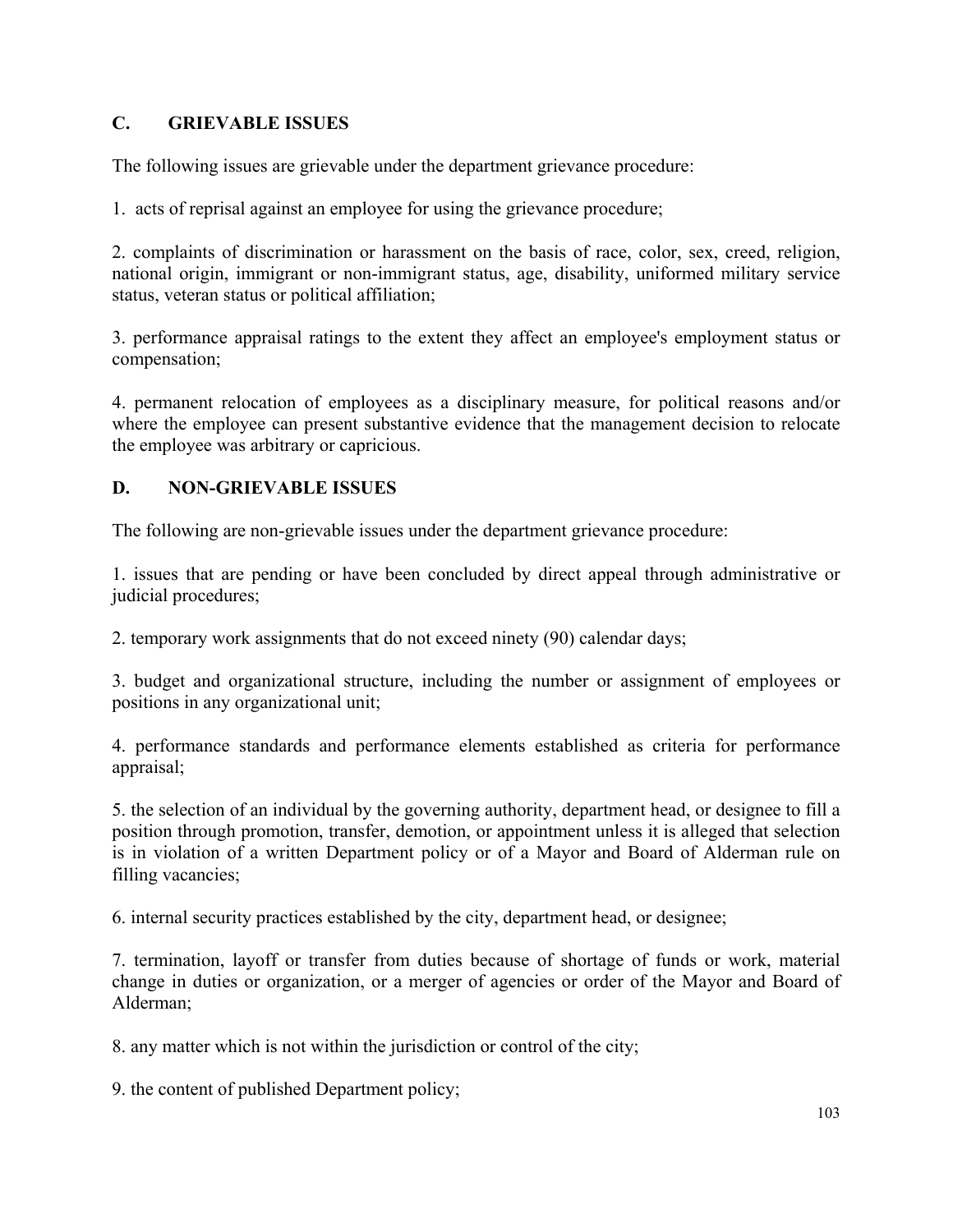### **C. GRIEVABLE ISSUES**

The following issues are grievable under the department grievance procedure:

1. acts of reprisal against an employee for using the grievance procedure;

2. complaints of discrimination or harassment on the basis of race, color, sex, creed, religion, national origin, immigrant or non-immigrant status, age, disability, uniformed military service status, veteran status or political affiliation;

3. performance appraisal ratings to the extent they affect an employee's employment status or compensation;

4. permanent relocation of employees as a disciplinary measure, for political reasons and/or where the employee can present substantive evidence that the management decision to relocate the employee was arbitrary or capricious.

### **D. NON-GRIEVABLE ISSUES**

The following are non-grievable issues under the department grievance procedure:

1. issues that are pending or have been concluded by direct appeal through administrative or judicial procedures;

2. temporary work assignments that do not exceed ninety (90) calendar days;

3. budget and organizational structure, including the number or assignment of employees or positions in any organizational unit;

4. performance standards and performance elements established as criteria for performance appraisal;

5. the selection of an individual by the governing authority, department head, or designee to fill a position through promotion, transfer, demotion, or appointment unless it is alleged that selection is in violation of a written Department policy or of a Mayor and Board of Alderman rule on filling vacancies;

6. internal security practices established by the city, department head, or designee;

7. termination, layoff or transfer from duties because of shortage of funds or work, material change in duties or organization, or a merger of agencies or order of the Mayor and Board of Alderman;

8. any matter which is not within the jurisdiction or control of the city;

9. the content of published Department policy;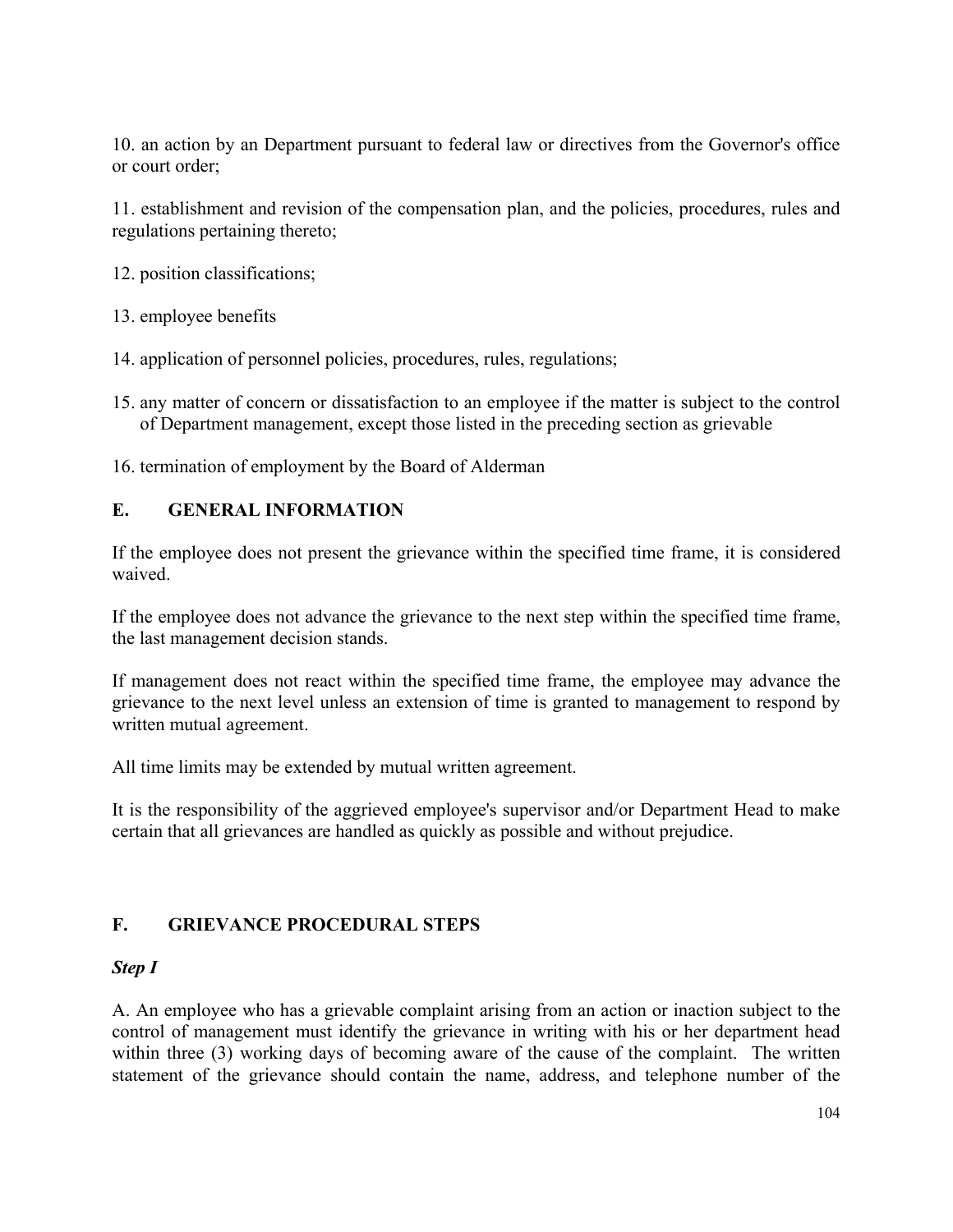10. an action by an Department pursuant to federal law or directives from the Governor's office or court order;

11. establishment and revision of the compensation plan, and the policies, procedures, rules and regulations pertaining thereto;

- 12. position classifications;
- 13. employee benefits
- 14. application of personnel policies, procedures, rules, regulations;
- 15. any matter of concern or dissatisfaction to an employee if the matter is subject to the control of Department management, except those listed in the preceding section as grievable
- 16. termination of employment by the Board of Alderman

## **E. GENERAL INFORMATION**

If the employee does not present the grievance within the specified time frame, it is considered waived.

If the employee does not advance the grievance to the next step within the specified time frame, the last management decision stands.

If management does not react within the specified time frame, the employee may advance the grievance to the next level unless an extension of time is granted to management to respond by written mutual agreement.

All time limits may be extended by mutual written agreement.

It is the responsibility of the aggrieved employee's supervisor and/or Department Head to make certain that all grievances are handled as quickly as possible and without prejudice.

# **F. GRIEVANCE PROCEDURAL STEPS**

### *Step I*

A. An employee who has a grievable complaint arising from an action or inaction subject to the control of management must identify the grievance in writing with his or her department head within three (3) working days of becoming aware of the cause of the complaint. The written statement of the grievance should contain the name, address, and telephone number of the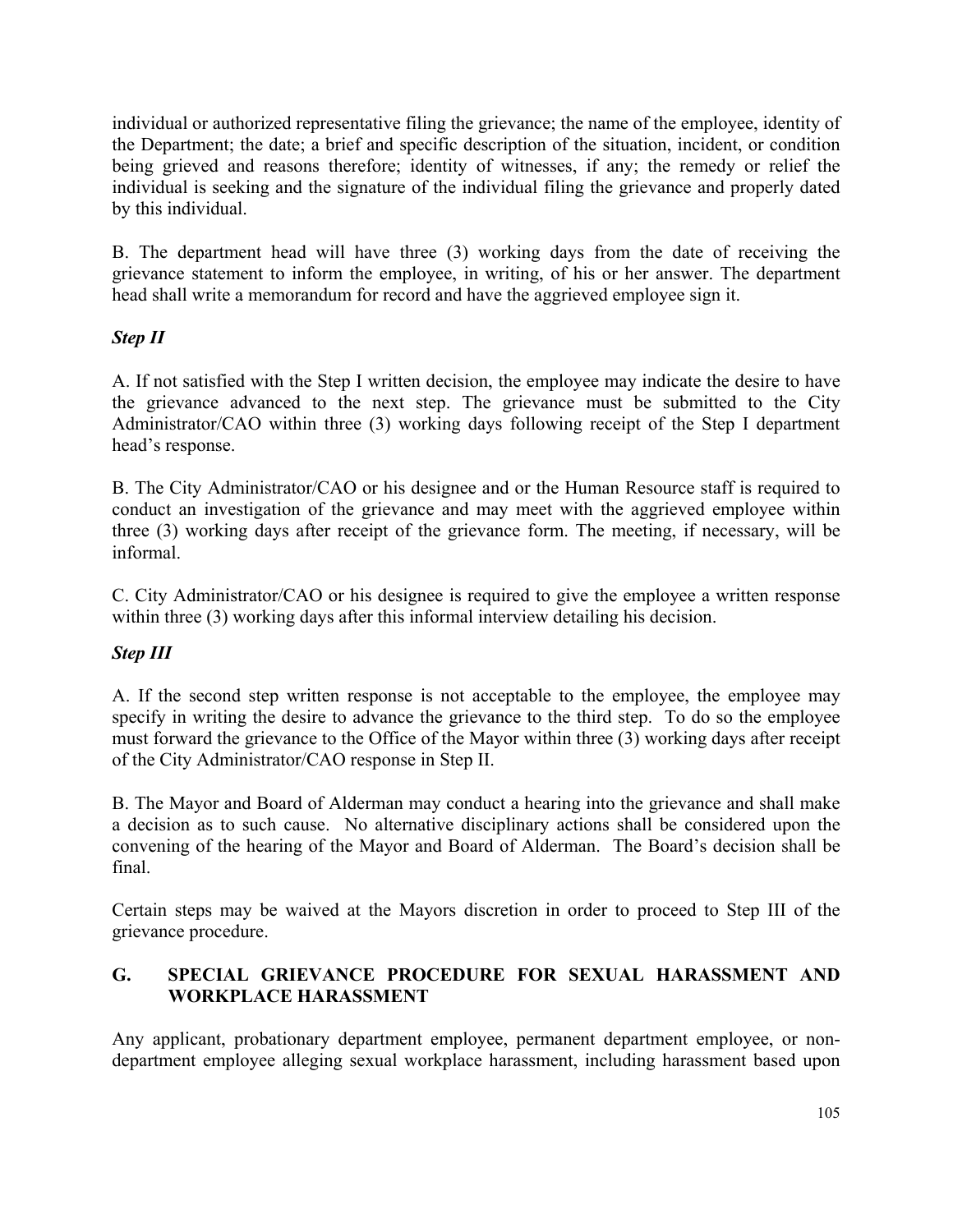individual or authorized representative filing the grievance; the name of the employee, identity of the Department; the date; a brief and specific description of the situation, incident, or condition being grieved and reasons therefore; identity of witnesses, if any; the remedy or relief the individual is seeking and the signature of the individual filing the grievance and properly dated by this individual.

B. The department head will have three (3) working days from the date of receiving the grievance statement to inform the employee, in writing, of his or her answer. The department head shall write a memorandum for record and have the aggrieved employee sign it.

# *Step II*

A. If not satisfied with the Step I written decision, the employee may indicate the desire to have the grievance advanced to the next step. The grievance must be submitted to the City Administrator/CAO within three (3) working days following receipt of the Step I department head's response.

B. The City Administrator/CAO or his designee and or the Human Resource staff is required to conduct an investigation of the grievance and may meet with the aggrieved employee within three (3) working days after receipt of the grievance form. The meeting, if necessary, will be informal.

C. City Administrator/CAO or his designee is required to give the employee a written response within three (3) working days after this informal interview detailing his decision.

### *Step III*

A. If the second step written response is not acceptable to the employee, the employee may specify in writing the desire to advance the grievance to the third step. To do so the employee must forward the grievance to the Office of the Mayor within three (3) working days after receipt of the City Administrator/CAO response in Step II.

B. The Mayor and Board of Alderman may conduct a hearing into the grievance and shall make a decision as to such cause. No alternative disciplinary actions shall be considered upon the convening of the hearing of the Mayor and Board of Alderman. The Board's decision shall be final.

Certain steps may be waived at the Mayors discretion in order to proceed to Step III of the grievance procedure.

## **G. SPECIAL GRIEVANCE PROCEDURE FOR SEXUAL HARASSMENT AND WORKPLACE HARASSMENT**

Any applicant, probationary department employee, permanent department employee, or nondepartment employee alleging sexual workplace harassment, including harassment based upon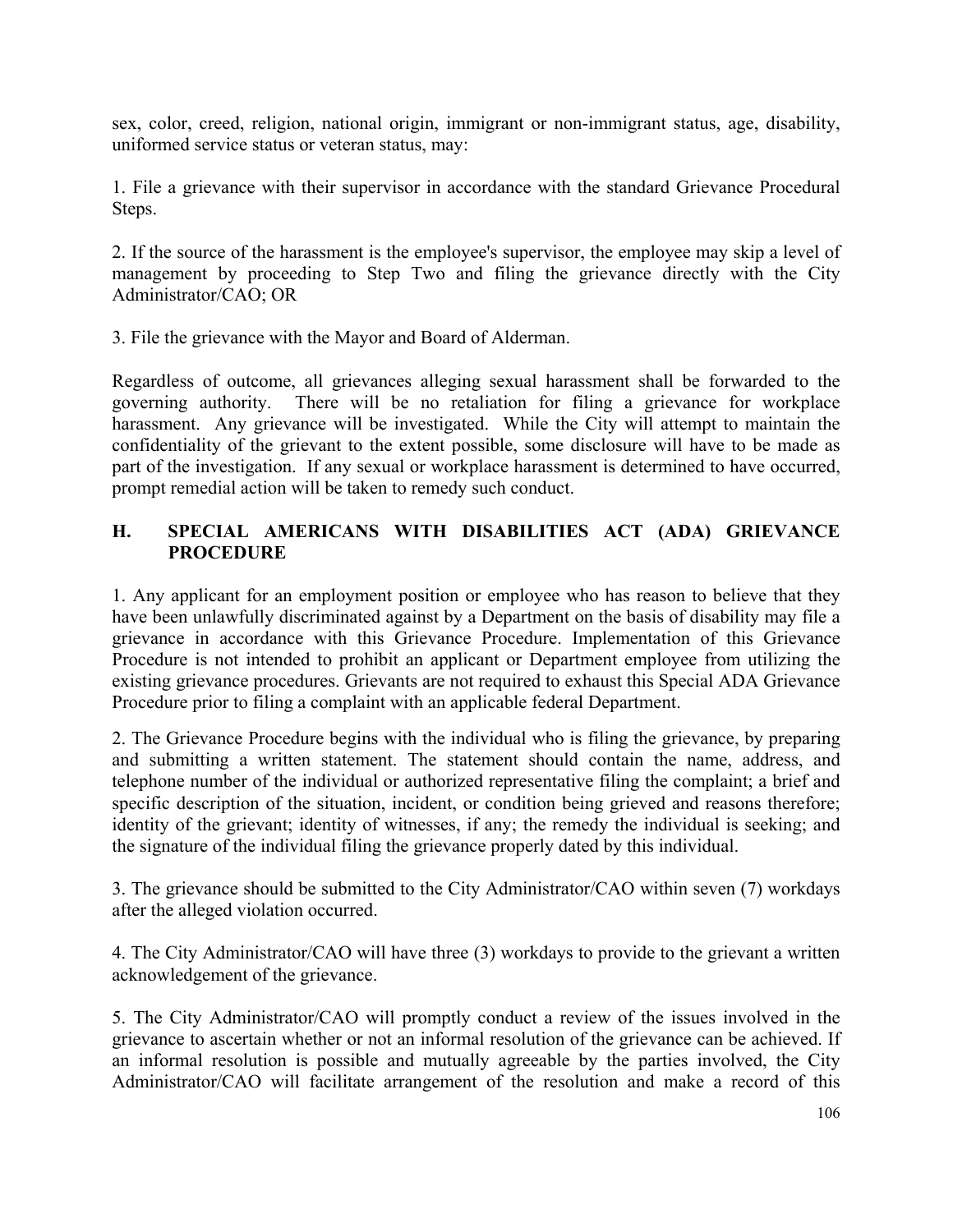sex, color, creed, religion, national origin, immigrant or non-immigrant status, age, disability, uniformed service status or veteran status, may:

1. File a grievance with their supervisor in accordance with the standard Grievance Procedural Steps.

2. If the source of the harassment is the employee's supervisor, the employee may skip a level of management by proceeding to Step Two and filing the grievance directly with the City Administrator/CAO; OR

3. File the grievance with the Mayor and Board of Alderman.

Regardless of outcome, all grievances alleging sexual harassment shall be forwarded to the governing authority. There will be no retaliation for filing a grievance for workplace harassment. Any grievance will be investigated. While the City will attempt to maintain the confidentiality of the grievant to the extent possible, some disclosure will have to be made as part of the investigation. If any sexual or workplace harassment is determined to have occurred, prompt remedial action will be taken to remedy such conduct.

### **H. SPECIAL AMERICANS WITH DISABILITIES ACT (ADA) GRIEVANCE PROCEDURE**

1. Any applicant for an employment position or employee who has reason to believe that they have been unlawfully discriminated against by a Department on the basis of disability may file a grievance in accordance with this Grievance Procedure. Implementation of this Grievance Procedure is not intended to prohibit an applicant or Department employee from utilizing the existing grievance procedures. Grievants are not required to exhaust this Special ADA Grievance Procedure prior to filing a complaint with an applicable federal Department.

2. The Grievance Procedure begins with the individual who is filing the grievance, by preparing and submitting a written statement. The statement should contain the name, address, and telephone number of the individual or authorized representative filing the complaint; a brief and specific description of the situation, incident, or condition being grieved and reasons therefore; identity of the grievant; identity of witnesses, if any; the remedy the individual is seeking; and the signature of the individual filing the grievance properly dated by this individual.

3. The grievance should be submitted to the City Administrator/CAO within seven (7) workdays after the alleged violation occurred.

4. The City Administrator/CAO will have three (3) workdays to provide to the grievant a written acknowledgement of the grievance.

5. The City Administrator/CAO will promptly conduct a review of the issues involved in the grievance to ascertain whether or not an informal resolution of the grievance can be achieved. If an informal resolution is possible and mutually agreeable by the parties involved, the City Administrator/CAO will facilitate arrangement of the resolution and make a record of this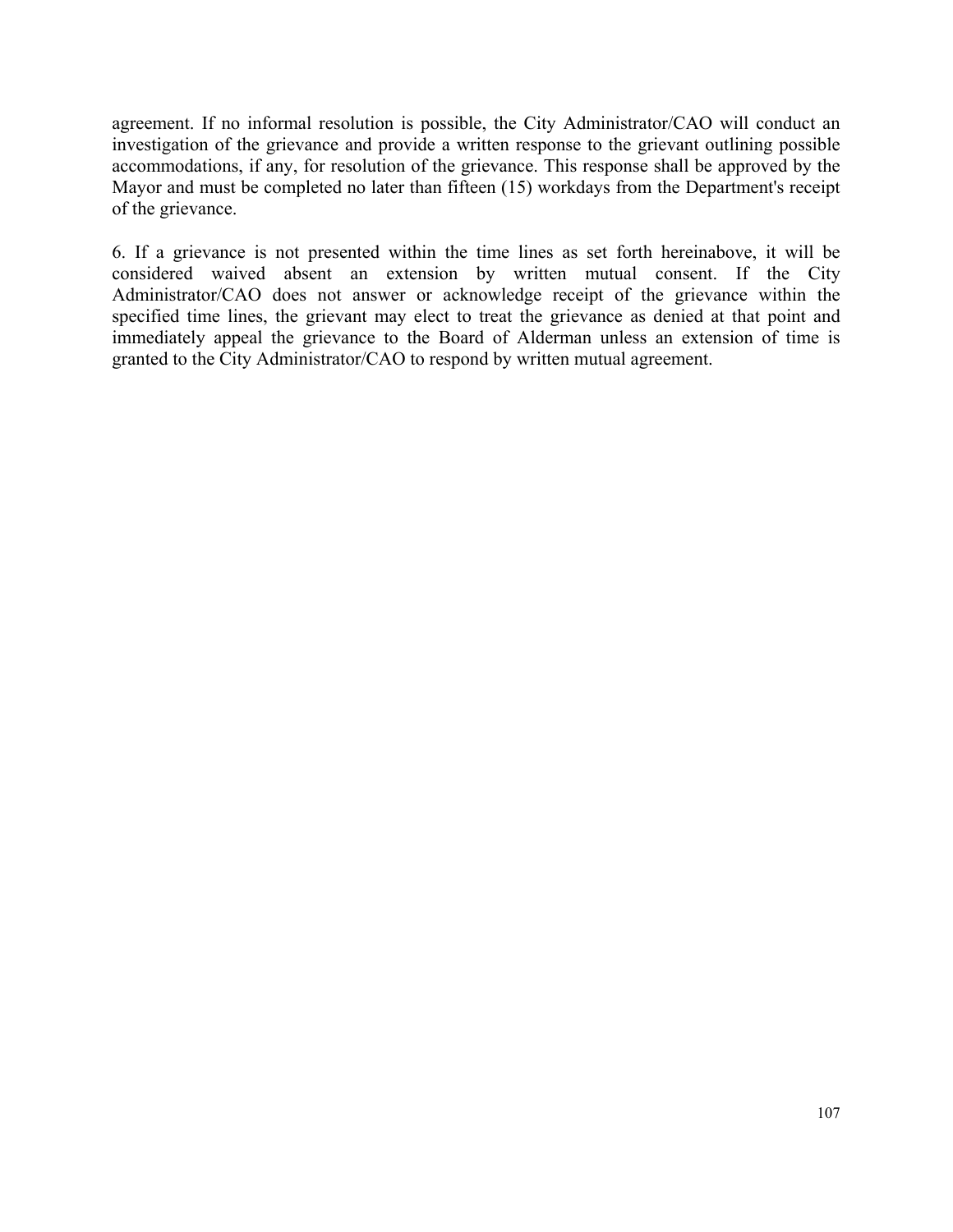agreement. If no informal resolution is possible, the City Administrator/CAO will conduct an investigation of the grievance and provide a written response to the grievant outlining possible accommodations, if any, for resolution of the grievance. This response shall be approved by the Mayor and must be completed no later than fifteen (15) workdays from the Department's receipt of the grievance.

6. If a grievance is not presented within the time lines as set forth hereinabove, it will be considered waived absent an extension by written mutual consent. If the City Administrator/CAO does not answer or acknowledge receipt of the grievance within the specified time lines, the grievant may elect to treat the grievance as denied at that point and immediately appeal the grievance to the Board of Alderman unless an extension of time is granted to the City Administrator/CAO to respond by written mutual agreement.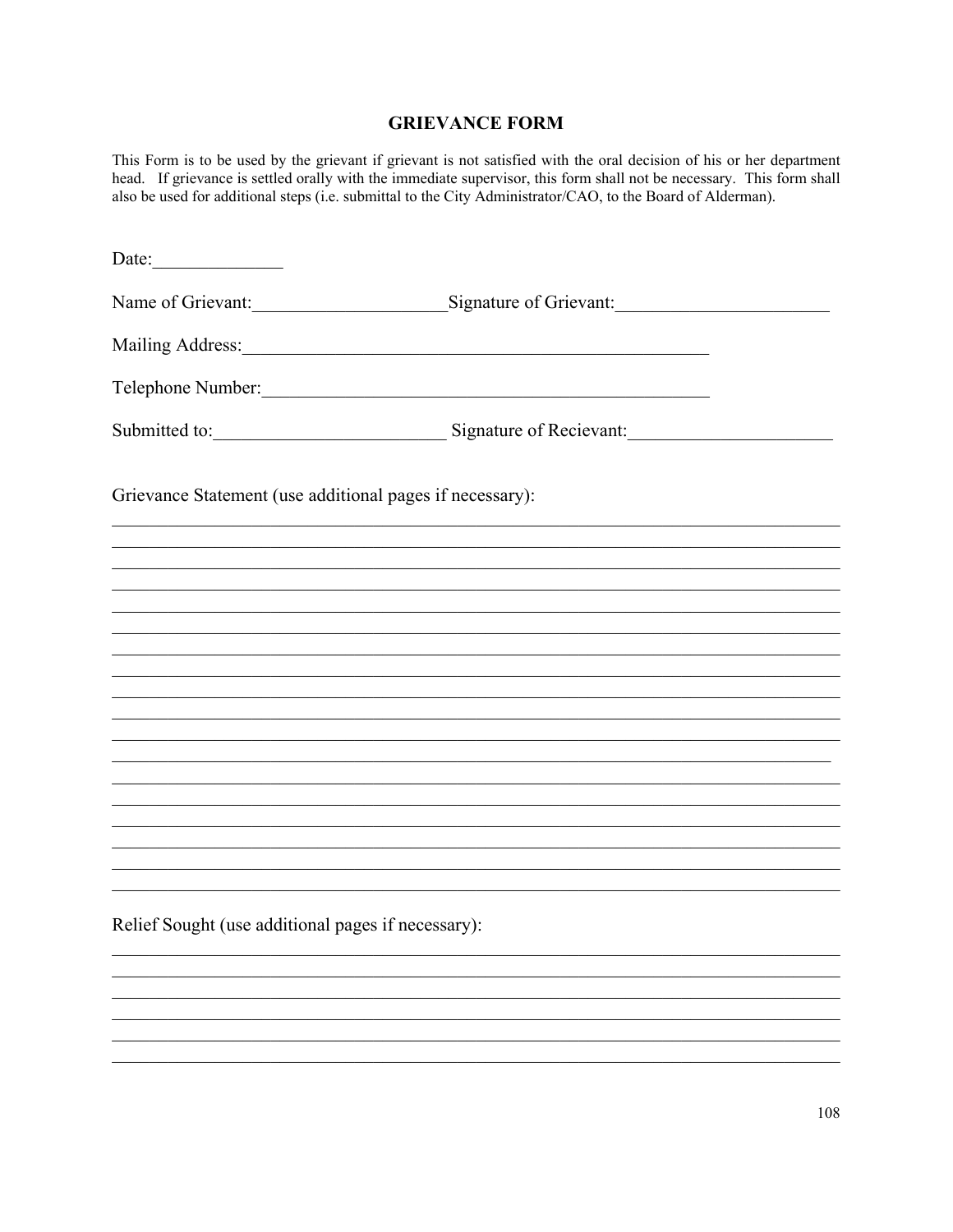#### **GRIEVANCE FORM**

This Form is to be used by the grievant if grievant is not satisfied with the oral decision of his or her department head. If grievance is settled orally with the immediate supervisor, this form shall not be necessary. This form shall also be used for additional steps (i.e. submittal to the City Administrator/CAO, to the Board of Alderman).

| Date:                                                    |                                       |  |
|----------------------------------------------------------|---------------------------------------|--|
| Name of Grievant:                                        | Signature of Grievant:                |  |
|                                                          | Mailing Address: Mailing Address:     |  |
|                                                          | Telephone Number:                     |  |
|                                                          | Submitted to: Signature of Recievant: |  |
| Grievance Statement (use additional pages if necessary): |                                       |  |
|                                                          |                                       |  |
|                                                          |                                       |  |
|                                                          |                                       |  |
|                                                          |                                       |  |
|                                                          |                                       |  |
|                                                          |                                       |  |
|                                                          |                                       |  |
|                                                          |                                       |  |
|                                                          |                                       |  |
|                                                          |                                       |  |
|                                                          |                                       |  |
|                                                          |                                       |  |
|                                                          |                                       |  |
|                                                          |                                       |  |
| Relief Sought (use additional pages if necessary):       |                                       |  |
|                                                          |                                       |  |
|                                                          |                                       |  |
|                                                          |                                       |  |
|                                                          |                                       |  |
|                                                          |                                       |  |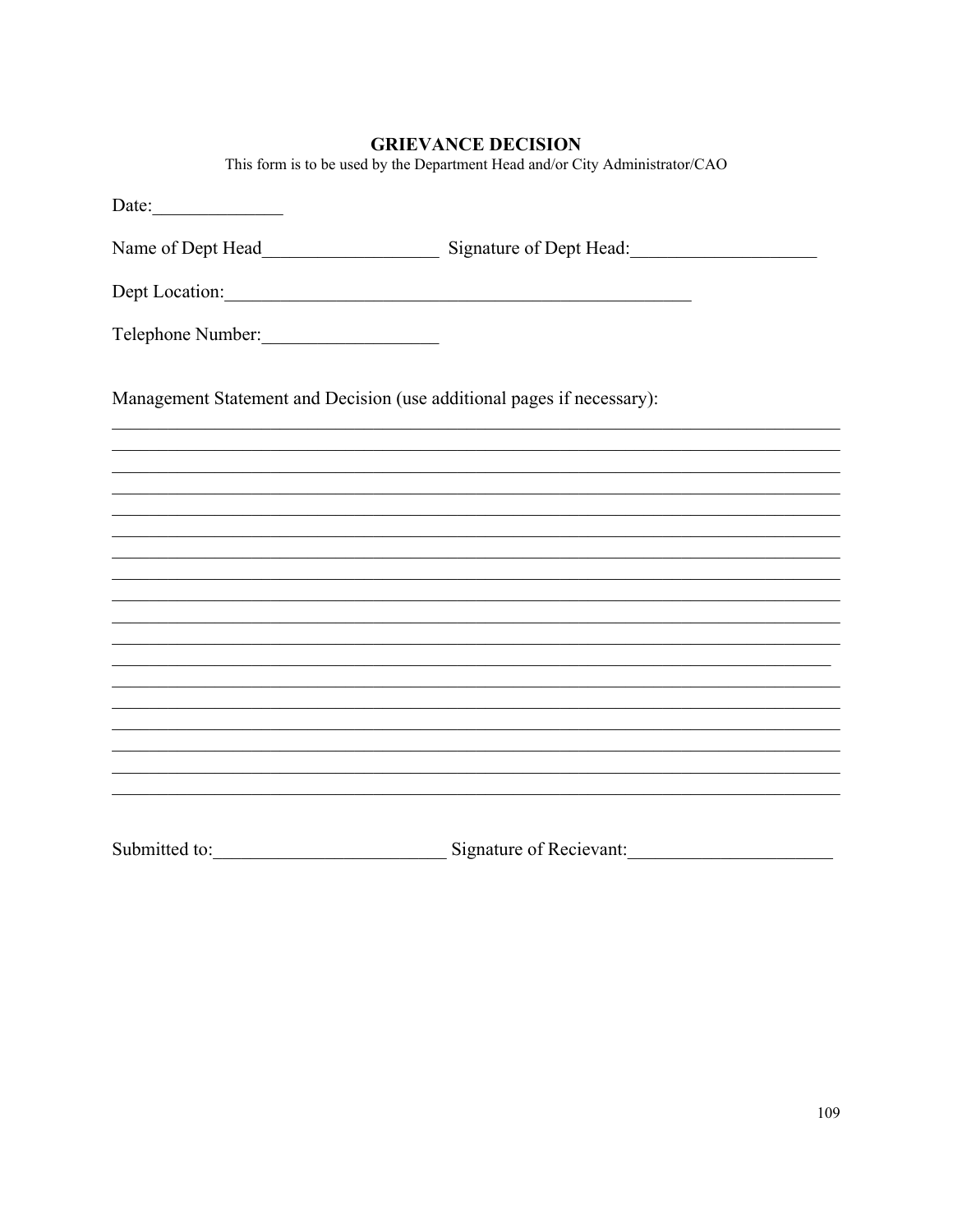## **GRIEVANCE DECISION**

This form is to be used by the Department Head and/or City Administrator/CAO

| Date:                                                                  |                         |
|------------------------------------------------------------------------|-------------------------|
|                                                                        | Signature of Dept Head: |
| Dept Location:                                                         |                         |
| Telephone Number:                                                      |                         |
| Management Statement and Decision (use additional pages if necessary): |                         |
|                                                                        |                         |
|                                                                        |                         |
|                                                                        |                         |
|                                                                        |                         |
|                                                                        |                         |
|                                                                        |                         |
|                                                                        |                         |
|                                                                        |                         |
|                                                                        |                         |
|                                                                        |                         |
|                                                                        |                         |
|                                                                        |                         |
|                                                                        |                         |
|                                                                        |                         |
|                                                                        |                         |
| Submitted to:                                                          | Signature of Recievant: |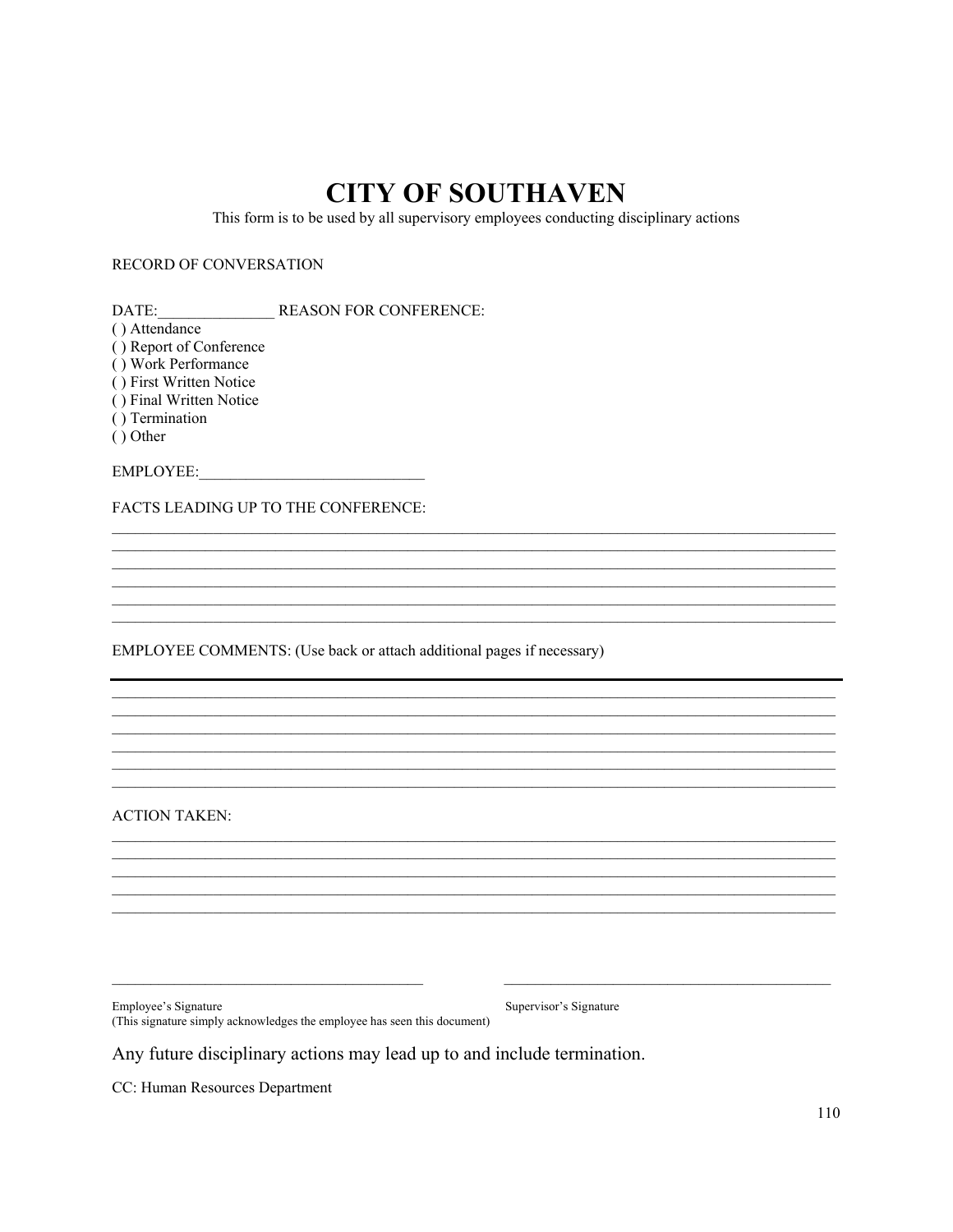## **CITY OF SOUTHAVEN**

This form is to be used by all supervisory employees conducting disciplinary actions

<u> 1989 - Johann Stoff, deutscher Stoff, der Stoff, der Stoff, der Stoff, der Stoff, der Stoff, der Stoff, der S</u>

<u> 1989 - Johann John Stone, markin sanadi ya kutoka mwaka wa 1989 - Amerika mwaka wa 1989 - Amerika mwaka wa 19</u>

## RECORD OF CONVERSATION

DATE: REASON FOR CONFERENCE: () Attendance () Report of Conference () Work Performance

() First Written Notice

() Final Written Notice

() Termination

() Other

EMPLOYEE:

FACTS LEADING UP TO THE CONFERENCE:

EMPLOYEE COMMENTS: (Use back or attach additional pages if necessary)

**ACTION TAKEN:** 

Employee's Signature (This signature simply acknowledges the employee has seen this document)

Supervisor's Signature

Any future disciplinary actions may lead up to and include termination.

CC: Human Resources Department